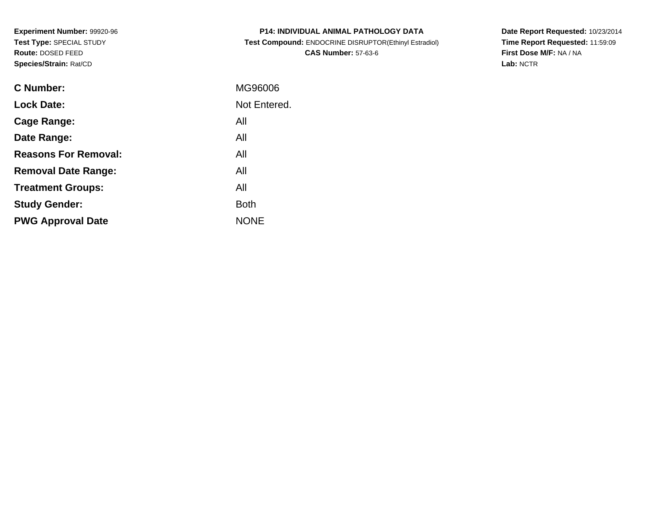**Experiment Number:** 99920-96**Test Type:** SPECIAL STUDY**Route:** DOSED FEED**Species/Strain:** Rat/CD

| <b>P14: INDIVIDUAL ANIMAL PATHOLOGY DATA</b>          |
|-------------------------------------------------------|
| Test Compound: ENDOCRINE DISRUPTOR(Ethinyl Estradiol) |
| <b>CAS Number: 57-63-6</b>                            |

**Date Report Requested:** 10/23/2014 **Time Report Requested:** 11:59:09**First Dose M/F:** NA / NA**Lab:** NCTR

| C Number:                   | MG96006      |
|-----------------------------|--------------|
| <b>Lock Date:</b>           | Not Entered. |
| Cage Range:                 | All          |
| Date Range:                 | All          |
| <b>Reasons For Removal:</b> | All          |
| <b>Removal Date Range:</b>  | All          |
| <b>Treatment Groups:</b>    | All          |
| <b>Study Gender:</b>        | <b>Both</b>  |
| <b>PWG Approval Date</b>    | <b>NONE</b>  |
|                             |              |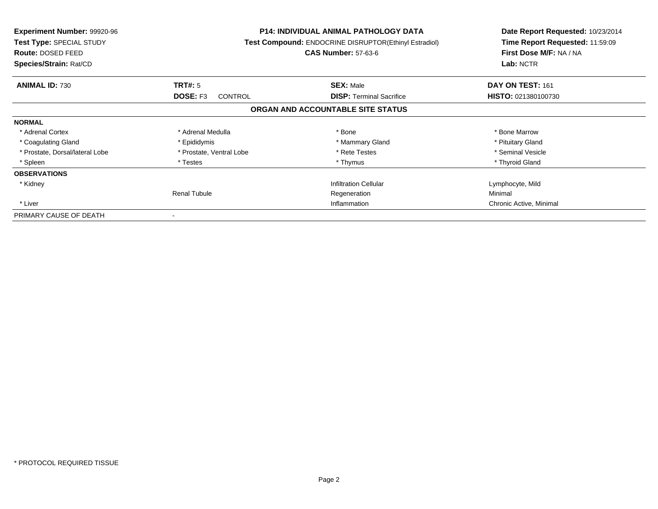| <b>Experiment Number: 99920-96</b><br><b>Test Type: SPECIAL STUDY</b><br><b>Route: DOSED FEED</b><br>Species/Strain: Rat/CD |                          | <b>P14: INDIVIDUAL ANIMAL PATHOLOGY DATA</b><br>Test Compound: ENDOCRINE DISRUPTOR(Ethinyl Estradiol)<br><b>CAS Number: 57-63-6</b> | Date Report Requested: 10/23/2014<br>Time Report Requested: 11:59:09<br>First Dose M/F: NA / NA<br>Lab: NCTR |
|-----------------------------------------------------------------------------------------------------------------------------|--------------------------|-------------------------------------------------------------------------------------------------------------------------------------|--------------------------------------------------------------------------------------------------------------|
| <b>ANIMAL ID: 730</b>                                                                                                       | TRT#: 5                  | <b>SEX: Male</b>                                                                                                                    | DAY ON TEST: 161                                                                                             |
|                                                                                                                             | DOSE: F3<br>CONTROL      | <b>DISP:</b> Terminal Sacrifice                                                                                                     | <b>HISTO: 021380100730</b>                                                                                   |
|                                                                                                                             |                          | ORGAN AND ACCOUNTABLE SITE STATUS                                                                                                   |                                                                                                              |
| <b>NORMAL</b>                                                                                                               |                          |                                                                                                                                     |                                                                                                              |
| * Adrenal Cortex                                                                                                            | * Adrenal Medulla        | * Bone                                                                                                                              | * Bone Marrow                                                                                                |
| * Coagulating Gland                                                                                                         | * Epididymis             | * Mammary Gland                                                                                                                     | * Pituitary Gland                                                                                            |
| * Prostate, Dorsal/lateral Lobe                                                                                             | * Prostate, Ventral Lobe | * Rete Testes                                                                                                                       | * Seminal Vesicle                                                                                            |
| * Spleen                                                                                                                    | * Testes                 | * Thymus                                                                                                                            | * Thyroid Gland                                                                                              |
| <b>OBSERVATIONS</b>                                                                                                         |                          |                                                                                                                                     |                                                                                                              |
| * Kidney                                                                                                                    |                          | <b>Infiltration Cellular</b>                                                                                                        | Lymphocyte, Mild                                                                                             |
|                                                                                                                             | Renal Tubule             | Regeneration                                                                                                                        | Minimal                                                                                                      |
| * Liver                                                                                                                     | Inflammation             |                                                                                                                                     | Chronic Active, Minimal                                                                                      |
| PRIMARY CAUSE OF DEATH                                                                                                      |                          |                                                                                                                                     |                                                                                                              |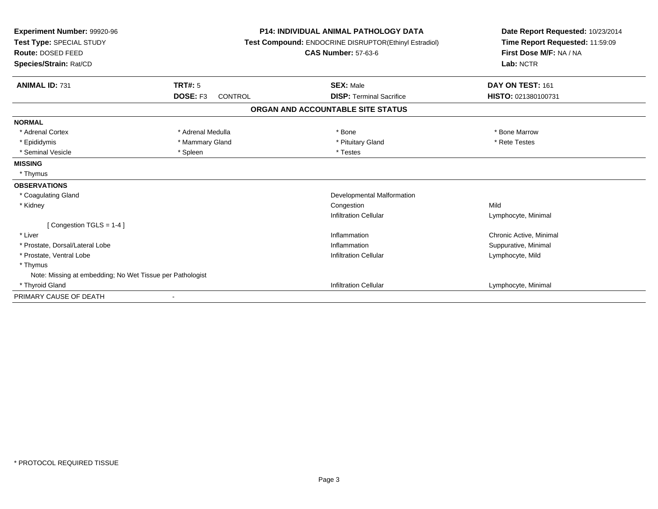| Experiment Number: 99920-96<br>Test Type: SPECIAL STUDY<br>Route: DOSED FEED<br>Species/Strain: Rat/CD |                            | <b>P14: INDIVIDUAL ANIMAL PATHOLOGY DATA</b><br>Test Compound: ENDOCRINE DISRUPTOR(Ethinyl Estradiol)<br><b>CAS Number: 57-63-6</b> | Date Report Requested: 10/23/2014<br>Time Report Requested: 11:59:09<br>First Dose M/F: NA / NA<br>Lab: NCTR |  |
|--------------------------------------------------------------------------------------------------------|----------------------------|-------------------------------------------------------------------------------------------------------------------------------------|--------------------------------------------------------------------------------------------------------------|--|
| <b>ANIMAL ID: 731</b>                                                                                  | <b>TRT#: 5</b>             | <b>SEX: Male</b>                                                                                                                    | DAY ON TEST: 161                                                                                             |  |
|                                                                                                        | DOSE: F3<br><b>CONTROL</b> | <b>DISP: Terminal Sacrifice</b>                                                                                                     | HISTO: 021380100731                                                                                          |  |
|                                                                                                        |                            | ORGAN AND ACCOUNTABLE SITE STATUS                                                                                                   |                                                                                                              |  |
| <b>NORMAL</b>                                                                                          |                            |                                                                                                                                     |                                                                                                              |  |
| * Adrenal Cortex                                                                                       | * Adrenal Medulla          | * Bone                                                                                                                              | * Bone Marrow                                                                                                |  |
| * Epididymis                                                                                           | * Mammary Gland            | * Pituitary Gland                                                                                                                   | * Rete Testes                                                                                                |  |
| * Seminal Vesicle                                                                                      | * Spleen                   | * Testes                                                                                                                            |                                                                                                              |  |
| <b>MISSING</b>                                                                                         |                            |                                                                                                                                     |                                                                                                              |  |
| * Thymus                                                                                               |                            |                                                                                                                                     |                                                                                                              |  |
| <b>OBSERVATIONS</b>                                                                                    |                            |                                                                                                                                     |                                                                                                              |  |
| * Coagulating Gland                                                                                    |                            | Developmental Malformation                                                                                                          |                                                                                                              |  |
| * Kidney                                                                                               |                            | Congestion                                                                                                                          | Mild                                                                                                         |  |
|                                                                                                        |                            | <b>Infiltration Cellular</b>                                                                                                        | Lymphocyte, Minimal                                                                                          |  |
| [Congestion TGLS = $1-4$ ]                                                                             |                            |                                                                                                                                     |                                                                                                              |  |
| * Liver                                                                                                |                            | Inflammation                                                                                                                        | Chronic Active, Minimal                                                                                      |  |
| * Prostate, Dorsal/Lateral Lobe                                                                        |                            | Inflammation                                                                                                                        | Suppurative, Minimal                                                                                         |  |
| * Prostate, Ventral Lobe                                                                               |                            | <b>Infiltration Cellular</b>                                                                                                        | Lymphocyte, Mild                                                                                             |  |
| * Thymus                                                                                               |                            |                                                                                                                                     |                                                                                                              |  |
| Note: Missing at embedding; No Wet Tissue per Pathologist                                              |                            |                                                                                                                                     |                                                                                                              |  |
| Infiltration Cellular<br>* Thyroid Gland                                                               |                            |                                                                                                                                     | Lymphocyte, Minimal                                                                                          |  |
| PRIMARY CAUSE OF DEATH                                                                                 |                            |                                                                                                                                     |                                                                                                              |  |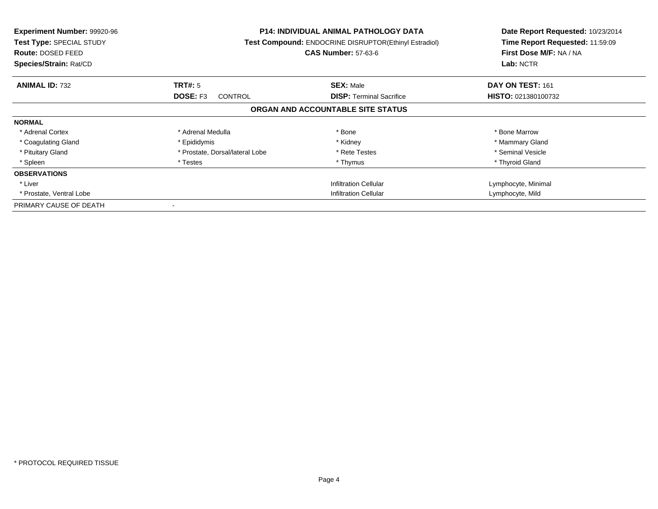| Experiment Number: 99920-96<br><b>Test Type: SPECIAL STUDY</b><br>Route: DOSED FEED<br>Species/Strain: Rat/CD |                                 | <b>P14: INDIVIDUAL ANIMAL PATHOLOGY DATA</b><br><b>Test Compound: ENDOCRINE DISRUPTOR(Ethinyl Estradiol)</b><br><b>CAS Number: 57-63-6</b> | Date Report Requested: 10/23/2014<br>Time Report Requested: 11:59:09<br>First Dose M/F: NA / NA<br>Lab: NCTR |
|---------------------------------------------------------------------------------------------------------------|---------------------------------|--------------------------------------------------------------------------------------------------------------------------------------------|--------------------------------------------------------------------------------------------------------------|
| <b>ANIMAL ID: 732</b>                                                                                         | TRT#: 5                         | <b>SEX: Male</b>                                                                                                                           | DAY ON TEST: 161                                                                                             |
|                                                                                                               | DOSE: F3<br><b>CONTROL</b>      | <b>DISP:</b> Terminal Sacrifice                                                                                                            | <b>HISTO: 021380100732</b>                                                                                   |
|                                                                                                               |                                 | ORGAN AND ACCOUNTABLE SITE STATUS                                                                                                          |                                                                                                              |
| <b>NORMAL</b>                                                                                                 |                                 |                                                                                                                                            |                                                                                                              |
| * Adrenal Cortex                                                                                              | * Adrenal Medulla               | * Bone                                                                                                                                     | * Bone Marrow                                                                                                |
| * Coagulating Gland                                                                                           | * Epididymis                    | * Kidney                                                                                                                                   | * Mammary Gland                                                                                              |
| * Pituitary Gland                                                                                             | * Prostate, Dorsal/lateral Lobe | * Rete Testes                                                                                                                              | * Seminal Vesicle                                                                                            |
| * Spleen                                                                                                      | * Testes                        | * Thymus                                                                                                                                   | * Thyroid Gland                                                                                              |
| <b>OBSERVATIONS</b>                                                                                           |                                 |                                                                                                                                            |                                                                                                              |
| * Liver                                                                                                       |                                 | <b>Infiltration Cellular</b>                                                                                                               | Lymphocyte, Minimal                                                                                          |
| * Prostate, Ventral Lobe                                                                                      | Infiltration Cellular           |                                                                                                                                            | Lymphocyte, Mild                                                                                             |
| PRIMARY CAUSE OF DEATH                                                                                        |                                 |                                                                                                                                            |                                                                                                              |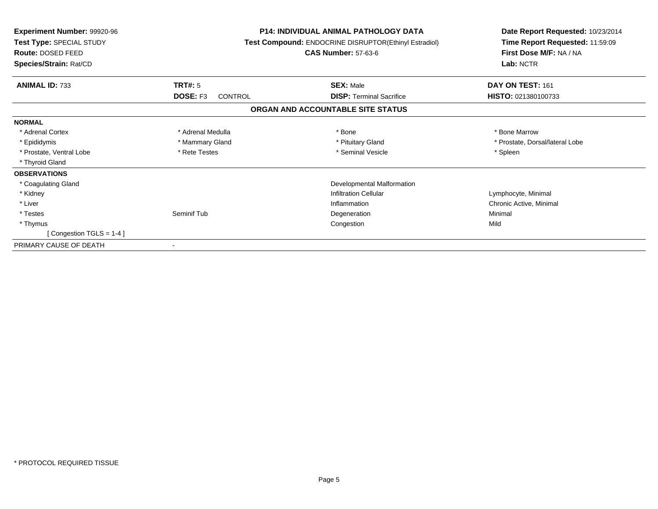| <b>Experiment Number: 99920-96</b><br>Test Type: SPECIAL STUDY<br>Route: DOSED FEED<br>Species/Strain: Rat/CD |                            | <b>P14: INDIVIDUAL ANIMAL PATHOLOGY DATA</b><br>Test Compound: ENDOCRINE DISRUPTOR(Ethinyl Estradiol)<br><b>CAS Number: 57-63-6</b> | Date Report Requested: 10/23/2014<br>Time Report Requested: 11:59:09<br>First Dose M/F: NA / NA<br>Lab: NCTR |
|---------------------------------------------------------------------------------------------------------------|----------------------------|-------------------------------------------------------------------------------------------------------------------------------------|--------------------------------------------------------------------------------------------------------------|
| <b>ANIMAL ID: 733</b>                                                                                         | TRT#: 5                    | <b>SEX: Male</b>                                                                                                                    | DAY ON TEST: 161                                                                                             |
|                                                                                                               | DOSE: F3<br><b>CONTROL</b> | <b>DISP:</b> Terminal Sacrifice                                                                                                     | HISTO: 021380100733                                                                                          |
|                                                                                                               |                            | ORGAN AND ACCOUNTABLE SITE STATUS                                                                                                   |                                                                                                              |
| <b>NORMAL</b>                                                                                                 |                            |                                                                                                                                     |                                                                                                              |
| * Adrenal Cortex                                                                                              | * Adrenal Medulla          | * Bone                                                                                                                              | * Bone Marrow                                                                                                |
| * Epididymis                                                                                                  | * Mammary Gland            | * Pituitary Gland                                                                                                                   | * Prostate, Dorsal/lateral Lobe                                                                              |
| * Prostate, Ventral Lobe                                                                                      | * Rete Testes              | * Seminal Vesicle                                                                                                                   | * Spleen                                                                                                     |
| * Thyroid Gland                                                                                               |                            |                                                                                                                                     |                                                                                                              |
| <b>OBSERVATIONS</b>                                                                                           |                            |                                                                                                                                     |                                                                                                              |
| * Coagulating Gland                                                                                           |                            | <b>Developmental Malformation</b>                                                                                                   |                                                                                                              |
| * Kidney                                                                                                      |                            | <b>Infiltration Cellular</b>                                                                                                        | Lymphocyte, Minimal                                                                                          |
| * Liver                                                                                                       |                            | Inflammation                                                                                                                        | Chronic Active, Minimal                                                                                      |
| * Testes                                                                                                      | Seminif Tub                | Degeneration                                                                                                                        | Minimal                                                                                                      |
| * Thymus                                                                                                      |                            | Congestion                                                                                                                          | Mild                                                                                                         |
| [Congestion TGLS = $1-4$ ]                                                                                    |                            |                                                                                                                                     |                                                                                                              |
| PRIMARY CAUSE OF DEATH                                                                                        |                            |                                                                                                                                     |                                                                                                              |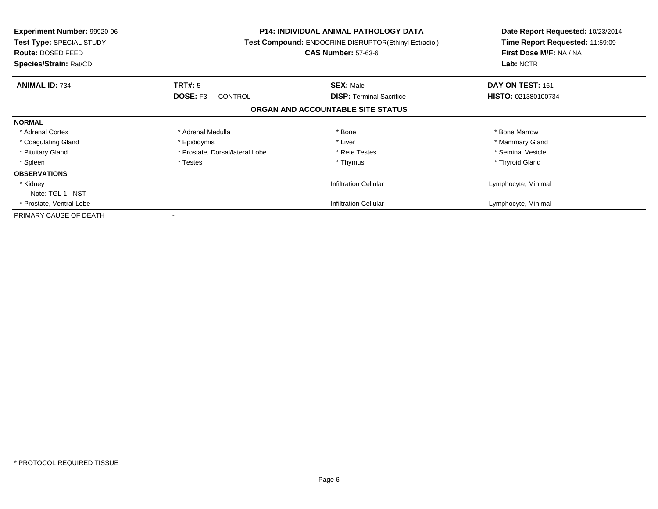| <b>Experiment Number: 99920-96</b><br>Test Type: SPECIAL STUDY<br><b>Route: DOSED FEED</b><br>Species/Strain: Rat/CD | <b>P14: INDIVIDUAL ANIMAL PATHOLOGY DATA</b><br>Test Compound: ENDOCRINE DISRUPTOR(Ethinyl Estradiol)<br><b>CAS Number: 57-63-6</b> |                                   | Date Report Requested: 10/23/2014<br>Time Report Requested: 11:59:09<br>First Dose M/F: NA / NA<br>Lab: NCTR |
|----------------------------------------------------------------------------------------------------------------------|-------------------------------------------------------------------------------------------------------------------------------------|-----------------------------------|--------------------------------------------------------------------------------------------------------------|
| <b>ANIMAL ID: 734</b>                                                                                                | TRT#: 5                                                                                                                             | <b>SEX: Male</b>                  | DAY ON TEST: 161                                                                                             |
|                                                                                                                      | DOSE: F3<br><b>CONTROL</b>                                                                                                          | <b>DISP:</b> Terminal Sacrifice   | <b>HISTO: 021380100734</b>                                                                                   |
|                                                                                                                      |                                                                                                                                     | ORGAN AND ACCOUNTABLE SITE STATUS |                                                                                                              |
| <b>NORMAL</b>                                                                                                        |                                                                                                                                     |                                   |                                                                                                              |
| * Adrenal Cortex                                                                                                     | * Adrenal Medulla                                                                                                                   | * Bone                            | * Bone Marrow                                                                                                |
| * Coagulating Gland                                                                                                  | * Epididymis                                                                                                                        | * Liver                           | * Mammary Gland                                                                                              |
| * Pituitary Gland                                                                                                    | * Prostate, Dorsal/lateral Lobe                                                                                                     | * Rete Testes                     | * Seminal Vesicle                                                                                            |
| * Spleen                                                                                                             | * Testes                                                                                                                            | * Thymus                          | * Thyroid Gland                                                                                              |
| <b>OBSERVATIONS</b>                                                                                                  |                                                                                                                                     |                                   |                                                                                                              |
| * Kidney                                                                                                             |                                                                                                                                     | <b>Infiltration Cellular</b>      | Lymphocyte, Minimal                                                                                          |
| Note: TGL 1 - NST                                                                                                    |                                                                                                                                     |                                   |                                                                                                              |
| * Prostate, Ventral Lobe                                                                                             |                                                                                                                                     | <b>Infiltration Cellular</b>      | Lymphocyte, Minimal                                                                                          |
| PRIMARY CAUSE OF DEATH                                                                                               |                                                                                                                                     |                                   |                                                                                                              |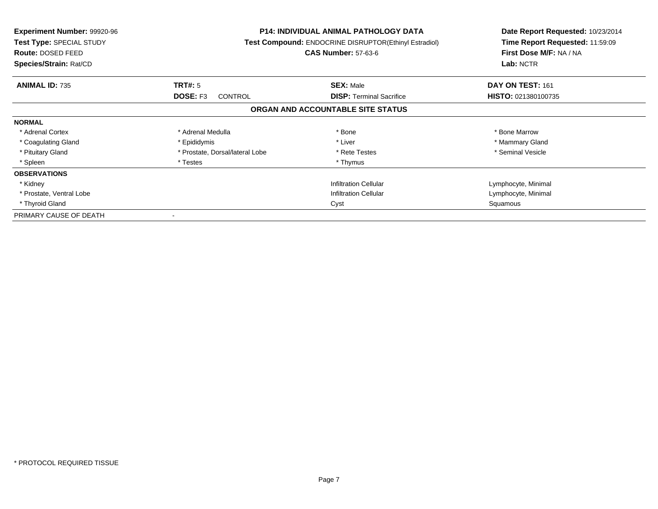| <b>Experiment Number: 99920-96</b><br>Test Type: SPECIAL STUDY<br><b>Route: DOSED FEED</b><br>Species/Strain: Rat/CD | <b>P14: INDIVIDUAL ANIMAL PATHOLOGY DATA</b><br>Test Compound: ENDOCRINE DISRUPTOR(Ethinyl Estradiol)<br><b>CAS Number: 57-63-6</b> |                                   | Date Report Requested: 10/23/2014<br>Time Report Requested: 11:59:09<br>First Dose M/F: NA / NA<br>Lab: NCTR |
|----------------------------------------------------------------------------------------------------------------------|-------------------------------------------------------------------------------------------------------------------------------------|-----------------------------------|--------------------------------------------------------------------------------------------------------------|
| <b>ANIMAL ID: 735</b>                                                                                                | <b>TRT#: 5</b>                                                                                                                      | <b>SEX: Male</b>                  | DAY ON TEST: 161                                                                                             |
|                                                                                                                      | DOSE: F3<br>CONTROL                                                                                                                 | <b>DISP:</b> Terminal Sacrifice   | HISTO: 021380100735                                                                                          |
|                                                                                                                      |                                                                                                                                     | ORGAN AND ACCOUNTABLE SITE STATUS |                                                                                                              |
| <b>NORMAL</b>                                                                                                        |                                                                                                                                     |                                   |                                                                                                              |
| * Adrenal Cortex                                                                                                     | * Adrenal Medulla                                                                                                                   | * Bone                            | * Bone Marrow                                                                                                |
| * Coagulating Gland                                                                                                  | * Epididymis                                                                                                                        | * Liver                           | * Mammary Gland                                                                                              |
| * Pituitary Gland                                                                                                    | * Prostate, Dorsal/lateral Lobe                                                                                                     | * Rete Testes                     | * Seminal Vesicle                                                                                            |
| * Spleen                                                                                                             | * Testes                                                                                                                            | * Thymus                          |                                                                                                              |
| <b>OBSERVATIONS</b>                                                                                                  |                                                                                                                                     |                                   |                                                                                                              |
| * Kidney                                                                                                             |                                                                                                                                     | <b>Infiltration Cellular</b>      | Lymphocyte, Minimal                                                                                          |
| * Prostate, Ventral Lobe                                                                                             |                                                                                                                                     | <b>Infiltration Cellular</b>      | Lymphocyte, Minimal                                                                                          |
| * Thyroid Gland                                                                                                      |                                                                                                                                     | Cyst                              | Squamous                                                                                                     |
| PRIMARY CAUSE OF DEATH                                                                                               |                                                                                                                                     |                                   |                                                                                                              |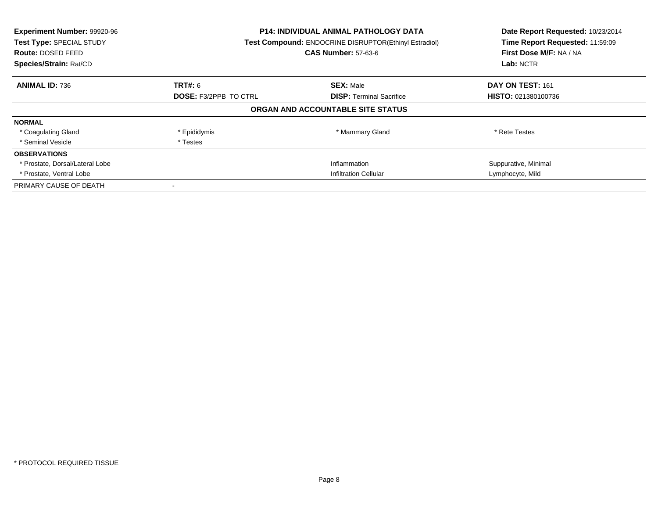| Experiment Number: 99920-96<br>Test Type: SPECIAL STUDY<br><b>Route: DOSED FEED</b><br>Species/Strain: Rat/CD | <b>P14: INDIVIDUAL ANIMAL PATHOLOGY DATA</b><br><b>Test Compound: ENDOCRINE DISRUPTOR(Ethinyl Estradiol)</b><br><b>CAS Number: 57-63-6</b> |                                   | Date Report Requested: 10/23/2014<br>Time Report Requested: 11:59:09<br>First Dose M/F: NA / NA<br>Lab: NCTR |
|---------------------------------------------------------------------------------------------------------------|--------------------------------------------------------------------------------------------------------------------------------------------|-----------------------------------|--------------------------------------------------------------------------------------------------------------|
| <b>ANIMAL ID: 736</b>                                                                                         | <b>TRT#: 6</b>                                                                                                                             | <b>SEX: Male</b>                  | DAY ON TEST: 161                                                                                             |
|                                                                                                               | <b>DOSE: F3/2PPB TO CTRL</b>                                                                                                               | <b>DISP:</b> Terminal Sacrifice   | <b>HISTO: 021380100736</b>                                                                                   |
|                                                                                                               |                                                                                                                                            | ORGAN AND ACCOUNTABLE SITE STATUS |                                                                                                              |
| <b>NORMAL</b>                                                                                                 |                                                                                                                                            |                                   |                                                                                                              |
| * Coagulating Gland                                                                                           | * Epididymis                                                                                                                               | * Mammary Gland                   | * Rete Testes                                                                                                |
| * Seminal Vesicle                                                                                             | * Testes                                                                                                                                   |                                   |                                                                                                              |
| <b>OBSERVATIONS</b>                                                                                           |                                                                                                                                            |                                   |                                                                                                              |
| * Prostate, Dorsal/Lateral Lobe                                                                               |                                                                                                                                            | Inflammation                      | Suppurative, Minimal                                                                                         |
| * Prostate, Ventral Lobe                                                                                      | <b>Infiltration Cellular</b>                                                                                                               |                                   | Lymphocyte, Mild                                                                                             |
| PRIMARY CAUSE OF DEATH                                                                                        |                                                                                                                                            |                                   |                                                                                                              |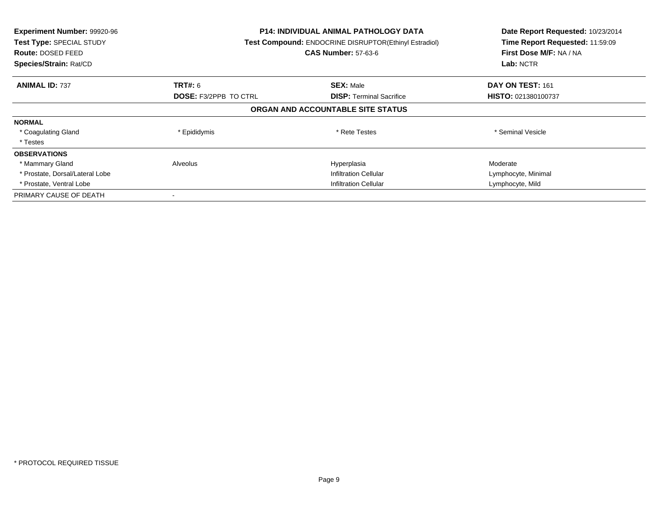| Experiment Number: 99920-96<br><b>Test Type: SPECIAL STUDY</b><br><b>Route: DOSED FEED</b><br>Species/Strain: Rat/CD | <b>P14: INDIVIDUAL ANIMAL PATHOLOGY DATA</b><br>Test Compound: ENDOCRINE DISRUPTOR(Ethinyl Estradiol)<br><b>CAS Number: 57-63-6</b> |                                   | Date Report Requested: 10/23/2014<br>Time Report Requested: 11:59:09<br>First Dose M/F: NA / NA<br>Lab: NCTR |
|----------------------------------------------------------------------------------------------------------------------|-------------------------------------------------------------------------------------------------------------------------------------|-----------------------------------|--------------------------------------------------------------------------------------------------------------|
| <b>ANIMAL ID: 737</b>                                                                                                | <b>TRT#: 6</b>                                                                                                                      | <b>SEX: Male</b>                  | DAY ON TEST: 161                                                                                             |
|                                                                                                                      | <b>DOSE: F3/2PPB TO CTRL</b>                                                                                                        | <b>DISP:</b> Terminal Sacrifice   | HISTO: 021380100737                                                                                          |
|                                                                                                                      |                                                                                                                                     | ORGAN AND ACCOUNTABLE SITE STATUS |                                                                                                              |
| <b>NORMAL</b>                                                                                                        |                                                                                                                                     |                                   |                                                                                                              |
| * Coagulating Gland                                                                                                  | * Epididymis                                                                                                                        | * Rete Testes                     | * Seminal Vesicle                                                                                            |
| * Testes                                                                                                             |                                                                                                                                     |                                   |                                                                                                              |
| <b>OBSERVATIONS</b>                                                                                                  |                                                                                                                                     |                                   |                                                                                                              |
| * Mammary Gland                                                                                                      | Alveolus                                                                                                                            | Hyperplasia                       | Moderate                                                                                                     |
| * Prostate, Dorsal/Lateral Lobe                                                                                      |                                                                                                                                     | <b>Infiltration Cellular</b>      | Lymphocyte, Minimal                                                                                          |
| * Prostate, Ventral Lobe                                                                                             | <b>Infiltration Cellular</b>                                                                                                        |                                   | Lymphocyte, Mild                                                                                             |
| PRIMARY CAUSE OF DEATH                                                                                               |                                                                                                                                     |                                   |                                                                                                              |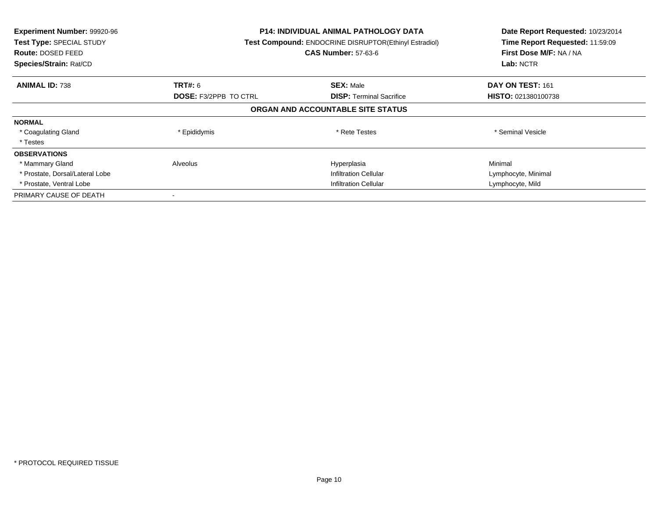| Experiment Number: 99920-96<br><b>Test Type: SPECIAL STUDY</b><br><b>Route: DOSED FEED</b><br>Species/Strain: Rat/CD | <b>P14: INDIVIDUAL ANIMAL PATHOLOGY DATA</b><br>Test Compound: ENDOCRINE DISRUPTOR(Ethinyl Estradiol)<br><b>CAS Number: 57-63-6</b> |                                   | Date Report Requested: 10/23/2014<br>Time Report Requested: 11:59:09<br>First Dose M/F: NA / NA<br>Lab: NCTR |
|----------------------------------------------------------------------------------------------------------------------|-------------------------------------------------------------------------------------------------------------------------------------|-----------------------------------|--------------------------------------------------------------------------------------------------------------|
| <b>ANIMAL ID: 738</b>                                                                                                | <b>TRT#: 6</b>                                                                                                                      | <b>SEX: Male</b>                  | DAY ON TEST: 161                                                                                             |
|                                                                                                                      | <b>DOSE: F3/2PPB TO CTRL</b>                                                                                                        | <b>DISP:</b> Terminal Sacrifice   | HISTO: 021380100738                                                                                          |
|                                                                                                                      |                                                                                                                                     | ORGAN AND ACCOUNTABLE SITE STATUS |                                                                                                              |
| <b>NORMAL</b>                                                                                                        |                                                                                                                                     |                                   |                                                                                                              |
| * Coagulating Gland                                                                                                  | * Epididymis                                                                                                                        | * Rete Testes                     | * Seminal Vesicle                                                                                            |
| * Testes                                                                                                             |                                                                                                                                     |                                   |                                                                                                              |
| <b>OBSERVATIONS</b>                                                                                                  |                                                                                                                                     |                                   |                                                                                                              |
| * Mammary Gland                                                                                                      | Alveolus                                                                                                                            | Hyperplasia                       | Minimal                                                                                                      |
| * Prostate, Dorsal/Lateral Lobe                                                                                      |                                                                                                                                     | <b>Infiltration Cellular</b>      | Lymphocyte, Minimal                                                                                          |
| * Prostate, Ventral Lobe                                                                                             | <b>Infiltration Cellular</b>                                                                                                        |                                   | Lymphocyte, Mild                                                                                             |
| PRIMARY CAUSE OF DEATH                                                                                               |                                                                                                                                     |                                   |                                                                                                              |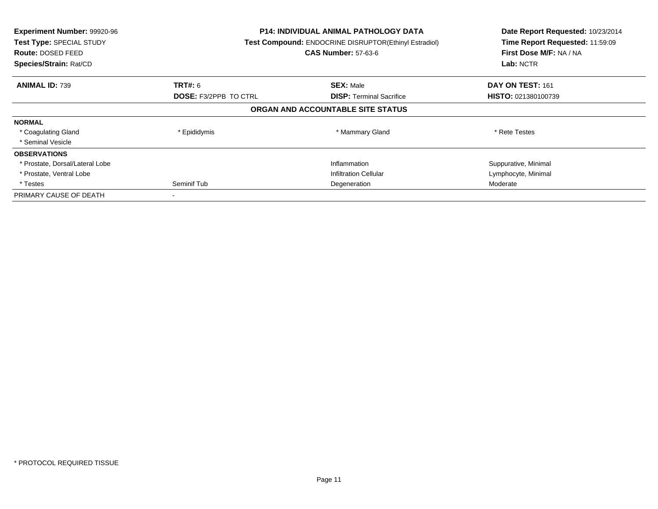| Experiment Number: 99920-96<br>Test Type: SPECIAL STUDY<br>Route: DOSED FEED<br>Species/Strain: Rat/CD | <b>P14: INDIVIDUAL ANIMAL PATHOLOGY DATA</b><br>Test Compound: ENDOCRINE DISRUPTOR(Ethinyl Estradiol)<br><b>CAS Number: 57-63-6</b> |                                   | Date Report Requested: 10/23/2014<br>Time Report Requested: 11:59:09<br>First Dose M/F: NA / NA<br>Lab: NCTR |
|--------------------------------------------------------------------------------------------------------|-------------------------------------------------------------------------------------------------------------------------------------|-----------------------------------|--------------------------------------------------------------------------------------------------------------|
| <b>ANIMAL ID: 739</b>                                                                                  | <b>TRT#:</b> 6                                                                                                                      | <b>SEX: Male</b>                  | DAY ON TEST: 161                                                                                             |
|                                                                                                        | <b>DOSE: F3/2PPB TO CTRL</b>                                                                                                        | <b>DISP:</b> Terminal Sacrifice   | <b>HISTO: 021380100739</b>                                                                                   |
|                                                                                                        |                                                                                                                                     | ORGAN AND ACCOUNTABLE SITE STATUS |                                                                                                              |
| <b>NORMAL</b>                                                                                          |                                                                                                                                     |                                   |                                                                                                              |
| * Coagulating Gland                                                                                    | * Epididymis                                                                                                                        | * Mammary Gland                   | * Rete Testes                                                                                                |
| * Seminal Vesicle                                                                                      |                                                                                                                                     |                                   |                                                                                                              |
| <b>OBSERVATIONS</b>                                                                                    |                                                                                                                                     |                                   |                                                                                                              |
| * Prostate, Dorsal/Lateral Lobe                                                                        |                                                                                                                                     | Inflammation                      | Suppurative, Minimal                                                                                         |
| * Prostate, Ventral Lobe                                                                               |                                                                                                                                     | <b>Infiltration Cellular</b>      | Lymphocyte, Minimal                                                                                          |
| * Testes                                                                                               | Seminif Tub<br>Degeneration                                                                                                         |                                   | Moderate                                                                                                     |
| PRIMARY CAUSE OF DEATH                                                                                 |                                                                                                                                     |                                   |                                                                                                              |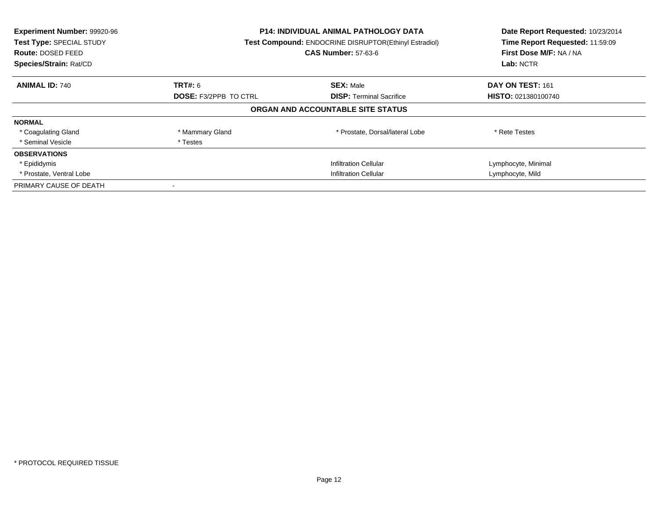| Experiment Number: 99920-96<br>Test Type: SPECIAL STUDY<br><b>Route: DOSED FEED</b><br>Species/Strain: Rat/CD |                                                                 | <b>P14: INDIVIDUAL ANIMAL PATHOLOGY DATA</b><br><b>Test Compound: ENDOCRINE DISRUPTOR(Ethinyl Estradiol)</b><br><b>CAS Number: 57-63-6</b> |                     |
|---------------------------------------------------------------------------------------------------------------|-----------------------------------------------------------------|--------------------------------------------------------------------------------------------------------------------------------------------|---------------------|
| <b>ANIMAL ID: 740</b>                                                                                         | <b>TRT#: 6</b>                                                  | <b>SEX: Male</b>                                                                                                                           | DAY ON TEST: 161    |
|                                                                                                               | <b>DOSE: F3/2PPB TO CTRL</b><br><b>DISP:</b> Terminal Sacrifice | <b>HISTO: 021380100740</b>                                                                                                                 |                     |
|                                                                                                               |                                                                 | ORGAN AND ACCOUNTABLE SITE STATUS                                                                                                          |                     |
| <b>NORMAL</b>                                                                                                 |                                                                 |                                                                                                                                            |                     |
| * Coagulating Gland                                                                                           | * Mammary Gland                                                 | * Prostate, Dorsal/lateral Lobe                                                                                                            | * Rete Testes       |
| * Seminal Vesicle                                                                                             | * Testes                                                        |                                                                                                                                            |                     |
| <b>OBSERVATIONS</b>                                                                                           |                                                                 |                                                                                                                                            |                     |
| * Epididymis                                                                                                  |                                                                 | <b>Infiltration Cellular</b>                                                                                                               | Lymphocyte, Minimal |
| * Prostate, Ventral Lobe                                                                                      | <b>Infiltration Cellular</b>                                    |                                                                                                                                            | Lymphocyte, Mild    |
| PRIMARY CAUSE OF DEATH                                                                                        |                                                                 |                                                                                                                                            |                     |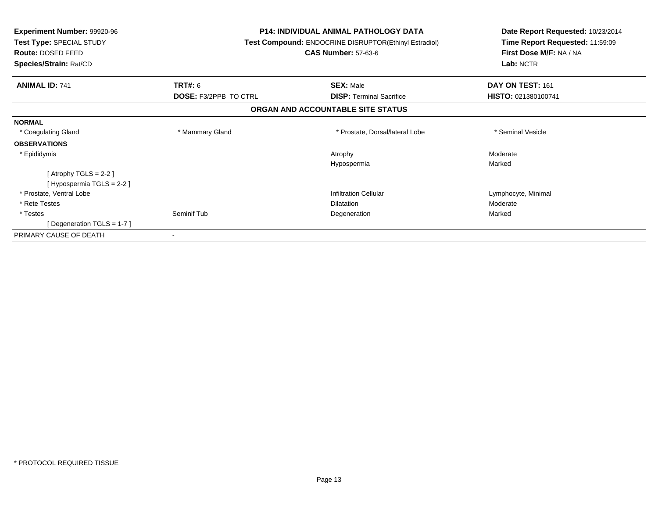| Experiment Number: 99920-96<br>Test Type: SPECIAL STUDY<br>Route: DOSED FEED |                              | <b>P14: INDIVIDUAL ANIMAL PATHOLOGY DATA</b><br>Test Compound: ENDOCRINE DISRUPTOR(Ethinyl Estradiol)<br><b>CAS Number: 57-63-6</b> | Date Report Requested: 10/23/2014<br>Time Report Requested: 11:59:09<br>First Dose M/F: NA / NA |
|------------------------------------------------------------------------------|------------------------------|-------------------------------------------------------------------------------------------------------------------------------------|-------------------------------------------------------------------------------------------------|
| Species/Strain: Rat/CD                                                       |                              |                                                                                                                                     | Lab: NCTR                                                                                       |
| <b>ANIMAL ID: 741</b><br><b>TRT#: 6</b>                                      |                              | <b>SEX: Male</b>                                                                                                                    | DAY ON TEST: 161                                                                                |
|                                                                              | <b>DOSE: F3/2PPB TO CTRL</b> | <b>DISP:</b> Terminal Sacrifice                                                                                                     | HISTO: 021380100741                                                                             |
|                                                                              |                              | ORGAN AND ACCOUNTABLE SITE STATUS                                                                                                   |                                                                                                 |
| <b>NORMAL</b>                                                                |                              |                                                                                                                                     |                                                                                                 |
| * Coagulating Gland                                                          | * Mammary Gland              | * Prostate, Dorsal/lateral Lobe                                                                                                     | * Seminal Vesicle                                                                               |
| <b>OBSERVATIONS</b>                                                          |                              |                                                                                                                                     |                                                                                                 |
| * Epididymis                                                                 |                              | Atrophy                                                                                                                             | Moderate                                                                                        |
|                                                                              |                              | Hypospermia                                                                                                                         | Marked                                                                                          |
| [Atrophy TGLS = $2-2$ ]                                                      |                              |                                                                                                                                     |                                                                                                 |
| [Hypospermia TGLS = 2-2]                                                     |                              |                                                                                                                                     |                                                                                                 |
| * Prostate, Ventral Lobe                                                     |                              | <b>Infiltration Cellular</b>                                                                                                        | Lymphocyte, Minimal                                                                             |
| * Rete Testes                                                                |                              | <b>Dilatation</b>                                                                                                                   | Moderate                                                                                        |
| * Testes<br>Seminif Tub                                                      |                              | Degeneration                                                                                                                        | Marked                                                                                          |
| [Degeneration TGLS = 1-7]                                                    |                              |                                                                                                                                     |                                                                                                 |
| PRIMARY CAUSE OF DEATH<br>$\sim$                                             |                              |                                                                                                                                     |                                                                                                 |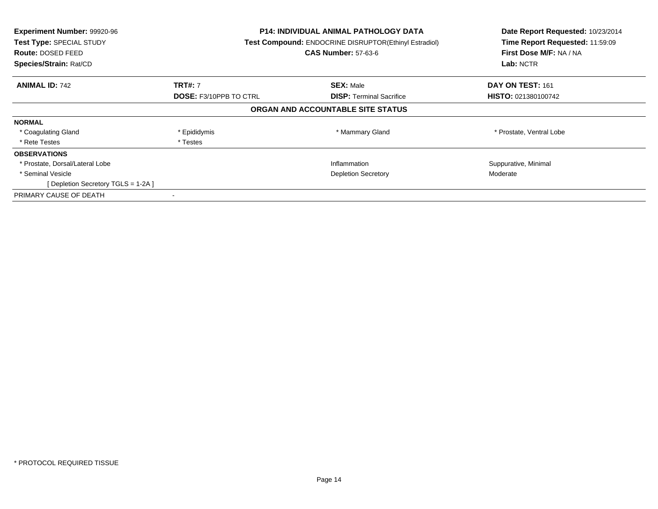| Experiment Number: 99920-96<br>Test Type: SPECIAL STUDY<br><b>Route: DOSED FEED</b><br>Species/Strain: Rat/CD |                               | <b>P14: INDIVIDUAL ANIMAL PATHOLOGY DATA</b><br>Test Compound: ENDOCRINE DISRUPTOR(Ethinyl Estradiol)<br><b>CAS Number: 57-63-6</b> | Date Report Requested: 10/23/2014<br>Time Report Requested: 11:59:09<br>First Dose M/F: NA / NA<br>Lab: NCTR |
|---------------------------------------------------------------------------------------------------------------|-------------------------------|-------------------------------------------------------------------------------------------------------------------------------------|--------------------------------------------------------------------------------------------------------------|
| <b>ANIMAL ID: 742</b>                                                                                         | <b>TRT#: 7</b>                | <b>SEX: Male</b>                                                                                                                    | DAY ON TEST: 161                                                                                             |
|                                                                                                               | <b>DOSE: F3/10PPB TO CTRL</b> | <b>DISP:</b> Terminal Sacrifice                                                                                                     | <b>HISTO: 021380100742</b>                                                                                   |
|                                                                                                               |                               | ORGAN AND ACCOUNTABLE SITE STATUS                                                                                                   |                                                                                                              |
| <b>NORMAL</b>                                                                                                 |                               |                                                                                                                                     |                                                                                                              |
| * Coagulating Gland                                                                                           | * Epididymis                  | * Mammary Gland                                                                                                                     | * Prostate, Ventral Lobe                                                                                     |
| * Rete Testes                                                                                                 | * Testes                      |                                                                                                                                     |                                                                                                              |
| <b>OBSERVATIONS</b>                                                                                           |                               |                                                                                                                                     |                                                                                                              |
| * Prostate, Dorsal/Lateral Lobe                                                                               |                               | Inflammation                                                                                                                        | Suppurative, Minimal                                                                                         |
| * Seminal Vesicle                                                                                             | <b>Depletion Secretory</b>    |                                                                                                                                     | Moderate                                                                                                     |
| [ Depletion Secretory TGLS = 1-2A ]                                                                           |                               |                                                                                                                                     |                                                                                                              |
| PRIMARY CAUSE OF DEATH                                                                                        |                               |                                                                                                                                     |                                                                                                              |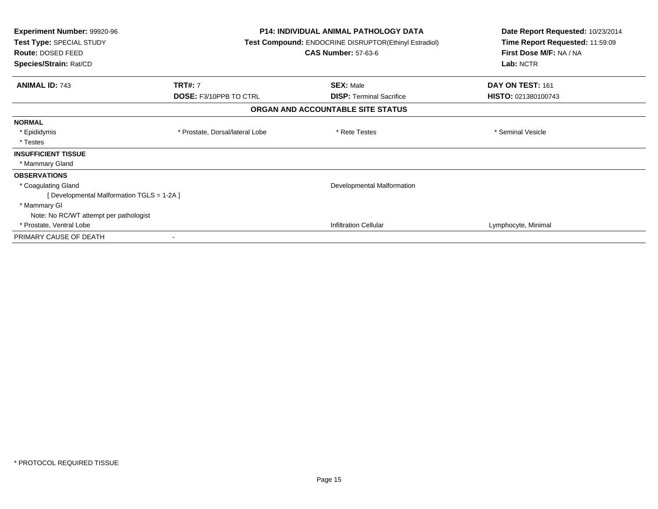| <b>Experiment Number: 99920-96</b><br>Test Type: SPECIAL STUDY<br><b>Route: DOSED FEED</b><br>Species/Strain: Rat/CD | <b>P14: INDIVIDUAL ANIMAL PATHOLOGY DATA</b><br>Test Compound: ENDOCRINE DISRUPTOR(Ethinyl Estradiol)<br><b>CAS Number: 57-63-6</b> |                                   | Date Report Requested: 10/23/2014<br>Time Report Requested: 11:59:09<br>First Dose M/F: NA / NA<br>Lab: NCTR |
|----------------------------------------------------------------------------------------------------------------------|-------------------------------------------------------------------------------------------------------------------------------------|-----------------------------------|--------------------------------------------------------------------------------------------------------------|
| <b>ANIMAL ID: 743</b>                                                                                                | <b>TRT#: 7</b>                                                                                                                      | <b>SEX: Male</b>                  | DAY ON TEST: 161                                                                                             |
|                                                                                                                      | <b>DOSE: F3/10PPB TO CTRL</b>                                                                                                       | <b>DISP: Terminal Sacrifice</b>   | HISTO: 021380100743                                                                                          |
|                                                                                                                      |                                                                                                                                     | ORGAN AND ACCOUNTABLE SITE STATUS |                                                                                                              |
| <b>NORMAL</b>                                                                                                        |                                                                                                                                     |                                   |                                                                                                              |
| * Epididymis                                                                                                         | * Prostate, Dorsal/lateral Lobe                                                                                                     | * Rete Testes                     | * Seminal Vesicle                                                                                            |
| * Testes                                                                                                             |                                                                                                                                     |                                   |                                                                                                              |
| <b>INSUFFICIENT TISSUE</b>                                                                                           |                                                                                                                                     |                                   |                                                                                                              |
| * Mammary Gland                                                                                                      |                                                                                                                                     |                                   |                                                                                                              |
| <b>OBSERVATIONS</b>                                                                                                  |                                                                                                                                     |                                   |                                                                                                              |
| * Coagulating Gland                                                                                                  |                                                                                                                                     | Developmental Malformation        |                                                                                                              |
| [ Developmental Malformation TGLS = 1-2A ]                                                                           |                                                                                                                                     |                                   |                                                                                                              |
| * Mammary GI                                                                                                         |                                                                                                                                     |                                   |                                                                                                              |
| Note: No RC/WT attempt per pathologist                                                                               |                                                                                                                                     |                                   |                                                                                                              |
| * Prostate, Ventral Lobe                                                                                             |                                                                                                                                     | <b>Infiltration Cellular</b>      | Lymphocyte, Minimal                                                                                          |
| PRIMARY CAUSE OF DEATH                                                                                               |                                                                                                                                     |                                   |                                                                                                              |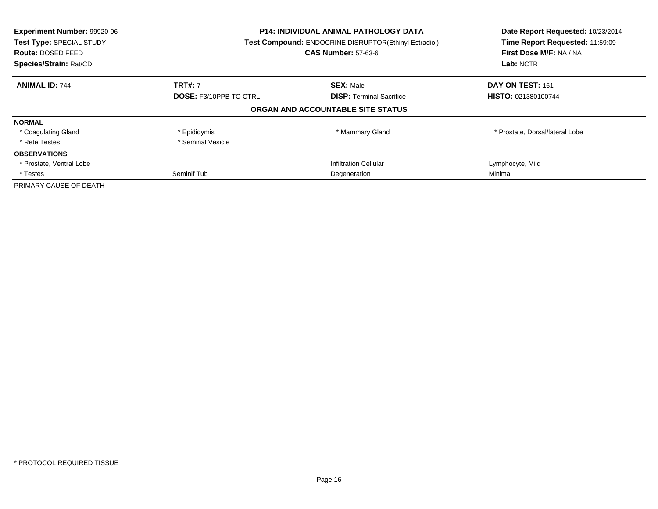| Experiment Number: 99920-96<br>Test Type: SPECIAL STUDY<br>Route: DOSED FEED<br>Species/Strain: Rat/CD |                                                                  | P14: INDIVIDUAL ANIMAL PATHOLOGY DATA<br>Test Compound: ENDOCRINE DISRUPTOR(Ethinyl Estradiol)<br><b>CAS Number: 57-63-6</b> |                                 |
|--------------------------------------------------------------------------------------------------------|------------------------------------------------------------------|------------------------------------------------------------------------------------------------------------------------------|---------------------------------|
| <b>ANIMAL ID: 744</b>                                                                                  | <b>TRT#: 7</b>                                                   | <b>SEX: Male</b>                                                                                                             | DAY ON TEST: 161                |
|                                                                                                        | <b>DOSE: F3/10PPB TO CTRL</b><br><b>DISP:</b> Terminal Sacrifice |                                                                                                                              | HISTO: 021380100744             |
|                                                                                                        |                                                                  | ORGAN AND ACCOUNTABLE SITE STATUS                                                                                            |                                 |
| <b>NORMAL</b>                                                                                          |                                                                  |                                                                                                                              |                                 |
| * Coagulating Gland                                                                                    | * Epididymis                                                     | * Mammary Gland                                                                                                              | * Prostate, Dorsal/lateral Lobe |
| * Rete Testes                                                                                          | * Seminal Vesicle                                                |                                                                                                                              |                                 |
| <b>OBSERVATIONS</b>                                                                                    |                                                                  |                                                                                                                              |                                 |
| * Prostate, Ventral Lobe                                                                               |                                                                  | <b>Infiltration Cellular</b>                                                                                                 | Lymphocyte, Mild                |
| * Testes                                                                                               | Seminif Tub                                                      | Degeneration                                                                                                                 |                                 |
| PRIMARY CAUSE OF DEATH                                                                                 |                                                                  |                                                                                                                              |                                 |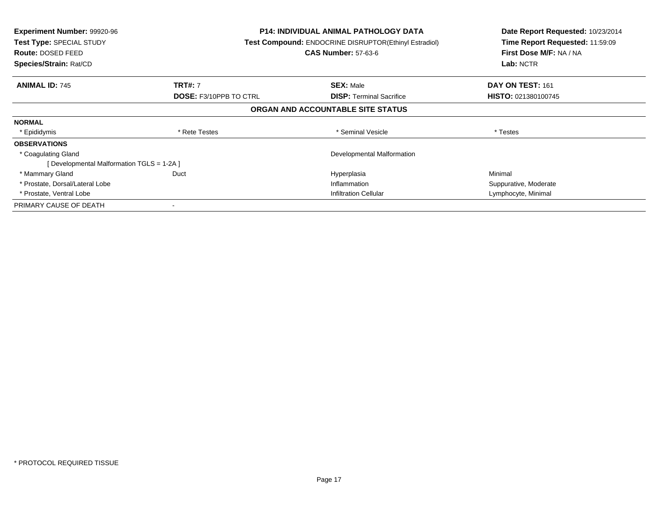| <b>Experiment Number: 99920-96</b><br><b>Test Type: SPECIAL STUDY</b><br><b>Route: DOSED FEED</b><br>Species/Strain: Rat/CD |                               | <b>P14: INDIVIDUAL ANIMAL PATHOLOGY DATA</b><br>Test Compound: ENDOCRINE DISRUPTOR(Ethinyl Estradiol)<br><b>CAS Number: 57-63-6</b> | Date Report Requested: 10/23/2014<br>Time Report Requested: 11:59:09<br>First Dose M/F: NA / NA<br>Lab: NCTR |
|-----------------------------------------------------------------------------------------------------------------------------|-------------------------------|-------------------------------------------------------------------------------------------------------------------------------------|--------------------------------------------------------------------------------------------------------------|
| <b>ANIMAL ID: 745</b>                                                                                                       | <b>TRT#: 7</b>                | <b>SEX: Male</b>                                                                                                                    | DAY ON TEST: 161                                                                                             |
|                                                                                                                             | <b>DOSE: F3/10PPB TO CTRL</b> | <b>DISP:</b> Terminal Sacrifice                                                                                                     | HISTO: 021380100745                                                                                          |
|                                                                                                                             |                               | ORGAN AND ACCOUNTABLE SITE STATUS                                                                                                   |                                                                                                              |
| <b>NORMAL</b>                                                                                                               |                               |                                                                                                                                     |                                                                                                              |
| * Epididymis                                                                                                                | * Rete Testes                 | * Seminal Vesicle                                                                                                                   | * Testes                                                                                                     |
| <b>OBSERVATIONS</b>                                                                                                         |                               |                                                                                                                                     |                                                                                                              |
| * Coagulating Gland                                                                                                         |                               | Developmental Malformation                                                                                                          |                                                                                                              |
| [ Developmental Malformation TGLS = 1-2A ]                                                                                  |                               |                                                                                                                                     |                                                                                                              |
| * Mammary Gland                                                                                                             | Duct                          | Hyperplasia                                                                                                                         | Minimal                                                                                                      |
| * Prostate, Dorsal/Lateral Lobe                                                                                             |                               | Inflammation                                                                                                                        | Suppurative, Moderate                                                                                        |
| * Prostate, Ventral Lobe                                                                                                    |                               | Infiltration Cellular                                                                                                               | Lymphocyte, Minimal                                                                                          |
| PRIMARY CAUSE OF DEATH                                                                                                      |                               |                                                                                                                                     |                                                                                                              |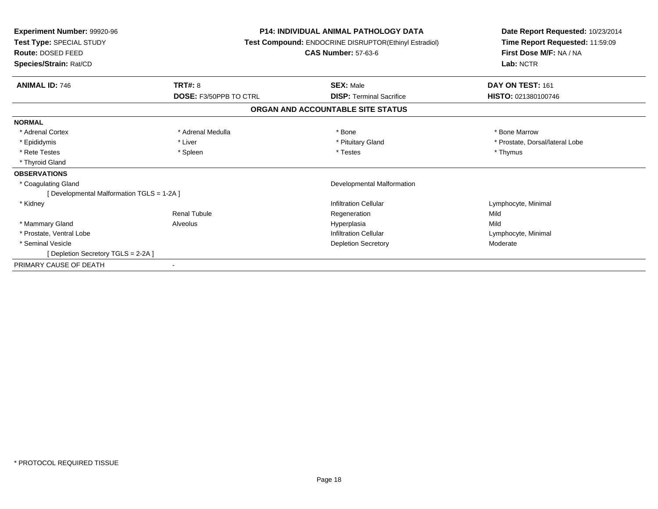| Experiment Number: 99920-96<br>Test Type: SPECIAL STUDY<br><b>Route: DOSED FEED</b><br>Species/Strain: Rat/CD |                          | <b>P14: INDIVIDUAL ANIMAL PATHOLOGY DATA</b><br>Test Compound: ENDOCRINE DISRUPTOR(Ethinyl Estradiol)<br><b>CAS Number: 57-63-6</b> | Date Report Requested: 10/23/2014<br>Time Report Requested: 11:59:09<br>First Dose M/F: NA / NA<br>Lab: NCTR |  |
|---------------------------------------------------------------------------------------------------------------|--------------------------|-------------------------------------------------------------------------------------------------------------------------------------|--------------------------------------------------------------------------------------------------------------|--|
| <b>ANIMAL ID: 746</b>                                                                                         | <b>TRT#: 8</b>           | <b>SEX: Male</b>                                                                                                                    | DAY ON TEST: 161                                                                                             |  |
|                                                                                                               | DOSE: F3/50PPB TO CTRL   | <b>DISP: Terminal Sacrifice</b>                                                                                                     | HISTO: 021380100746                                                                                          |  |
|                                                                                                               |                          | ORGAN AND ACCOUNTABLE SITE STATUS                                                                                                   |                                                                                                              |  |
| <b>NORMAL</b>                                                                                                 |                          |                                                                                                                                     |                                                                                                              |  |
| * Adrenal Cortex                                                                                              | * Adrenal Medulla        | * Bone                                                                                                                              | * Bone Marrow                                                                                                |  |
| * Epididymis                                                                                                  | * Liver                  | * Pituitary Gland                                                                                                                   | * Prostate, Dorsal/lateral Lobe                                                                              |  |
| * Rete Testes                                                                                                 | * Spleen                 | * Testes                                                                                                                            | * Thymus                                                                                                     |  |
| * Thyroid Gland                                                                                               |                          |                                                                                                                                     |                                                                                                              |  |
| <b>OBSERVATIONS</b>                                                                                           |                          |                                                                                                                                     |                                                                                                              |  |
| * Coagulating Gland                                                                                           |                          | Developmental Malformation                                                                                                          |                                                                                                              |  |
| [ Developmental Malformation TGLS = 1-2A ]                                                                    |                          |                                                                                                                                     |                                                                                                              |  |
| * Kidney                                                                                                      |                          | Infiltration Cellular                                                                                                               | Lymphocyte, Minimal                                                                                          |  |
|                                                                                                               | <b>Renal Tubule</b>      | Regeneration                                                                                                                        | Mild                                                                                                         |  |
| * Mammary Gland                                                                                               | Alveolus                 | Hyperplasia                                                                                                                         | Mild                                                                                                         |  |
| * Prostate, Ventral Lobe                                                                                      |                          | <b>Infiltration Cellular</b>                                                                                                        | Lymphocyte, Minimal                                                                                          |  |
| * Seminal Vesicle                                                                                             |                          | <b>Depletion Secretory</b>                                                                                                          | Moderate                                                                                                     |  |
| [Depletion Secretory TGLS = 2-2A]                                                                             |                          |                                                                                                                                     |                                                                                                              |  |
| PRIMARY CAUSE OF DEATH                                                                                        | $\overline{\phantom{a}}$ |                                                                                                                                     |                                                                                                              |  |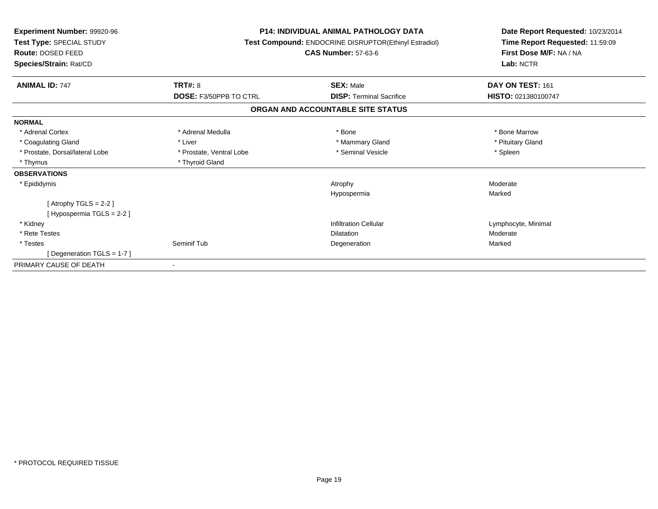| Experiment Number: 99920-96<br>Test Type: SPECIAL STUDY<br><b>Route: DOSED FEED</b><br>Species/Strain: Rat/CD |                               | <b>P14: INDIVIDUAL ANIMAL PATHOLOGY DATA</b><br>Test Compound: ENDOCRINE DISRUPTOR(Ethinyl Estradiol)<br><b>CAS Number: 57-63-6</b> | Date Report Requested: 10/23/2014<br>Time Report Requested: 11:59:09<br>First Dose M/F: NA / NA<br>Lab: NCTR |  |
|---------------------------------------------------------------------------------------------------------------|-------------------------------|-------------------------------------------------------------------------------------------------------------------------------------|--------------------------------------------------------------------------------------------------------------|--|
| <b>ANIMAL ID: 747</b>                                                                                         | TRT#: 8                       | <b>SEX: Male</b>                                                                                                                    | DAY ON TEST: 161                                                                                             |  |
|                                                                                                               | <b>DOSE: F3/50PPB TO CTRL</b> | <b>DISP: Terminal Sacrifice</b>                                                                                                     | HISTO: 021380100747                                                                                          |  |
|                                                                                                               |                               | ORGAN AND ACCOUNTABLE SITE STATUS                                                                                                   |                                                                                                              |  |
| <b>NORMAL</b>                                                                                                 |                               |                                                                                                                                     |                                                                                                              |  |
| * Adrenal Cortex                                                                                              | * Adrenal Medulla             | * Bone                                                                                                                              | * Bone Marrow                                                                                                |  |
| * Coagulating Gland                                                                                           | * Liver                       | * Mammary Gland                                                                                                                     | * Pituitary Gland                                                                                            |  |
| * Prostate, Dorsal/lateral Lobe                                                                               | * Prostate, Ventral Lobe      | * Seminal Vesicle                                                                                                                   | * Spleen                                                                                                     |  |
| * Thymus                                                                                                      | * Thyroid Gland               |                                                                                                                                     |                                                                                                              |  |
| <b>OBSERVATIONS</b>                                                                                           |                               |                                                                                                                                     |                                                                                                              |  |
| * Epididymis                                                                                                  |                               | Atrophy                                                                                                                             | Moderate                                                                                                     |  |
|                                                                                                               |                               | Hypospermia                                                                                                                         | Marked                                                                                                       |  |
| [Atrophy TGLS = $2-2$ ]                                                                                       |                               |                                                                                                                                     |                                                                                                              |  |
| [Hypospermia TGLS = 2-2]                                                                                      |                               |                                                                                                                                     |                                                                                                              |  |
| * Kidney                                                                                                      |                               | <b>Infiltration Cellular</b>                                                                                                        | Lymphocyte, Minimal                                                                                          |  |
| * Rete Testes                                                                                                 |                               | <b>Dilatation</b>                                                                                                                   | Moderate                                                                                                     |  |
| * Testes                                                                                                      | Seminif Tub                   | Degeneration                                                                                                                        | Marked                                                                                                       |  |
| [Degeneration TGLS = 1-7]                                                                                     |                               |                                                                                                                                     |                                                                                                              |  |
| PRIMARY CAUSE OF DEATH                                                                                        |                               |                                                                                                                                     |                                                                                                              |  |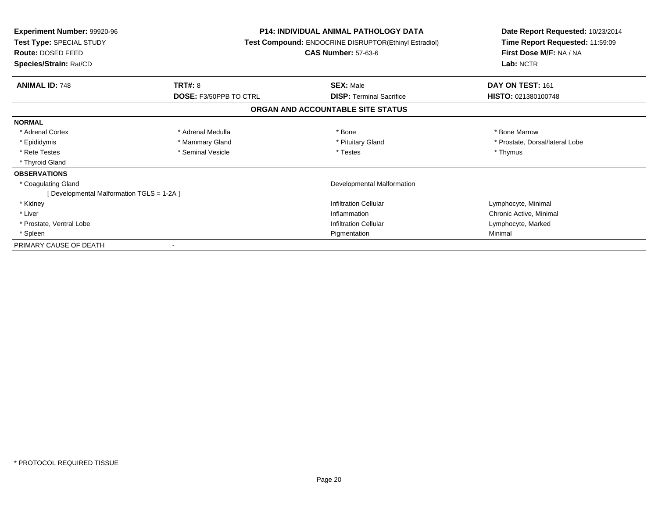| <b>Experiment Number: 99920-96</b><br><b>Test Type: SPECIAL STUDY</b><br>Route: DOSED FEED<br>Species/Strain: Rat/CD |                        | <b>P14: INDIVIDUAL ANIMAL PATHOLOGY DATA</b><br><b>Test Compound: ENDOCRINE DISRUPTOR(Ethinyl Estradiol)</b><br><b>CAS Number: 57-63-6</b> | Date Report Requested: 10/23/2014<br>Time Report Requested: 11:59:09<br>First Dose M/F: NA / NA<br>Lab: NCTR |
|----------------------------------------------------------------------------------------------------------------------|------------------------|--------------------------------------------------------------------------------------------------------------------------------------------|--------------------------------------------------------------------------------------------------------------|
| <b>ANIMAL ID: 748</b>                                                                                                | <b>TRT#: 8</b>         | <b>SEX: Male</b>                                                                                                                           | DAY ON TEST: 161                                                                                             |
|                                                                                                                      | DOSE: F3/50PPB TO CTRL | <b>DISP:</b> Terminal Sacrifice                                                                                                            | HISTO: 021380100748                                                                                          |
|                                                                                                                      |                        | ORGAN AND ACCOUNTABLE SITE STATUS                                                                                                          |                                                                                                              |
| <b>NORMAL</b>                                                                                                        |                        |                                                                                                                                            |                                                                                                              |
| * Adrenal Cortex                                                                                                     | * Adrenal Medulla      | * Bone                                                                                                                                     | * Bone Marrow                                                                                                |
| * Epididymis                                                                                                         | * Mammary Gland        | * Pituitary Gland                                                                                                                          | * Prostate, Dorsal/lateral Lobe                                                                              |
| * Rete Testes                                                                                                        | * Seminal Vesicle      | * Testes                                                                                                                                   | * Thymus                                                                                                     |
| * Thyroid Gland                                                                                                      |                        |                                                                                                                                            |                                                                                                              |
| <b>OBSERVATIONS</b>                                                                                                  |                        |                                                                                                                                            |                                                                                                              |
| * Coagulating Gland                                                                                                  |                        | Developmental Malformation                                                                                                                 |                                                                                                              |
| [ Developmental Malformation TGLS = 1-2A ]                                                                           |                        |                                                                                                                                            |                                                                                                              |
| * Kidney                                                                                                             |                        | <b>Infiltration Cellular</b>                                                                                                               | Lymphocyte, Minimal                                                                                          |
| * Liver                                                                                                              |                        | Inflammation                                                                                                                               | Chronic Active, Minimal                                                                                      |
| * Prostate, Ventral Lobe                                                                                             |                        | <b>Infiltration Cellular</b>                                                                                                               | Lymphocyte, Marked                                                                                           |
| * Spleen                                                                                                             |                        | Pigmentation                                                                                                                               | Minimal                                                                                                      |
| PRIMARY CAUSE OF DEATH                                                                                               |                        |                                                                                                                                            |                                                                                                              |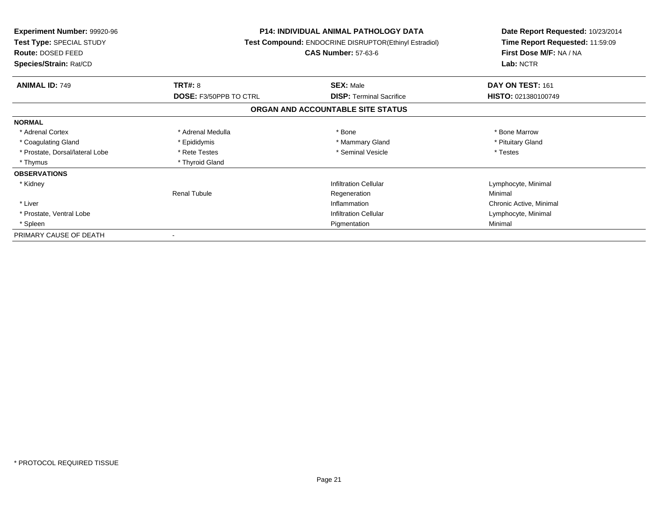| <b>Experiment Number: 99920-96</b><br>Test Type: SPECIAL STUDY<br>Route: DOSED FEED<br>Species/Strain: Rat/CD |                               | <b>P14: INDIVIDUAL ANIMAL PATHOLOGY DATA</b><br>Test Compound: ENDOCRINE DISRUPTOR(Ethinyl Estradiol)<br><b>CAS Number: 57-63-6</b> | Date Report Requested: 10/23/2014<br>Time Report Requested: 11:59:09<br>First Dose M/F: NA / NA<br>Lab: NCTR |
|---------------------------------------------------------------------------------------------------------------|-------------------------------|-------------------------------------------------------------------------------------------------------------------------------------|--------------------------------------------------------------------------------------------------------------|
| <b>ANIMAL ID: 749</b>                                                                                         | <b>TRT#: 8</b>                | <b>SEX: Male</b>                                                                                                                    | DAY ON TEST: 161                                                                                             |
|                                                                                                               | <b>DOSE: F3/50PPB TO CTRL</b> | <b>DISP:</b> Terminal Sacrifice                                                                                                     | HISTO: 021380100749                                                                                          |
|                                                                                                               |                               | ORGAN AND ACCOUNTABLE SITE STATUS                                                                                                   |                                                                                                              |
| <b>NORMAL</b>                                                                                                 |                               |                                                                                                                                     |                                                                                                              |
| * Adrenal Cortex                                                                                              | * Adrenal Medulla             | * Bone                                                                                                                              | * Bone Marrow                                                                                                |
| * Coagulating Gland                                                                                           | * Epididymis                  | * Mammary Gland                                                                                                                     | * Pituitary Gland                                                                                            |
| * Prostate, Dorsal/lateral Lobe                                                                               | * Rete Testes                 | * Seminal Vesicle                                                                                                                   | * Testes                                                                                                     |
| * Thymus                                                                                                      | * Thyroid Gland               |                                                                                                                                     |                                                                                                              |
| <b>OBSERVATIONS</b>                                                                                           |                               |                                                                                                                                     |                                                                                                              |
| * Kidney                                                                                                      |                               | <b>Infiltration Cellular</b>                                                                                                        | Lymphocyte, Minimal                                                                                          |
|                                                                                                               | <b>Renal Tubule</b>           | Regeneration                                                                                                                        | Minimal                                                                                                      |
| * Liver                                                                                                       |                               | Inflammation                                                                                                                        | Chronic Active, Minimal                                                                                      |
| * Prostate, Ventral Lobe                                                                                      |                               | <b>Infiltration Cellular</b>                                                                                                        | Lymphocyte, Minimal                                                                                          |
| * Spleen                                                                                                      |                               | Pigmentation                                                                                                                        | Minimal                                                                                                      |
| PRIMARY CAUSE OF DEATH                                                                                        |                               |                                                                                                                                     |                                                                                                              |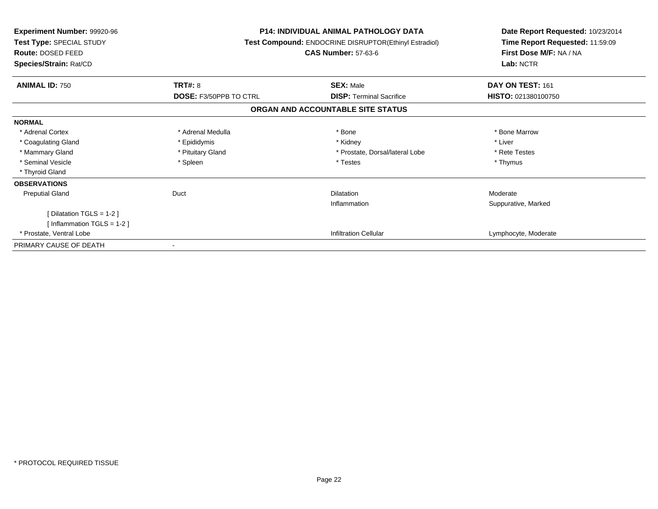| <b>Experiment Number: 99920-96</b><br>Test Type: SPECIAL STUDY<br>Route: DOSED FEED<br>Species/Strain: Rat/CD |                        | <b>P14: INDIVIDUAL ANIMAL PATHOLOGY DATA</b><br>Test Compound: ENDOCRINE DISRUPTOR(Ethinyl Estradiol)<br><b>CAS Number: 57-63-6</b> | Date Report Requested: 10/23/2014<br>Time Report Requested: 11:59:09<br>First Dose M/F: NA / NA<br>Lab: NCTR |
|---------------------------------------------------------------------------------------------------------------|------------------------|-------------------------------------------------------------------------------------------------------------------------------------|--------------------------------------------------------------------------------------------------------------|
| <b>ANIMAL ID: 750</b>                                                                                         | <b>TRT#: 8</b>         | <b>SEX: Male</b>                                                                                                                    | DAY ON TEST: 161                                                                                             |
|                                                                                                               | DOSE: F3/50PPB TO CTRL | <b>DISP:</b> Terminal Sacrifice                                                                                                     | <b>HISTO: 021380100750</b>                                                                                   |
|                                                                                                               |                        | ORGAN AND ACCOUNTABLE SITE STATUS                                                                                                   |                                                                                                              |
| <b>NORMAL</b>                                                                                                 |                        |                                                                                                                                     |                                                                                                              |
| * Adrenal Cortex                                                                                              | * Adrenal Medulla      | * Bone                                                                                                                              | * Bone Marrow                                                                                                |
| * Coagulating Gland                                                                                           | * Epididymis           | * Kidney                                                                                                                            | * Liver                                                                                                      |
| * Mammary Gland                                                                                               | * Pituitary Gland      | * Prostate, Dorsal/lateral Lobe                                                                                                     | * Rete Testes                                                                                                |
| * Seminal Vesicle                                                                                             | * Spleen               | * Testes                                                                                                                            | * Thymus                                                                                                     |
| * Thyroid Gland                                                                                               |                        |                                                                                                                                     |                                                                                                              |
| <b>OBSERVATIONS</b>                                                                                           |                        |                                                                                                                                     |                                                                                                              |
| <b>Preputial Gland</b>                                                                                        | Duct                   | <b>Dilatation</b>                                                                                                                   | Moderate                                                                                                     |
|                                                                                                               |                        | Inflammation                                                                                                                        | Suppurative, Marked                                                                                          |
| [ Dilatation TGLS = $1-2$ ]                                                                                   |                        |                                                                                                                                     |                                                                                                              |
| [Inflammation TGLS = $1-2$ ]                                                                                  |                        |                                                                                                                                     |                                                                                                              |
| * Prostate, Ventral Lobe                                                                                      |                        | <b>Infiltration Cellular</b>                                                                                                        | Lymphocyte, Moderate                                                                                         |
| PRIMARY CAUSE OF DEATH                                                                                        | ۰                      |                                                                                                                                     |                                                                                                              |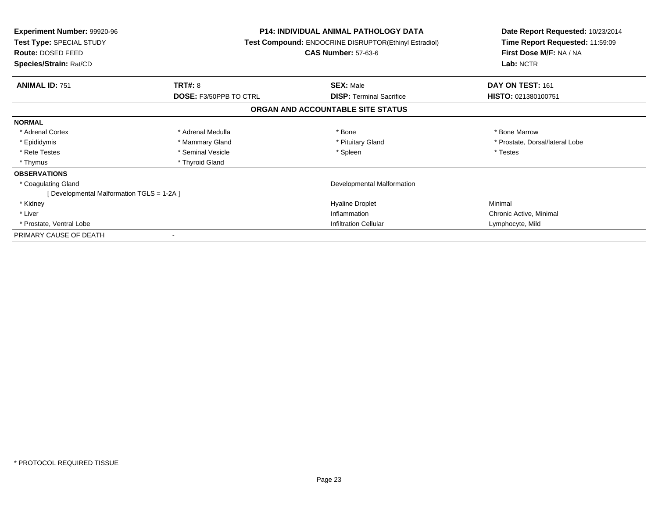| <b>Experiment Number: 99920-96</b><br>Test Type: SPECIAL STUDY<br>Route: DOSED FEED<br>Species/Strain: Rat/CD |                                                 | <b>P14: INDIVIDUAL ANIMAL PATHOLOGY DATA</b><br>Test Compound: ENDOCRINE DISRUPTOR(Ethinyl Estradiol)<br><b>CAS Number: 57-63-6</b> | Date Report Requested: 10/23/2014<br>Time Report Requested: 11:59:09<br>First Dose M/F: NA / NA<br>Lab: NCTR |  |
|---------------------------------------------------------------------------------------------------------------|-------------------------------------------------|-------------------------------------------------------------------------------------------------------------------------------------|--------------------------------------------------------------------------------------------------------------|--|
|                                                                                                               |                                                 |                                                                                                                                     |                                                                                                              |  |
| <b>ANIMAL ID: 751</b>                                                                                         | <b>TRT#: 8</b><br><b>DOSE: F3/50PPB TO CTRL</b> | <b>SEX: Male</b><br><b>DISP: Terminal Sacrifice</b>                                                                                 | DAY ON TEST: 161<br>HISTO: 021380100751                                                                      |  |
|                                                                                                               |                                                 | ORGAN AND ACCOUNTABLE SITE STATUS                                                                                                   |                                                                                                              |  |
| <b>NORMAL</b>                                                                                                 |                                                 |                                                                                                                                     |                                                                                                              |  |
| * Adrenal Cortex                                                                                              | * Adrenal Medulla                               | * Bone                                                                                                                              | * Bone Marrow                                                                                                |  |
| * Epididymis                                                                                                  | * Mammary Gland                                 | * Pituitary Gland                                                                                                                   | * Prostate, Dorsal/lateral Lobe                                                                              |  |
| * Rete Testes                                                                                                 | * Seminal Vesicle                               | * Spleen                                                                                                                            | * Testes                                                                                                     |  |
| * Thymus                                                                                                      | * Thyroid Gland                                 |                                                                                                                                     |                                                                                                              |  |
| <b>OBSERVATIONS</b>                                                                                           |                                                 |                                                                                                                                     |                                                                                                              |  |
| * Coagulating Gland                                                                                           |                                                 | Developmental Malformation                                                                                                          |                                                                                                              |  |
| [Developmental Malformation TGLS = 1-2A]                                                                      |                                                 |                                                                                                                                     |                                                                                                              |  |
| * Kidney                                                                                                      |                                                 | <b>Hyaline Droplet</b>                                                                                                              | Minimal                                                                                                      |  |
| * Liver                                                                                                       |                                                 | Inflammation                                                                                                                        | Chronic Active, Minimal                                                                                      |  |
| * Prostate, Ventral Lobe                                                                                      |                                                 | <b>Infiltration Cellular</b>                                                                                                        | Lymphocyte, Mild                                                                                             |  |
| PRIMARY CAUSE OF DEATH                                                                                        |                                                 |                                                                                                                                     |                                                                                                              |  |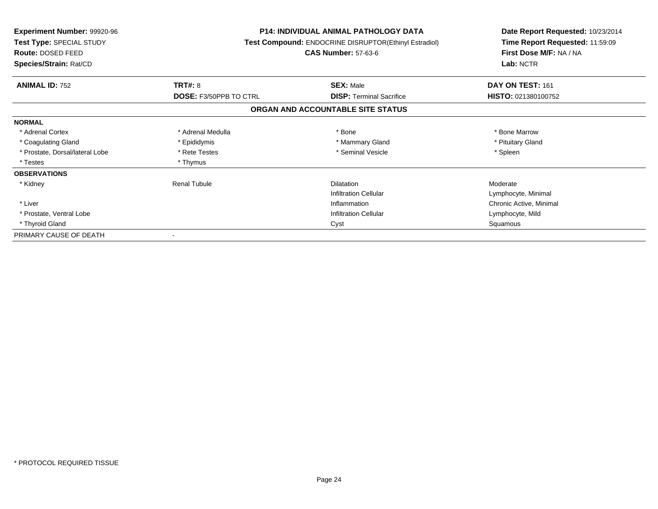| <b>Experiment Number: 99920-96</b><br>Test Type: SPECIAL STUDY<br><b>Route: DOSED FEED</b><br>Species/Strain: Rat/CD |                               | <b>P14: INDIVIDUAL ANIMAL PATHOLOGY DATA</b><br>Test Compound: ENDOCRINE DISRUPTOR(Ethinyl Estradiol)<br><b>CAS Number: 57-63-6</b> | Date Report Requested: 10/23/2014<br>Time Report Requested: 11:59:09<br>First Dose M/F: NA / NA<br>Lab: NCTR |
|----------------------------------------------------------------------------------------------------------------------|-------------------------------|-------------------------------------------------------------------------------------------------------------------------------------|--------------------------------------------------------------------------------------------------------------|
| <b>ANIMAL ID: 752</b>                                                                                                | <b>TRT#: 8</b>                | <b>SEX: Male</b>                                                                                                                    | DAY ON TEST: 161                                                                                             |
|                                                                                                                      | <b>DOSE: F3/50PPB TO CTRL</b> | <b>DISP:</b> Terminal Sacrifice                                                                                                     | HISTO: 021380100752                                                                                          |
|                                                                                                                      |                               | ORGAN AND ACCOUNTABLE SITE STATUS                                                                                                   |                                                                                                              |
| <b>NORMAL</b>                                                                                                        |                               |                                                                                                                                     |                                                                                                              |
| * Adrenal Cortex                                                                                                     | * Adrenal Medulla             | * Bone                                                                                                                              | * Bone Marrow                                                                                                |
| * Coagulating Gland                                                                                                  | * Epididymis                  | * Mammary Gland                                                                                                                     | * Pituitary Gland                                                                                            |
| * Prostate, Dorsal/lateral Lobe                                                                                      | * Rete Testes                 | * Seminal Vesicle                                                                                                                   | * Spleen                                                                                                     |
| * Testes                                                                                                             | * Thymus                      |                                                                                                                                     |                                                                                                              |
| <b>OBSERVATIONS</b>                                                                                                  |                               |                                                                                                                                     |                                                                                                              |
| * Kidney                                                                                                             | <b>Renal Tubule</b>           | <b>Dilatation</b>                                                                                                                   | Moderate                                                                                                     |
|                                                                                                                      |                               | <b>Infiltration Cellular</b>                                                                                                        | Lymphocyte, Minimal                                                                                          |
| * Liver                                                                                                              |                               | Inflammation                                                                                                                        | Chronic Active, Minimal                                                                                      |
| * Prostate, Ventral Lobe                                                                                             |                               | <b>Infiltration Cellular</b>                                                                                                        | Lymphocyte, Mild                                                                                             |
| * Thyroid Gland                                                                                                      | Cyst                          |                                                                                                                                     | Squamous                                                                                                     |
| PRIMARY CAUSE OF DEATH                                                                                               |                               |                                                                                                                                     |                                                                                                              |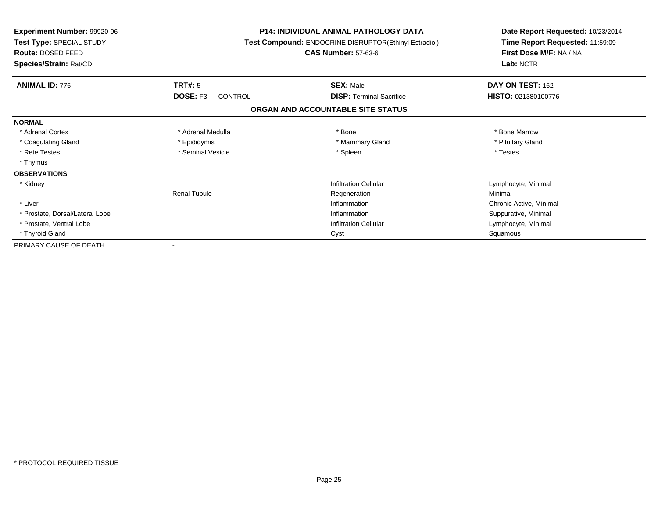| <b>Experiment Number: 99920-96</b><br>Test Type: SPECIAL STUDY<br>Route: DOSED FEED<br>Species/Strain: Rat/CD |                              | <b>P14: INDIVIDUAL ANIMAL PATHOLOGY DATA</b><br>Test Compound: ENDOCRINE DISRUPTOR(Ethinyl Estradiol)<br><b>CAS Number: 57-63-6</b> | Date Report Requested: 10/23/2014<br>Time Report Requested: 11:59:09<br>First Dose M/F: NA / NA<br>Lab: NCTR |
|---------------------------------------------------------------------------------------------------------------|------------------------------|-------------------------------------------------------------------------------------------------------------------------------------|--------------------------------------------------------------------------------------------------------------|
| <b>ANIMAL ID: 776</b>                                                                                         | TRT#: 5                      | <b>SEX: Male</b>                                                                                                                    | DAY ON TEST: 162                                                                                             |
|                                                                                                               | DOSE: F3<br>CONTROL          | <b>DISP:</b> Terminal Sacrifice                                                                                                     | HISTO: 021380100776                                                                                          |
|                                                                                                               |                              | ORGAN AND ACCOUNTABLE SITE STATUS                                                                                                   |                                                                                                              |
| <b>NORMAL</b>                                                                                                 |                              |                                                                                                                                     |                                                                                                              |
| * Adrenal Cortex                                                                                              | * Adrenal Medulla            | * Bone                                                                                                                              | * Bone Marrow                                                                                                |
| * Coagulating Gland                                                                                           | * Epididymis                 | * Mammary Gland                                                                                                                     | * Pituitary Gland                                                                                            |
| * Rete Testes                                                                                                 | * Seminal Vesicle            | * Spleen                                                                                                                            | * Testes                                                                                                     |
| * Thymus                                                                                                      |                              |                                                                                                                                     |                                                                                                              |
| <b>OBSERVATIONS</b>                                                                                           |                              |                                                                                                                                     |                                                                                                              |
| * Kidney                                                                                                      |                              | <b>Infiltration Cellular</b>                                                                                                        | Lymphocyte, Minimal                                                                                          |
|                                                                                                               | <b>Renal Tubule</b>          | Regeneration                                                                                                                        | Minimal                                                                                                      |
| * Liver                                                                                                       |                              | Inflammation                                                                                                                        | Chronic Active, Minimal                                                                                      |
| * Prostate, Dorsal/Lateral Lobe                                                                               |                              | Inflammation                                                                                                                        |                                                                                                              |
| * Prostate, Ventral Lobe                                                                                      | <b>Infiltration Cellular</b> |                                                                                                                                     | Lymphocyte, Minimal                                                                                          |
| * Thyroid Gland                                                                                               |                              | Cyst                                                                                                                                | Squamous                                                                                                     |
| PRIMARY CAUSE OF DEATH                                                                                        |                              |                                                                                                                                     |                                                                                                              |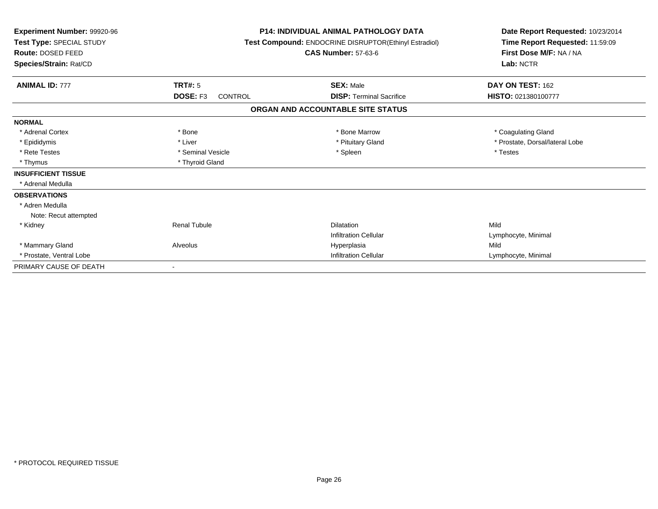| Experiment Number: 99920-96<br>Test Type: SPECIAL STUDY<br><b>Route: DOSED FEED</b><br>Species/Strain: Rat/CD |                                | <b>P14: INDIVIDUAL ANIMAL PATHOLOGY DATA</b><br>Test Compound: ENDOCRINE DISRUPTOR(Ethinyl Estradiol)<br><b>CAS Number: 57-63-6</b> | Date Report Requested: 10/23/2014<br>Time Report Requested: 11:59:09<br>First Dose M/F: NA / NA<br>Lab: NCTR |
|---------------------------------------------------------------------------------------------------------------|--------------------------------|-------------------------------------------------------------------------------------------------------------------------------------|--------------------------------------------------------------------------------------------------------------|
| <b>ANIMAL ID: 777</b>                                                                                         | TRT#: 5<br>DOSE: F3<br>CONTROL | <b>SEX: Male</b><br><b>DISP: Terminal Sacrifice</b>                                                                                 | DAY ON TEST: 162<br>HISTO: 021380100777                                                                      |
|                                                                                                               |                                | ORGAN AND ACCOUNTABLE SITE STATUS                                                                                                   |                                                                                                              |
| <b>NORMAL</b>                                                                                                 |                                |                                                                                                                                     |                                                                                                              |
| * Adrenal Cortex                                                                                              | * Bone                         | * Bone Marrow                                                                                                                       | * Coagulating Gland                                                                                          |
| * Epididymis                                                                                                  | * Liver                        | * Pituitary Gland                                                                                                                   | * Prostate, Dorsal/lateral Lobe                                                                              |
| * Rete Testes                                                                                                 | * Seminal Vesicle              | * Spleen                                                                                                                            | * Testes                                                                                                     |
| * Thymus                                                                                                      | * Thyroid Gland                |                                                                                                                                     |                                                                                                              |
| <b>INSUFFICIENT TISSUE</b>                                                                                    |                                |                                                                                                                                     |                                                                                                              |
| * Adrenal Medulla                                                                                             |                                |                                                                                                                                     |                                                                                                              |
| <b>OBSERVATIONS</b>                                                                                           |                                |                                                                                                                                     |                                                                                                              |
| * Adren Medulla                                                                                               |                                |                                                                                                                                     |                                                                                                              |
| Note: Recut attempted                                                                                         |                                |                                                                                                                                     |                                                                                                              |
| * Kidney                                                                                                      | <b>Renal Tubule</b>            | <b>Dilatation</b>                                                                                                                   | Mild                                                                                                         |
|                                                                                                               |                                | <b>Infiltration Cellular</b>                                                                                                        | Lymphocyte, Minimal                                                                                          |
| * Mammary Gland                                                                                               | Alveolus                       | Hyperplasia                                                                                                                         | Mild                                                                                                         |
| * Prostate, Ventral Lobe                                                                                      |                                | <b>Infiltration Cellular</b>                                                                                                        | Lymphocyte, Minimal                                                                                          |
| PRIMARY CAUSE OF DEATH                                                                                        |                                |                                                                                                                                     |                                                                                                              |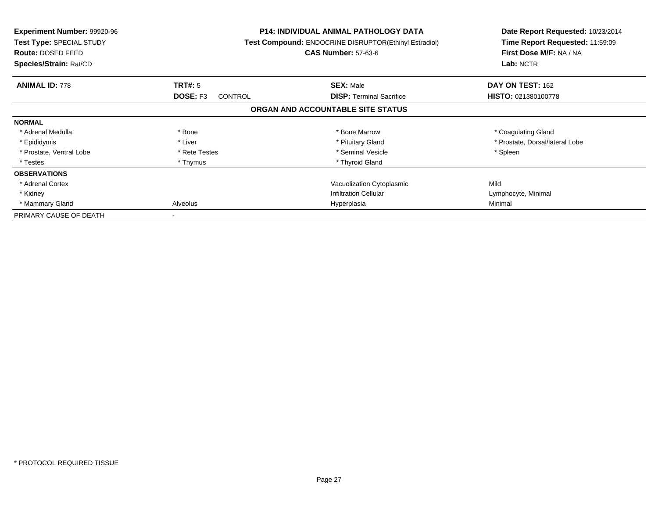| <b>Experiment Number: 99920-96</b><br><b>Test Type: SPECIAL STUDY</b><br><b>Route: DOSED FEED</b><br>Species/Strain: Rat/CD |                                   | <b>P14: INDIVIDUAL ANIMAL PATHOLOGY DATA</b><br>Test Compound: ENDOCRINE DISRUPTOR(Ethinyl Estradiol)<br><b>CAS Number: 57-63-6</b> | Date Report Requested: 10/23/2014<br>Time Report Requested: 11:59:09<br>First Dose M/F: NA / NA<br>Lab: NCTR |
|-----------------------------------------------------------------------------------------------------------------------------|-----------------------------------|-------------------------------------------------------------------------------------------------------------------------------------|--------------------------------------------------------------------------------------------------------------|
| <b>ANIMAL ID: 778</b>                                                                                                       | <b>TRT#: 5</b>                    | <b>SEX: Male</b>                                                                                                                    | DAY ON TEST: 162                                                                                             |
|                                                                                                                             | <b>DOSE: F3</b><br><b>CONTROL</b> | <b>DISP:</b> Terminal Sacrifice                                                                                                     | HISTO: 021380100778                                                                                          |
|                                                                                                                             |                                   | ORGAN AND ACCOUNTABLE SITE STATUS                                                                                                   |                                                                                                              |
| <b>NORMAL</b>                                                                                                               |                                   |                                                                                                                                     |                                                                                                              |
| * Adrenal Medulla                                                                                                           | * Bone                            | * Bone Marrow                                                                                                                       | * Coagulating Gland                                                                                          |
| * Epididymis                                                                                                                | * Liver                           | * Pituitary Gland                                                                                                                   | * Prostate, Dorsal/lateral Lobe                                                                              |
| * Prostate, Ventral Lobe                                                                                                    | * Rete Testes                     | * Seminal Vesicle                                                                                                                   | * Spleen                                                                                                     |
| * Testes                                                                                                                    | * Thymus                          | * Thyroid Gland                                                                                                                     |                                                                                                              |
| <b>OBSERVATIONS</b>                                                                                                         |                                   |                                                                                                                                     |                                                                                                              |
| * Adrenal Cortex                                                                                                            |                                   | Vacuolization Cytoplasmic                                                                                                           | Mild                                                                                                         |
| * Kidney                                                                                                                    |                                   | <b>Infiltration Cellular</b>                                                                                                        | Lymphocyte, Minimal                                                                                          |
| * Mammary Gland                                                                                                             | Alveolus<br>Hyperplasia           |                                                                                                                                     | Minimal                                                                                                      |
| PRIMARY CAUSE OF DEATH                                                                                                      |                                   |                                                                                                                                     |                                                                                                              |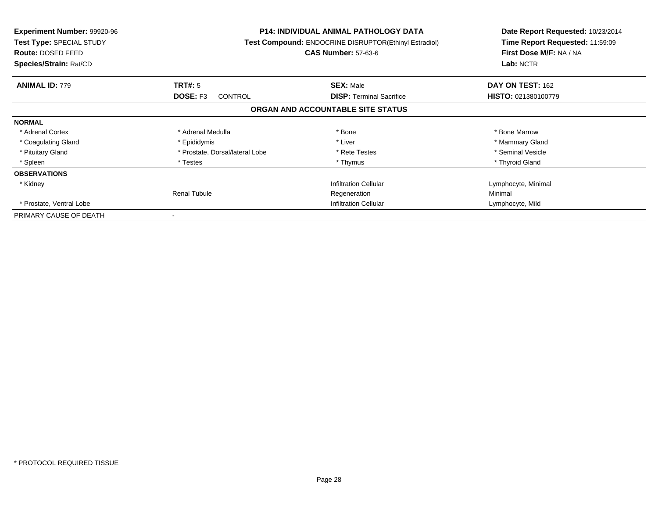| <b>Experiment Number: 99920-96</b><br><b>Test Type: SPECIAL STUDY</b><br><b>Route: DOSED FEED</b><br>Species/Strain: Rat/CD |                                 | <b>P14: INDIVIDUAL ANIMAL PATHOLOGY DATA</b><br>Test Compound: ENDOCRINE DISRUPTOR(Ethinyl Estradiol)<br><b>CAS Number: 57-63-6</b> | Date Report Requested: 10/23/2014<br>Time Report Requested: 11:59:09<br>First Dose M/F: NA / NA<br>Lab: NCTR |
|-----------------------------------------------------------------------------------------------------------------------------|---------------------------------|-------------------------------------------------------------------------------------------------------------------------------------|--------------------------------------------------------------------------------------------------------------|
| <b>ANIMAL ID: 779</b>                                                                                                       | TRT#: 5                         | <b>SEX: Male</b>                                                                                                                    | DAY ON TEST: 162                                                                                             |
|                                                                                                                             | DOSE: F3<br><b>CONTROL</b>      | <b>DISP:</b> Terminal Sacrifice                                                                                                     | HISTO: 021380100779                                                                                          |
|                                                                                                                             |                                 | ORGAN AND ACCOUNTABLE SITE STATUS                                                                                                   |                                                                                                              |
| <b>NORMAL</b>                                                                                                               |                                 |                                                                                                                                     |                                                                                                              |
| * Adrenal Cortex                                                                                                            | * Adrenal Medulla               | * Bone                                                                                                                              | * Bone Marrow                                                                                                |
| * Coagulating Gland                                                                                                         | * Epididymis                    | * Liver                                                                                                                             | * Mammary Gland                                                                                              |
| * Pituitary Gland                                                                                                           | * Prostate, Dorsal/lateral Lobe | * Rete Testes                                                                                                                       | * Seminal Vesicle                                                                                            |
| * Spleen                                                                                                                    | * Testes                        | * Thymus                                                                                                                            | * Thyroid Gland                                                                                              |
| <b>OBSERVATIONS</b>                                                                                                         |                                 |                                                                                                                                     |                                                                                                              |
| * Kidney                                                                                                                    |                                 | <b>Infiltration Cellular</b>                                                                                                        | Lymphocyte, Minimal                                                                                          |
|                                                                                                                             | <b>Renal Tubule</b>             | Regeneration                                                                                                                        | Minimal                                                                                                      |
| * Prostate, Ventral Lobe                                                                                                    | <b>Infiltration Cellular</b>    |                                                                                                                                     | Lymphocyte, Mild                                                                                             |
| PRIMARY CAUSE OF DEATH                                                                                                      |                                 |                                                                                                                                     |                                                                                                              |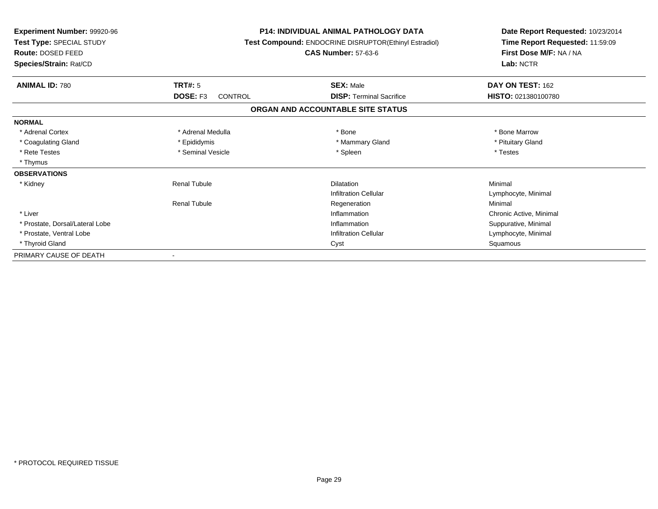| <b>Experiment Number: 99920-96</b><br>Test Type: SPECIAL STUDY<br>Route: DOSED FEED<br>Species/Strain: Rat/CD |                            | <b>P14: INDIVIDUAL ANIMAL PATHOLOGY DATA</b><br>Test Compound: ENDOCRINE DISRUPTOR(Ethinyl Estradiol)<br><b>CAS Number: 57-63-6</b> |                         |
|---------------------------------------------------------------------------------------------------------------|----------------------------|-------------------------------------------------------------------------------------------------------------------------------------|-------------------------|
| <b>ANIMAL ID: 780</b>                                                                                         | <b>TRT#: 5</b>             | <b>SEX: Male</b>                                                                                                                    | DAY ON TEST: 162        |
|                                                                                                               | DOSE: F3<br><b>CONTROL</b> | <b>DISP: Terminal Sacrifice</b>                                                                                                     | HISTO: 021380100780     |
|                                                                                                               |                            | ORGAN AND ACCOUNTABLE SITE STATUS                                                                                                   |                         |
| <b>NORMAL</b>                                                                                                 |                            |                                                                                                                                     |                         |
| * Adrenal Cortex                                                                                              | * Adrenal Medulla          | * Bone                                                                                                                              | * Bone Marrow           |
| * Coagulating Gland                                                                                           | * Epididymis               | * Mammary Gland                                                                                                                     | * Pituitary Gland       |
| * Rete Testes                                                                                                 | * Seminal Vesicle          | * Spleen                                                                                                                            | * Testes                |
| * Thymus                                                                                                      |                            |                                                                                                                                     |                         |
| <b>OBSERVATIONS</b>                                                                                           |                            |                                                                                                                                     |                         |
| * Kidney                                                                                                      | <b>Renal Tubule</b>        | <b>Dilatation</b>                                                                                                                   | Minimal                 |
|                                                                                                               |                            | <b>Infiltration Cellular</b>                                                                                                        | Lymphocyte, Minimal     |
|                                                                                                               | <b>Renal Tubule</b>        | Regeneration                                                                                                                        | Minimal                 |
| * Liver                                                                                                       |                            | Inflammation                                                                                                                        | Chronic Active, Minimal |
| * Prostate, Dorsal/Lateral Lobe                                                                               |                            | Inflammation                                                                                                                        | Suppurative, Minimal    |
| * Prostate, Ventral Lobe                                                                                      |                            | <b>Infiltration Cellular</b>                                                                                                        | Lymphocyte, Minimal     |
| * Thyroid Gland                                                                                               |                            | Cyst                                                                                                                                | Squamous                |
| PRIMARY CAUSE OF DEATH                                                                                        |                            |                                                                                                                                     |                         |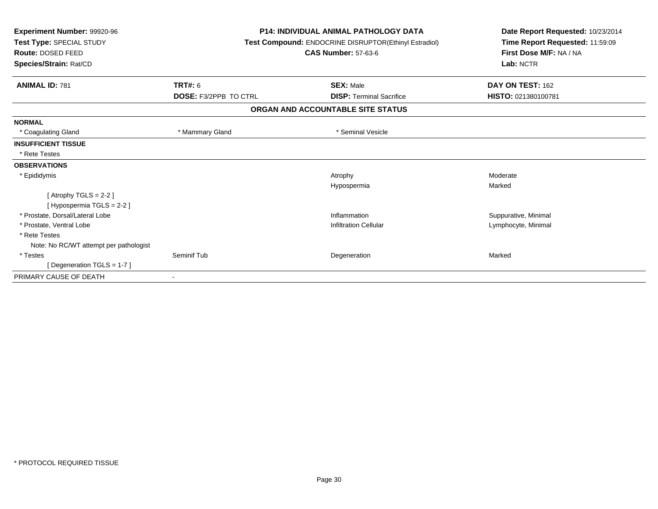| Experiment Number: 99920-96<br>Test Type: SPECIAL STUDY<br>Route: DOSED FEED<br>Species/Strain: Rat/CD |                              | <b>P14: INDIVIDUAL ANIMAL PATHOLOGY DATA</b><br>Test Compound: ENDOCRINE DISRUPTOR(Ethinyl Estradiol)<br><b>CAS Number: 57-63-6</b> | Date Report Requested: 10/23/2014<br>Time Report Requested: 11:59:09<br>First Dose M/F: NA / NA<br>Lab: NCTR |
|--------------------------------------------------------------------------------------------------------|------------------------------|-------------------------------------------------------------------------------------------------------------------------------------|--------------------------------------------------------------------------------------------------------------|
| <b>ANIMAL ID: 781</b>                                                                                  | <b>TRT#: 6</b>               | <b>SEX: Male</b>                                                                                                                    | DAY ON TEST: 162                                                                                             |
|                                                                                                        | <b>DOSE: F3/2PPB TO CTRL</b> | <b>DISP: Terminal Sacrifice</b>                                                                                                     | HISTO: 021380100781                                                                                          |
|                                                                                                        |                              | ORGAN AND ACCOUNTABLE SITE STATUS                                                                                                   |                                                                                                              |
| <b>NORMAL</b>                                                                                          |                              |                                                                                                                                     |                                                                                                              |
| * Coagulating Gland                                                                                    | * Mammary Gland              | * Seminal Vesicle                                                                                                                   |                                                                                                              |
| <b>INSUFFICIENT TISSUE</b>                                                                             |                              |                                                                                                                                     |                                                                                                              |
| * Rete Testes                                                                                          |                              |                                                                                                                                     |                                                                                                              |
| <b>OBSERVATIONS</b>                                                                                    |                              |                                                                                                                                     |                                                                                                              |
| * Epididymis                                                                                           |                              | Atrophy                                                                                                                             | Moderate                                                                                                     |
|                                                                                                        |                              | Hypospermia                                                                                                                         | Marked                                                                                                       |
| [Atrophy TGLS = $2-2$ ]<br>[Hypospermia TGLS = $2-2$ ]                                                 |                              |                                                                                                                                     |                                                                                                              |
| * Prostate, Dorsal/Lateral Lobe                                                                        |                              | Inflammation                                                                                                                        | Suppurative, Minimal                                                                                         |
| * Prostate, Ventral Lobe                                                                               |                              | <b>Infiltration Cellular</b>                                                                                                        | Lymphocyte, Minimal                                                                                          |
| * Rete Testes                                                                                          |                              |                                                                                                                                     |                                                                                                              |
| Note: No RC/WT attempt per pathologist                                                                 |                              |                                                                                                                                     |                                                                                                              |
| * Testes                                                                                               | Seminif Tub                  | Degeneration                                                                                                                        | Marked                                                                                                       |
| [ Degeneration TGLS = 1-7 ]                                                                            |                              |                                                                                                                                     |                                                                                                              |
| PRIMARY CAUSE OF DEATH                                                                                 |                              |                                                                                                                                     |                                                                                                              |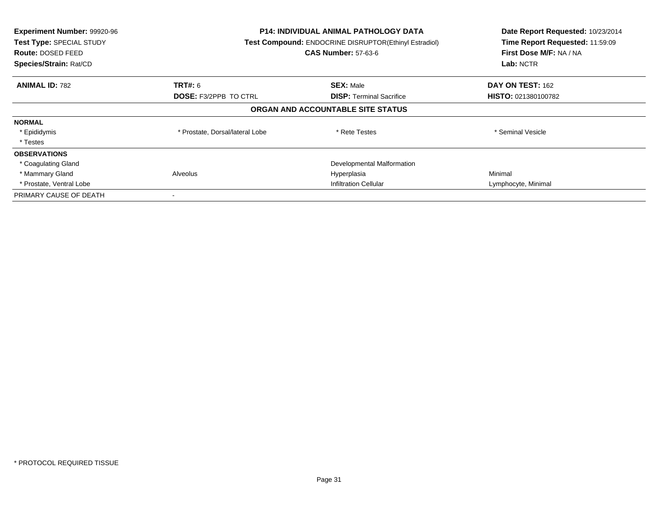| Experiment Number: 99920-96<br>Test Type: SPECIAL STUDY<br><b>Route: DOSED FEED</b><br>Species/Strain: Rat/CD | <b>P14: INDIVIDUAL ANIMAL PATHOLOGY DATA</b><br>Test Compound: ENDOCRINE DISRUPTOR(Ethinyl Estradiol)<br><b>CAS Number: 57-63-6</b> |                                   | Date Report Requested: 10/23/2014<br>Time Report Requested: 11:59:09<br>First Dose M/F: NA / NA<br>Lab: NCTR |
|---------------------------------------------------------------------------------------------------------------|-------------------------------------------------------------------------------------------------------------------------------------|-----------------------------------|--------------------------------------------------------------------------------------------------------------|
| <b>ANIMAL ID: 782</b>                                                                                         | <b>TRT#: 6</b>                                                                                                                      | <b>SEX: Male</b>                  | DAY ON TEST: 162                                                                                             |
|                                                                                                               | <b>DOSE: F3/2PPB TO CTRL</b>                                                                                                        | <b>DISP:</b> Terminal Sacrifice   | <b>HISTO: 021380100782</b>                                                                                   |
|                                                                                                               |                                                                                                                                     | ORGAN AND ACCOUNTABLE SITE STATUS |                                                                                                              |
| <b>NORMAL</b>                                                                                                 |                                                                                                                                     |                                   |                                                                                                              |
| * Epididymis                                                                                                  | * Prostate, Dorsal/lateral Lobe                                                                                                     | * Rete Testes                     | * Seminal Vesicle                                                                                            |
| * Testes                                                                                                      |                                                                                                                                     |                                   |                                                                                                              |
| <b>OBSERVATIONS</b>                                                                                           |                                                                                                                                     |                                   |                                                                                                              |
| * Coagulating Gland                                                                                           |                                                                                                                                     | Developmental Malformation        |                                                                                                              |
| * Mammary Gland                                                                                               | Alveolus                                                                                                                            | Hyperplasia                       | Minimal                                                                                                      |
| * Prostate, Ventral Lobe                                                                                      | <b>Infiltration Cellular</b>                                                                                                        |                                   | Lymphocyte, Minimal                                                                                          |
| PRIMARY CAUSE OF DEATH                                                                                        |                                                                                                                                     |                                   |                                                                                                              |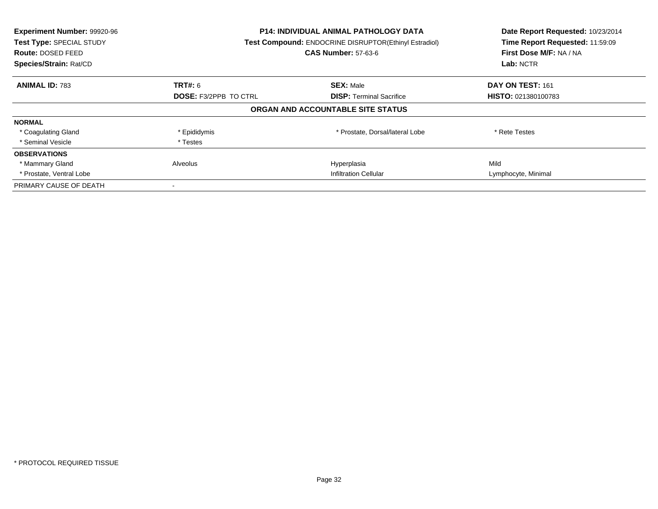| Experiment Number: 99920-96<br>Test Type: SPECIAL STUDY<br><b>Route: DOSED FEED</b><br>Species/Strain: Rat/CD | <b>P14: INDIVIDUAL ANIMAL PATHOLOGY DATA</b><br><b>Test Compound: ENDOCRINE DISRUPTOR(Ethinyl Estradiol)</b><br><b>CAS Number: 57-63-6</b> |                                   | Date Report Requested: 10/23/2014<br>Time Report Requested: 11:59:09<br>First Dose M/F: NA / NA<br>Lab: NCTR |
|---------------------------------------------------------------------------------------------------------------|--------------------------------------------------------------------------------------------------------------------------------------------|-----------------------------------|--------------------------------------------------------------------------------------------------------------|
| <b>ANIMAL ID: 783</b>                                                                                         | <b>TRT#: 6</b>                                                                                                                             | <b>SEX: Male</b>                  | DAY ON TEST: 161                                                                                             |
|                                                                                                               | <b>DOSE: F3/2PPB TO CTRL</b>                                                                                                               | <b>DISP:</b> Terminal Sacrifice   | <b>HISTO: 021380100783</b>                                                                                   |
|                                                                                                               |                                                                                                                                            | ORGAN AND ACCOUNTABLE SITE STATUS |                                                                                                              |
| <b>NORMAL</b>                                                                                                 |                                                                                                                                            |                                   |                                                                                                              |
| * Coagulating Gland                                                                                           | * Epididymis                                                                                                                               | * Prostate, Dorsal/lateral Lobe   | * Rete Testes                                                                                                |
| * Seminal Vesicle                                                                                             | * Testes                                                                                                                                   |                                   |                                                                                                              |
| <b>OBSERVATIONS</b>                                                                                           |                                                                                                                                            |                                   |                                                                                                              |
| * Mammary Gland                                                                                               | Alveolus                                                                                                                                   | Hyperplasia                       | Mild                                                                                                         |
| * Prostate, Ventral Lobe                                                                                      | Infiltration Cellular                                                                                                                      |                                   | Lymphocyte, Minimal                                                                                          |
| PRIMARY CAUSE OF DEATH                                                                                        |                                                                                                                                            |                                   |                                                                                                              |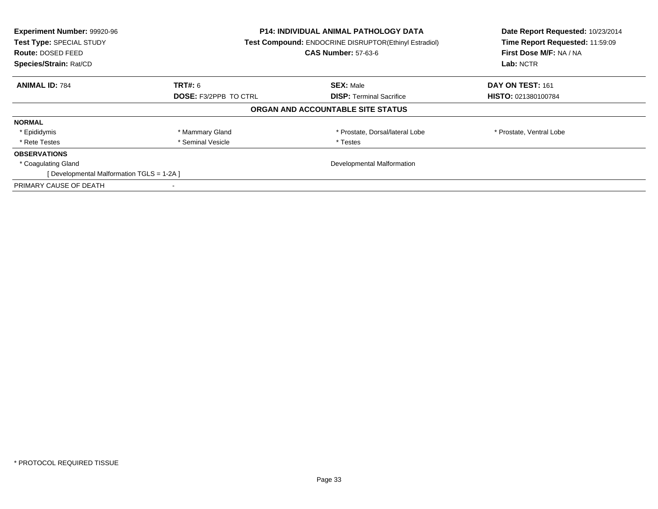| Experiment Number: 99920-96<br>Test Type: SPECIAL STUDY<br><b>Route: DOSED FEED</b><br>Species/Strain: Rat/CD | <b>P14: INDIVIDUAL ANIMAL PATHOLOGY DATA</b><br><b>Test Compound: ENDOCRINE DISRUPTOR(Ethinyl Estradiol)</b><br><b>CAS Number: 57-63-6</b> |                                   | Date Report Requested: 10/23/2014<br>Time Report Requested: 11:59:09<br>First Dose M/F: NA / NA<br>Lab: NCTR |
|---------------------------------------------------------------------------------------------------------------|--------------------------------------------------------------------------------------------------------------------------------------------|-----------------------------------|--------------------------------------------------------------------------------------------------------------|
| <b>ANIMAL ID: 784</b>                                                                                         | <b>TRT#:</b> 6                                                                                                                             | <b>SEX: Male</b>                  | DAY ON TEST: 161                                                                                             |
|                                                                                                               | <b>DOSE: F3/2PPB TO CTRL</b><br><b>DISP:</b> Terminal Sacrifice                                                                            |                                   | <b>HISTO: 021380100784</b>                                                                                   |
|                                                                                                               |                                                                                                                                            | ORGAN AND ACCOUNTABLE SITE STATUS |                                                                                                              |
| <b>NORMAL</b>                                                                                                 |                                                                                                                                            |                                   |                                                                                                              |
| * Epididymis                                                                                                  | * Mammary Gland                                                                                                                            | * Prostate, Dorsal/lateral Lobe   | * Prostate, Ventral Lobe                                                                                     |
| * Rete Testes                                                                                                 | * Seminal Vesicle                                                                                                                          | * Testes                          |                                                                                                              |
| <b>OBSERVATIONS</b>                                                                                           |                                                                                                                                            |                                   |                                                                                                              |
| * Coagulating Gland                                                                                           | Developmental Malformation                                                                                                                 |                                   |                                                                                                              |
| [Developmental Malformation TGLS = 1-2A]                                                                      |                                                                                                                                            |                                   |                                                                                                              |
| PRIMARY CAUSE OF DEATH                                                                                        |                                                                                                                                            |                                   |                                                                                                              |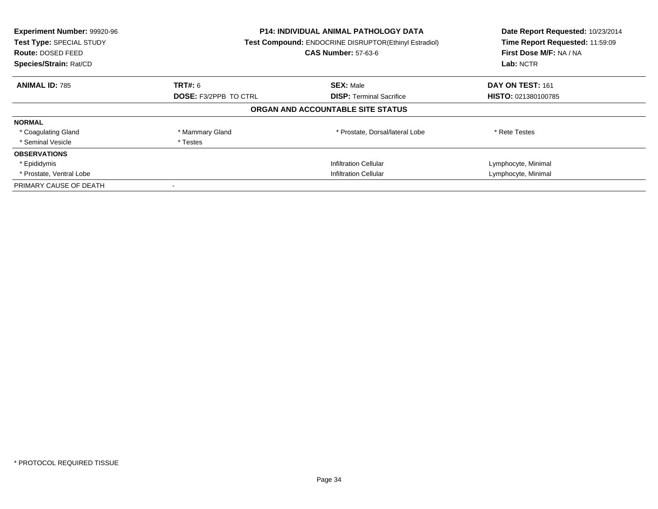| Experiment Number: 99920-96<br>Test Type: SPECIAL STUDY<br><b>Route: DOSED FEED</b><br>Species/Strain: Rat/CD | <b>P14: INDIVIDUAL ANIMAL PATHOLOGY DATA</b><br><b>Test Compound: ENDOCRINE DISRUPTOR(Ethinyl Estradiol)</b><br><b>CAS Number: 57-63-6</b> |                                   | Date Report Requested: 10/23/2014<br>Time Report Requested: 11:59:09<br>First Dose M/F: NA / NA<br>Lab: NCTR |
|---------------------------------------------------------------------------------------------------------------|--------------------------------------------------------------------------------------------------------------------------------------------|-----------------------------------|--------------------------------------------------------------------------------------------------------------|
| <b>ANIMAL ID: 785</b>                                                                                         | <b>TRT#: 6</b>                                                                                                                             | <b>SEX: Male</b>                  | DAY ON TEST: 161                                                                                             |
|                                                                                                               | <b>DOSE: F3/2PPB TO CTRL</b>                                                                                                               | <b>DISP:</b> Terminal Sacrifice   | <b>HISTO: 021380100785</b>                                                                                   |
|                                                                                                               |                                                                                                                                            | ORGAN AND ACCOUNTABLE SITE STATUS |                                                                                                              |
| <b>NORMAL</b>                                                                                                 |                                                                                                                                            |                                   |                                                                                                              |
| * Coagulating Gland                                                                                           | * Mammary Gland                                                                                                                            | * Prostate, Dorsal/lateral Lobe   | * Rete Testes                                                                                                |
| * Seminal Vesicle                                                                                             | * Testes                                                                                                                                   |                                   |                                                                                                              |
| <b>OBSERVATIONS</b>                                                                                           |                                                                                                                                            |                                   |                                                                                                              |
| * Epididymis                                                                                                  |                                                                                                                                            | <b>Infiltration Cellular</b>      | Lymphocyte, Minimal                                                                                          |
| * Prostate, Ventral Lobe                                                                                      | <b>Infiltration Cellular</b>                                                                                                               |                                   | Lymphocyte, Minimal                                                                                          |
| PRIMARY CAUSE OF DEATH                                                                                        |                                                                                                                                            |                                   |                                                                                                              |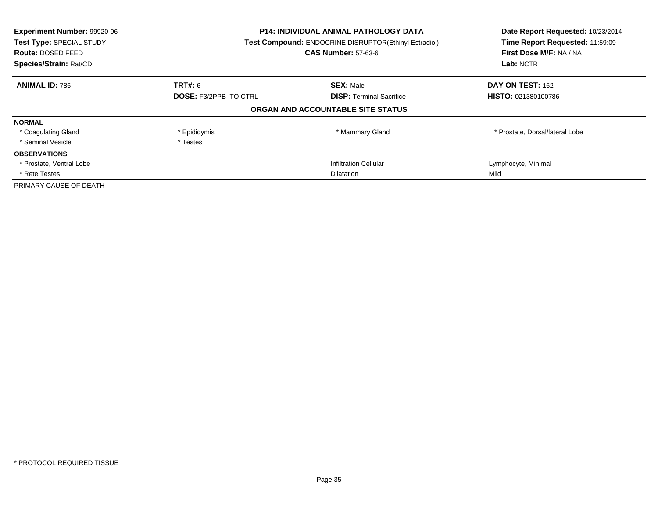| Experiment Number: 99920-96<br>Test Type: SPECIAL STUDY<br><b>Route: DOSED FEED</b><br>Species/Strain: Rat/CD | <b>P14: INDIVIDUAL ANIMAL PATHOLOGY DATA</b><br><b>Test Compound: ENDOCRINE DISRUPTOR(Ethinyl Estradiol)</b><br><b>CAS Number: 57-63-6</b> |                                   | Date Report Requested: 10/23/2014<br>Time Report Requested: 11:59:09<br>First Dose M/F: NA / NA<br>Lab: NCTR |
|---------------------------------------------------------------------------------------------------------------|--------------------------------------------------------------------------------------------------------------------------------------------|-----------------------------------|--------------------------------------------------------------------------------------------------------------|
| <b>ANIMAL ID: 786</b>                                                                                         | <b>TRT#: 6</b>                                                                                                                             | <b>SEX: Male</b>                  | DAY ON TEST: 162                                                                                             |
|                                                                                                               | <b>DOSE: F3/2PPB TO CTRL</b>                                                                                                               | <b>DISP:</b> Terminal Sacrifice   | HISTO: 021380100786                                                                                          |
|                                                                                                               |                                                                                                                                            | ORGAN AND ACCOUNTABLE SITE STATUS |                                                                                                              |
| <b>NORMAL</b>                                                                                                 |                                                                                                                                            |                                   |                                                                                                              |
| * Coagulating Gland                                                                                           | * Epididymis                                                                                                                               | * Mammary Gland                   | * Prostate, Dorsal/lateral Lobe                                                                              |
| * Seminal Vesicle                                                                                             | * Testes                                                                                                                                   |                                   |                                                                                                              |
| <b>OBSERVATIONS</b>                                                                                           |                                                                                                                                            |                                   |                                                                                                              |
| * Prostate, Ventral Lobe                                                                                      |                                                                                                                                            | <b>Infiltration Cellular</b>      | Lymphocyte, Minimal                                                                                          |
| * Rete Testes                                                                                                 | <b>Dilatation</b>                                                                                                                          |                                   | Mild                                                                                                         |
| PRIMARY CAUSE OF DEATH                                                                                        |                                                                                                                                            |                                   |                                                                                                              |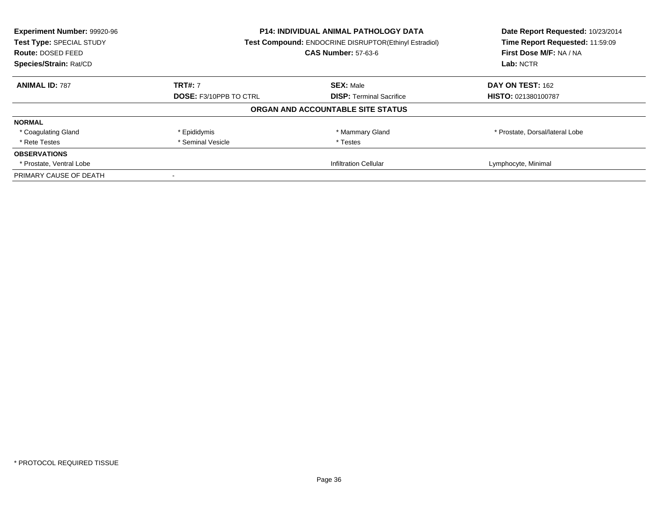| Experiment Number: 99920-96<br>Test Type: SPECIAL STUDY<br><b>Route: DOSED FEED</b><br>Species/Strain: Rat/CD | <b>P14: INDIVIDUAL ANIMAL PATHOLOGY DATA</b><br>Test Compound: ENDOCRINE DISRUPTOR(Ethinyl Estradiol)<br><b>CAS Number: 57-63-6</b> |                                   | Date Report Requested: 10/23/2014<br>Time Report Requested: 11:59:09<br>First Dose M/F: NA / NA<br>Lab: NCTR |
|---------------------------------------------------------------------------------------------------------------|-------------------------------------------------------------------------------------------------------------------------------------|-----------------------------------|--------------------------------------------------------------------------------------------------------------|
| <b>ANIMAL ID: 787</b>                                                                                         | <b>TRT#: 7</b>                                                                                                                      | <b>SEX: Male</b>                  | DAY ON TEST: 162                                                                                             |
|                                                                                                               | <b>DOSE: F3/10PPB TO CTRL</b>                                                                                                       | <b>DISP:</b> Terminal Sacrifice   | <b>HISTO: 021380100787</b>                                                                                   |
|                                                                                                               |                                                                                                                                     | ORGAN AND ACCOUNTABLE SITE STATUS |                                                                                                              |
| <b>NORMAL</b>                                                                                                 |                                                                                                                                     |                                   |                                                                                                              |
| * Coagulating Gland                                                                                           | * Epididymis                                                                                                                        | * Mammary Gland                   | * Prostate, Dorsal/lateral Lobe                                                                              |
| * Rete Testes                                                                                                 | * Seminal Vesicle                                                                                                                   | * Testes                          |                                                                                                              |
| <b>OBSERVATIONS</b>                                                                                           |                                                                                                                                     |                                   |                                                                                                              |
| * Prostate, Ventral Lobe                                                                                      |                                                                                                                                     | Infiltration Cellular             | Lymphocyte, Minimal                                                                                          |
| PRIMARY CAUSE OF DEATH                                                                                        |                                                                                                                                     |                                   |                                                                                                              |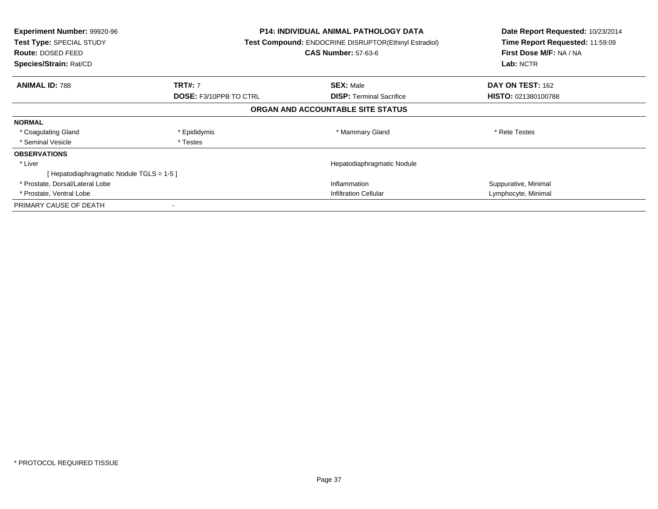| <b>Experiment Number: 99920-96</b><br>Test Type: SPECIAL STUDY<br>Route: DOSED FEED<br>Species/Strain: Rat/CD |                               | <b>P14: INDIVIDUAL ANIMAL PATHOLOGY DATA</b><br>Test Compound: ENDOCRINE DISRUPTOR(Ethinyl Estradiol)<br><b>CAS Number: 57-63-6</b> | Date Report Requested: 10/23/2014<br>Time Report Requested: 11:59:09<br>First Dose M/F: NA / NA<br>Lab: NCTR |
|---------------------------------------------------------------------------------------------------------------|-------------------------------|-------------------------------------------------------------------------------------------------------------------------------------|--------------------------------------------------------------------------------------------------------------|
| <b>ANIMAL ID: 788</b>                                                                                         | <b>TRT#: 7</b>                | <b>SEX: Male</b>                                                                                                                    | <b>DAY ON TEST: 162</b>                                                                                      |
|                                                                                                               | <b>DOSE: F3/10PPB TO CTRL</b> | <b>DISP:</b> Terminal Sacrifice                                                                                                     | <b>HISTO: 021380100788</b>                                                                                   |
|                                                                                                               |                               | ORGAN AND ACCOUNTABLE SITE STATUS                                                                                                   |                                                                                                              |
| <b>NORMAL</b>                                                                                                 |                               |                                                                                                                                     |                                                                                                              |
| * Coagulating Gland                                                                                           | * Epididymis                  | * Mammary Gland                                                                                                                     | * Rete Testes                                                                                                |
| * Seminal Vesicle                                                                                             | * Testes                      |                                                                                                                                     |                                                                                                              |
| <b>OBSERVATIONS</b>                                                                                           |                               |                                                                                                                                     |                                                                                                              |
| * Liver                                                                                                       |                               | Hepatodiaphragmatic Nodule                                                                                                          |                                                                                                              |
| [Hepatodiaphragmatic Nodule TGLS = 1-5 ]                                                                      |                               |                                                                                                                                     |                                                                                                              |
| * Prostate, Dorsal/Lateral Lobe                                                                               |                               | Inflammation                                                                                                                        | Suppurative, Minimal                                                                                         |
| * Prostate, Ventral Lobe                                                                                      |                               | <b>Infiltration Cellular</b>                                                                                                        | Lymphocyte, Minimal                                                                                          |
| PRIMARY CAUSE OF DEATH                                                                                        |                               |                                                                                                                                     |                                                                                                              |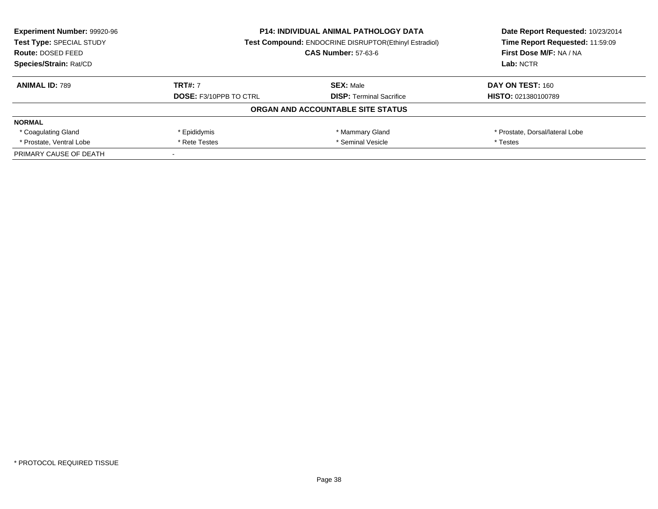| <b>Experiment Number: 99920-96</b><br>Test Type: SPECIAL STUDY | <b>P14: INDIVIDUAL ANIMAL PATHOLOGY DATA</b><br><b>Test Compound: ENDOCRINE DISRUPTOR(Ethinyl Estradiol)</b> |                                   | Date Report Requested: 10/23/2014<br>Time Report Requested: 11:59:09 |
|----------------------------------------------------------------|--------------------------------------------------------------------------------------------------------------|-----------------------------------|----------------------------------------------------------------------|
| <b>Route: DOSED FEED</b>                                       |                                                                                                              | <b>CAS Number: 57-63-6</b>        | First Dose M/F: NA / NA                                              |
| Species/Strain: Rat/CD                                         |                                                                                                              |                                   | Lab: NCTR                                                            |
| <b>ANIMAL ID: 789</b>                                          | <b>TRT#: 7</b>                                                                                               | <b>SEX: Male</b>                  | DAY ON TEST: 160                                                     |
|                                                                | <b>DOSE: F3/10PPB TO CTRL</b>                                                                                | <b>DISP:</b> Terminal Sacrifice   | <b>HISTO: 021380100789</b>                                           |
|                                                                |                                                                                                              | ORGAN AND ACCOUNTABLE SITE STATUS |                                                                      |
| <b>NORMAL</b>                                                  |                                                                                                              |                                   |                                                                      |
| * Coagulating Gland                                            | * Epididymis                                                                                                 | * Mammary Gland                   | * Prostate, Dorsal/lateral Lobe                                      |
| * Prostate, Ventral Lobe                                       | * Seminal Vesicle<br>* Rete Testes                                                                           |                                   | * Testes                                                             |
| PRIMARY CAUSE OF DEATH                                         |                                                                                                              |                                   |                                                                      |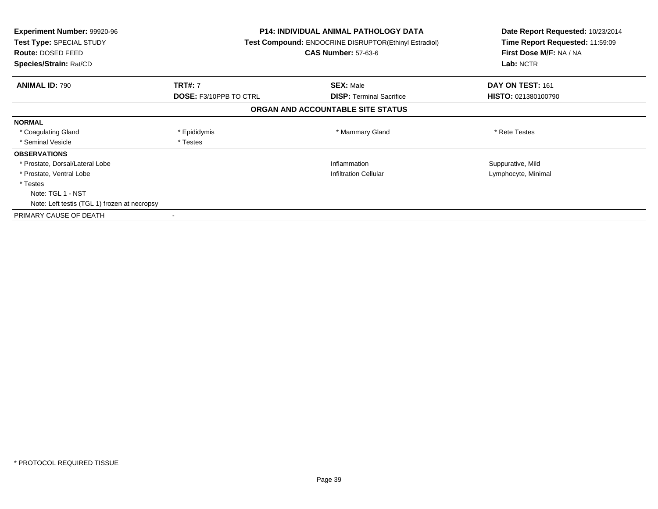| <b>Experiment Number: 99920-96</b><br>Test Type: SPECIAL STUDY<br>Route: DOSED FEED<br>Species/Strain: Rat/CD |                               | P14: INDIVIDUAL ANIMAL PATHOLOGY DATA<br><b>Test Compound: ENDOCRINE DISRUPTOR (Ethinyl Estradiol)</b><br><b>CAS Number: 57-63-6</b> | Date Report Requested: 10/23/2014<br>Time Report Requested: 11:59:09<br>First Dose M/F: NA / NA<br>Lab: NCTR |  |
|---------------------------------------------------------------------------------------------------------------|-------------------------------|--------------------------------------------------------------------------------------------------------------------------------------|--------------------------------------------------------------------------------------------------------------|--|
| <b>ANIMAL ID: 790</b>                                                                                         | <b>TRT#: 7</b>                | <b>SEX: Male</b>                                                                                                                     | DAY ON TEST: 161                                                                                             |  |
|                                                                                                               | <b>DOSE: F3/10PPB TO CTRL</b> | <b>DISP:</b> Terminal Sacrifice                                                                                                      | <b>HISTO: 021380100790</b>                                                                                   |  |
|                                                                                                               |                               | ORGAN AND ACCOUNTABLE SITE STATUS                                                                                                    |                                                                                                              |  |
| <b>NORMAL</b>                                                                                                 |                               |                                                                                                                                      |                                                                                                              |  |
| * Coagulating Gland                                                                                           | * Epididymis                  | * Mammary Gland                                                                                                                      | * Rete Testes                                                                                                |  |
| * Seminal Vesicle                                                                                             | * Testes                      |                                                                                                                                      |                                                                                                              |  |
| <b>OBSERVATIONS</b>                                                                                           |                               |                                                                                                                                      |                                                                                                              |  |
| * Prostate, Dorsal/Lateral Lobe                                                                               |                               | Inflammation                                                                                                                         | Suppurative, Mild                                                                                            |  |
| * Prostate, Ventral Lobe                                                                                      |                               | <b>Infiltration Cellular</b>                                                                                                         | Lymphocyte, Minimal                                                                                          |  |
| * Testes                                                                                                      |                               |                                                                                                                                      |                                                                                                              |  |
| Note: TGL 1 - NST                                                                                             |                               |                                                                                                                                      |                                                                                                              |  |
| Note: Left testis (TGL 1) frozen at necropsy                                                                  |                               |                                                                                                                                      |                                                                                                              |  |
| PRIMARY CAUSE OF DEATH                                                                                        |                               |                                                                                                                                      |                                                                                                              |  |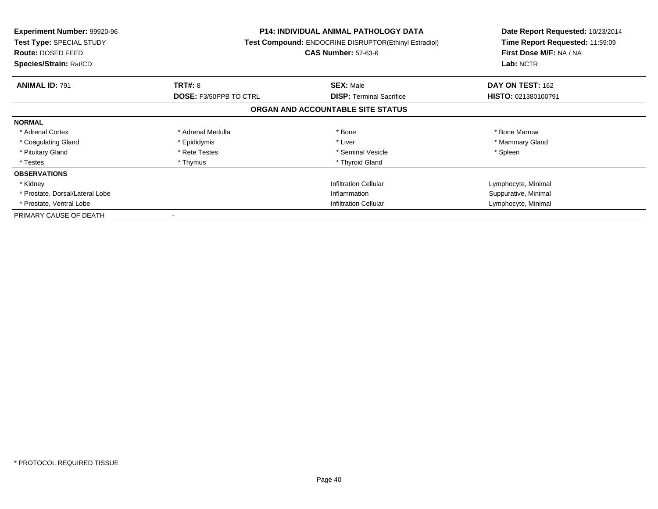| <b>Experiment Number: 99920-96</b><br>Test Type: SPECIAL STUDY<br>Route: DOSED FEED<br>Species/Strain: Rat/CD |                               | <b>P14: INDIVIDUAL ANIMAL PATHOLOGY DATA</b><br>Test Compound: ENDOCRINE DISRUPTOR(Ethinyl Estradiol)<br><b>CAS Number: 57-63-6</b> | Date Report Requested: 10/23/2014<br>Time Report Requested: 11:59:09<br>First Dose M/F: NA / NA<br>Lab: NCTR |
|---------------------------------------------------------------------------------------------------------------|-------------------------------|-------------------------------------------------------------------------------------------------------------------------------------|--------------------------------------------------------------------------------------------------------------|
| <b>ANIMAL ID: 791</b>                                                                                         | <b>TRT#: 8</b>                | <b>SEX: Male</b>                                                                                                                    | DAY ON TEST: 162                                                                                             |
|                                                                                                               | <b>DOSE: F3/50PPB TO CTRL</b> | <b>DISP:</b> Terminal Sacrifice                                                                                                     | <b>HISTO: 021380100791</b>                                                                                   |
|                                                                                                               |                               | ORGAN AND ACCOUNTABLE SITE STATUS                                                                                                   |                                                                                                              |
| <b>NORMAL</b>                                                                                                 |                               |                                                                                                                                     |                                                                                                              |
| * Adrenal Cortex                                                                                              | * Adrenal Medulla             | * Bone                                                                                                                              | * Bone Marrow                                                                                                |
| * Coagulating Gland                                                                                           | * Epididymis                  | * Liver                                                                                                                             | * Mammary Gland                                                                                              |
| * Pituitary Gland                                                                                             | * Rete Testes                 | * Seminal Vesicle                                                                                                                   | * Spleen                                                                                                     |
| * Testes                                                                                                      | * Thymus                      | * Thyroid Gland                                                                                                                     |                                                                                                              |
| <b>OBSERVATIONS</b>                                                                                           |                               |                                                                                                                                     |                                                                                                              |
| * Kidney                                                                                                      |                               | <b>Infiltration Cellular</b>                                                                                                        | Lymphocyte, Minimal                                                                                          |
| * Prostate, Dorsal/Lateral Lobe                                                                               |                               | Inflammation                                                                                                                        | Suppurative, Minimal                                                                                         |
| * Prostate, Ventral Lobe                                                                                      | <b>Infiltration Cellular</b>  |                                                                                                                                     | Lymphocyte, Minimal                                                                                          |
| PRIMARY CAUSE OF DEATH                                                                                        |                               |                                                                                                                                     |                                                                                                              |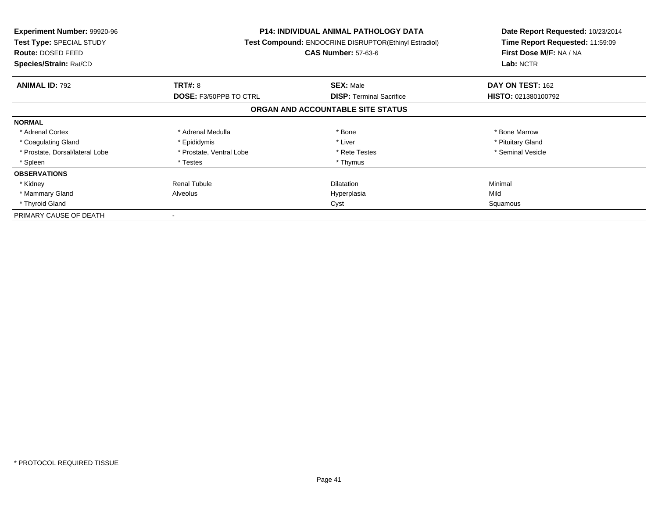| <b>Experiment Number: 99920-96</b><br>Test Type: SPECIAL STUDY<br>Route: DOSED FEED<br>Species/Strain: Rat/CD |                               | <b>P14: INDIVIDUAL ANIMAL PATHOLOGY DATA</b><br><b>Test Compound: ENDOCRINE DISRUPTOR(Ethinyl Estradiol)</b><br><b>CAS Number: 57-63-6</b> | Date Report Requested: 10/23/2014<br>Time Report Requested: 11:59:09<br>First Dose M/F: NA / NA<br>Lab: NCTR |
|---------------------------------------------------------------------------------------------------------------|-------------------------------|--------------------------------------------------------------------------------------------------------------------------------------------|--------------------------------------------------------------------------------------------------------------|
| <b>ANIMAL ID: 792</b>                                                                                         | <b>TRT#: 8</b>                | <b>SEX: Male</b>                                                                                                                           | DAY ON TEST: 162                                                                                             |
|                                                                                                               | <b>DOSE: F3/50PPB TO CTRL</b> | <b>DISP:</b> Terminal Sacrifice                                                                                                            | HISTO: 021380100792                                                                                          |
|                                                                                                               |                               | ORGAN AND ACCOUNTABLE SITE STATUS                                                                                                          |                                                                                                              |
| <b>NORMAL</b>                                                                                                 |                               |                                                                                                                                            |                                                                                                              |
| * Adrenal Cortex                                                                                              | * Adrenal Medulla             | * Bone                                                                                                                                     | * Bone Marrow                                                                                                |
| * Coagulating Gland                                                                                           | * Epididymis                  | * Liver                                                                                                                                    | * Pituitary Gland                                                                                            |
| * Prostate, Dorsal/lateral Lobe                                                                               | * Prostate, Ventral Lobe      | * Rete Testes                                                                                                                              | * Seminal Vesicle                                                                                            |
| * Spleen                                                                                                      | * Testes                      | * Thymus                                                                                                                                   |                                                                                                              |
| <b>OBSERVATIONS</b>                                                                                           |                               |                                                                                                                                            |                                                                                                              |
| * Kidney                                                                                                      | <b>Renal Tubule</b>           | <b>Dilatation</b>                                                                                                                          | Minimal                                                                                                      |
| * Mammary Gland                                                                                               | Alveolus                      | Hyperplasia                                                                                                                                | Mild                                                                                                         |
| * Thyroid Gland                                                                                               | Cyst                          |                                                                                                                                            | Squamous                                                                                                     |
| PRIMARY CAUSE OF DEATH                                                                                        | $\overline{\phantom{a}}$      |                                                                                                                                            |                                                                                                              |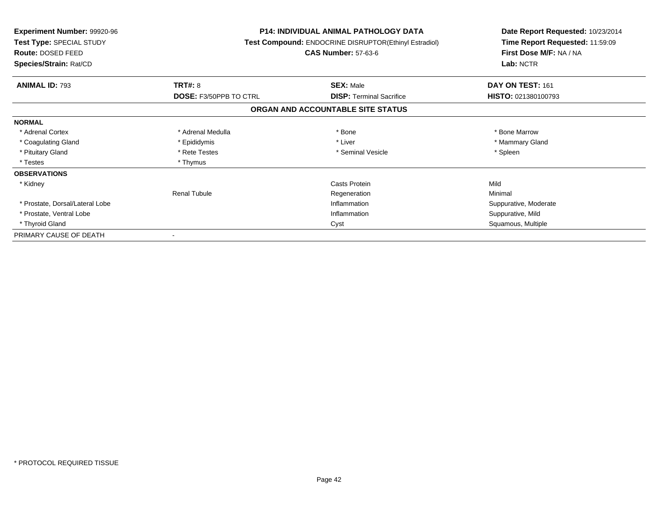| <b>Experiment Number: 99920-96</b><br>Test Type: SPECIAL STUDY<br><b>Route: DOSED FEED</b><br>Species/Strain: Rat/CD |                               | <b>P14: INDIVIDUAL ANIMAL PATHOLOGY DATA</b><br>Test Compound: ENDOCRINE DISRUPTOR(Ethinyl Estradiol)<br><b>CAS Number: 57-63-6</b> | Date Report Requested: 10/23/2014<br>Time Report Requested: 11:59:09<br>First Dose M/F: NA / NA<br>Lab: NCTR |  |
|----------------------------------------------------------------------------------------------------------------------|-------------------------------|-------------------------------------------------------------------------------------------------------------------------------------|--------------------------------------------------------------------------------------------------------------|--|
|                                                                                                                      |                               |                                                                                                                                     |                                                                                                              |  |
| <b>ANIMAL ID: 793</b>                                                                                                | TRT#: 8                       | <b>SEX: Male</b>                                                                                                                    | DAY ON TEST: 161                                                                                             |  |
|                                                                                                                      | <b>DOSE: F3/50PPB TO CTRL</b> | <b>DISP:</b> Terminal Sacrifice                                                                                                     | HISTO: 021380100793                                                                                          |  |
|                                                                                                                      |                               | ORGAN AND ACCOUNTABLE SITE STATUS                                                                                                   |                                                                                                              |  |
| <b>NORMAL</b>                                                                                                        |                               |                                                                                                                                     |                                                                                                              |  |
| * Adrenal Cortex                                                                                                     | * Adrenal Medulla             | * Bone                                                                                                                              | * Bone Marrow                                                                                                |  |
| * Coagulating Gland                                                                                                  | * Epididymis                  | * Liver                                                                                                                             | * Mammary Gland                                                                                              |  |
| * Pituitary Gland                                                                                                    | * Rete Testes                 | * Seminal Vesicle                                                                                                                   | * Spleen                                                                                                     |  |
| * Testes                                                                                                             | * Thymus                      |                                                                                                                                     |                                                                                                              |  |
| <b>OBSERVATIONS</b>                                                                                                  |                               |                                                                                                                                     |                                                                                                              |  |
| * Kidney                                                                                                             |                               | Casts Protein                                                                                                                       | Mild                                                                                                         |  |
|                                                                                                                      | <b>Renal Tubule</b>           | Regeneration                                                                                                                        | Minimal                                                                                                      |  |
| * Prostate, Dorsal/Lateral Lobe                                                                                      |                               | Inflammation                                                                                                                        | Suppurative, Moderate                                                                                        |  |
| * Prostate, Ventral Lobe                                                                                             |                               | Inflammation                                                                                                                        | Suppurative, Mild                                                                                            |  |
| * Thyroid Gland                                                                                                      |                               | Cyst                                                                                                                                | Squamous, Multiple                                                                                           |  |
| PRIMARY CAUSE OF DEATH                                                                                               |                               |                                                                                                                                     |                                                                                                              |  |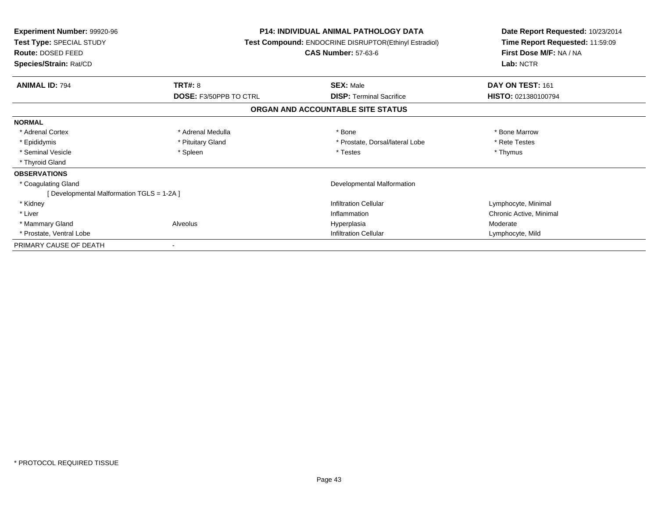| <b>Experiment Number: 99920-96</b><br><b>Test Type: SPECIAL STUDY</b><br>Route: DOSED FEED<br>Species/Strain: Rat/CD |                               | <b>P14: INDIVIDUAL ANIMAL PATHOLOGY DATA</b><br><b>Test Compound: ENDOCRINE DISRUPTOR(Ethinyl Estradiol)</b><br><b>CAS Number: 57-63-6</b> | Date Report Requested: 10/23/2014<br>Time Report Requested: 11:59:09<br>First Dose M/F: NA / NA<br>Lab: NCTR |
|----------------------------------------------------------------------------------------------------------------------|-------------------------------|--------------------------------------------------------------------------------------------------------------------------------------------|--------------------------------------------------------------------------------------------------------------|
| <b>ANIMAL ID: 794</b>                                                                                                | <b>TRT#: 8</b>                | <b>SEX: Male</b>                                                                                                                           | DAY ON TEST: 161                                                                                             |
|                                                                                                                      | <b>DOSE: F3/50PPB TO CTRL</b> | <b>DISP:</b> Terminal Sacrifice                                                                                                            | HISTO: 021380100794                                                                                          |
|                                                                                                                      |                               | ORGAN AND ACCOUNTABLE SITE STATUS                                                                                                          |                                                                                                              |
| <b>NORMAL</b>                                                                                                        |                               |                                                                                                                                            |                                                                                                              |
| * Adrenal Cortex                                                                                                     | * Adrenal Medulla             | * Bone                                                                                                                                     | * Bone Marrow                                                                                                |
| * Epididymis                                                                                                         | * Pituitary Gland             | * Prostate, Dorsal/lateral Lobe                                                                                                            | * Rete Testes                                                                                                |
| * Seminal Vesicle                                                                                                    | * Spleen                      | * Testes                                                                                                                                   | * Thymus                                                                                                     |
| * Thyroid Gland                                                                                                      |                               |                                                                                                                                            |                                                                                                              |
| <b>OBSERVATIONS</b>                                                                                                  |                               |                                                                                                                                            |                                                                                                              |
| * Coagulating Gland                                                                                                  |                               | Developmental Malformation                                                                                                                 |                                                                                                              |
| [ Developmental Malformation TGLS = 1-2A ]                                                                           |                               |                                                                                                                                            |                                                                                                              |
| * Kidney                                                                                                             |                               | <b>Infiltration Cellular</b>                                                                                                               | Lymphocyte, Minimal                                                                                          |
| * Liver                                                                                                              |                               | Inflammation                                                                                                                               | Chronic Active, Minimal                                                                                      |
| * Mammary Gland                                                                                                      | Alveolus                      | Hyperplasia                                                                                                                                | Moderate                                                                                                     |
| * Prostate, Ventral Lobe                                                                                             |                               | <b>Infiltration Cellular</b>                                                                                                               | Lymphocyte, Mild                                                                                             |
| PRIMARY CAUSE OF DEATH                                                                                               |                               |                                                                                                                                            |                                                                                                              |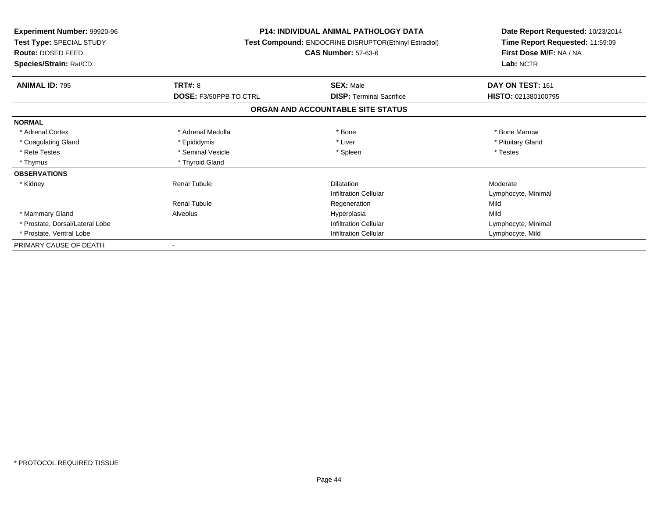| <b>Experiment Number: 99920-96</b><br>Test Type: SPECIAL STUDY<br><b>Route: DOSED FEED</b><br>Species/Strain: Rat/CD |                               | <b>P14: INDIVIDUAL ANIMAL PATHOLOGY DATA</b><br><b>Test Compound: ENDOCRINE DISRUPTOR(Ethinyl Estradiol)</b><br><b>CAS Number: 57-63-6</b> | Date Report Requested: 10/23/2014<br>Time Report Requested: 11:59:09<br>First Dose M/F: NA / NA<br>Lab: NCTR |
|----------------------------------------------------------------------------------------------------------------------|-------------------------------|--------------------------------------------------------------------------------------------------------------------------------------------|--------------------------------------------------------------------------------------------------------------|
| <b>ANIMAL ID: 795</b>                                                                                                | TRT#: 8                       | <b>SEX: Male</b>                                                                                                                           | DAY ON TEST: 161                                                                                             |
|                                                                                                                      | <b>DOSE: F3/50PPB TO CTRL</b> | <b>DISP:</b> Terminal Sacrifice                                                                                                            | HISTO: 021380100795                                                                                          |
|                                                                                                                      |                               | ORGAN AND ACCOUNTABLE SITE STATUS                                                                                                          |                                                                                                              |
| <b>NORMAL</b>                                                                                                        |                               |                                                                                                                                            |                                                                                                              |
| * Adrenal Cortex                                                                                                     | * Adrenal Medulla             | * Bone                                                                                                                                     | * Bone Marrow                                                                                                |
| * Coagulating Gland                                                                                                  | * Epididymis                  | * Liver                                                                                                                                    | * Pituitary Gland                                                                                            |
| * Rete Testes                                                                                                        | * Seminal Vesicle             | * Spleen                                                                                                                                   | * Testes                                                                                                     |
| * Thymus                                                                                                             | * Thyroid Gland               |                                                                                                                                            |                                                                                                              |
| <b>OBSERVATIONS</b>                                                                                                  |                               |                                                                                                                                            |                                                                                                              |
| * Kidney                                                                                                             | Renal Tubule                  | <b>Dilatation</b>                                                                                                                          | Moderate                                                                                                     |
|                                                                                                                      |                               | <b>Infiltration Cellular</b>                                                                                                               | Lymphocyte, Minimal                                                                                          |
|                                                                                                                      | <b>Renal Tubule</b>           | Regeneration                                                                                                                               | Mild                                                                                                         |
| * Mammary Gland                                                                                                      | Alveolus                      | Hyperplasia                                                                                                                                | Mild                                                                                                         |
| * Prostate, Dorsal/Lateral Lobe                                                                                      |                               | <b>Infiltration Cellular</b>                                                                                                               | Lymphocyte, Minimal                                                                                          |
| * Prostate, Ventral Lobe                                                                                             |                               | <b>Infiltration Cellular</b>                                                                                                               | Lymphocyte, Mild                                                                                             |
| PRIMARY CAUSE OF DEATH                                                                                               | $\blacksquare$                |                                                                                                                                            |                                                                                                              |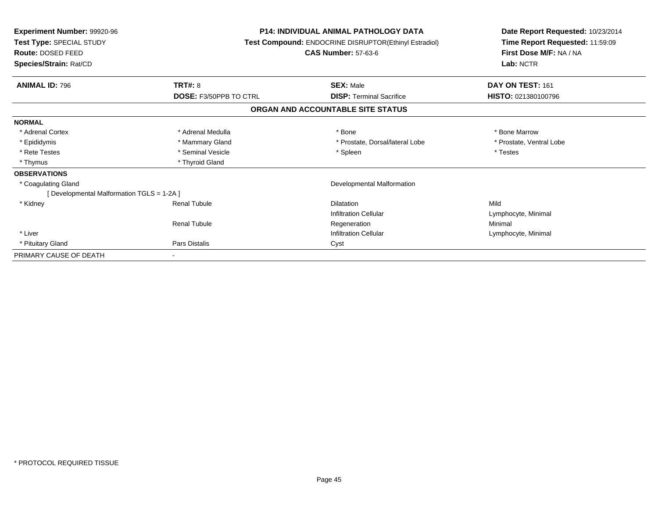| Experiment Number: 99920-96<br>Test Type: SPECIAL STUDY<br>Route: DOSED FEED<br>Species/Strain: Rat/CD |                               | <b>P14: INDIVIDUAL ANIMAL PATHOLOGY DATA</b><br>Test Compound: ENDOCRINE DISRUPTOR(Ethinyl Estradiol)<br><b>CAS Number: 57-63-6</b> | Date Report Requested: 10/23/2014<br>Time Report Requested: 11:59:09<br>First Dose M/F: NA / NA<br>Lab: NCTR |
|--------------------------------------------------------------------------------------------------------|-------------------------------|-------------------------------------------------------------------------------------------------------------------------------------|--------------------------------------------------------------------------------------------------------------|
| <b>ANIMAL ID: 796</b>                                                                                  | TRT#: 8                       | <b>SEX: Male</b>                                                                                                                    | DAY ON TEST: 161                                                                                             |
|                                                                                                        | <b>DOSE: F3/50PPB TO CTRL</b> | <b>DISP: Terminal Sacrifice</b>                                                                                                     | HISTO: 021380100796                                                                                          |
|                                                                                                        |                               | ORGAN AND ACCOUNTABLE SITE STATUS                                                                                                   |                                                                                                              |
| <b>NORMAL</b>                                                                                          |                               |                                                                                                                                     |                                                                                                              |
| * Adrenal Cortex                                                                                       | * Adrenal Medulla             | * Bone                                                                                                                              | * Bone Marrow                                                                                                |
| * Epididymis                                                                                           | * Mammary Gland               | * Prostate, Dorsal/lateral Lobe                                                                                                     | * Prostate, Ventral Lobe                                                                                     |
| * Rete Testes                                                                                          | * Seminal Vesicle             | * Spleen                                                                                                                            | * Testes                                                                                                     |
| * Thymus                                                                                               | * Thyroid Gland               |                                                                                                                                     |                                                                                                              |
| <b>OBSERVATIONS</b>                                                                                    |                               |                                                                                                                                     |                                                                                                              |
| * Coagulating Gland                                                                                    |                               | Developmental Malformation                                                                                                          |                                                                                                              |
| [ Developmental Malformation TGLS = 1-2A ]                                                             |                               |                                                                                                                                     |                                                                                                              |
| * Kidney                                                                                               | <b>Renal Tubule</b>           | <b>Dilatation</b>                                                                                                                   | Mild                                                                                                         |
|                                                                                                        |                               | <b>Infiltration Cellular</b>                                                                                                        | Lymphocyte, Minimal                                                                                          |
|                                                                                                        | <b>Renal Tubule</b>           | Regeneration                                                                                                                        | Minimal                                                                                                      |
| * Liver                                                                                                |                               | <b>Infiltration Cellular</b>                                                                                                        | Lymphocyte, Minimal                                                                                          |
| * Pituitary Gland                                                                                      | Pars Distalis                 | Cyst                                                                                                                                |                                                                                                              |
| PRIMARY CAUSE OF DEATH                                                                                 | $\sim$                        |                                                                                                                                     |                                                                                                              |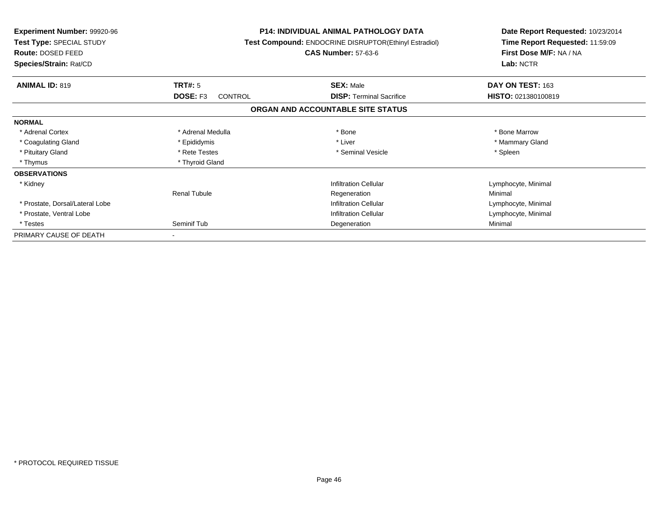| Experiment Number: 99920-96<br><b>Test Type: SPECIAL STUDY</b><br>Route: DOSED FEED<br>Species/Strain: Rat/CD |                            | <b>P14: INDIVIDUAL ANIMAL PATHOLOGY DATA</b><br>Test Compound: ENDOCRINE DISRUPTOR(Ethinyl Estradiol)<br><b>CAS Number: 57-63-6</b> | Date Report Requested: 10/23/2014<br>Time Report Requested: 11:59:09<br>First Dose M/F: NA / NA<br>Lab: NCTR |  |
|---------------------------------------------------------------------------------------------------------------|----------------------------|-------------------------------------------------------------------------------------------------------------------------------------|--------------------------------------------------------------------------------------------------------------|--|
| <b>ANIMAL ID: 819</b>                                                                                         | <b>TRT#: 5</b>             | <b>SEX: Male</b>                                                                                                                    | DAY ON TEST: 163                                                                                             |  |
|                                                                                                               | DOSE: F3<br><b>CONTROL</b> | <b>DISP: Terminal Sacrifice</b>                                                                                                     | HISTO: 021380100819                                                                                          |  |
|                                                                                                               |                            | ORGAN AND ACCOUNTABLE SITE STATUS                                                                                                   |                                                                                                              |  |
| <b>NORMAL</b>                                                                                                 |                            |                                                                                                                                     |                                                                                                              |  |
| * Adrenal Cortex                                                                                              | * Adrenal Medulla          | * Bone                                                                                                                              | * Bone Marrow                                                                                                |  |
| * Coagulating Gland                                                                                           | * Epididymis               | * Liver                                                                                                                             | * Mammary Gland                                                                                              |  |
| * Pituitary Gland                                                                                             | * Rete Testes              | * Seminal Vesicle                                                                                                                   | * Spleen                                                                                                     |  |
| * Thymus                                                                                                      | * Thyroid Gland            |                                                                                                                                     |                                                                                                              |  |
| <b>OBSERVATIONS</b>                                                                                           |                            |                                                                                                                                     |                                                                                                              |  |
| * Kidney                                                                                                      |                            | <b>Infiltration Cellular</b>                                                                                                        | Lymphocyte, Minimal                                                                                          |  |
|                                                                                                               | <b>Renal Tubule</b>        | Regeneration                                                                                                                        | Minimal                                                                                                      |  |
| * Prostate, Dorsal/Lateral Lobe                                                                               |                            | <b>Infiltration Cellular</b>                                                                                                        | Lymphocyte, Minimal                                                                                          |  |
| * Prostate, Ventral Lobe                                                                                      |                            | <b>Infiltration Cellular</b>                                                                                                        | Lymphocyte, Minimal                                                                                          |  |
| * Testes                                                                                                      | Seminif Tub                | Degeneration                                                                                                                        | Minimal                                                                                                      |  |
| PRIMARY CAUSE OF DEATH                                                                                        |                            |                                                                                                                                     |                                                                                                              |  |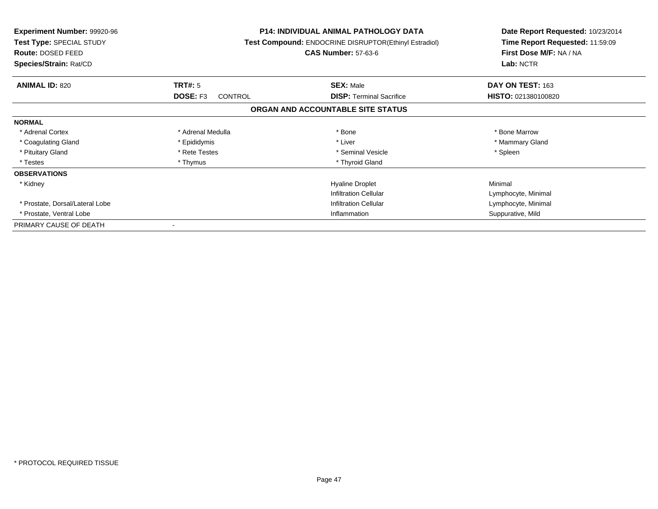| <b>Experiment Number: 99920-96</b><br>Test Type: SPECIAL STUDY<br><b>Route: DOSED FEED</b><br>Species/Strain: Rat/CD |                              | <b>P14: INDIVIDUAL ANIMAL PATHOLOGY DATA</b><br><b>Test Compound: ENDOCRINE DISRUPTOR(Ethinyl Estradiol)</b><br><b>CAS Number: 57-63-6</b> | Date Report Requested: 10/23/2014<br>Time Report Requested: 11:59:09<br>First Dose M/F: NA / NA<br>Lab: NCTR |
|----------------------------------------------------------------------------------------------------------------------|------------------------------|--------------------------------------------------------------------------------------------------------------------------------------------|--------------------------------------------------------------------------------------------------------------|
| <b>ANIMAL ID: 820</b>                                                                                                | <b>TRT#: 5</b>               | <b>SEX: Male</b>                                                                                                                           | DAY ON TEST: 163                                                                                             |
|                                                                                                                      | DOSE: F3<br><b>CONTROL</b>   | <b>DISP: Terminal Sacrifice</b>                                                                                                            | HISTO: 021380100820                                                                                          |
|                                                                                                                      |                              | ORGAN AND ACCOUNTABLE SITE STATUS                                                                                                          |                                                                                                              |
| <b>NORMAL</b>                                                                                                        |                              |                                                                                                                                            |                                                                                                              |
| * Adrenal Cortex                                                                                                     | * Adrenal Medulla            | * Bone                                                                                                                                     | * Bone Marrow                                                                                                |
| * Coagulating Gland                                                                                                  | * Epididymis                 | * Liver                                                                                                                                    | * Mammary Gland                                                                                              |
| * Pituitary Gland                                                                                                    | * Rete Testes                | * Seminal Vesicle                                                                                                                          | * Spleen                                                                                                     |
| * Testes                                                                                                             | * Thymus                     | * Thyroid Gland                                                                                                                            |                                                                                                              |
| <b>OBSERVATIONS</b>                                                                                                  |                              |                                                                                                                                            |                                                                                                              |
| * Kidney                                                                                                             |                              | <b>Hyaline Droplet</b>                                                                                                                     | Minimal                                                                                                      |
|                                                                                                                      |                              | <b>Infiltration Cellular</b>                                                                                                               | Lymphocyte, Minimal                                                                                          |
| * Prostate, Dorsal/Lateral Lobe                                                                                      | <b>Infiltration Cellular</b> |                                                                                                                                            | Lymphocyte, Minimal                                                                                          |
| * Prostate, Ventral Lobe                                                                                             | Inflammation                 |                                                                                                                                            | Suppurative, Mild                                                                                            |
| PRIMARY CAUSE OF DEATH                                                                                               |                              |                                                                                                                                            |                                                                                                              |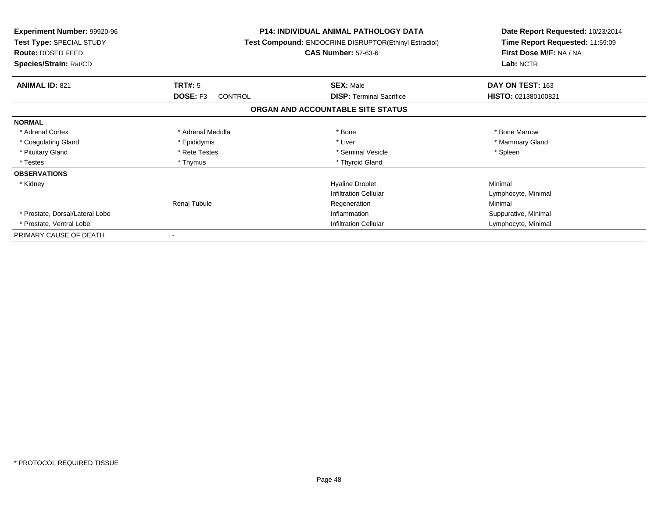| <b>Experiment Number: 99920-96</b><br>Test Type: SPECIAL STUDY<br><b>Route: DOSED FEED</b><br>Species/Strain: Rat/CD |                     | <b>P14: INDIVIDUAL ANIMAL PATHOLOGY DATA</b><br>Test Compound: ENDOCRINE DISRUPTOR(Ethinyl Estradiol)<br><b>CAS Number: 57-63-6</b> | Date Report Requested: 10/23/2014<br>Time Report Requested: 11:59:09<br>First Dose M/F: NA / NA<br>Lab: NCTR |  |
|----------------------------------------------------------------------------------------------------------------------|---------------------|-------------------------------------------------------------------------------------------------------------------------------------|--------------------------------------------------------------------------------------------------------------|--|
|                                                                                                                      |                     |                                                                                                                                     |                                                                                                              |  |
| <b>ANIMAL ID: 821</b>                                                                                                | TRT#: 5             | <b>SEX: Male</b>                                                                                                                    | DAY ON TEST: 163                                                                                             |  |
|                                                                                                                      | DOSE: F3<br>CONTROL | <b>DISP:</b> Terminal Sacrifice                                                                                                     | HISTO: 021380100821                                                                                          |  |
|                                                                                                                      |                     | ORGAN AND ACCOUNTABLE SITE STATUS                                                                                                   |                                                                                                              |  |
| <b>NORMAL</b>                                                                                                        |                     |                                                                                                                                     |                                                                                                              |  |
| * Adrenal Cortex                                                                                                     | * Adrenal Medulla   | * Bone                                                                                                                              | * Bone Marrow                                                                                                |  |
| * Coagulating Gland                                                                                                  | * Epididymis        | * Liver                                                                                                                             | * Mammary Gland                                                                                              |  |
| * Pituitary Gland                                                                                                    | * Rete Testes       | * Seminal Vesicle                                                                                                                   | * Spleen                                                                                                     |  |
| * Testes                                                                                                             | * Thymus            | * Thyroid Gland                                                                                                                     |                                                                                                              |  |
| <b>OBSERVATIONS</b>                                                                                                  |                     |                                                                                                                                     |                                                                                                              |  |
| * Kidney                                                                                                             |                     | <b>Hyaline Droplet</b>                                                                                                              | Minimal                                                                                                      |  |
|                                                                                                                      |                     | <b>Infiltration Cellular</b>                                                                                                        | Lymphocyte, Minimal                                                                                          |  |
|                                                                                                                      | <b>Renal Tubule</b> | Regeneration                                                                                                                        | Minimal                                                                                                      |  |
| * Prostate, Dorsal/Lateral Lobe                                                                                      |                     | Inflammation                                                                                                                        | Suppurative, Minimal                                                                                         |  |
| * Prostate, Ventral Lobe                                                                                             |                     | <b>Infiltration Cellular</b>                                                                                                        | Lymphocyte, Minimal                                                                                          |  |
| PRIMARY CAUSE OF DEATH                                                                                               |                     |                                                                                                                                     |                                                                                                              |  |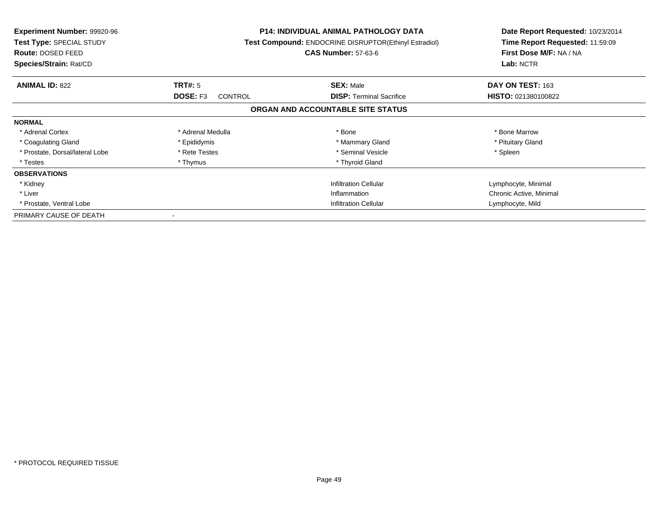| <b>Experiment Number: 99920-96</b><br><b>Test Type: SPECIAL STUDY</b><br><b>Route: DOSED FEED</b><br>Species/Strain: Rat/CD |                              | <b>P14: INDIVIDUAL ANIMAL PATHOLOGY DATA</b><br>Test Compound: ENDOCRINE DISRUPTOR(Ethinyl Estradiol)<br><b>CAS Number: 57-63-6</b> | Date Report Requested: 10/23/2014<br>Time Report Requested: 11:59:09<br>First Dose M/F: NA / NA<br>Lab: NCTR |
|-----------------------------------------------------------------------------------------------------------------------------|------------------------------|-------------------------------------------------------------------------------------------------------------------------------------|--------------------------------------------------------------------------------------------------------------|
| <b>ANIMAL ID: 822</b>                                                                                                       | <b>TRT#: 5</b>               | <b>SEX: Male</b>                                                                                                                    | DAY ON TEST: 163                                                                                             |
|                                                                                                                             | DOSE: F3<br><b>CONTROL</b>   | <b>DISP:</b> Terminal Sacrifice                                                                                                     | HISTO: 021380100822                                                                                          |
|                                                                                                                             |                              | ORGAN AND ACCOUNTABLE SITE STATUS                                                                                                   |                                                                                                              |
| <b>NORMAL</b>                                                                                                               |                              |                                                                                                                                     |                                                                                                              |
| * Adrenal Cortex                                                                                                            | * Adrenal Medulla            | * Bone                                                                                                                              | * Bone Marrow                                                                                                |
| * Coagulating Gland                                                                                                         | * Epididymis                 | * Mammary Gland                                                                                                                     | * Pituitary Gland                                                                                            |
| * Prostate, Dorsal/lateral Lobe                                                                                             | * Rete Testes                | * Seminal Vesicle                                                                                                                   | * Spleen                                                                                                     |
| * Testes                                                                                                                    | * Thymus                     | * Thyroid Gland                                                                                                                     |                                                                                                              |
| <b>OBSERVATIONS</b>                                                                                                         |                              |                                                                                                                                     |                                                                                                              |
| * Kidney                                                                                                                    |                              | <b>Infiltration Cellular</b>                                                                                                        | Lymphocyte, Minimal                                                                                          |
| * Liver                                                                                                                     |                              | Inflammation                                                                                                                        | Chronic Active, Minimal                                                                                      |
| * Prostate, Ventral Lobe                                                                                                    | <b>Infiltration Cellular</b> |                                                                                                                                     | Lymphocyte, Mild                                                                                             |
| PRIMARY CAUSE OF DEATH                                                                                                      |                              |                                                                                                                                     |                                                                                                              |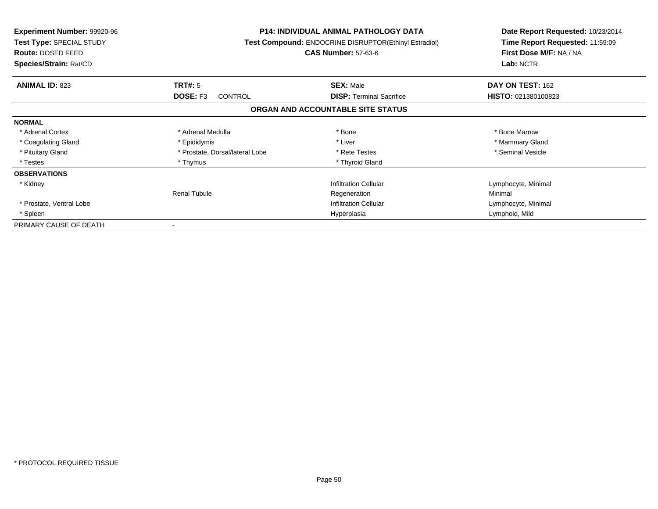| <b>Experiment Number: 99920-96</b><br>Test Type: SPECIAL STUDY<br>Route: DOSED FEED<br>Species/Strain: Rat/CD | <b>P14: INDIVIDUAL ANIMAL PATHOLOGY DATA</b><br>Test Compound: ENDOCRINE DISRUPTOR(Ethinyl Estradiol)<br><b>CAS Number: 57-63-6</b> |                                   | Date Report Requested: 10/23/2014<br>Time Report Requested: 11:59:09<br>First Dose M/F: NA / NA<br>Lab: NCTR |
|---------------------------------------------------------------------------------------------------------------|-------------------------------------------------------------------------------------------------------------------------------------|-----------------------------------|--------------------------------------------------------------------------------------------------------------|
| <b>ANIMAL ID: 823</b>                                                                                         | TRT#: 5                                                                                                                             | <b>SEX: Male</b>                  | DAY ON TEST: 162                                                                                             |
|                                                                                                               | <b>DOSE: F3</b><br>CONTROL                                                                                                          | <b>DISP:</b> Terminal Sacrifice   | HISTO: 021380100823                                                                                          |
|                                                                                                               |                                                                                                                                     | ORGAN AND ACCOUNTABLE SITE STATUS |                                                                                                              |
| <b>NORMAL</b>                                                                                                 |                                                                                                                                     |                                   |                                                                                                              |
| * Adrenal Cortex                                                                                              | * Adrenal Medulla                                                                                                                   | * Bone                            | * Bone Marrow                                                                                                |
| * Coagulating Gland                                                                                           | * Epididymis                                                                                                                        | * Liver                           | * Mammary Gland                                                                                              |
| * Pituitary Gland                                                                                             | * Prostate, Dorsal/lateral Lobe                                                                                                     | * Rete Testes                     | * Seminal Vesicle                                                                                            |
| * Testes                                                                                                      | * Thymus                                                                                                                            | * Thyroid Gland                   |                                                                                                              |
| <b>OBSERVATIONS</b>                                                                                           |                                                                                                                                     |                                   |                                                                                                              |
| * Kidney                                                                                                      |                                                                                                                                     | <b>Infiltration Cellular</b>      | Lymphocyte, Minimal                                                                                          |
|                                                                                                               | <b>Renal Tubule</b>                                                                                                                 | Regeneration                      | Minimal                                                                                                      |
| * Prostate, Ventral Lobe                                                                                      |                                                                                                                                     | <b>Infiltration Cellular</b>      | Lymphocyte, Minimal                                                                                          |
| * Spleen                                                                                                      |                                                                                                                                     | Hyperplasia                       | Lymphoid, Mild                                                                                               |
| PRIMARY CAUSE OF DEATH                                                                                        |                                                                                                                                     |                                   |                                                                                                              |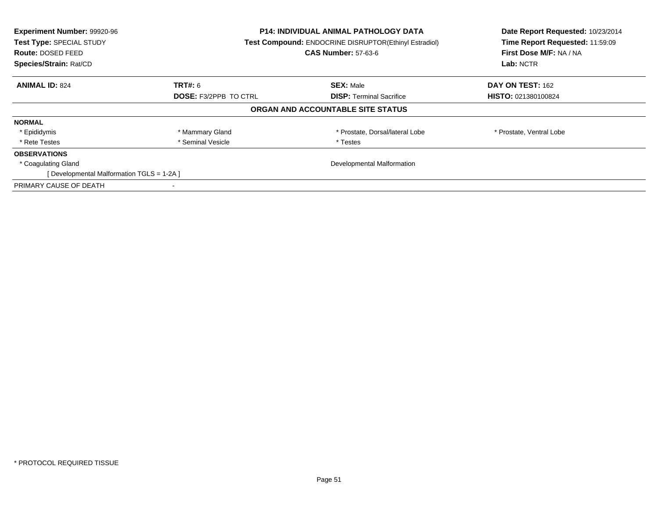| Experiment Number: 99920-96<br>Test Type: SPECIAL STUDY<br><b>Route: DOSED FEED</b><br>Species/Strain: Rat/CD | <b>P14: INDIVIDUAL ANIMAL PATHOLOGY DATA</b><br><b>Test Compound: ENDOCRINE DISRUPTOR(Ethinyl Estradiol)</b><br><b>CAS Number: 57-63-6</b> |                                   | Date Report Requested: 10/23/2014<br>Time Report Requested: 11:59:09<br>First Dose M/F: NA / NA<br>Lab: NCTR |
|---------------------------------------------------------------------------------------------------------------|--------------------------------------------------------------------------------------------------------------------------------------------|-----------------------------------|--------------------------------------------------------------------------------------------------------------|
| <b>ANIMAL ID: 824</b>                                                                                         | <b>TRT#: 6</b>                                                                                                                             | <b>SEX: Male</b>                  | DAY ON TEST: 162                                                                                             |
|                                                                                                               | <b>DOSE: F3/2PPB TO CTRL</b>                                                                                                               | <b>DISP:</b> Terminal Sacrifice   | <b>HISTO: 021380100824</b>                                                                                   |
|                                                                                                               |                                                                                                                                            | ORGAN AND ACCOUNTABLE SITE STATUS |                                                                                                              |
| <b>NORMAL</b>                                                                                                 |                                                                                                                                            |                                   |                                                                                                              |
| * Epididymis                                                                                                  | * Mammary Gland                                                                                                                            | * Prostate, Dorsal/lateral Lobe   | * Prostate, Ventral Lobe                                                                                     |
| * Rete Testes                                                                                                 | * Seminal Vesicle                                                                                                                          | * Testes                          |                                                                                                              |
| <b>OBSERVATIONS</b>                                                                                           |                                                                                                                                            |                                   |                                                                                                              |
| * Coagulating Gland                                                                                           |                                                                                                                                            | Developmental Malformation        |                                                                                                              |
| [ Developmental Malformation TGLS = 1-2A ]                                                                    |                                                                                                                                            |                                   |                                                                                                              |
| PRIMARY CAUSE OF DEATH                                                                                        |                                                                                                                                            |                                   |                                                                                                              |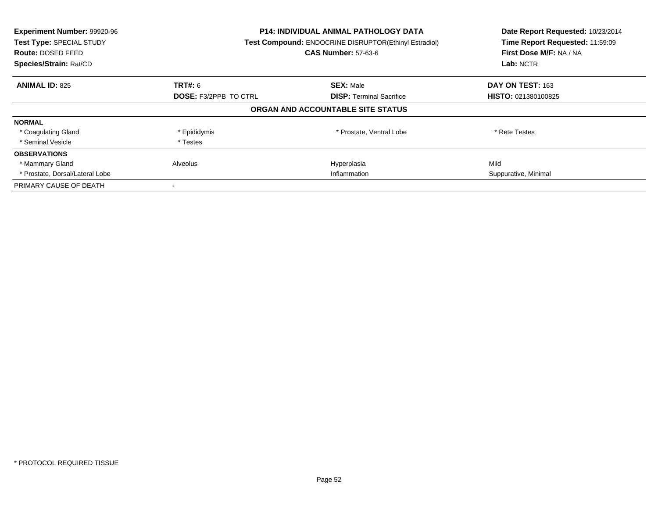| Experiment Number: 99920-96<br>Test Type: SPECIAL STUDY<br><b>Route: DOSED FEED</b><br>Species/Strain: Rat/CD | <b>P14: INDIVIDUAL ANIMAL PATHOLOGY DATA</b><br><b>Test Compound: ENDOCRINE DISRUPTOR(Ethinyl Estradiol)</b><br><b>CAS Number: 57-63-6</b> |                                   | Date Report Requested: 10/23/2014<br>Time Report Requested: 11:59:09<br>First Dose M/F: NA / NA<br>Lab: NCTR |
|---------------------------------------------------------------------------------------------------------------|--------------------------------------------------------------------------------------------------------------------------------------------|-----------------------------------|--------------------------------------------------------------------------------------------------------------|
| <b>ANIMAL ID: 825</b>                                                                                         | <b>TRT#: 6</b>                                                                                                                             | <b>SEX: Male</b>                  | DAY ON TEST: 163                                                                                             |
|                                                                                                               | <b>DOSE: F3/2PPB TO CTRL</b>                                                                                                               | <b>DISP:</b> Terminal Sacrifice   | <b>HISTO: 021380100825</b>                                                                                   |
|                                                                                                               |                                                                                                                                            | ORGAN AND ACCOUNTABLE SITE STATUS |                                                                                                              |
| <b>NORMAL</b>                                                                                                 |                                                                                                                                            |                                   |                                                                                                              |
| * Coagulating Gland                                                                                           | * Epididymis                                                                                                                               | * Prostate, Ventral Lobe          | * Rete Testes                                                                                                |
| * Seminal Vesicle                                                                                             | * Testes                                                                                                                                   |                                   |                                                                                                              |
| <b>OBSERVATIONS</b>                                                                                           |                                                                                                                                            |                                   |                                                                                                              |
| * Mammary Gland                                                                                               | Alveolus                                                                                                                                   | Hyperplasia                       | Mild                                                                                                         |
| * Prostate, Dorsal/Lateral Lobe                                                                               | Inflammation                                                                                                                               |                                   | Suppurative, Minimal                                                                                         |
| PRIMARY CAUSE OF DEATH                                                                                        |                                                                                                                                            |                                   |                                                                                                              |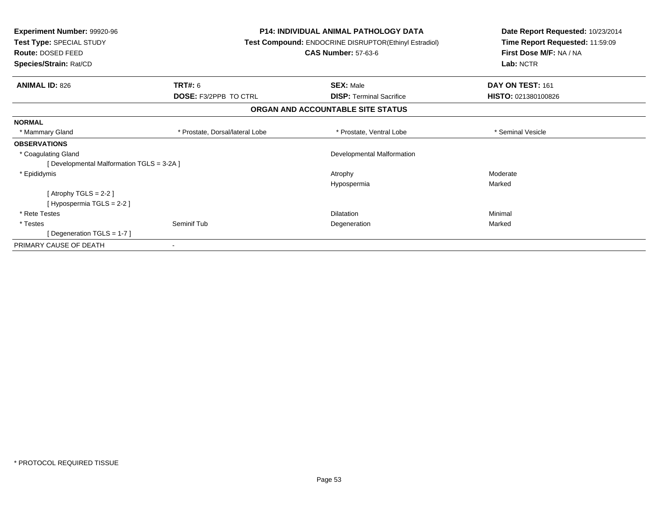| <b>Experiment Number: 99920-96</b><br>Test Type: SPECIAL STUDY<br>Route: DOSED FEED<br>Species/Strain: Rat/CD |                                 | <b>P14: INDIVIDUAL ANIMAL PATHOLOGY DATA</b><br>Test Compound: ENDOCRINE DISRUPTOR(Ethinyl Estradiol)<br><b>CAS Number: 57-63-6</b> | Date Report Requested: 10/23/2014<br>Time Report Requested: 11:59:09<br>First Dose M/F: NA / NA<br>Lab: NCTR |
|---------------------------------------------------------------------------------------------------------------|---------------------------------|-------------------------------------------------------------------------------------------------------------------------------------|--------------------------------------------------------------------------------------------------------------|
| <b>ANIMAL ID: 826</b>                                                                                         | <b>TRT#: 6</b>                  | <b>SEX: Male</b>                                                                                                                    | DAY ON TEST: 161                                                                                             |
|                                                                                                               | <b>DOSE: F3/2PPB TO CTRL</b>    | <b>DISP:</b> Terminal Sacrifice                                                                                                     | HISTO: 021380100826                                                                                          |
|                                                                                                               |                                 | ORGAN AND ACCOUNTABLE SITE STATUS                                                                                                   |                                                                                                              |
| <b>NORMAL</b>                                                                                                 |                                 |                                                                                                                                     |                                                                                                              |
| * Mammary Gland                                                                                               | * Prostate, Dorsal/lateral Lobe | * Prostate, Ventral Lobe                                                                                                            | * Seminal Vesicle                                                                                            |
| <b>OBSERVATIONS</b>                                                                                           |                                 |                                                                                                                                     |                                                                                                              |
| * Coagulating Gland                                                                                           |                                 | Developmental Malformation                                                                                                          |                                                                                                              |
| [Developmental Malformation TGLS = 3-2A]                                                                      |                                 |                                                                                                                                     |                                                                                                              |
| * Epididymis                                                                                                  |                                 | Atrophy                                                                                                                             | Moderate                                                                                                     |
|                                                                                                               |                                 | Hypospermia                                                                                                                         | Marked                                                                                                       |
| [Atrophy TGLS = $2-2$ ]                                                                                       |                                 |                                                                                                                                     |                                                                                                              |
| [Hypospermia TGLS = 2-2 ]                                                                                     |                                 |                                                                                                                                     |                                                                                                              |
| * Rete Testes                                                                                                 |                                 | <b>Dilatation</b>                                                                                                                   | Minimal                                                                                                      |
| * Testes                                                                                                      | Seminif Tub                     | Degeneration                                                                                                                        | Marked                                                                                                       |
| [Degeneration TGLS = 1-7]                                                                                     |                                 |                                                                                                                                     |                                                                                                              |
| PRIMARY CAUSE OF DEATH                                                                                        |                                 |                                                                                                                                     |                                                                                                              |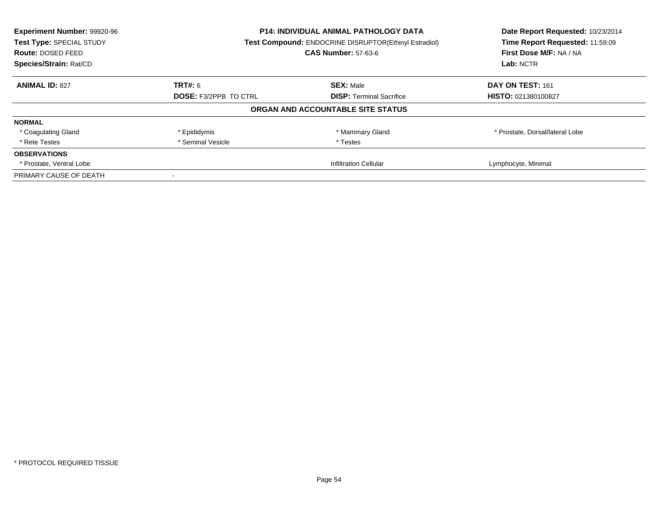| Experiment Number: 99920-96<br>Test Type: SPECIAL STUDY | <b>P14: INDIVIDUAL ANIMAL PATHOLOGY DATA</b><br>Test Compound: ENDOCRINE DISRUPTOR(Ethinyl Estradiol) |                                   | Date Report Requested: 10/23/2014<br>Time Report Requested: 11:59:09 |
|---------------------------------------------------------|-------------------------------------------------------------------------------------------------------|-----------------------------------|----------------------------------------------------------------------|
| Route: DOSED FEED                                       |                                                                                                       | <b>CAS Number: 57-63-6</b>        | First Dose M/F: NA / NA                                              |
| Species/Strain: Rat/CD                                  |                                                                                                       |                                   | Lab: NCTR                                                            |
| <b>ANIMAL ID: 827</b>                                   | TRT#: 6                                                                                               | <b>SEX: Male</b>                  | DAY ON TEST: 161                                                     |
|                                                         | <b>DOSE: F3/2PPB TO CTRL</b>                                                                          | <b>DISP:</b> Terminal Sacrifice   | HISTO: 021380100827                                                  |
|                                                         |                                                                                                       | ORGAN AND ACCOUNTABLE SITE STATUS |                                                                      |
| <b>NORMAL</b>                                           |                                                                                                       |                                   |                                                                      |
| * Coagulating Gland                                     | * Epididymis                                                                                          | * Mammary Gland                   | * Prostate, Dorsal/lateral Lobe                                      |
| * Rete Testes                                           | * Seminal Vesicle                                                                                     | * Testes                          |                                                                      |
| <b>OBSERVATIONS</b>                                     |                                                                                                       |                                   |                                                                      |
| * Prostate, Ventral Lobe                                |                                                                                                       | <b>Infiltration Cellular</b>      | Lymphocyte, Minimal                                                  |
| PRIMARY CAUSE OF DEATH                                  |                                                                                                       |                                   |                                                                      |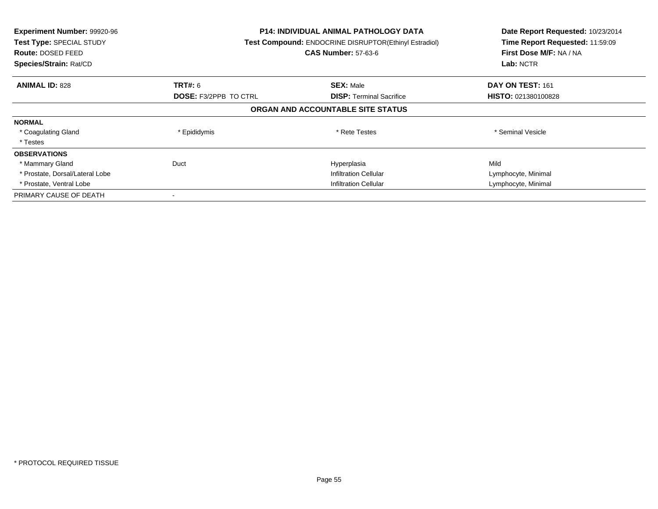| Experiment Number: 99920-96<br>Test Type: SPECIAL STUDY<br>Route: DOSED FEED<br>Species/Strain: Rat/CD | <b>P14: INDIVIDUAL ANIMAL PATHOLOGY DATA</b><br>Test Compound: ENDOCRINE DISRUPTOR(Ethinyl Estradiol)<br><b>CAS Number: 57-63-6</b> |                                   | Date Report Requested: 10/23/2014<br>Time Report Requested: 11:59:09<br>First Dose M/F: NA / NA<br>Lab: NCTR |
|--------------------------------------------------------------------------------------------------------|-------------------------------------------------------------------------------------------------------------------------------------|-----------------------------------|--------------------------------------------------------------------------------------------------------------|
| <b>ANIMAL ID: 828</b>                                                                                  | <b>TRT#: 6</b>                                                                                                                      | <b>SEX: Male</b>                  | DAY ON TEST: 161                                                                                             |
|                                                                                                        | <b>DOSE: F3/2PPB TO CTRL</b>                                                                                                        | <b>DISP:</b> Terminal Sacrifice   | HISTO: 021380100828                                                                                          |
|                                                                                                        |                                                                                                                                     | ORGAN AND ACCOUNTABLE SITE STATUS |                                                                                                              |
| <b>NORMAL</b>                                                                                          |                                                                                                                                     |                                   |                                                                                                              |
| * Coagulating Gland                                                                                    | * Epididymis                                                                                                                        | * Rete Testes                     | * Seminal Vesicle                                                                                            |
| * Testes                                                                                               |                                                                                                                                     |                                   |                                                                                                              |
| <b>OBSERVATIONS</b>                                                                                    |                                                                                                                                     |                                   |                                                                                                              |
| * Mammary Gland                                                                                        | Duct                                                                                                                                | Hyperplasia                       | Mild                                                                                                         |
| * Prostate, Dorsal/Lateral Lobe                                                                        |                                                                                                                                     | <b>Infiltration Cellular</b>      | Lymphocyte, Minimal                                                                                          |
| * Prostate, Ventral Lobe                                                                               | <b>Infiltration Cellular</b>                                                                                                        |                                   | Lymphocyte, Minimal                                                                                          |
| PRIMARY CAUSE OF DEATH                                                                                 |                                                                                                                                     |                                   |                                                                                                              |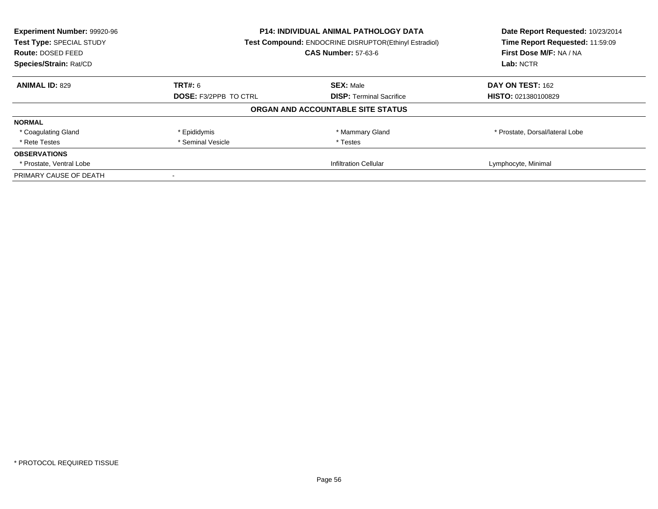| Experiment Number: 99920-96<br>Test Type: SPECIAL STUDY | <b>P14: INDIVIDUAL ANIMAL PATHOLOGY DATA</b><br>Test Compound: ENDOCRINE DISRUPTOR(Ethinyl Estradiol) |                                   | Date Report Requested: 10/23/2014<br>Time Report Requested: 11:59:09 |
|---------------------------------------------------------|-------------------------------------------------------------------------------------------------------|-----------------------------------|----------------------------------------------------------------------|
| Route: DOSED FEED                                       |                                                                                                       | <b>CAS Number: 57-63-6</b>        | First Dose M/F: NA / NA                                              |
| Species/Strain: Rat/CD                                  |                                                                                                       |                                   | Lab: NCTR                                                            |
| <b>ANIMAL ID: 829</b>                                   | TRT#: 6                                                                                               | <b>SEX: Male</b>                  | DAY ON TEST: 162                                                     |
|                                                         | <b>DOSE: F3/2PPB TO CTRL</b>                                                                          | <b>DISP:</b> Terminal Sacrifice   | <b>HISTO: 021380100829</b>                                           |
|                                                         |                                                                                                       | ORGAN AND ACCOUNTABLE SITE STATUS |                                                                      |
| <b>NORMAL</b>                                           |                                                                                                       |                                   |                                                                      |
| * Coagulating Gland                                     | * Epididymis                                                                                          | * Mammary Gland                   | * Prostate, Dorsal/lateral Lobe                                      |
| * Rete Testes                                           | * Seminal Vesicle                                                                                     | * Testes                          |                                                                      |
| <b>OBSERVATIONS</b>                                     |                                                                                                       |                                   |                                                                      |
| * Prostate, Ventral Lobe                                | <b>Infiltration Cellular</b>                                                                          |                                   | Lymphocyte, Minimal                                                  |
| PRIMARY CAUSE OF DEATH                                  |                                                                                                       |                                   |                                                                      |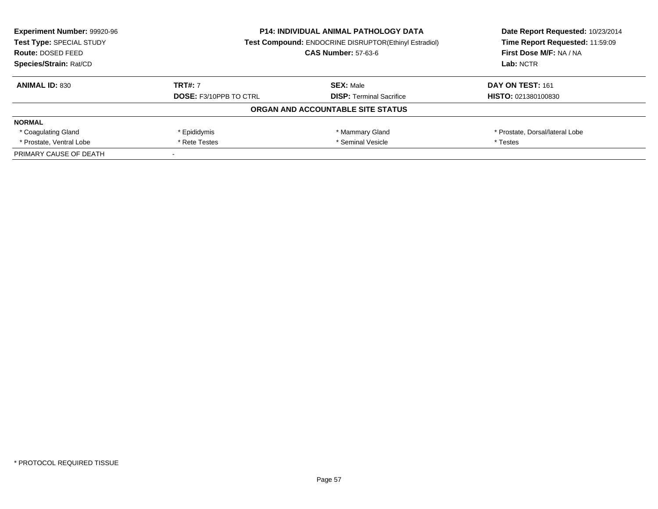| <b>Experiment Number: 99920-96</b><br>Test Type: SPECIAL STUDY<br>Route: DOSED FEED | <b>P14: INDIVIDUAL ANIMAL PATHOLOGY DATA</b><br><b>Test Compound: ENDOCRINE DISRUPTOR(Ethinyl Estradiol)</b><br><b>CAS Number: 57-63-6</b> |                                   | Date Report Requested: 10/23/2014<br>Time Report Requested: 11:59:09<br>First Dose M/F: NA / NA |
|-------------------------------------------------------------------------------------|--------------------------------------------------------------------------------------------------------------------------------------------|-----------------------------------|-------------------------------------------------------------------------------------------------|
| Species/Strain: Rat/CD                                                              |                                                                                                                                            |                                   | Lab: NCTR                                                                                       |
| <b>ANIMAL ID: 830</b>                                                               | <b>TRT#: 7</b>                                                                                                                             | <b>SEX: Male</b>                  | DAY ON TEST: 161                                                                                |
|                                                                                     | <b>DOSE: F3/10PPB TO CTRL</b>                                                                                                              | <b>DISP:</b> Terminal Sacrifice   | <b>HISTO: 021380100830</b>                                                                      |
|                                                                                     |                                                                                                                                            | ORGAN AND ACCOUNTABLE SITE STATUS |                                                                                                 |
| <b>NORMAL</b>                                                                       |                                                                                                                                            |                                   |                                                                                                 |
| * Coagulating Gland                                                                 | * Epididymis                                                                                                                               | * Mammary Gland                   | * Prostate, Dorsal/lateral Lobe                                                                 |
| * Prostate, Ventral Lobe                                                            | * Seminal Vesicle<br>* Rete Testes                                                                                                         |                                   | * Testes                                                                                        |
| PRIMARY CAUSE OF DEATH                                                              |                                                                                                                                            |                                   |                                                                                                 |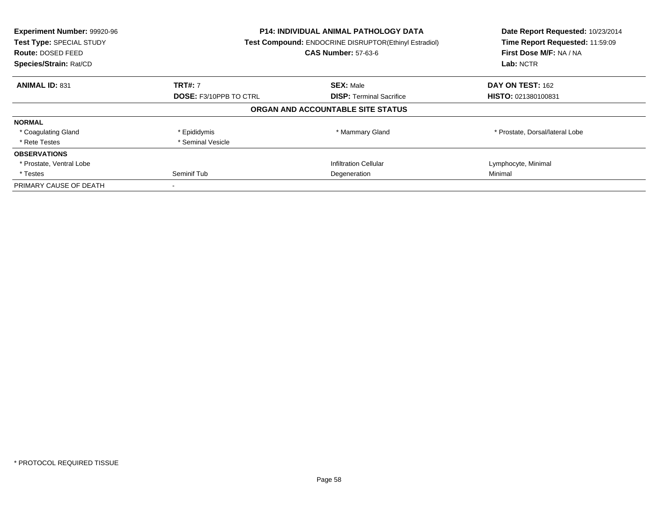| Experiment Number: 99920-96<br>Test Type: SPECIAL STUDY<br>Route: DOSED FEED<br>Species/Strain: Rat/CD | P14: INDIVIDUAL ANIMAL PATHOLOGY DATA<br>Test Compound: ENDOCRINE DISRUPTOR(Ethinyl Estradiol)<br><b>CAS Number: 57-63-6</b> |                                   | Date Report Requested: 10/23/2014<br>Time Report Requested: 11:59:09<br>First Dose M/F: NA / NA<br>Lab: NCTR |
|--------------------------------------------------------------------------------------------------------|------------------------------------------------------------------------------------------------------------------------------|-----------------------------------|--------------------------------------------------------------------------------------------------------------|
| <b>ANIMAL ID: 831</b>                                                                                  | <b>TRT#: 7</b>                                                                                                               | <b>SEX: Male</b>                  | DAY ON TEST: 162                                                                                             |
|                                                                                                        | <b>DOSE: F3/10PPB TO CTRL</b>                                                                                                | <b>DISP:</b> Terminal Sacrifice   | HISTO: 021380100831                                                                                          |
|                                                                                                        |                                                                                                                              | ORGAN AND ACCOUNTABLE SITE STATUS |                                                                                                              |
| <b>NORMAL</b>                                                                                          |                                                                                                                              |                                   |                                                                                                              |
| * Coagulating Gland                                                                                    | * Epididymis                                                                                                                 | * Mammary Gland                   | * Prostate, Dorsal/lateral Lobe                                                                              |
| * Rete Testes                                                                                          | * Seminal Vesicle                                                                                                            |                                   |                                                                                                              |
| <b>OBSERVATIONS</b>                                                                                    |                                                                                                                              |                                   |                                                                                                              |
| * Prostate, Ventral Lobe                                                                               |                                                                                                                              | <b>Infiltration Cellular</b>      | Lymphocyte, Minimal                                                                                          |
| * Testes                                                                                               | Seminif Tub<br>Degeneration                                                                                                  |                                   | Minimal                                                                                                      |
| PRIMARY CAUSE OF DEATH                                                                                 |                                                                                                                              |                                   |                                                                                                              |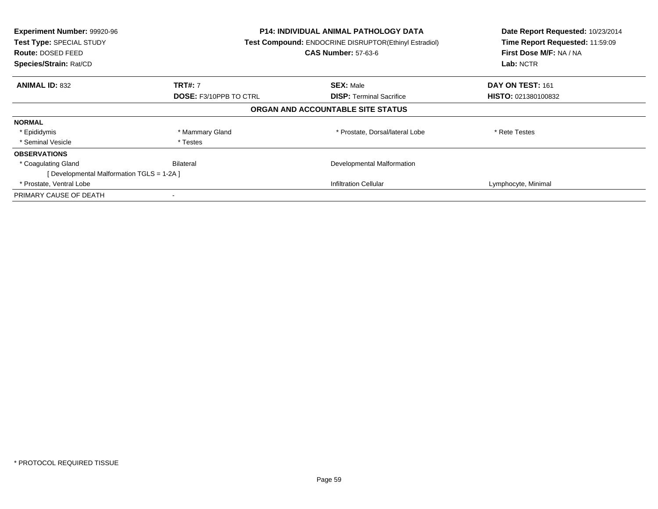| Experiment Number: 99920-96<br>Test Type: SPECIAL STUDY<br><b>Route: DOSED FEED</b><br>Species/Strain: Rat/CD | <b>P14: INDIVIDUAL ANIMAL PATHOLOGY DATA</b><br>Test Compound: ENDOCRINE DISRUPTOR(Ethinyl Estradiol)<br><b>CAS Number: 57-63-6</b> |                                   | Date Report Requested: 10/23/2014<br>Time Report Requested: 11:59:09<br>First Dose M/F: NA / NA<br>Lab: NCTR |
|---------------------------------------------------------------------------------------------------------------|-------------------------------------------------------------------------------------------------------------------------------------|-----------------------------------|--------------------------------------------------------------------------------------------------------------|
| <b>ANIMAL ID: 832</b>                                                                                         | <b>TRT#: 7</b>                                                                                                                      | <b>SEX: Male</b>                  | DAY ON TEST: 161                                                                                             |
|                                                                                                               | <b>DOSE: F3/10PPB TO CTRL</b>                                                                                                       | <b>DISP:</b> Terminal Sacrifice   | <b>HISTO: 021380100832</b>                                                                                   |
|                                                                                                               |                                                                                                                                     | ORGAN AND ACCOUNTABLE SITE STATUS |                                                                                                              |
| <b>NORMAL</b>                                                                                                 |                                                                                                                                     |                                   |                                                                                                              |
| * Epididymis                                                                                                  | * Mammary Gland                                                                                                                     | * Prostate, Dorsal/lateral Lobe   | * Rete Testes                                                                                                |
| * Seminal Vesicle                                                                                             | * Testes                                                                                                                            |                                   |                                                                                                              |
| <b>OBSERVATIONS</b>                                                                                           |                                                                                                                                     |                                   |                                                                                                              |
| * Coagulating Gland                                                                                           | Bilateral                                                                                                                           | Developmental Malformation        |                                                                                                              |
| [Developmental Malformation TGLS = 1-2A]                                                                      |                                                                                                                                     |                                   |                                                                                                              |
| * Prostate, Ventral Lobe                                                                                      |                                                                                                                                     | <b>Infiltration Cellular</b>      | Lymphocyte, Minimal                                                                                          |
| PRIMARY CAUSE OF DEATH                                                                                        |                                                                                                                                     |                                   |                                                                                                              |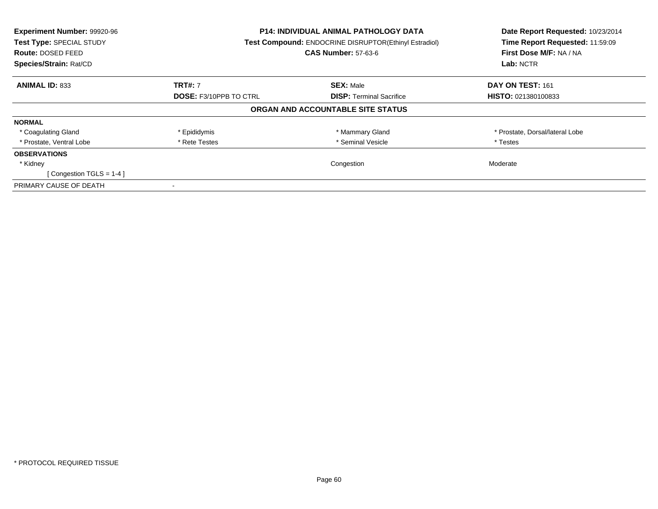| Experiment Number: 99920-96<br>Test Type: SPECIAL STUDY<br><b>Route: DOSED FEED</b><br>Species/Strain: Rat/CD | P14: INDIVIDUAL ANIMAL PATHOLOGY DATA<br><b>Test Compound: ENDOCRINE DISRUPTOR(Ethinyl Estradiol)</b><br><b>CAS Number: 57-63-6</b> |                                   | Date Report Requested: 10/23/2014<br>Time Report Requested: 11:59:09<br>First Dose M/F: NA / NA<br>Lab: NCTR |
|---------------------------------------------------------------------------------------------------------------|-------------------------------------------------------------------------------------------------------------------------------------|-----------------------------------|--------------------------------------------------------------------------------------------------------------|
| <b>ANIMAL ID: 833</b>                                                                                         | <b>TRT#: 7</b>                                                                                                                      | <b>SEX: Male</b>                  | DAY ON TEST: 161                                                                                             |
|                                                                                                               | <b>DOSE: F3/10PPB TO CTRL</b>                                                                                                       | <b>DISP:</b> Terminal Sacrifice   | <b>HISTO: 021380100833</b>                                                                                   |
|                                                                                                               |                                                                                                                                     | ORGAN AND ACCOUNTABLE SITE STATUS |                                                                                                              |
| <b>NORMAL</b>                                                                                                 |                                                                                                                                     |                                   |                                                                                                              |
| * Coagulating Gland                                                                                           | * Epididymis                                                                                                                        | * Mammary Gland                   | * Prostate, Dorsal/lateral Lobe                                                                              |
| * Prostate, Ventral Lobe                                                                                      | * Rete Testes                                                                                                                       | * Seminal Vesicle                 | * Testes                                                                                                     |
| <b>OBSERVATIONS</b>                                                                                           |                                                                                                                                     |                                   |                                                                                                              |
| * Kidney                                                                                                      |                                                                                                                                     | Congestion                        | Moderate                                                                                                     |
| [Congestion TGLS = $1-4$ ]                                                                                    |                                                                                                                                     |                                   |                                                                                                              |
| PRIMARY CAUSE OF DEATH                                                                                        |                                                                                                                                     |                                   |                                                                                                              |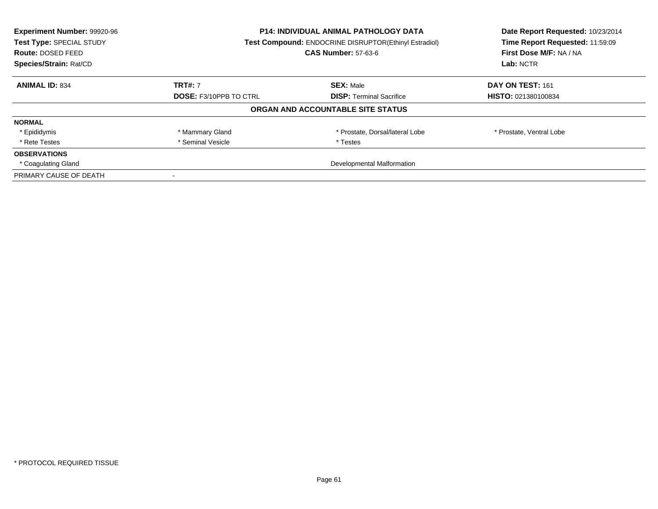| Experiment Number: 99920-96<br>Test Type: SPECIAL STUDY<br><b>Route: DOSED FEED</b><br>Species/Strain: Rat/CD | <b>P14: INDIVIDUAL ANIMAL PATHOLOGY DATA</b><br>Test Compound: ENDOCRINE DISRUPTOR(Ethinyl Estradiol)<br><b>CAS Number: 57-63-6</b> |                                   | Date Report Requested: 10/23/2014<br>Time Report Requested: 11:59:09<br>First Dose M/F: NA / NA<br>Lab: NCTR |
|---------------------------------------------------------------------------------------------------------------|-------------------------------------------------------------------------------------------------------------------------------------|-----------------------------------|--------------------------------------------------------------------------------------------------------------|
| <b>ANIMAL ID: 834</b>                                                                                         | <b>TRT#: 7</b>                                                                                                                      | <b>SEX: Male</b>                  | DAY ON TEST: 161                                                                                             |
|                                                                                                               | <b>DOSE: F3/10PPB TO CTRL</b>                                                                                                       | <b>DISP:</b> Terminal Sacrifice   | HISTO: 021380100834                                                                                          |
|                                                                                                               |                                                                                                                                     | ORGAN AND ACCOUNTABLE SITE STATUS |                                                                                                              |
| <b>NORMAL</b>                                                                                                 |                                                                                                                                     |                                   |                                                                                                              |
| * Epididymis                                                                                                  | * Mammary Gland                                                                                                                     | * Prostate, Dorsal/lateral Lobe   | * Prostate, Ventral Lobe                                                                                     |
| * Rete Testes                                                                                                 | * Seminal Vesicle                                                                                                                   | * Testes                          |                                                                                                              |
| <b>OBSERVATIONS</b>                                                                                           |                                                                                                                                     |                                   |                                                                                                              |
| * Coagulating Gland                                                                                           | Developmental Malformation                                                                                                          |                                   |                                                                                                              |
| PRIMARY CAUSE OF DEATH                                                                                        |                                                                                                                                     |                                   |                                                                                                              |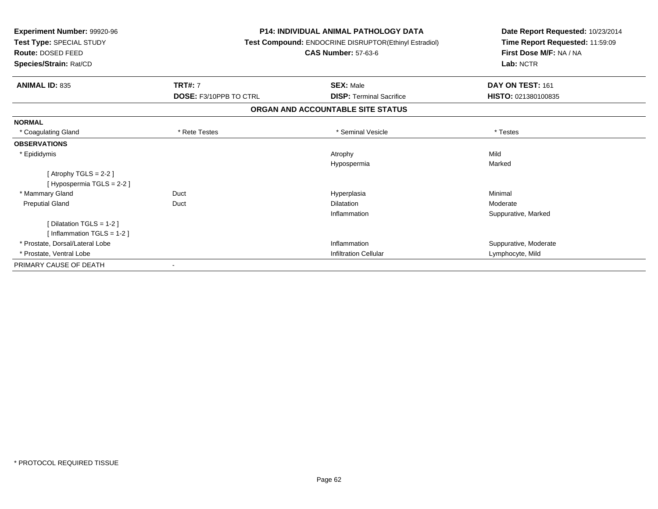| Experiment Number: 99920-96<br>Test Type: SPECIAL STUDY<br><b>Route: DOSED FEED</b><br>Species/Strain: Rat/CD |                               | <b>P14: INDIVIDUAL ANIMAL PATHOLOGY DATA</b><br>Test Compound: ENDOCRINE DISRUPTOR(Ethinyl Estradiol)<br><b>CAS Number: 57-63-6</b> | Date Report Requested: 10/23/2014<br>Time Report Requested: 11:59:09<br>First Dose M/F: NA / NA<br>Lab: NCTR |
|---------------------------------------------------------------------------------------------------------------|-------------------------------|-------------------------------------------------------------------------------------------------------------------------------------|--------------------------------------------------------------------------------------------------------------|
| <b>ANIMAL ID: 835</b>                                                                                         | <b>TRT#: 7</b>                | <b>SEX: Male</b>                                                                                                                    | DAY ON TEST: 161                                                                                             |
|                                                                                                               | <b>DOSE: F3/10PPB TO CTRL</b> | <b>DISP: Terminal Sacrifice</b>                                                                                                     | HISTO: 021380100835                                                                                          |
|                                                                                                               |                               | ORGAN AND ACCOUNTABLE SITE STATUS                                                                                                   |                                                                                                              |
| <b>NORMAL</b>                                                                                                 |                               |                                                                                                                                     |                                                                                                              |
| * Coagulating Gland                                                                                           | * Rete Testes                 | * Seminal Vesicle                                                                                                                   | * Testes                                                                                                     |
| <b>OBSERVATIONS</b>                                                                                           |                               |                                                                                                                                     |                                                                                                              |
| * Epididymis                                                                                                  |                               | Atrophy                                                                                                                             | Mild                                                                                                         |
|                                                                                                               |                               | Hypospermia                                                                                                                         | Marked                                                                                                       |
| [Atrophy TGLS = $2-2$ ]                                                                                       |                               |                                                                                                                                     |                                                                                                              |
| [Hypospermia TGLS = 2-2]                                                                                      |                               |                                                                                                                                     |                                                                                                              |
| * Mammary Gland                                                                                               | Duct                          | Hyperplasia                                                                                                                         | Minimal                                                                                                      |
| <b>Preputial Gland</b>                                                                                        | Duct                          | <b>Dilatation</b>                                                                                                                   | Moderate                                                                                                     |
|                                                                                                               |                               | Inflammation                                                                                                                        | Suppurative, Marked                                                                                          |
| [Dilatation TGLS = 1-2]                                                                                       |                               |                                                                                                                                     |                                                                                                              |
| [Inflammation TGLS = $1-2$ ]                                                                                  |                               |                                                                                                                                     |                                                                                                              |
| * Prostate. Dorsal/Lateral Lobe                                                                               |                               | Inflammation                                                                                                                        | Suppurative, Moderate                                                                                        |
| * Prostate, Ventral Lobe                                                                                      |                               | <b>Infiltration Cellular</b>                                                                                                        | Lymphocyte, Mild                                                                                             |
| PRIMARY CAUSE OF DEATH                                                                                        |                               |                                                                                                                                     |                                                                                                              |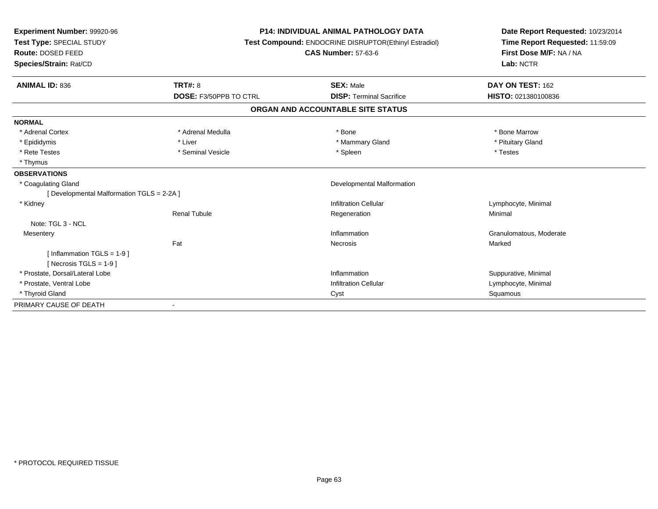| <b>P14: INDIVIDUAL ANIMAL PATHOLOGY DATA</b><br>Experiment Number: 99920-96<br>Test Type: SPECIAL STUDY<br>Test Compound: ENDOCRINE DISRUPTOR(Ethinyl Estradiol)<br><b>CAS Number: 57-63-6</b><br>Route: DOSED FEED<br>Species/Strain: Rat/CD |                               |                                   | Date Report Requested: 10/23/2014<br>Time Report Requested: 11:59:09<br>First Dose M/F: NA / NA<br>Lab: NCTR |
|-----------------------------------------------------------------------------------------------------------------------------------------------------------------------------------------------------------------------------------------------|-------------------------------|-----------------------------------|--------------------------------------------------------------------------------------------------------------|
| <b>ANIMAL ID: 836</b>                                                                                                                                                                                                                         | TRT#: 8                       | <b>SEX: Male</b>                  | DAY ON TEST: 162                                                                                             |
|                                                                                                                                                                                                                                               | <b>DOSE: F3/50PPB TO CTRL</b> | <b>DISP: Terminal Sacrifice</b>   | HISTO: 021380100836                                                                                          |
|                                                                                                                                                                                                                                               |                               | ORGAN AND ACCOUNTABLE SITE STATUS |                                                                                                              |
| <b>NORMAL</b>                                                                                                                                                                                                                                 |                               |                                   |                                                                                                              |
| * Adrenal Cortex                                                                                                                                                                                                                              | * Adrenal Medulla             | * Bone                            | * Bone Marrow                                                                                                |
| * Epididymis                                                                                                                                                                                                                                  | * Liver                       | * Mammary Gland                   | * Pituitary Gland                                                                                            |
| * Rete Testes                                                                                                                                                                                                                                 | * Seminal Vesicle             | * Spleen                          | * Testes                                                                                                     |
| * Thymus                                                                                                                                                                                                                                      |                               |                                   |                                                                                                              |
| <b>OBSERVATIONS</b>                                                                                                                                                                                                                           |                               |                                   |                                                                                                              |
| * Coagulating Gland                                                                                                                                                                                                                           |                               | Developmental Malformation        |                                                                                                              |
| [Developmental Malformation TGLS = 2-2A]                                                                                                                                                                                                      |                               |                                   |                                                                                                              |
| * Kidney                                                                                                                                                                                                                                      |                               | <b>Infiltration Cellular</b>      | Lymphocyte, Minimal                                                                                          |
|                                                                                                                                                                                                                                               | <b>Renal Tubule</b>           | Regeneration                      | Minimal                                                                                                      |
| Note: TGL 3 - NCL                                                                                                                                                                                                                             |                               |                                   |                                                                                                              |
| Mesentery                                                                                                                                                                                                                                     |                               | Inflammation                      | Granulomatous, Moderate                                                                                      |
|                                                                                                                                                                                                                                               | Fat                           | Necrosis                          | Marked                                                                                                       |
| [Inflammation TGLS = $1-9$ ]<br>[Necrosis TGLS = $1-9$ ]                                                                                                                                                                                      |                               |                                   |                                                                                                              |
| * Prostate, Dorsal/Lateral Lobe                                                                                                                                                                                                               |                               | Inflammation                      | Suppurative, Minimal                                                                                         |
| * Prostate, Ventral Lobe                                                                                                                                                                                                                      |                               | <b>Infiltration Cellular</b>      | Lymphocyte, Minimal                                                                                          |
| * Thyroid Gland                                                                                                                                                                                                                               |                               | Cyst                              | Squamous                                                                                                     |
| PRIMARY CAUSE OF DEATH                                                                                                                                                                                                                        |                               |                                   |                                                                                                              |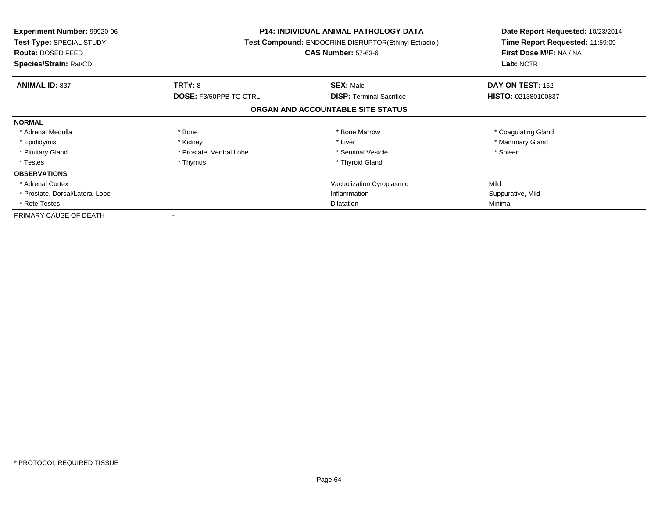| <b>Experiment Number: 99920-96</b><br>Test Type: SPECIAL STUDY<br><b>Route: DOSED FEED</b><br>Species/Strain: Rat/CD |                               | <b>P14: INDIVIDUAL ANIMAL PATHOLOGY DATA</b><br>Test Compound: ENDOCRINE DISRUPTOR(Ethinyl Estradiol)<br><b>CAS Number: 57-63-6</b> | Date Report Requested: 10/23/2014<br>Time Report Requested: 11:59:09<br>First Dose M/F: NA / NA<br>Lab: NCTR |
|----------------------------------------------------------------------------------------------------------------------|-------------------------------|-------------------------------------------------------------------------------------------------------------------------------------|--------------------------------------------------------------------------------------------------------------|
| <b>ANIMAL ID: 837</b>                                                                                                | <b>TRT#: 8</b>                | <b>SEX: Male</b>                                                                                                                    | DAY ON TEST: 162                                                                                             |
|                                                                                                                      | <b>DOSE: F3/50PPB TO CTRL</b> | <b>DISP:</b> Terminal Sacrifice                                                                                                     | HISTO: 021380100837                                                                                          |
|                                                                                                                      |                               | ORGAN AND ACCOUNTABLE SITE STATUS                                                                                                   |                                                                                                              |
| <b>NORMAL</b>                                                                                                        |                               |                                                                                                                                     |                                                                                                              |
| * Adrenal Medulla                                                                                                    | * Bone                        | * Bone Marrow                                                                                                                       | * Coagulating Gland                                                                                          |
| * Epididymis                                                                                                         | * Kidney                      | * Liver                                                                                                                             | * Mammary Gland                                                                                              |
| * Pituitary Gland                                                                                                    | * Prostate, Ventral Lobe      | * Seminal Vesicle                                                                                                                   | * Spleen                                                                                                     |
| * Testes                                                                                                             | * Thymus                      | * Thyroid Gland                                                                                                                     |                                                                                                              |
| <b>OBSERVATIONS</b>                                                                                                  |                               |                                                                                                                                     |                                                                                                              |
| * Adrenal Cortex                                                                                                     |                               | Vacuolization Cytoplasmic                                                                                                           | Mild                                                                                                         |
| * Prostate, Dorsal/Lateral Lobe                                                                                      |                               | Inflammation                                                                                                                        | Suppurative, Mild                                                                                            |
| * Rete Testes                                                                                                        | <b>Dilatation</b>             |                                                                                                                                     | Minimal                                                                                                      |
| PRIMARY CAUSE OF DEATH                                                                                               |                               |                                                                                                                                     |                                                                                                              |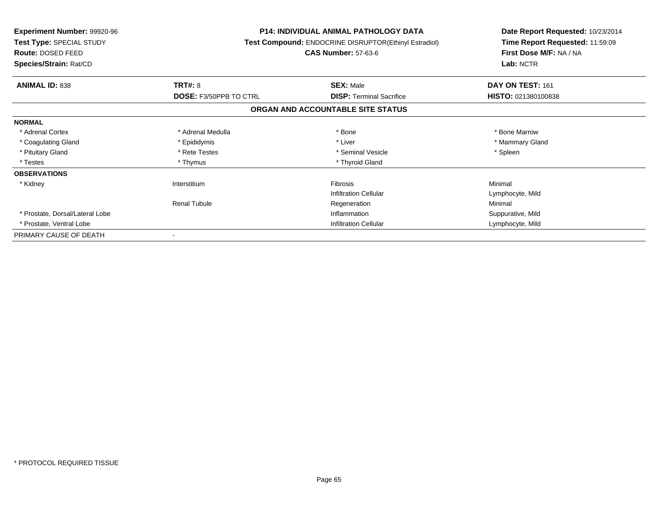| <b>Experiment Number: 99920-96</b><br>Test Type: SPECIAL STUDY<br>Route: DOSED FEED | <b>P14: INDIVIDUAL ANIMAL PATHOLOGY DATA</b><br>Test Compound: ENDOCRINE DISRUPTOR(Ethinyl Estradiol)<br><b>CAS Number: 57-63-6</b> |                                   | Date Report Requested: 10/23/2014<br>Time Report Requested: 11:59:09<br>First Dose M/F: NA / NA |
|-------------------------------------------------------------------------------------|-------------------------------------------------------------------------------------------------------------------------------------|-----------------------------------|-------------------------------------------------------------------------------------------------|
| Species/Strain: Rat/CD                                                              |                                                                                                                                     |                                   | Lab: NCTR                                                                                       |
| <b>ANIMAL ID: 838</b>                                                               | <b>TRT#: 8</b>                                                                                                                      | <b>SEX: Male</b>                  | DAY ON TEST: 161                                                                                |
|                                                                                     | <b>DOSE: F3/50PPB TO CTRL</b>                                                                                                       | <b>DISP:</b> Terminal Sacrifice   | HISTO: 021380100838                                                                             |
|                                                                                     |                                                                                                                                     | ORGAN AND ACCOUNTABLE SITE STATUS |                                                                                                 |
| <b>NORMAL</b>                                                                       |                                                                                                                                     |                                   |                                                                                                 |
| * Adrenal Cortex                                                                    | * Adrenal Medulla                                                                                                                   | * Bone                            | * Bone Marrow                                                                                   |
| * Coagulating Gland                                                                 | * Epididymis                                                                                                                        | * Liver                           | * Mammary Gland                                                                                 |
| * Pituitary Gland                                                                   | * Rete Testes                                                                                                                       | * Seminal Vesicle                 | * Spleen                                                                                        |
| * Testes                                                                            | * Thymus                                                                                                                            | * Thyroid Gland                   |                                                                                                 |
| <b>OBSERVATIONS</b>                                                                 |                                                                                                                                     |                                   |                                                                                                 |
| * Kidney                                                                            | Interstitium                                                                                                                        | <b>Fibrosis</b>                   | Minimal                                                                                         |
|                                                                                     |                                                                                                                                     | <b>Infiltration Cellular</b>      | Lymphocyte, Mild                                                                                |
|                                                                                     | Renal Tubule                                                                                                                        | Regeneration                      | Minimal                                                                                         |
| * Prostate, Dorsal/Lateral Lobe                                                     |                                                                                                                                     | Inflammation                      | Suppurative, Mild                                                                               |
| * Prostate, Ventral Lobe                                                            | <b>Infiltration Cellular</b>                                                                                                        |                                   | Lymphocyte, Mild                                                                                |
| PRIMARY CAUSE OF DEATH                                                              |                                                                                                                                     |                                   |                                                                                                 |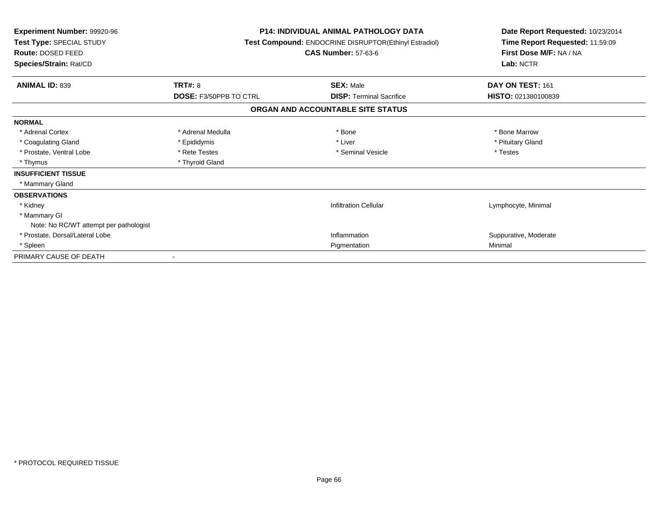| <b>Experiment Number: 99920-96</b><br>Test Type: SPECIAL STUDY<br>Route: DOSED FEED<br>Species/Strain: Rat/CD | P14: INDIVIDUAL ANIMAL PATHOLOGY DATA<br>Test Compound: ENDOCRINE DISRUPTOR(Ethinyl Estradiol)<br><b>CAS Number: 57-63-6</b> |                                   | Date Report Requested: 10/23/2014<br>Time Report Requested: 11:59:09<br>First Dose M/F: NA / NA<br>Lab: NCTR |  |
|---------------------------------------------------------------------------------------------------------------|------------------------------------------------------------------------------------------------------------------------------|-----------------------------------|--------------------------------------------------------------------------------------------------------------|--|
| <b>ANIMAL ID: 839</b>                                                                                         | TRT#: 8                                                                                                                      | <b>SEX: Male</b>                  | DAY ON TEST: 161                                                                                             |  |
|                                                                                                               | <b>DOSE: F3/50PPB TO CTRL</b>                                                                                                | <b>DISP: Terminal Sacrifice</b>   | HISTO: 021380100839                                                                                          |  |
|                                                                                                               |                                                                                                                              | ORGAN AND ACCOUNTABLE SITE STATUS |                                                                                                              |  |
| <b>NORMAL</b>                                                                                                 |                                                                                                                              |                                   |                                                                                                              |  |
| * Adrenal Cortex                                                                                              | * Adrenal Medulla                                                                                                            | * Bone                            | * Bone Marrow                                                                                                |  |
| * Coagulating Gland                                                                                           | * Epididymis                                                                                                                 | * Liver                           | * Pituitary Gland                                                                                            |  |
| * Prostate, Ventral Lobe                                                                                      | * Rete Testes                                                                                                                | * Seminal Vesicle                 | * Testes                                                                                                     |  |
| * Thymus                                                                                                      | * Thyroid Gland                                                                                                              |                                   |                                                                                                              |  |
| <b>INSUFFICIENT TISSUE</b>                                                                                    |                                                                                                                              |                                   |                                                                                                              |  |
| * Mammary Gland                                                                                               |                                                                                                                              |                                   |                                                                                                              |  |
| <b>OBSERVATIONS</b>                                                                                           |                                                                                                                              |                                   |                                                                                                              |  |
| * Kidney                                                                                                      |                                                                                                                              | <b>Infiltration Cellular</b>      | Lymphocyte, Minimal                                                                                          |  |
| * Mammary GI                                                                                                  |                                                                                                                              |                                   |                                                                                                              |  |
| Note: No RC/WT attempt per pathologist                                                                        |                                                                                                                              |                                   |                                                                                                              |  |
| * Prostate, Dorsal/Lateral Lobe                                                                               |                                                                                                                              | Inflammation                      | Suppurative, Moderate                                                                                        |  |
| * Spleen                                                                                                      |                                                                                                                              | Pigmentation                      | Minimal                                                                                                      |  |
| PRIMARY CAUSE OF DEATH                                                                                        |                                                                                                                              |                                   |                                                                                                              |  |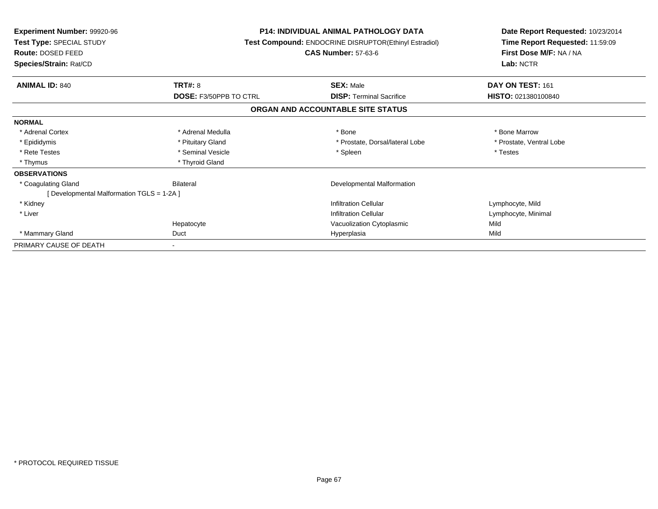| <b>Experiment Number: 99920-96</b><br>Test Type: SPECIAL STUDY<br>Route: DOSED FEED |                               | <b>P14: INDIVIDUAL ANIMAL PATHOLOGY DATA</b><br>Test Compound: ENDOCRINE DISRUPTOR(Ethinyl Estradiol)<br><b>CAS Number: 57-63-6</b> | Date Report Requested: 10/23/2014<br>Time Report Requested: 11:59:09<br>First Dose M/F: NA / NA |  |
|-------------------------------------------------------------------------------------|-------------------------------|-------------------------------------------------------------------------------------------------------------------------------------|-------------------------------------------------------------------------------------------------|--|
| Species/Strain: Rat/CD                                                              |                               |                                                                                                                                     | Lab: NCTR                                                                                       |  |
| <b>ANIMAL ID: 840</b>                                                               | <b>TRT#: 8</b>                | <b>SEX: Male</b>                                                                                                                    | DAY ON TEST: 161                                                                                |  |
|                                                                                     | <b>DOSE: F3/50PPB TO CTRL</b> | <b>DISP:</b> Terminal Sacrifice                                                                                                     | HISTO: 021380100840                                                                             |  |
|                                                                                     |                               | ORGAN AND ACCOUNTABLE SITE STATUS                                                                                                   |                                                                                                 |  |
| <b>NORMAL</b>                                                                       |                               |                                                                                                                                     |                                                                                                 |  |
| * Adrenal Cortex                                                                    | * Adrenal Medulla             | * Bone                                                                                                                              | * Bone Marrow                                                                                   |  |
| * Epididymis                                                                        | * Pituitary Gland             | * Prostate, Dorsal/lateral Lobe                                                                                                     | * Prostate, Ventral Lobe                                                                        |  |
| * Rete Testes                                                                       | * Seminal Vesicle             | * Spleen                                                                                                                            | * Testes                                                                                        |  |
| * Thymus                                                                            | * Thyroid Gland               |                                                                                                                                     |                                                                                                 |  |
| <b>OBSERVATIONS</b>                                                                 |                               |                                                                                                                                     |                                                                                                 |  |
| * Coagulating Gland                                                                 | <b>Bilateral</b>              | Developmental Malformation                                                                                                          |                                                                                                 |  |
| [Developmental Malformation TGLS = 1-2A]                                            |                               |                                                                                                                                     |                                                                                                 |  |
| * Kidney                                                                            |                               | <b>Infiltration Cellular</b>                                                                                                        | Lymphocyte, Mild                                                                                |  |
| * Liver                                                                             |                               | <b>Infiltration Cellular</b>                                                                                                        | Lymphocyte, Minimal                                                                             |  |
|                                                                                     | Hepatocyte                    | Vacuolization Cytoplasmic                                                                                                           | Mild                                                                                            |  |
| * Mammary Gland                                                                     | Duct                          | Hyperplasia                                                                                                                         | Mild                                                                                            |  |
| PRIMARY CAUSE OF DEATH                                                              |                               |                                                                                                                                     |                                                                                                 |  |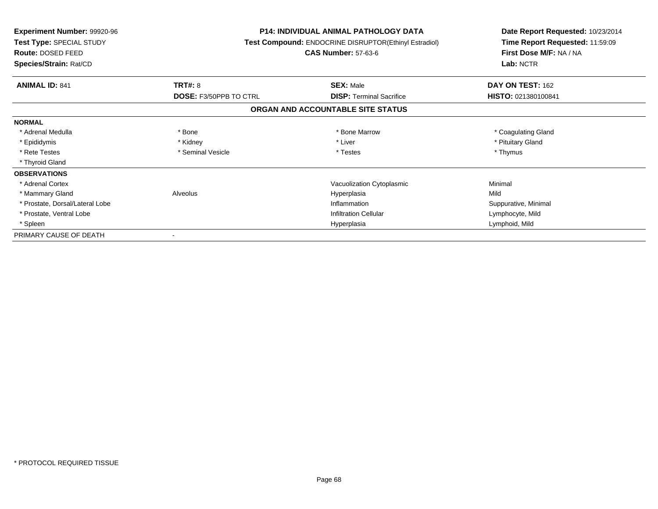| <b>Experiment Number: 99920-96</b><br>Test Type: SPECIAL STUDY<br><b>Route: DOSED FEED</b><br>Species/Strain: Rat/CD |                        | <b>P14: INDIVIDUAL ANIMAL PATHOLOGY DATA</b><br>Test Compound: ENDOCRINE DISRUPTOR(Ethinyl Estradiol)<br><b>CAS Number: 57-63-6</b> | Date Report Requested: 10/23/2014<br>Time Report Requested: 11:59:09<br>First Dose M/F: NA / NA<br>Lab: NCTR |  |
|----------------------------------------------------------------------------------------------------------------------|------------------------|-------------------------------------------------------------------------------------------------------------------------------------|--------------------------------------------------------------------------------------------------------------|--|
|                                                                                                                      |                        |                                                                                                                                     |                                                                                                              |  |
| <b>ANIMAL ID: 841</b>                                                                                                | <b>TRT#: 8</b>         | <b>SEX: Male</b>                                                                                                                    | DAY ON TEST: 162                                                                                             |  |
|                                                                                                                      | DOSE: F3/50PPB TO CTRL | <b>DISP:</b> Terminal Sacrifice                                                                                                     | <b>HISTO: 021380100841</b>                                                                                   |  |
|                                                                                                                      |                        | ORGAN AND ACCOUNTABLE SITE STATUS                                                                                                   |                                                                                                              |  |
| <b>NORMAL</b>                                                                                                        |                        |                                                                                                                                     |                                                                                                              |  |
| * Adrenal Medulla                                                                                                    | * Bone                 | * Bone Marrow                                                                                                                       | * Coagulating Gland                                                                                          |  |
| * Epididymis                                                                                                         | * Kidney               | * Liver                                                                                                                             | * Pituitary Gland                                                                                            |  |
| * Rete Testes                                                                                                        | * Seminal Vesicle      | * Testes                                                                                                                            | * Thymus                                                                                                     |  |
| * Thyroid Gland                                                                                                      |                        |                                                                                                                                     |                                                                                                              |  |
| <b>OBSERVATIONS</b>                                                                                                  |                        |                                                                                                                                     |                                                                                                              |  |
| * Adrenal Cortex                                                                                                     |                        | Vacuolization Cytoplasmic                                                                                                           | Minimal                                                                                                      |  |
| * Mammary Gland                                                                                                      | Alveolus               | Hyperplasia                                                                                                                         | Mild                                                                                                         |  |
| * Prostate, Dorsal/Lateral Lobe                                                                                      |                        | Inflammation                                                                                                                        | Suppurative, Minimal                                                                                         |  |
| * Prostate, Ventral Lobe                                                                                             |                        | <b>Infiltration Cellular</b>                                                                                                        | Lymphocyte, Mild                                                                                             |  |
| * Spleen                                                                                                             | Hyperplasia            |                                                                                                                                     | Lymphoid, Mild                                                                                               |  |
| PRIMARY CAUSE OF DEATH                                                                                               |                        |                                                                                                                                     |                                                                                                              |  |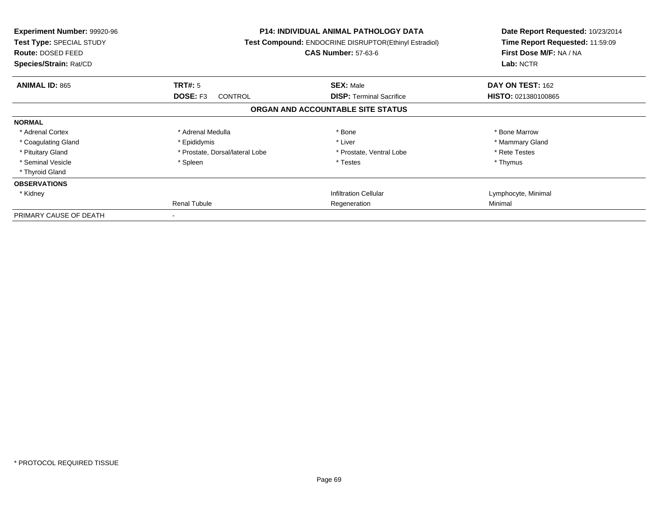| <b>Experiment Number: 99920-96</b><br><b>Test Type: SPECIAL STUDY</b><br><b>Route: DOSED FEED</b><br>Species/Strain: Rat/CD |                                 | <b>P14: INDIVIDUAL ANIMAL PATHOLOGY DATA</b><br>Test Compound: ENDOCRINE DISRUPTOR(Ethinyl Estradiol)<br><b>CAS Number: 57-63-6</b> | Date Report Requested: 10/23/2014<br>Time Report Requested: 11:59:09<br>First Dose M/F: NA / NA<br>Lab: NCTR |
|-----------------------------------------------------------------------------------------------------------------------------|---------------------------------|-------------------------------------------------------------------------------------------------------------------------------------|--------------------------------------------------------------------------------------------------------------|
| <b>ANIMAL ID: 865</b>                                                                                                       | TRT#: 5                         | <b>SEX: Male</b>                                                                                                                    | DAY ON TEST: 162                                                                                             |
|                                                                                                                             | <b>DOSE: F3</b><br>CONTROL      | <b>DISP:</b> Terminal Sacrifice                                                                                                     | HISTO: 021380100865                                                                                          |
|                                                                                                                             |                                 | ORGAN AND ACCOUNTABLE SITE STATUS                                                                                                   |                                                                                                              |
| <b>NORMAL</b>                                                                                                               |                                 |                                                                                                                                     |                                                                                                              |
| * Adrenal Cortex                                                                                                            | * Adrenal Medulla               | * Bone                                                                                                                              | * Bone Marrow                                                                                                |
| * Coagulating Gland                                                                                                         | * Epididymis                    | * Liver                                                                                                                             | * Mammary Gland                                                                                              |
| * Pituitary Gland                                                                                                           | * Prostate, Dorsal/lateral Lobe | * Prostate, Ventral Lobe                                                                                                            | * Rete Testes                                                                                                |
| * Seminal Vesicle                                                                                                           | * Spleen                        | * Testes                                                                                                                            | * Thymus                                                                                                     |
| * Thyroid Gland                                                                                                             |                                 |                                                                                                                                     |                                                                                                              |
| <b>OBSERVATIONS</b>                                                                                                         |                                 |                                                                                                                                     |                                                                                                              |
| * Kidney                                                                                                                    |                                 | <b>Infiltration Cellular</b>                                                                                                        | Lymphocyte, Minimal                                                                                          |
|                                                                                                                             | <b>Renal Tubule</b>             | Regeneration                                                                                                                        | Minimal                                                                                                      |
| PRIMARY CAUSE OF DEATH                                                                                                      |                                 |                                                                                                                                     |                                                                                                              |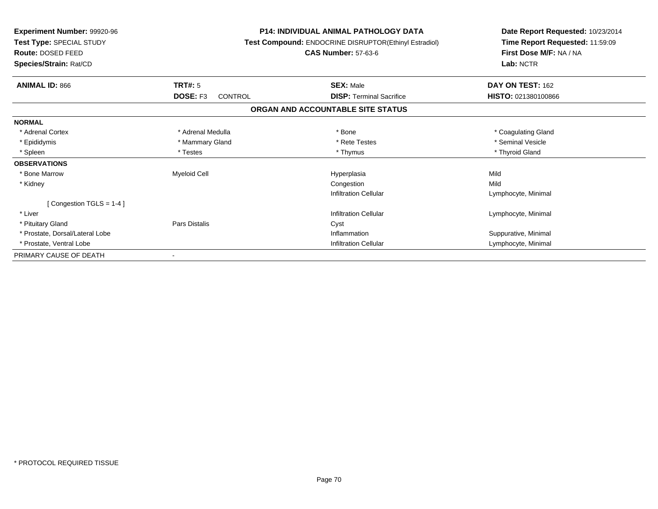| <b>Experiment Number: 99920-96</b><br>Test Type: SPECIAL STUDY<br><b>Route: DOSED FEED</b><br>Species/Strain: Rat/CD |                            | <b>P14: INDIVIDUAL ANIMAL PATHOLOGY DATA</b><br>Test Compound: ENDOCRINE DISRUPTOR(Ethinyl Estradiol)<br><b>CAS Number: 57-63-6</b> | Date Report Requested: 10/23/2014<br>Time Report Requested: 11:59:09<br>First Dose M/F: NA / NA<br>Lab: NCTR |
|----------------------------------------------------------------------------------------------------------------------|----------------------------|-------------------------------------------------------------------------------------------------------------------------------------|--------------------------------------------------------------------------------------------------------------|
| <b>ANIMAL ID: 866</b>                                                                                                | <b>TRT#: 5</b>             | <b>SEX: Male</b>                                                                                                                    | DAY ON TEST: 162                                                                                             |
|                                                                                                                      | DOSE: F3<br><b>CONTROL</b> | <b>DISP: Terminal Sacrifice</b>                                                                                                     | HISTO: 021380100866                                                                                          |
|                                                                                                                      |                            | ORGAN AND ACCOUNTABLE SITE STATUS                                                                                                   |                                                                                                              |
| <b>NORMAL</b>                                                                                                        |                            |                                                                                                                                     |                                                                                                              |
| * Adrenal Cortex                                                                                                     | * Adrenal Medulla          | * Bone                                                                                                                              | * Coagulating Gland                                                                                          |
| * Epididymis                                                                                                         | * Mammary Gland            | * Rete Testes                                                                                                                       | * Seminal Vesicle                                                                                            |
| * Spleen                                                                                                             | * Testes                   | * Thymus                                                                                                                            | * Thyroid Gland                                                                                              |
| <b>OBSERVATIONS</b>                                                                                                  |                            |                                                                                                                                     |                                                                                                              |
| * Bone Marrow                                                                                                        | <b>Myeloid Cell</b>        | Hyperplasia                                                                                                                         | Mild                                                                                                         |
| * Kidney                                                                                                             |                            | Congestion                                                                                                                          | Mild                                                                                                         |
|                                                                                                                      |                            | <b>Infiltration Cellular</b>                                                                                                        | Lymphocyte, Minimal                                                                                          |
| [Congestion TGLS = 1-4]                                                                                              |                            |                                                                                                                                     |                                                                                                              |
| * Liver                                                                                                              |                            | <b>Infiltration Cellular</b>                                                                                                        | Lymphocyte, Minimal                                                                                          |
| * Pituitary Gland                                                                                                    | Pars Distalis              | Cyst                                                                                                                                |                                                                                                              |
| * Prostate, Dorsal/Lateral Lobe                                                                                      |                            | Inflammation                                                                                                                        | Suppurative, Minimal                                                                                         |
| * Prostate, Ventral Lobe                                                                                             |                            | <b>Infiltration Cellular</b>                                                                                                        | Lymphocyte, Minimal                                                                                          |
| PRIMARY CAUSE OF DEATH                                                                                               |                            |                                                                                                                                     |                                                                                                              |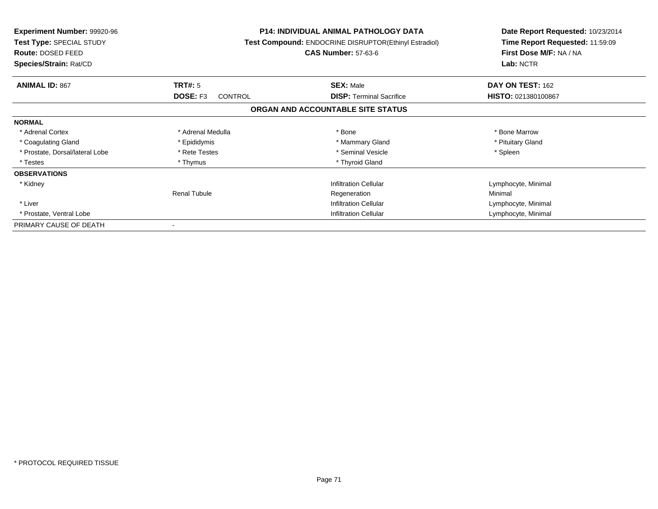| <b>Experiment Number: 99920-96</b><br>Test Type: SPECIAL STUDY<br>Route: DOSED FEED<br>Species/Strain: Rat/CD |                              | <b>P14: INDIVIDUAL ANIMAL PATHOLOGY DATA</b><br>Test Compound: ENDOCRINE DISRUPTOR(Ethinyl Estradiol)<br><b>CAS Number: 57-63-6</b> |                     |
|---------------------------------------------------------------------------------------------------------------|------------------------------|-------------------------------------------------------------------------------------------------------------------------------------|---------------------|
| <b>ANIMAL ID: 867</b>                                                                                         | TRT#: 5                      | <b>SEX: Male</b>                                                                                                                    | DAY ON TEST: 162    |
|                                                                                                               | DOSE: F3<br>CONTROL          | <b>DISP:</b> Terminal Sacrifice                                                                                                     | HISTO: 021380100867 |
|                                                                                                               |                              | ORGAN AND ACCOUNTABLE SITE STATUS                                                                                                   |                     |
| <b>NORMAL</b>                                                                                                 |                              |                                                                                                                                     |                     |
| * Adrenal Cortex                                                                                              | * Adrenal Medulla            | * Bone                                                                                                                              | * Bone Marrow       |
| * Coagulating Gland                                                                                           | * Epididymis                 | * Mammary Gland                                                                                                                     | * Pituitary Gland   |
| * Prostate, Dorsal/lateral Lobe                                                                               | * Rete Testes                | * Seminal Vesicle                                                                                                                   | * Spleen            |
| * Testes                                                                                                      | * Thymus                     | * Thyroid Gland                                                                                                                     |                     |
| <b>OBSERVATIONS</b>                                                                                           |                              |                                                                                                                                     |                     |
| * Kidney                                                                                                      |                              | <b>Infiltration Cellular</b>                                                                                                        | Lymphocyte, Minimal |
|                                                                                                               | <b>Renal Tubule</b>          | Regeneration                                                                                                                        | Minimal             |
| * Liver                                                                                                       |                              | <b>Infiltration Cellular</b>                                                                                                        |                     |
| * Prostate, Ventral Lobe                                                                                      | <b>Infiltration Cellular</b> |                                                                                                                                     | Lymphocyte, Minimal |
| PRIMARY CAUSE OF DEATH                                                                                        |                              |                                                                                                                                     |                     |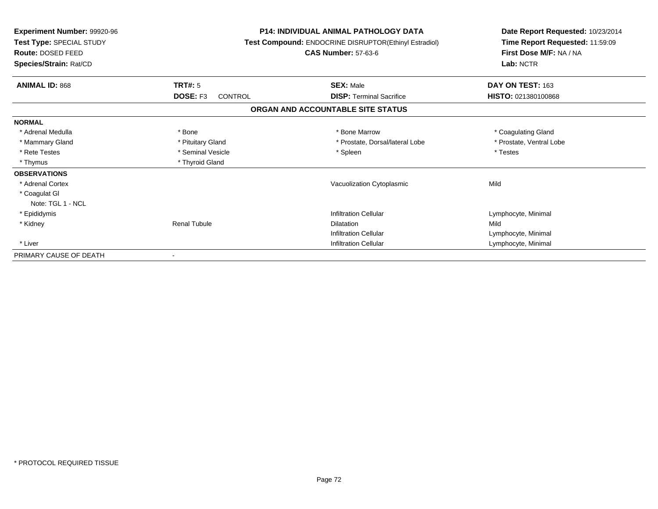| Experiment Number: 99920-96<br>Test Type: SPECIAL STUDY<br>Route: DOSED FEED<br>Species/Strain: Rat/CD |                            | <b>P14: INDIVIDUAL ANIMAL PATHOLOGY DATA</b><br><b>Test Compound: ENDOCRINE DISRUPTOR(Ethinyl Estradiol)</b><br><b>CAS Number: 57-63-6</b> | Date Report Requested: 10/23/2014<br>Time Report Requested: 11:59:09<br>First Dose M/F: NA / NA<br>Lab: NCTR |
|--------------------------------------------------------------------------------------------------------|----------------------------|--------------------------------------------------------------------------------------------------------------------------------------------|--------------------------------------------------------------------------------------------------------------|
| <b>ANIMAL ID: 868</b>                                                                                  | TRT#: 5                    | <b>SEX: Male</b>                                                                                                                           | DAY ON TEST: 163                                                                                             |
|                                                                                                        | DOSE: F3<br><b>CONTROL</b> | <b>DISP: Terminal Sacrifice</b>                                                                                                            | HISTO: 021380100868                                                                                          |
|                                                                                                        |                            | ORGAN AND ACCOUNTABLE SITE STATUS                                                                                                          |                                                                                                              |
| <b>NORMAL</b>                                                                                          |                            |                                                                                                                                            |                                                                                                              |
| * Adrenal Medulla                                                                                      | * Bone                     | * Bone Marrow                                                                                                                              | * Coagulating Gland                                                                                          |
| * Mammary Gland                                                                                        | * Pituitary Gland          | * Prostate, Dorsal/lateral Lobe                                                                                                            | * Prostate, Ventral Lobe                                                                                     |
| * Rete Testes                                                                                          | * Seminal Vesicle          | * Spleen                                                                                                                                   | * Testes                                                                                                     |
| * Thymus                                                                                               | * Thyroid Gland            |                                                                                                                                            |                                                                                                              |
| <b>OBSERVATIONS</b>                                                                                    |                            |                                                                                                                                            |                                                                                                              |
| * Adrenal Cortex                                                                                       |                            | Vacuolization Cytoplasmic                                                                                                                  | Mild                                                                                                         |
| * Coagulat GI                                                                                          |                            |                                                                                                                                            |                                                                                                              |
| Note: TGL 1 - NCL                                                                                      |                            |                                                                                                                                            |                                                                                                              |
| * Epididymis                                                                                           |                            | Infiltration Cellular                                                                                                                      | Lymphocyte, Minimal                                                                                          |
| * Kidney                                                                                               | <b>Renal Tubule</b>        | <b>Dilatation</b>                                                                                                                          | Mild                                                                                                         |
|                                                                                                        |                            | <b>Infiltration Cellular</b>                                                                                                               | Lymphocyte, Minimal                                                                                          |
| * Liver                                                                                                |                            | <b>Infiltration Cellular</b>                                                                                                               | Lymphocyte, Minimal                                                                                          |
| PRIMARY CAUSE OF DEATH                                                                                 |                            |                                                                                                                                            |                                                                                                              |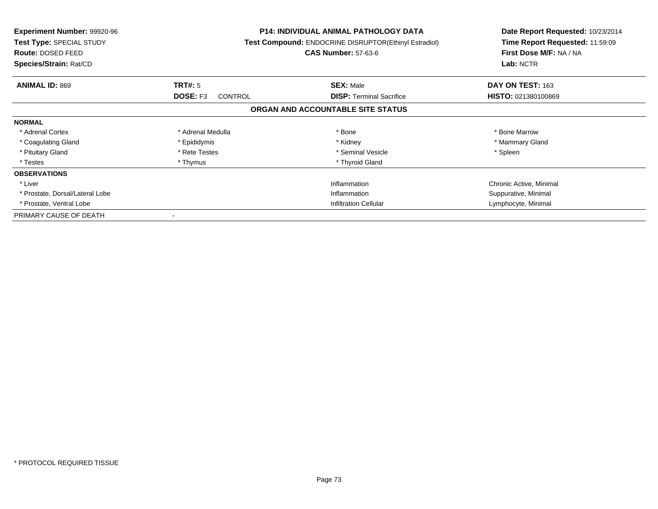| <b>Experiment Number: 99920-96</b><br>Test Type: SPECIAL STUDY<br>Route: DOSED FEED<br>Species/Strain: Rat/CD |                              | P14: INDIVIDUAL ANIMAL PATHOLOGY DATA<br><b>Test Compound: ENDOCRINE DISRUPTOR(Ethinyl Estradiol)</b><br><b>CAS Number: 57-63-6</b> | Date Report Requested: 10/23/2014<br>Time Report Requested: 11:59:09<br>First Dose M/F: NA / NA<br>Lab: NCTR |
|---------------------------------------------------------------------------------------------------------------|------------------------------|-------------------------------------------------------------------------------------------------------------------------------------|--------------------------------------------------------------------------------------------------------------|
| <b>ANIMAL ID: 869</b>                                                                                         | TRT#: 5                      | <b>SEX: Male</b>                                                                                                                    | DAY ON TEST: 163                                                                                             |
|                                                                                                               | DOSE: F3<br><b>CONTROL</b>   | <b>DISP:</b> Terminal Sacrifice                                                                                                     | HISTO: 021380100869                                                                                          |
|                                                                                                               |                              | ORGAN AND ACCOUNTABLE SITE STATUS                                                                                                   |                                                                                                              |
| <b>NORMAL</b>                                                                                                 |                              |                                                                                                                                     |                                                                                                              |
| * Adrenal Cortex                                                                                              | * Adrenal Medulla            | * Bone                                                                                                                              | * Bone Marrow                                                                                                |
| * Coagulating Gland                                                                                           | * Epididymis                 | * Kidney                                                                                                                            | * Mammary Gland                                                                                              |
| * Pituitary Gland                                                                                             | * Rete Testes                | * Seminal Vesicle                                                                                                                   | * Spleen                                                                                                     |
| * Testes                                                                                                      | * Thymus                     | * Thyroid Gland                                                                                                                     |                                                                                                              |
| <b>OBSERVATIONS</b>                                                                                           |                              |                                                                                                                                     |                                                                                                              |
| * Liver                                                                                                       |                              | Inflammation                                                                                                                        | Chronic Active, Minimal                                                                                      |
| * Prostate, Dorsal/Lateral Lobe                                                                               |                              | Inflammation                                                                                                                        | Suppurative, Minimal                                                                                         |
| * Prostate, Ventral Lobe                                                                                      | <b>Infiltration Cellular</b> |                                                                                                                                     | Lymphocyte, Minimal                                                                                          |
| PRIMARY CAUSE OF DEATH                                                                                        |                              |                                                                                                                                     |                                                                                                              |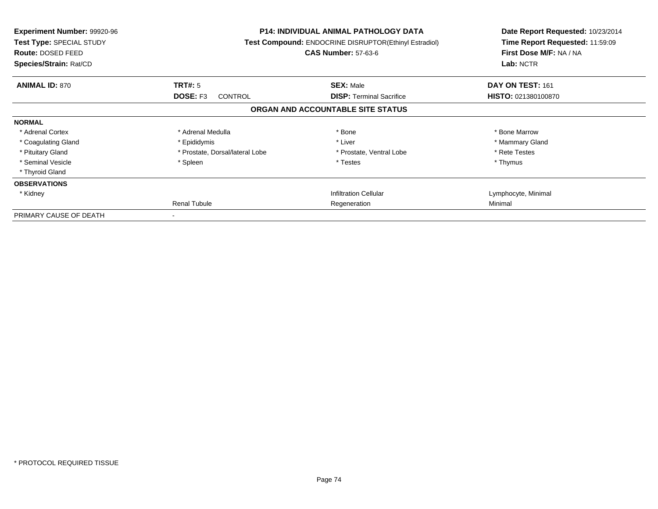| <b>Experiment Number: 99920-96</b><br>Test Type: SPECIAL STUDY<br><b>Route: DOSED FEED</b><br>Species/Strain: Rat/CD |                                   | <b>P14: INDIVIDUAL ANIMAL PATHOLOGY DATA</b><br>Test Compound: ENDOCRINE DISRUPTOR(Ethinyl Estradiol)<br><b>CAS Number: 57-63-6</b> | Date Report Requested: 10/23/2014<br>Time Report Requested: 11:59:09<br>First Dose M/F: NA / NA<br>Lab: NCTR |
|----------------------------------------------------------------------------------------------------------------------|-----------------------------------|-------------------------------------------------------------------------------------------------------------------------------------|--------------------------------------------------------------------------------------------------------------|
| <b>ANIMAL ID: 870</b>                                                                                                | TRT#: 5                           | <b>SEX: Male</b>                                                                                                                    | DAY ON TEST: 161                                                                                             |
|                                                                                                                      | <b>DOSE: F3</b><br><b>CONTROL</b> | <b>DISP:</b> Terminal Sacrifice                                                                                                     | <b>HISTO: 021380100870</b>                                                                                   |
|                                                                                                                      |                                   | ORGAN AND ACCOUNTABLE SITE STATUS                                                                                                   |                                                                                                              |
| <b>NORMAL</b>                                                                                                        |                                   |                                                                                                                                     |                                                                                                              |
| * Adrenal Cortex                                                                                                     | * Adrenal Medulla                 | * Bone                                                                                                                              | * Bone Marrow                                                                                                |
| * Coagulating Gland                                                                                                  | * Epididymis                      | * Liver                                                                                                                             | * Mammary Gland                                                                                              |
| * Pituitary Gland                                                                                                    | * Prostate, Dorsal/lateral Lobe   | * Prostate, Ventral Lobe                                                                                                            | * Rete Testes                                                                                                |
| * Seminal Vesicle                                                                                                    | * Spleen                          | * Testes                                                                                                                            | * Thymus                                                                                                     |
| * Thyroid Gland                                                                                                      |                                   |                                                                                                                                     |                                                                                                              |
| <b>OBSERVATIONS</b>                                                                                                  |                                   |                                                                                                                                     |                                                                                                              |
| * Kidney                                                                                                             |                                   | <b>Infiltration Cellular</b>                                                                                                        | Lymphocyte, Minimal                                                                                          |
|                                                                                                                      | Renal Tubule                      | Regeneration                                                                                                                        | Minimal                                                                                                      |
| PRIMARY CAUSE OF DEATH                                                                                               |                                   |                                                                                                                                     |                                                                                                              |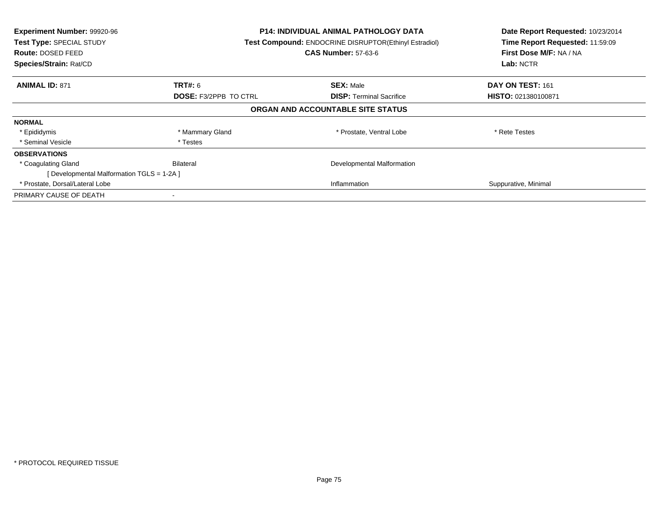| Experiment Number: 99920-96<br>Test Type: SPECIAL STUDY<br>Route: DOSED FEED<br>Species/Strain: Rat/CD | <b>P14: INDIVIDUAL ANIMAL PATHOLOGY DATA</b><br>Test Compound: ENDOCRINE DISRUPTOR(Ethinyl Estradiol)<br><b>CAS Number: 57-63-6</b> |                                   | Date Report Requested: 10/23/2014<br>Time Report Requested: 11:59:09<br>First Dose M/F: NA / NA<br>Lab: NCTR |
|--------------------------------------------------------------------------------------------------------|-------------------------------------------------------------------------------------------------------------------------------------|-----------------------------------|--------------------------------------------------------------------------------------------------------------|
| <b>ANIMAL ID: 871</b>                                                                                  | TRT#: 6                                                                                                                             | <b>SEX: Male</b>                  | DAY ON TEST: 161                                                                                             |
|                                                                                                        | <b>DOSE: F3/2PPB TO CTRL</b>                                                                                                        | <b>DISP:</b> Terminal Sacrifice   | HISTO: 021380100871                                                                                          |
|                                                                                                        |                                                                                                                                     | ORGAN AND ACCOUNTABLE SITE STATUS |                                                                                                              |
| <b>NORMAL</b>                                                                                          |                                                                                                                                     |                                   |                                                                                                              |
| * Epididymis                                                                                           | * Mammary Gland                                                                                                                     | * Prostate, Ventral Lobe          | * Rete Testes                                                                                                |
| * Seminal Vesicle                                                                                      | * Testes                                                                                                                            |                                   |                                                                                                              |
| <b>OBSERVATIONS</b>                                                                                    |                                                                                                                                     |                                   |                                                                                                              |
| * Coagulating Gland                                                                                    | Bilateral                                                                                                                           | Developmental Malformation        |                                                                                                              |
| [Developmental Malformation TGLS = 1-2A ]                                                              |                                                                                                                                     |                                   |                                                                                                              |
| * Prostate, Dorsal/Lateral Lobe                                                                        |                                                                                                                                     | Inflammation                      | Suppurative, Minimal                                                                                         |
| PRIMARY CAUSE OF DEATH                                                                                 |                                                                                                                                     |                                   |                                                                                                              |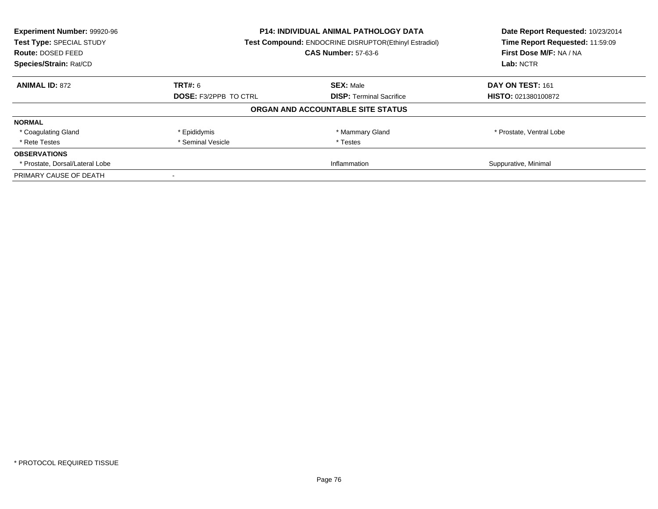| Experiment Number: 99920-96<br>Test Type: SPECIAL STUDY<br>Route: DOSED FEED | P14: INDIVIDUAL ANIMAL PATHOLOGY DATA<br>Test Compound: ENDOCRINE DISRUPTOR(Ethinyl Estradiol)<br><b>CAS Number: 57-63-6</b> |                                   | Date Report Requested: 10/23/2014<br>Time Report Requested: 11:59:09<br>First Dose M/F: NA / NA |
|------------------------------------------------------------------------------|------------------------------------------------------------------------------------------------------------------------------|-----------------------------------|-------------------------------------------------------------------------------------------------|
| Species/Strain: Rat/CD                                                       |                                                                                                                              |                                   | Lab: NCTR                                                                                       |
| <b>ANIMAL ID: 872</b>                                                        | TRT#: 6                                                                                                                      | <b>SEX: Male</b>                  | DAY ON TEST: 161                                                                                |
|                                                                              | <b>DOSE: F3/2PPB TO CTRL</b><br><b>DISP:</b> Terminal Sacrifice                                                              | <b>HISTO: 021380100872</b>        |                                                                                                 |
|                                                                              |                                                                                                                              | ORGAN AND ACCOUNTABLE SITE STATUS |                                                                                                 |
| <b>NORMAL</b>                                                                |                                                                                                                              |                                   |                                                                                                 |
| * Coagulating Gland                                                          | * Epididymis                                                                                                                 | * Mammary Gland                   | * Prostate, Ventral Lobe                                                                        |
| * Rete Testes                                                                | * Seminal Vesicle                                                                                                            | * Testes                          |                                                                                                 |
| <b>OBSERVATIONS</b>                                                          |                                                                                                                              |                                   |                                                                                                 |
| * Prostate, Dorsal/Lateral Lobe                                              | Inflammation                                                                                                                 |                                   | Suppurative, Minimal                                                                            |
| PRIMARY CAUSE OF DEATH                                                       |                                                                                                                              |                                   |                                                                                                 |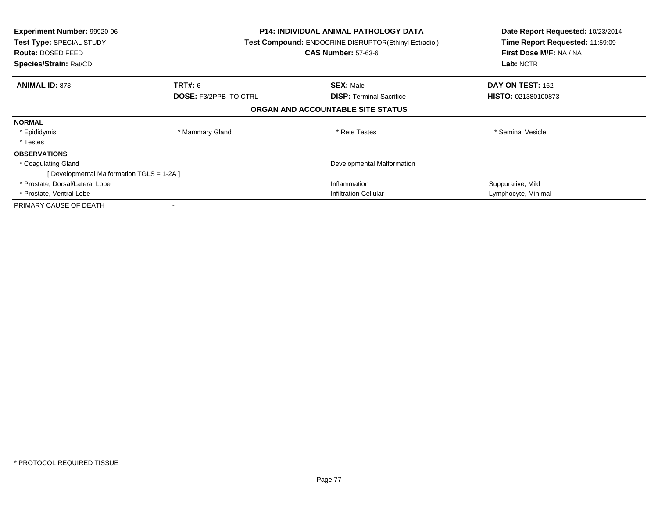| <b>Experiment Number: 99920-96</b><br><b>Test Type: SPECIAL STUDY</b><br><b>Route: DOSED FEED</b><br>Species/Strain: Rat/CD |                              | <b>P14: INDIVIDUAL ANIMAL PATHOLOGY DATA</b><br><b>Test Compound: ENDOCRINE DISRUPTOR(Ethinyl Estradiol)</b><br><b>CAS Number: 57-63-6</b> | Date Report Requested: 10/23/2014<br>Time Report Requested: 11:59:09<br>First Dose M/F: NA / NA<br>Lab: NCTR |
|-----------------------------------------------------------------------------------------------------------------------------|------------------------------|--------------------------------------------------------------------------------------------------------------------------------------------|--------------------------------------------------------------------------------------------------------------|
| <b>ANIMAL ID: 873</b>                                                                                                       | TRT#: 6                      | <b>SEX: Male</b>                                                                                                                           | <b>DAY ON TEST: 162</b>                                                                                      |
|                                                                                                                             | <b>DOSE: F3/2PPB TO CTRL</b> | <b>DISP:</b> Terminal Sacrifice                                                                                                            | <b>HISTO: 021380100873</b>                                                                                   |
|                                                                                                                             |                              | ORGAN AND ACCOUNTABLE SITE STATUS                                                                                                          |                                                                                                              |
| <b>NORMAL</b>                                                                                                               |                              |                                                                                                                                            |                                                                                                              |
| * Epididymis                                                                                                                | * Mammary Gland              | * Rete Testes                                                                                                                              | * Seminal Vesicle                                                                                            |
| * Testes                                                                                                                    |                              |                                                                                                                                            |                                                                                                              |
| <b>OBSERVATIONS</b>                                                                                                         |                              |                                                                                                                                            |                                                                                                              |
| * Coagulating Gland                                                                                                         |                              | Developmental Malformation                                                                                                                 |                                                                                                              |
| [ Developmental Malformation TGLS = 1-2A ]                                                                                  |                              |                                                                                                                                            |                                                                                                              |
| * Prostate, Dorsal/Lateral Lobe                                                                                             |                              | Inflammation                                                                                                                               | Suppurative, Mild                                                                                            |
| * Prostate, Ventral Lobe                                                                                                    |                              | <b>Infiltration Cellular</b>                                                                                                               | Lymphocyte, Minimal                                                                                          |
| PRIMARY CAUSE OF DEATH                                                                                                      |                              |                                                                                                                                            |                                                                                                              |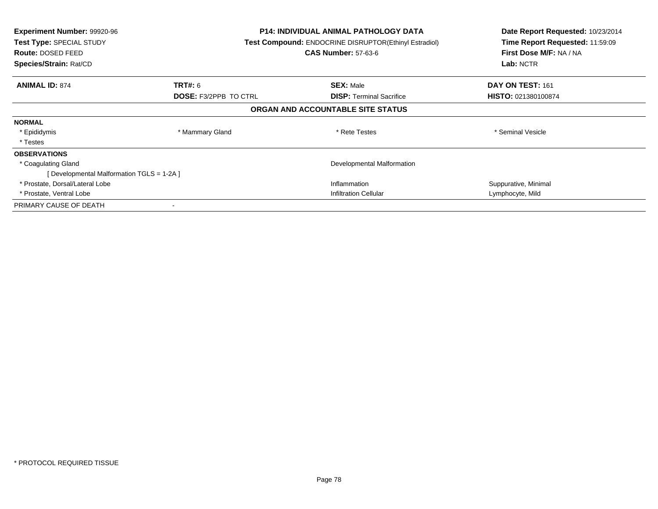| <b>Experiment Number: 99920-96</b><br><b>Test Type: SPECIAL STUDY</b><br><b>Route: DOSED FEED</b><br>Species/Strain: Rat/CD |                              | <b>P14: INDIVIDUAL ANIMAL PATHOLOGY DATA</b><br><b>Test Compound: ENDOCRINE DISRUPTOR(Ethinyl Estradiol)</b><br><b>CAS Number: 57-63-6</b> | Date Report Requested: 10/23/2014<br>Time Report Requested: 11:59:09<br>First Dose M/F: NA / NA<br>Lab: NCTR |
|-----------------------------------------------------------------------------------------------------------------------------|------------------------------|--------------------------------------------------------------------------------------------------------------------------------------------|--------------------------------------------------------------------------------------------------------------|
| <b>ANIMAL ID: 874</b>                                                                                                       | TRT#: 6                      | <b>SEX: Male</b>                                                                                                                           | DAY ON TEST: 161                                                                                             |
|                                                                                                                             | <b>DOSE: F3/2PPB TO CTRL</b> | <b>DISP:</b> Terminal Sacrifice                                                                                                            | <b>HISTO: 021380100874</b>                                                                                   |
|                                                                                                                             |                              | ORGAN AND ACCOUNTABLE SITE STATUS                                                                                                          |                                                                                                              |
| <b>NORMAL</b>                                                                                                               |                              |                                                                                                                                            |                                                                                                              |
| * Epididymis                                                                                                                | * Mammary Gland              | * Rete Testes                                                                                                                              | * Seminal Vesicle                                                                                            |
| * Testes                                                                                                                    |                              |                                                                                                                                            |                                                                                                              |
| <b>OBSERVATIONS</b>                                                                                                         |                              |                                                                                                                                            |                                                                                                              |
| * Coagulating Gland                                                                                                         |                              | Developmental Malformation                                                                                                                 |                                                                                                              |
| [ Developmental Malformation TGLS = 1-2A ]                                                                                  |                              |                                                                                                                                            |                                                                                                              |
| * Prostate, Dorsal/Lateral Lobe                                                                                             |                              | Inflammation                                                                                                                               | Suppurative, Minimal                                                                                         |
| * Prostate, Ventral Lobe                                                                                                    |                              | <b>Infiltration Cellular</b>                                                                                                               | Lymphocyte, Mild                                                                                             |
| PRIMARY CAUSE OF DEATH                                                                                                      |                              |                                                                                                                                            |                                                                                                              |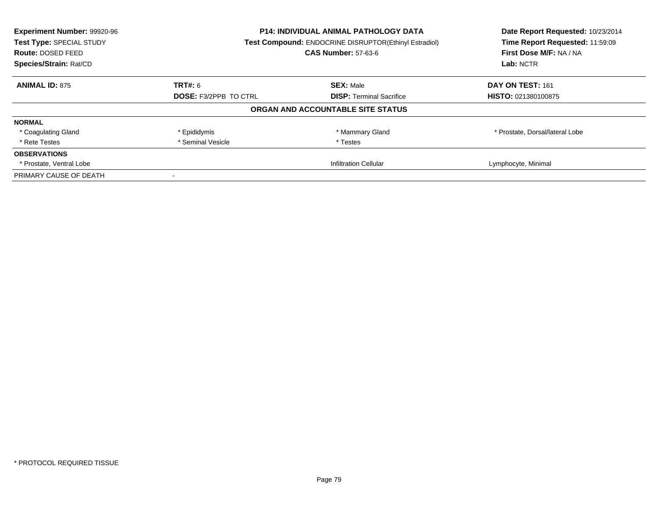| Experiment Number: 99920-96<br>Test Type: SPECIAL STUDY | <b>P14: INDIVIDUAL ANIMAL PATHOLOGY DATA</b><br>Test Compound: ENDOCRINE DISRUPTOR(Ethinyl Estradiol)<br><b>CAS Number: 57-63-6</b> |                                   | Date Report Requested: 10/23/2014<br>Time Report Requested: 11:59:09 |
|---------------------------------------------------------|-------------------------------------------------------------------------------------------------------------------------------------|-----------------------------------|----------------------------------------------------------------------|
| Route: DOSED FEED                                       |                                                                                                                                     |                                   | First Dose M/F: NA / NA                                              |
| Species/Strain: Rat/CD                                  |                                                                                                                                     |                                   | Lab: NCTR                                                            |
| <b>ANIMAL ID: 875</b>                                   | TRT#: 6                                                                                                                             | <b>SEX: Male</b>                  | DAY ON TEST: 161                                                     |
|                                                         | <b>DOSE: F3/2PPB TO CTRL</b><br><b>DISP:</b> Terminal Sacrifice                                                                     | <b>HISTO: 021380100875</b>        |                                                                      |
|                                                         |                                                                                                                                     | ORGAN AND ACCOUNTABLE SITE STATUS |                                                                      |
| <b>NORMAL</b>                                           |                                                                                                                                     |                                   |                                                                      |
| * Coagulating Gland                                     | * Epididymis                                                                                                                        | * Mammary Gland                   | * Prostate, Dorsal/lateral Lobe                                      |
| * Rete Testes                                           | * Seminal Vesicle                                                                                                                   | * Testes                          |                                                                      |
| <b>OBSERVATIONS</b>                                     |                                                                                                                                     |                                   |                                                                      |
| * Prostate, Ventral Lobe                                | <b>Infiltration Cellular</b>                                                                                                        |                                   | Lymphocyte, Minimal                                                  |
| PRIMARY CAUSE OF DEATH                                  |                                                                                                                                     |                                   |                                                                      |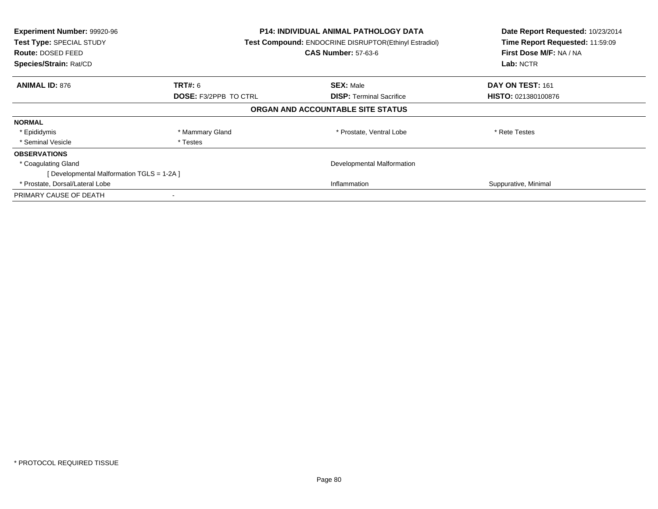| Experiment Number: 99920-96<br>Test Type: SPECIAL STUDY<br><b>Route: DOSED FEED</b><br>Species/Strain: Rat/CD | <b>P14: INDIVIDUAL ANIMAL PATHOLOGY DATA</b><br>Test Compound: ENDOCRINE DISRUPTOR(Ethinyl Estradiol)<br><b>CAS Number: 57-63-6</b> |                                   | Date Report Requested: 10/23/2014<br>Time Report Requested: 11:59:09<br>First Dose M/F: NA / NA<br>Lab: NCTR |
|---------------------------------------------------------------------------------------------------------------|-------------------------------------------------------------------------------------------------------------------------------------|-----------------------------------|--------------------------------------------------------------------------------------------------------------|
| <b>ANIMAL ID: 876</b>                                                                                         | <b>TRT#: 6</b>                                                                                                                      | <b>SEX: Male</b>                  | DAY ON TEST: 161                                                                                             |
|                                                                                                               | <b>DOSE: F3/2PPB TO CTRL</b>                                                                                                        | <b>DISP:</b> Terminal Sacrifice   | <b>HISTO: 021380100876</b>                                                                                   |
|                                                                                                               |                                                                                                                                     | ORGAN AND ACCOUNTABLE SITE STATUS |                                                                                                              |
| <b>NORMAL</b>                                                                                                 |                                                                                                                                     |                                   |                                                                                                              |
| * Epididymis                                                                                                  | * Mammary Gland                                                                                                                     | * Prostate, Ventral Lobe          | * Rete Testes                                                                                                |
| * Seminal Vesicle                                                                                             | * Testes                                                                                                                            |                                   |                                                                                                              |
| <b>OBSERVATIONS</b>                                                                                           |                                                                                                                                     |                                   |                                                                                                              |
| * Coagulating Gland                                                                                           |                                                                                                                                     | Developmental Malformation        |                                                                                                              |
| [Developmental Malformation TGLS = 1-2A ]                                                                     |                                                                                                                                     |                                   |                                                                                                              |
| * Prostate, Dorsal/Lateral Lobe                                                                               |                                                                                                                                     | Inflammation                      | Suppurative, Minimal                                                                                         |
| PRIMARY CAUSE OF DEATH                                                                                        |                                                                                                                                     |                                   |                                                                                                              |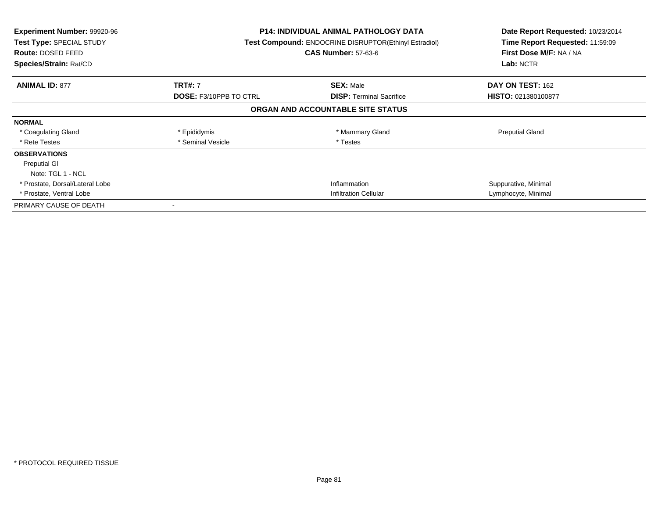| <b>Experiment Number: 99920-96</b><br><b>Test Type: SPECIAL STUDY</b><br>Route: DOSED FEED<br>Species/Strain: Rat/CD |                               | <b>P14: INDIVIDUAL ANIMAL PATHOLOGY DATA</b><br><b>Test Compound: ENDOCRINE DISRUPTOR(Ethinyl Estradiol)</b><br><b>CAS Number: 57-63-6</b> | Date Report Requested: 10/23/2014<br>Time Report Requested: 11:59:09<br>First Dose M/F: NA / NA<br>Lab: NCTR |
|----------------------------------------------------------------------------------------------------------------------|-------------------------------|--------------------------------------------------------------------------------------------------------------------------------------------|--------------------------------------------------------------------------------------------------------------|
| <b>ANIMAL ID: 877</b>                                                                                                | <b>TRT#: 7</b>                | <b>SEX: Male</b>                                                                                                                           | DAY ON TEST: 162                                                                                             |
|                                                                                                                      | <b>DOSE: F3/10PPB TO CTRL</b> | <b>DISP:</b> Terminal Sacrifice                                                                                                            | <b>HISTO: 021380100877</b>                                                                                   |
|                                                                                                                      |                               | ORGAN AND ACCOUNTABLE SITE STATUS                                                                                                          |                                                                                                              |
| <b>NORMAL</b>                                                                                                        |                               |                                                                                                                                            |                                                                                                              |
| * Coagulating Gland                                                                                                  | * Epididymis                  | * Mammary Gland                                                                                                                            | <b>Preputial Gland</b>                                                                                       |
| * Rete Testes                                                                                                        | * Seminal Vesicle             | * Testes                                                                                                                                   |                                                                                                              |
| <b>OBSERVATIONS</b>                                                                                                  |                               |                                                                                                                                            |                                                                                                              |
| <b>Preputial GI</b>                                                                                                  |                               |                                                                                                                                            |                                                                                                              |
| Note: TGL 1 - NCL                                                                                                    |                               |                                                                                                                                            |                                                                                                              |
| * Prostate, Dorsal/Lateral Lobe                                                                                      |                               | Inflammation                                                                                                                               | Suppurative, Minimal                                                                                         |
| * Prostate, Ventral Lobe                                                                                             |                               | <b>Infiltration Cellular</b>                                                                                                               | Lymphocyte, Minimal                                                                                          |
| PRIMARY CAUSE OF DEATH                                                                                               |                               |                                                                                                                                            |                                                                                                              |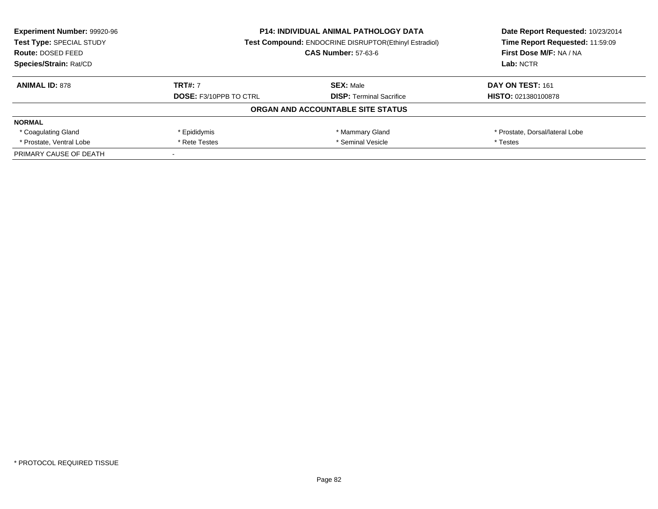| <b>Experiment Number: 99920-96</b><br>Test Type: SPECIAL STUDY<br>Route: DOSED FEED | <b>P14: INDIVIDUAL ANIMAL PATHOLOGY DATA</b><br><b>Test Compound: ENDOCRINE DISRUPTOR(Ethinyl Estradiol)</b><br><b>CAS Number: 57-63-6</b> |                                   | Date Report Requested: 10/23/2014<br>Time Report Requested: 11:59:09<br>First Dose M/F: NA / NA |
|-------------------------------------------------------------------------------------|--------------------------------------------------------------------------------------------------------------------------------------------|-----------------------------------|-------------------------------------------------------------------------------------------------|
| Species/Strain: Rat/CD                                                              |                                                                                                                                            |                                   | Lab: NCTR                                                                                       |
| <b>ANIMAL ID: 878</b>                                                               | <b>TRT#: 7</b>                                                                                                                             | <b>SEX: Male</b>                  | DAY ON TEST: 161                                                                                |
|                                                                                     | <b>DOSE: F3/10PPB TO CTRL</b>                                                                                                              | <b>DISP:</b> Terminal Sacrifice   | <b>HISTO: 021380100878</b>                                                                      |
|                                                                                     |                                                                                                                                            | ORGAN AND ACCOUNTABLE SITE STATUS |                                                                                                 |
| <b>NORMAL</b>                                                                       |                                                                                                                                            |                                   |                                                                                                 |
| * Coagulating Gland                                                                 | * Epididymis                                                                                                                               | * Mammary Gland                   | * Prostate, Dorsal/lateral Lobe                                                                 |
| * Prostate, Ventral Lobe                                                            | * Seminal Vesicle<br>* Rete Testes                                                                                                         |                                   | * Testes                                                                                        |
| PRIMARY CAUSE OF DEATH                                                              |                                                                                                                                            |                                   |                                                                                                 |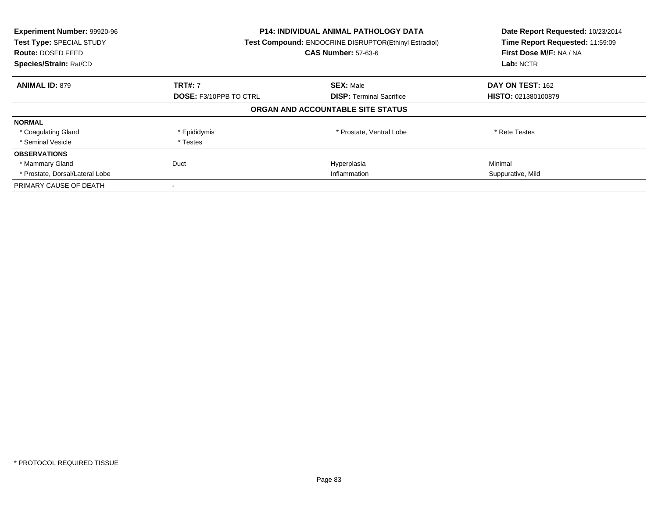| Experiment Number: 99920-96<br>Test Type: SPECIAL STUDY<br><b>Route: DOSED FEED</b><br>Species/Strain: Rat/CD | <b>P14: INDIVIDUAL ANIMAL PATHOLOGY DATA</b><br>Test Compound: ENDOCRINE DISRUPTOR(Ethinyl Estradiol)<br><b>CAS Number: 57-63-6</b> |                                   | Date Report Requested: 10/23/2014<br>Time Report Requested: 11:59:09<br>First Dose M/F: NA / NA<br>Lab: NCTR |
|---------------------------------------------------------------------------------------------------------------|-------------------------------------------------------------------------------------------------------------------------------------|-----------------------------------|--------------------------------------------------------------------------------------------------------------|
| <b>ANIMAL ID: 879</b>                                                                                         | <b>TRT#: 7</b>                                                                                                                      | <b>SEX: Male</b>                  | DAY ON TEST: 162                                                                                             |
|                                                                                                               | <b>DOSE: F3/10PPB TO CTRL</b>                                                                                                       | <b>DISP:</b> Terminal Sacrifice   | HISTO: 021380100879                                                                                          |
|                                                                                                               |                                                                                                                                     | ORGAN AND ACCOUNTABLE SITE STATUS |                                                                                                              |
| <b>NORMAL</b>                                                                                                 |                                                                                                                                     |                                   |                                                                                                              |
| * Coagulating Gland                                                                                           | * Epididymis                                                                                                                        | * Prostate, Ventral Lobe          | * Rete Testes                                                                                                |
| * Seminal Vesicle                                                                                             | * Testes                                                                                                                            |                                   |                                                                                                              |
| <b>OBSERVATIONS</b>                                                                                           |                                                                                                                                     |                                   |                                                                                                              |
| * Mammary Gland                                                                                               | Duct                                                                                                                                | Hyperplasia                       | Minimal                                                                                                      |
| * Prostate, Dorsal/Lateral Lobe                                                                               | Inflammation                                                                                                                        |                                   | Suppurative, Mild                                                                                            |
| PRIMARY CAUSE OF DEATH                                                                                        |                                                                                                                                     |                                   |                                                                                                              |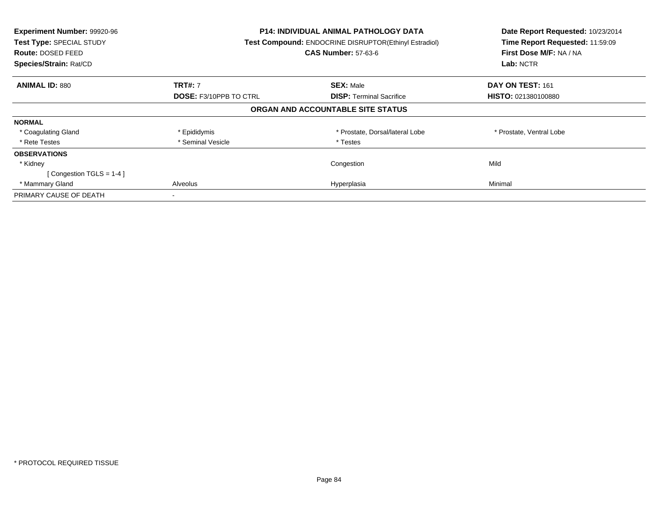| Experiment Number: 99920-96<br>Test Type: SPECIAL STUDY<br><b>Route: DOSED FEED</b><br>Species/Strain: Rat/CD | P14: INDIVIDUAL ANIMAL PATHOLOGY DATA<br>Test Compound: ENDOCRINE DISRUPTOR(Ethinyl Estradiol)<br><b>CAS Number: 57-63-6</b> |                                   | Date Report Requested: 10/23/2014<br>Time Report Requested: 11:59:09<br>First Dose M/F: NA / NA<br>Lab: NCTR |
|---------------------------------------------------------------------------------------------------------------|------------------------------------------------------------------------------------------------------------------------------|-----------------------------------|--------------------------------------------------------------------------------------------------------------|
| <b>ANIMAL ID: 880</b>                                                                                         | <b>TRT#: 7</b>                                                                                                               | <b>SEX: Male</b>                  | DAY ON TEST: 161                                                                                             |
|                                                                                                               | <b>DOSE: F3/10PPB TO CTRL</b>                                                                                                | <b>DISP:</b> Terminal Sacrifice   | <b>HISTO: 021380100880</b>                                                                                   |
|                                                                                                               |                                                                                                                              | ORGAN AND ACCOUNTABLE SITE STATUS |                                                                                                              |
| <b>NORMAL</b>                                                                                                 |                                                                                                                              |                                   |                                                                                                              |
| * Coagulating Gland                                                                                           | * Epididymis                                                                                                                 | * Prostate, Dorsal/lateral Lobe   | * Prostate, Ventral Lobe                                                                                     |
| * Rete Testes                                                                                                 | * Seminal Vesicle                                                                                                            | * Testes                          |                                                                                                              |
| <b>OBSERVATIONS</b>                                                                                           |                                                                                                                              |                                   |                                                                                                              |
| * Kidney                                                                                                      |                                                                                                                              | Congestion                        | Mild                                                                                                         |
| [Congestion TGLS = $1-4$ ]                                                                                    |                                                                                                                              |                                   |                                                                                                              |
| * Mammary Gland                                                                                               | Alveolus                                                                                                                     | Hyperplasia                       | Minimal                                                                                                      |
| PRIMARY CAUSE OF DEATH                                                                                        |                                                                                                                              |                                   |                                                                                                              |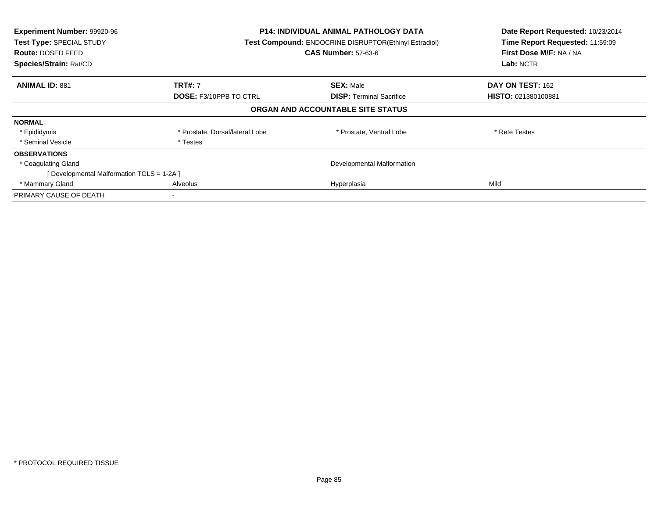| Experiment Number: 99920-96<br>Test Type: SPECIAL STUDY<br>Route: DOSED FEED<br>Species/Strain: Rat/CD | <b>P14: INDIVIDUAL ANIMAL PATHOLOGY DATA</b><br>Test Compound: ENDOCRINE DISRUPTOR(Ethinyl Estradiol)<br><b>CAS Number: 57-63-6</b> |                                   | Date Report Requested: 10/23/2014<br>Time Report Requested: 11:59:09<br>First Dose M/F: NA / NA<br>Lab: NCTR |
|--------------------------------------------------------------------------------------------------------|-------------------------------------------------------------------------------------------------------------------------------------|-----------------------------------|--------------------------------------------------------------------------------------------------------------|
| <b>ANIMAL ID: 881</b>                                                                                  | <b>TRT#: 7</b>                                                                                                                      | <b>SEX: Male</b>                  | <b>DAY ON TEST: 162</b>                                                                                      |
|                                                                                                        | <b>DOSE: F3/10PPB TO CTRL</b>                                                                                                       | <b>DISP:</b> Terminal Sacrifice   | HISTO: 021380100881                                                                                          |
|                                                                                                        |                                                                                                                                     | ORGAN AND ACCOUNTABLE SITE STATUS |                                                                                                              |
| <b>NORMAL</b>                                                                                          |                                                                                                                                     |                                   |                                                                                                              |
| * Epididymis                                                                                           | * Prostate, Dorsal/lateral Lobe                                                                                                     | * Prostate, Ventral Lobe          | * Rete Testes                                                                                                |
| * Seminal Vesicle                                                                                      | * Testes                                                                                                                            |                                   |                                                                                                              |
| <b>OBSERVATIONS</b>                                                                                    |                                                                                                                                     |                                   |                                                                                                              |
| * Coagulating Gland                                                                                    |                                                                                                                                     | Developmental Malformation        |                                                                                                              |
| [ Developmental Malformation TGLS = 1-2A ]                                                             |                                                                                                                                     |                                   |                                                                                                              |
| * Mammary Gland                                                                                        | Alveolus                                                                                                                            | Hyperplasia                       | Mild                                                                                                         |
| PRIMARY CAUSE OF DEATH                                                                                 |                                                                                                                                     |                                   |                                                                                                              |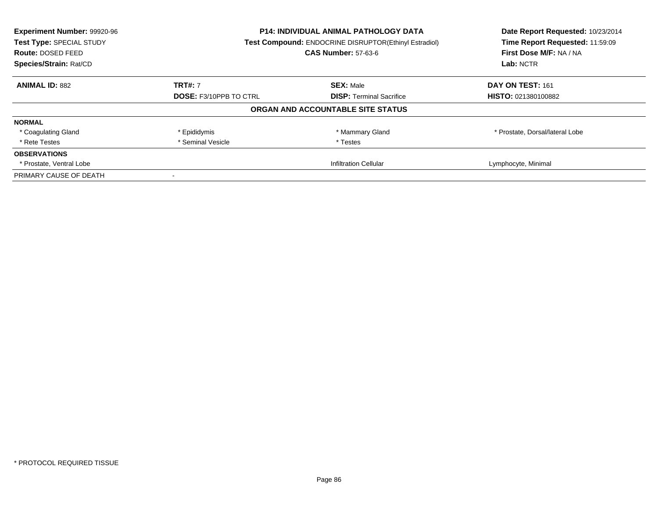| Experiment Number: 99920-96<br>Test Type: SPECIAL STUDY<br><b>Route: DOSED FEED</b><br>Species/Strain: Rat/CD |                                                                  | <b>P14: INDIVIDUAL ANIMAL PATHOLOGY DATA</b><br>Test Compound: ENDOCRINE DISRUPTOR(Ethinyl Estradiol)<br><b>CAS Number: 57-63-6</b> |                                 |
|---------------------------------------------------------------------------------------------------------------|------------------------------------------------------------------|-------------------------------------------------------------------------------------------------------------------------------------|---------------------------------|
| <b>ANIMAL ID: 882</b>                                                                                         | <b>TRT#: 7</b>                                                   | <b>SEX: Male</b>                                                                                                                    | DAY ON TEST: 161                |
|                                                                                                               | <b>DOSE: F3/10PPB TO CTRL</b><br><b>DISP:</b> Terminal Sacrifice | HISTO: 021380100882                                                                                                                 |                                 |
|                                                                                                               |                                                                  | ORGAN AND ACCOUNTABLE SITE STATUS                                                                                                   |                                 |
| <b>NORMAL</b>                                                                                                 |                                                                  |                                                                                                                                     |                                 |
| * Coagulating Gland                                                                                           | * Epididymis                                                     | * Mammary Gland                                                                                                                     | * Prostate, Dorsal/lateral Lobe |
| * Rete Testes                                                                                                 | * Seminal Vesicle                                                | * Testes                                                                                                                            |                                 |
| <b>OBSERVATIONS</b>                                                                                           |                                                                  |                                                                                                                                     |                                 |
| * Prostate, Ventral Lobe                                                                                      |                                                                  | <b>Infiltration Cellular</b>                                                                                                        | Lymphocyte, Minimal             |
| PRIMARY CAUSE OF DEATH                                                                                        |                                                                  |                                                                                                                                     |                                 |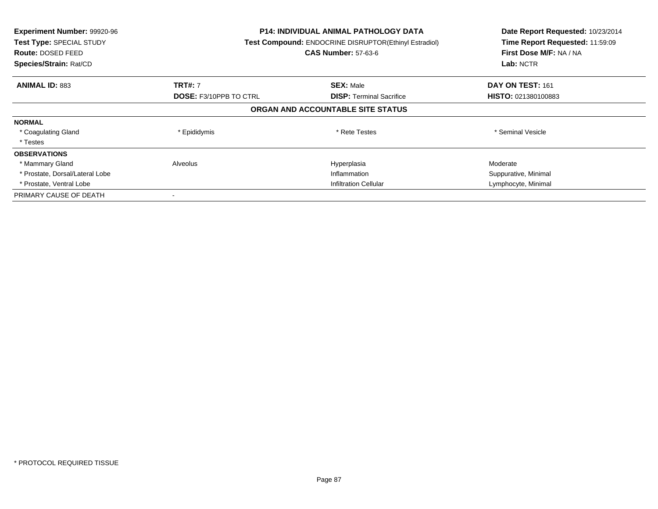| Experiment Number: 99920-96<br>Test Type: SPECIAL STUDY<br><b>Route: DOSED FEED</b><br>Species/Strain: Rat/CD |                               | <b>P14: INDIVIDUAL ANIMAL PATHOLOGY DATA</b><br>Test Compound: ENDOCRINE DISRUPTOR(Ethinyl Estradiol)<br><b>CAS Number: 57-63-6</b> | Date Report Requested: 10/23/2014<br>Time Report Requested: 11:59:09<br>First Dose M/F: NA / NA<br>Lab: NCTR |
|---------------------------------------------------------------------------------------------------------------|-------------------------------|-------------------------------------------------------------------------------------------------------------------------------------|--------------------------------------------------------------------------------------------------------------|
| <b>ANIMAL ID: 883</b>                                                                                         | <b>TRT#: 7</b>                | <b>SEX: Male</b>                                                                                                                    | DAY ON TEST: 161                                                                                             |
|                                                                                                               | <b>DOSE: F3/10PPB TO CTRL</b> | <b>DISP:</b> Terminal Sacrifice                                                                                                     | <b>HISTO: 021380100883</b>                                                                                   |
|                                                                                                               |                               | ORGAN AND ACCOUNTABLE SITE STATUS                                                                                                   |                                                                                                              |
| <b>NORMAL</b>                                                                                                 |                               |                                                                                                                                     |                                                                                                              |
| * Coagulating Gland                                                                                           | * Epididymis                  | * Rete Testes                                                                                                                       | * Seminal Vesicle                                                                                            |
| * Testes                                                                                                      |                               |                                                                                                                                     |                                                                                                              |
| <b>OBSERVATIONS</b>                                                                                           |                               |                                                                                                                                     |                                                                                                              |
| * Mammary Gland                                                                                               | Alveolus                      | Hyperplasia                                                                                                                         | Moderate                                                                                                     |
| * Prostate, Dorsal/Lateral Lobe                                                                               | Inflammation                  |                                                                                                                                     | Suppurative, Minimal                                                                                         |
| * Prostate, Ventral Lobe                                                                                      | <b>Infiltration Cellular</b>  |                                                                                                                                     | Lymphocyte, Minimal                                                                                          |
| PRIMARY CAUSE OF DEATH                                                                                        |                               |                                                                                                                                     |                                                                                                              |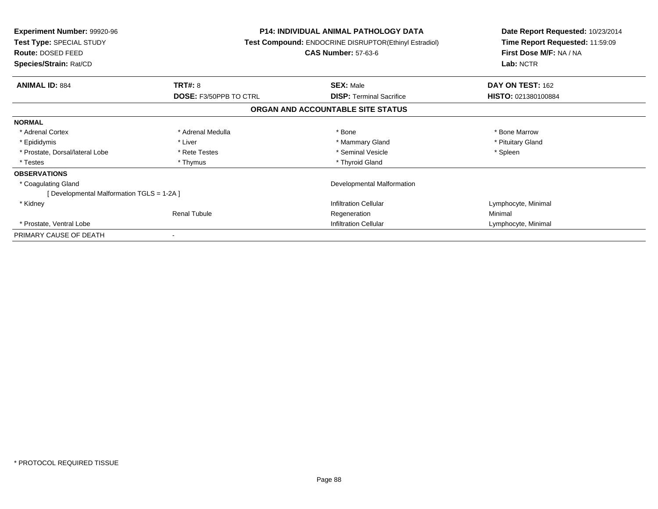| <b>Experiment Number: 99920-96</b><br>Test Type: SPECIAL STUDY<br>Route: DOSED FEED |                               | <b>P14: INDIVIDUAL ANIMAL PATHOLOGY DATA</b><br>Test Compound: ENDOCRINE DISRUPTOR(Ethinyl Estradiol)<br><b>CAS Number: 57-63-6</b> |                     |
|-------------------------------------------------------------------------------------|-------------------------------|-------------------------------------------------------------------------------------------------------------------------------------|---------------------|
| Species/Strain: Rat/CD                                                              |                               |                                                                                                                                     | Lab: NCTR           |
| <b>ANIMAL ID: 884</b>                                                               | <b>TRT#: 8</b>                | <b>SEX: Male</b>                                                                                                                    | DAY ON TEST: 162    |
|                                                                                     | <b>DOSE: F3/50PPB TO CTRL</b> | <b>DISP:</b> Terminal Sacrifice                                                                                                     | HISTO: 021380100884 |
|                                                                                     |                               | ORGAN AND ACCOUNTABLE SITE STATUS                                                                                                   |                     |
| <b>NORMAL</b>                                                                       |                               |                                                                                                                                     |                     |
| * Adrenal Cortex                                                                    | * Adrenal Medulla             | * Bone                                                                                                                              | * Bone Marrow       |
| * Epididymis                                                                        | * Liver                       | * Mammary Gland                                                                                                                     | * Pituitary Gland   |
| * Prostate, Dorsal/lateral Lobe                                                     | * Rete Testes                 | * Seminal Vesicle                                                                                                                   | * Spleen            |
| * Testes                                                                            | * Thymus                      | * Thyroid Gland                                                                                                                     |                     |
| <b>OBSERVATIONS</b>                                                                 |                               |                                                                                                                                     |                     |
| * Coagulating Gland                                                                 |                               | Developmental Malformation                                                                                                          |                     |
| [Developmental Malformation TGLS = 1-2A ]                                           |                               |                                                                                                                                     |                     |
| * Kidney                                                                            |                               | <b>Infiltration Cellular</b>                                                                                                        | Lymphocyte, Minimal |
|                                                                                     | <b>Renal Tubule</b>           | Regeneration                                                                                                                        | Minimal             |
| * Prostate, Ventral Lobe                                                            |                               | Infiltration Cellular                                                                                                               | Lymphocyte, Minimal |
| PRIMARY CAUSE OF DEATH                                                              |                               |                                                                                                                                     |                     |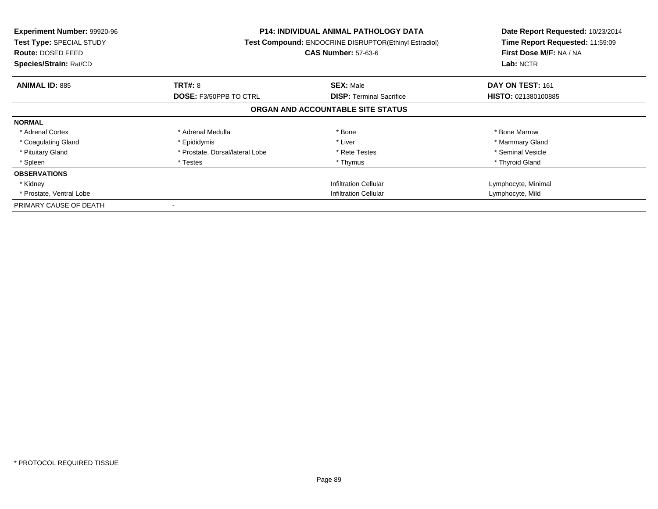| <b>Experiment Number: 99920-96</b><br><b>Test Type: SPECIAL STUDY</b><br><b>Route: DOSED FEED</b><br>Species/Strain: Rat/CD |                                 | <b>P14: INDIVIDUAL ANIMAL PATHOLOGY DATA</b><br><b>Test Compound: ENDOCRINE DISRUPTOR(Ethinyl Estradiol)</b><br><b>CAS Number: 57-63-6</b> | Date Report Requested: 10/23/2014<br>Time Report Requested: 11:59:09<br>First Dose M/F: NA / NA<br>Lab: NCTR |
|-----------------------------------------------------------------------------------------------------------------------------|---------------------------------|--------------------------------------------------------------------------------------------------------------------------------------------|--------------------------------------------------------------------------------------------------------------|
| <b>ANIMAL ID: 885</b>                                                                                                       | <b>TRT#: 8</b>                  | <b>SEX: Male</b>                                                                                                                           | DAY ON TEST: 161                                                                                             |
|                                                                                                                             | <b>DOSE: F3/50PPB TO CTRL</b>   | <b>DISP: Terminal Sacrifice</b>                                                                                                            | <b>HISTO: 021380100885</b>                                                                                   |
|                                                                                                                             |                                 | ORGAN AND ACCOUNTABLE SITE STATUS                                                                                                          |                                                                                                              |
| <b>NORMAL</b>                                                                                                               |                                 |                                                                                                                                            |                                                                                                              |
| * Adrenal Cortex                                                                                                            | * Adrenal Medulla               | * Bone                                                                                                                                     | * Bone Marrow                                                                                                |
| * Coagulating Gland                                                                                                         | * Epididymis                    | * Liver                                                                                                                                    | * Mammary Gland                                                                                              |
| * Pituitary Gland                                                                                                           | * Prostate, Dorsal/lateral Lobe | * Rete Testes                                                                                                                              | * Seminal Vesicle                                                                                            |
| * Spleen                                                                                                                    | * Testes                        | * Thymus                                                                                                                                   | * Thyroid Gland                                                                                              |
| <b>OBSERVATIONS</b>                                                                                                         |                                 |                                                                                                                                            |                                                                                                              |
| * Kidney                                                                                                                    |                                 | <b>Infiltration Cellular</b>                                                                                                               | Lymphocyte, Minimal                                                                                          |
| * Prostate, Ventral Lobe                                                                                                    | <b>Infiltration Cellular</b>    |                                                                                                                                            | Lymphocyte, Mild                                                                                             |
| PRIMARY CAUSE OF DEATH                                                                                                      |                                 |                                                                                                                                            |                                                                                                              |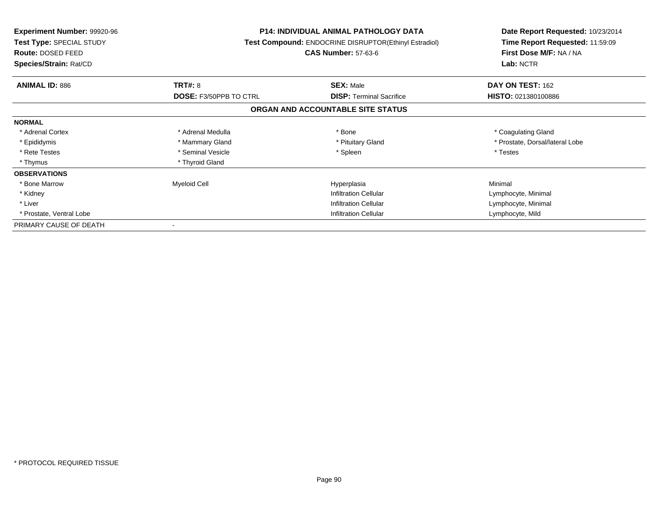| <b>Experiment Number: 99920-96</b><br>Test Type: SPECIAL STUDY<br>Route: DOSED FEED<br>Species/Strain: Rat/CD |                               | <b>P14: INDIVIDUAL ANIMAL PATHOLOGY DATA</b><br><b>Test Compound: ENDOCRINE DISRUPTOR(Ethinyl Estradiol)</b><br><b>CAS Number: 57-63-6</b> | Date Report Requested: 10/23/2014<br>Time Report Requested: 11:59:09<br>First Dose M/F: NA / NA<br>Lab: NCTR |
|---------------------------------------------------------------------------------------------------------------|-------------------------------|--------------------------------------------------------------------------------------------------------------------------------------------|--------------------------------------------------------------------------------------------------------------|
| <b>ANIMAL ID: 886</b>                                                                                         | <b>TRT#: 8</b>                | <b>SEX: Male</b>                                                                                                                           | DAY ON TEST: 162                                                                                             |
|                                                                                                               | <b>DOSE: F3/50PPB TO CTRL</b> | <b>DISP: Terminal Sacrifice</b>                                                                                                            | HISTO: 021380100886                                                                                          |
|                                                                                                               |                               | ORGAN AND ACCOUNTABLE SITE STATUS                                                                                                          |                                                                                                              |
| <b>NORMAL</b>                                                                                                 |                               |                                                                                                                                            |                                                                                                              |
| * Adrenal Cortex                                                                                              | * Adrenal Medulla             | * Bone                                                                                                                                     | * Coagulating Gland                                                                                          |
| * Epididymis                                                                                                  | * Mammary Gland               | * Pituitary Gland                                                                                                                          | * Prostate, Dorsal/lateral Lobe                                                                              |
| * Rete Testes                                                                                                 | * Seminal Vesicle             | * Spleen                                                                                                                                   | * Testes                                                                                                     |
| * Thymus                                                                                                      | * Thyroid Gland               |                                                                                                                                            |                                                                                                              |
| <b>OBSERVATIONS</b>                                                                                           |                               |                                                                                                                                            |                                                                                                              |
| * Bone Marrow                                                                                                 | Myeloid Cell                  | Hyperplasia                                                                                                                                | Minimal                                                                                                      |
| * Kidney                                                                                                      |                               | <b>Infiltration Cellular</b>                                                                                                               | Lymphocyte, Minimal                                                                                          |
| * Liver                                                                                                       |                               | <b>Infiltration Cellular</b>                                                                                                               | Lymphocyte, Minimal                                                                                          |
| * Prostate, Ventral Lobe                                                                                      |                               | <b>Infiltration Cellular</b>                                                                                                               | Lymphocyte, Mild                                                                                             |
| PRIMARY CAUSE OF DEATH                                                                                        |                               |                                                                                                                                            |                                                                                                              |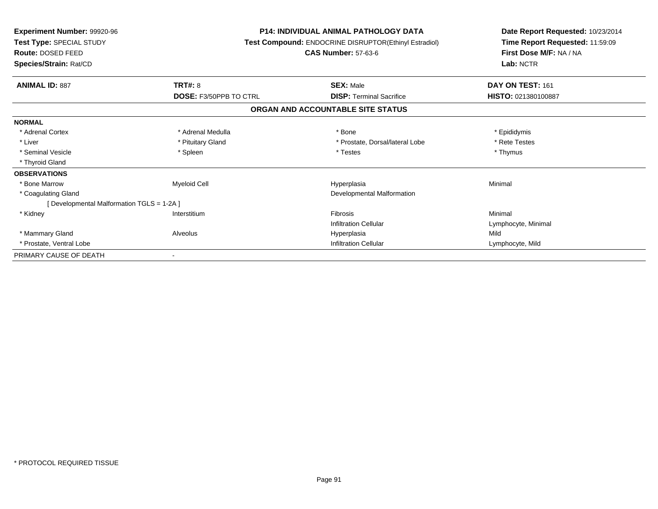| Experiment Number: 99920-96<br>Test Type: SPECIAL STUDY<br><b>Route: DOSED FEED</b><br>Species/Strain: Rat/CD |                               | <b>P14: INDIVIDUAL ANIMAL PATHOLOGY DATA</b><br><b>Test Compound: ENDOCRINE DISRUPTOR(Ethinyl Estradiol)</b><br><b>CAS Number: 57-63-6</b> | Date Report Requested: 10/23/2014<br>Time Report Requested: 11:59:09<br>First Dose M/F: NA / NA<br>Lab: NCTR |
|---------------------------------------------------------------------------------------------------------------|-------------------------------|--------------------------------------------------------------------------------------------------------------------------------------------|--------------------------------------------------------------------------------------------------------------|
| <b>ANIMAL ID: 887</b>                                                                                         | TRT#: 8                       | <b>SEX: Male</b>                                                                                                                           | DAY ON TEST: 161                                                                                             |
|                                                                                                               | <b>DOSE: F3/50PPB TO CTRL</b> | <b>DISP: Terminal Sacrifice</b>                                                                                                            | HISTO: 021380100887                                                                                          |
|                                                                                                               |                               | ORGAN AND ACCOUNTABLE SITE STATUS                                                                                                          |                                                                                                              |
| <b>NORMAL</b>                                                                                                 |                               |                                                                                                                                            |                                                                                                              |
| * Adrenal Cortex                                                                                              | * Adrenal Medulla             | * Bone                                                                                                                                     | * Epididymis                                                                                                 |
| * Liver                                                                                                       | * Pituitary Gland             | * Prostate, Dorsal/lateral Lobe                                                                                                            | * Rete Testes                                                                                                |
| * Seminal Vesicle                                                                                             | * Spleen                      | * Testes                                                                                                                                   | * Thymus                                                                                                     |
| * Thyroid Gland                                                                                               |                               |                                                                                                                                            |                                                                                                              |
| <b>OBSERVATIONS</b>                                                                                           |                               |                                                                                                                                            |                                                                                                              |
| * Bone Marrow                                                                                                 | Myeloid Cell                  | Hyperplasia                                                                                                                                | Minimal                                                                                                      |
| * Coagulating Gland                                                                                           |                               | Developmental Malformation                                                                                                                 |                                                                                                              |
| [ Developmental Malformation TGLS = 1-2A ]                                                                    |                               |                                                                                                                                            |                                                                                                              |
| * Kidney                                                                                                      | Interstitium                  | <b>Fibrosis</b>                                                                                                                            | Minimal                                                                                                      |
|                                                                                                               |                               | <b>Infiltration Cellular</b>                                                                                                               | Lymphocyte, Minimal                                                                                          |
| * Mammary Gland                                                                                               | Alveolus                      | Hyperplasia                                                                                                                                | Mild                                                                                                         |
| * Prostate, Ventral Lobe                                                                                      |                               | <b>Infiltration Cellular</b>                                                                                                               | Lymphocyte, Mild                                                                                             |
| PRIMARY CAUSE OF DEATH                                                                                        |                               |                                                                                                                                            |                                                                                                              |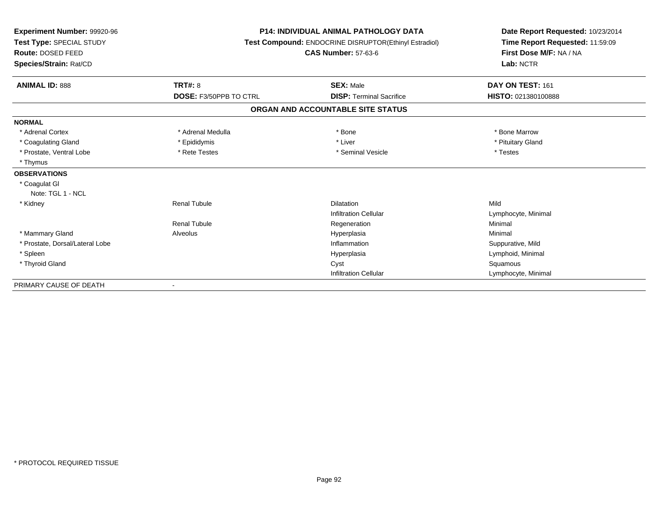| Experiment Number: 99920-96<br>Test Type: SPECIAL STUDY<br>Route: DOSED FEED<br>Species/Strain: Rat/CD |                               | <b>P14: INDIVIDUAL ANIMAL PATHOLOGY DATA</b><br>Test Compound: ENDOCRINE DISRUPTOR(Ethinyl Estradiol)<br><b>CAS Number: 57-63-6</b> | Date Report Requested: 10/23/2014<br>Time Report Requested: 11:59:09<br>First Dose M/F: NA / NA<br>Lab: NCTR |  |
|--------------------------------------------------------------------------------------------------------|-------------------------------|-------------------------------------------------------------------------------------------------------------------------------------|--------------------------------------------------------------------------------------------------------------|--|
| <b>ANIMAL ID: 888</b>                                                                                  | <b>TRT#: 8</b>                | <b>SEX: Male</b>                                                                                                                    | DAY ON TEST: 161                                                                                             |  |
|                                                                                                        | <b>DOSE: F3/50PPB TO CTRL</b> | <b>DISP: Terminal Sacrifice</b>                                                                                                     | HISTO: 021380100888                                                                                          |  |
|                                                                                                        |                               | ORGAN AND ACCOUNTABLE SITE STATUS                                                                                                   |                                                                                                              |  |
| <b>NORMAL</b>                                                                                          |                               |                                                                                                                                     |                                                                                                              |  |
| * Adrenal Cortex                                                                                       | * Adrenal Medulla             | * Bone                                                                                                                              | * Bone Marrow                                                                                                |  |
| * Coagulating Gland                                                                                    | * Epididymis                  | * Liver                                                                                                                             | * Pituitary Gland                                                                                            |  |
| * Prostate, Ventral Lobe                                                                               | * Rete Testes                 | * Seminal Vesicle                                                                                                                   | * Testes                                                                                                     |  |
| * Thymus                                                                                               |                               |                                                                                                                                     |                                                                                                              |  |
| <b>OBSERVATIONS</b>                                                                                    |                               |                                                                                                                                     |                                                                                                              |  |
| * Coagulat GI                                                                                          |                               |                                                                                                                                     |                                                                                                              |  |
| Note: TGL 1 - NCL                                                                                      |                               |                                                                                                                                     |                                                                                                              |  |
| * Kidney                                                                                               | <b>Renal Tubule</b>           | Dilatation                                                                                                                          | Mild                                                                                                         |  |
|                                                                                                        |                               | <b>Infiltration Cellular</b>                                                                                                        | Lymphocyte, Minimal                                                                                          |  |
|                                                                                                        | <b>Renal Tubule</b>           | Regeneration                                                                                                                        | Minimal                                                                                                      |  |
| * Mammary Gland                                                                                        | Alveolus                      | Hyperplasia                                                                                                                         | Minimal                                                                                                      |  |
| * Prostate, Dorsal/Lateral Lobe                                                                        |                               | Inflammation                                                                                                                        | Suppurative, Mild                                                                                            |  |
| * Spleen                                                                                               |                               | Hyperplasia                                                                                                                         | Lymphoid, Minimal                                                                                            |  |
| * Thyroid Gland                                                                                        |                               | Cyst                                                                                                                                | Squamous                                                                                                     |  |
|                                                                                                        |                               | <b>Infiltration Cellular</b>                                                                                                        | Lymphocyte, Minimal                                                                                          |  |
| PRIMARY CAUSE OF DEATH                                                                                 |                               |                                                                                                                                     |                                                                                                              |  |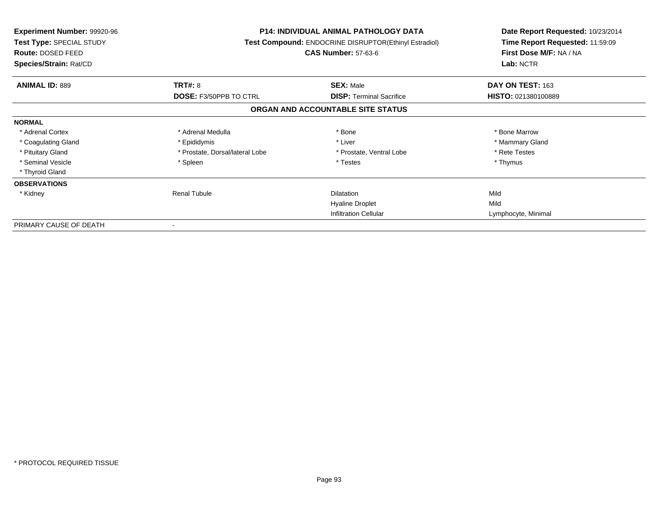| <b>Experiment Number: 99920-96</b><br>Test Type: SPECIAL STUDY<br>Route: DOSED FEED<br>Species/Strain: Rat/CD |                                 | <b>P14: INDIVIDUAL ANIMAL PATHOLOGY DATA</b><br><b>Test Compound: ENDOCRINE DISRUPTOR(Ethinyl Estradiol)</b><br><b>CAS Number: 57-63-6</b> | Date Report Requested: 10/23/2014<br>Time Report Requested: 11:59:09<br>First Dose M/F: NA / NA<br>Lab: NCTR |
|---------------------------------------------------------------------------------------------------------------|---------------------------------|--------------------------------------------------------------------------------------------------------------------------------------------|--------------------------------------------------------------------------------------------------------------|
| <b>ANIMAL ID: 889</b>                                                                                         | TRT#: 8                         | <b>SEX: Male</b>                                                                                                                           | DAY ON TEST: 163                                                                                             |
|                                                                                                               | DOSE: F3/50PPB TO CTRL          | <b>DISP:</b> Terminal Sacrifice                                                                                                            | HISTO: 021380100889                                                                                          |
|                                                                                                               |                                 | ORGAN AND ACCOUNTABLE SITE STATUS                                                                                                          |                                                                                                              |
| <b>NORMAL</b>                                                                                                 |                                 |                                                                                                                                            |                                                                                                              |
| * Adrenal Cortex                                                                                              | * Adrenal Medulla               | * Bone                                                                                                                                     | * Bone Marrow                                                                                                |
| * Coagulating Gland                                                                                           | * Epididymis                    | * Liver                                                                                                                                    | * Mammary Gland                                                                                              |
| * Pituitary Gland                                                                                             | * Prostate, Dorsal/lateral Lobe | * Prostate, Ventral Lobe                                                                                                                   | * Rete Testes                                                                                                |
| * Seminal Vesicle                                                                                             | * Spleen                        | * Testes                                                                                                                                   | * Thymus                                                                                                     |
| * Thyroid Gland                                                                                               |                                 |                                                                                                                                            |                                                                                                              |
| <b>OBSERVATIONS</b>                                                                                           |                                 |                                                                                                                                            |                                                                                                              |
| * Kidney                                                                                                      | <b>Renal Tubule</b>             | <b>Dilatation</b>                                                                                                                          | Mild                                                                                                         |
|                                                                                                               |                                 | <b>Hyaline Droplet</b>                                                                                                                     | Mild                                                                                                         |
|                                                                                                               |                                 | <b>Infiltration Cellular</b>                                                                                                               | Lymphocyte, Minimal                                                                                          |
| PRIMARY CAUSE OF DEATH                                                                                        |                                 |                                                                                                                                            |                                                                                                              |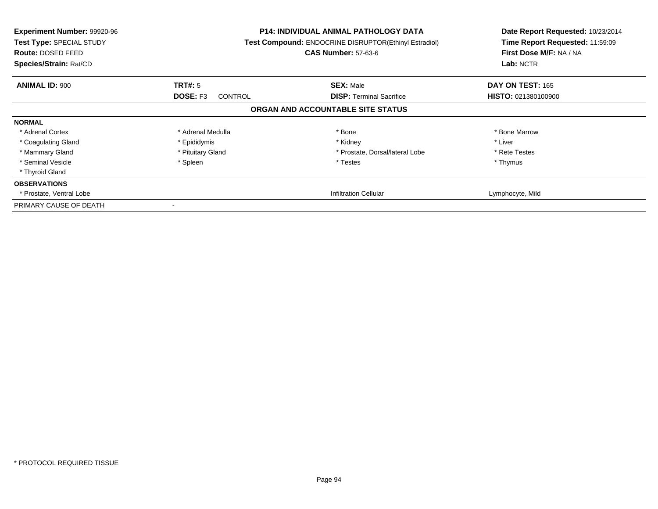| <b>Experiment Number: 99920-96</b><br>Test Type: SPECIAL STUDY<br><b>Route: DOSED FEED</b><br>Species/Strain: Rat/CD |                                   | <b>P14: INDIVIDUAL ANIMAL PATHOLOGY DATA</b><br>Test Compound: ENDOCRINE DISRUPTOR(Ethinyl Estradiol)<br><b>CAS Number: 57-63-6</b> | Date Report Requested: 10/23/2014<br>Time Report Requested: 11:59:09<br>First Dose M/F: NA / NA<br>Lab: NCTR |
|----------------------------------------------------------------------------------------------------------------------|-----------------------------------|-------------------------------------------------------------------------------------------------------------------------------------|--------------------------------------------------------------------------------------------------------------|
| <b>ANIMAL ID: 900</b>                                                                                                | <b>TRT#: 5</b>                    | <b>SEX: Male</b>                                                                                                                    | DAY ON TEST: 165                                                                                             |
|                                                                                                                      | <b>DOSE: F3</b><br><b>CONTROL</b> | <b>DISP:</b> Terminal Sacrifice                                                                                                     | <b>HISTO: 021380100900</b>                                                                                   |
|                                                                                                                      |                                   | ORGAN AND ACCOUNTABLE SITE STATUS                                                                                                   |                                                                                                              |
| <b>NORMAL</b>                                                                                                        |                                   |                                                                                                                                     |                                                                                                              |
| * Adrenal Cortex                                                                                                     | * Adrenal Medulla                 | * Bone                                                                                                                              | * Bone Marrow                                                                                                |
| * Coagulating Gland                                                                                                  | * Epididymis                      | * Kidney                                                                                                                            | * Liver                                                                                                      |
| * Mammary Gland                                                                                                      | * Pituitary Gland                 | * Prostate, Dorsal/lateral Lobe                                                                                                     | * Rete Testes                                                                                                |
| * Seminal Vesicle                                                                                                    | * Spleen                          | * Testes                                                                                                                            | * Thymus                                                                                                     |
| * Thyroid Gland                                                                                                      |                                   |                                                                                                                                     |                                                                                                              |
| <b>OBSERVATIONS</b>                                                                                                  |                                   |                                                                                                                                     |                                                                                                              |
| * Prostate, Ventral Lobe                                                                                             |                                   | Infiltration Cellular                                                                                                               | Lymphocyte, Mild                                                                                             |
| PRIMARY CAUSE OF DEATH                                                                                               |                                   |                                                                                                                                     |                                                                                                              |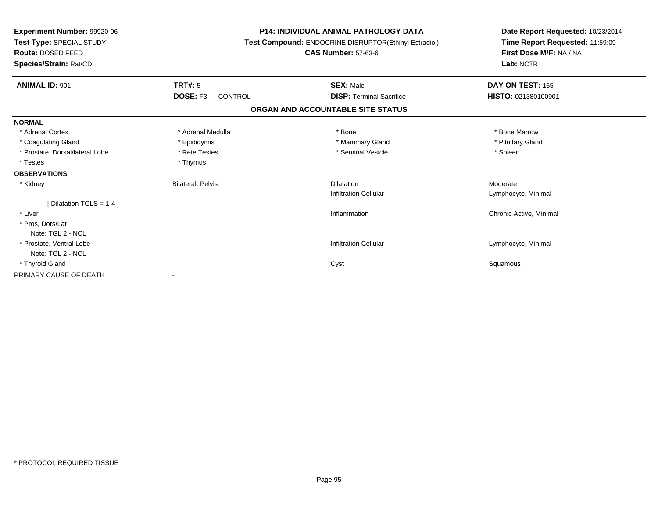| Experiment Number: 99920-96<br>Test Type: SPECIAL STUDY<br><b>Route: DOSED FEED</b><br>Species/Strain: Rat/CD |                            | <b>P14: INDIVIDUAL ANIMAL PATHOLOGY DATA</b><br>Test Compound: ENDOCRINE DISRUPTOR(Ethinyl Estradiol)<br><b>CAS Number: 57-63-6</b> | Date Report Requested: 10/23/2014<br>Time Report Requested: 11:59:09<br>First Dose M/F: NA / NA<br>Lab: NCTR |
|---------------------------------------------------------------------------------------------------------------|----------------------------|-------------------------------------------------------------------------------------------------------------------------------------|--------------------------------------------------------------------------------------------------------------|
| <b>ANIMAL ID: 901</b>                                                                                         | <b>TRT#: 5</b>             | <b>SEX: Male</b>                                                                                                                    | DAY ON TEST: 165                                                                                             |
|                                                                                                               | DOSE: F3<br><b>CONTROL</b> | <b>DISP: Terminal Sacrifice</b>                                                                                                     | HISTO: 021380100901                                                                                          |
|                                                                                                               |                            | ORGAN AND ACCOUNTABLE SITE STATUS                                                                                                   |                                                                                                              |
| <b>NORMAL</b>                                                                                                 |                            |                                                                                                                                     |                                                                                                              |
| * Adrenal Cortex                                                                                              | * Adrenal Medulla          | * Bone                                                                                                                              | * Bone Marrow                                                                                                |
| * Coagulating Gland                                                                                           | * Epididymis               | * Mammary Gland                                                                                                                     | * Pituitary Gland                                                                                            |
| * Prostate, Dorsal/lateral Lobe                                                                               | * Rete Testes              | * Seminal Vesicle                                                                                                                   | * Spleen                                                                                                     |
| * Testes                                                                                                      | * Thymus                   |                                                                                                                                     |                                                                                                              |
| <b>OBSERVATIONS</b>                                                                                           |                            |                                                                                                                                     |                                                                                                              |
| * Kidney                                                                                                      | <b>Bilateral, Pelvis</b>   | <b>Dilatation</b>                                                                                                                   | Moderate                                                                                                     |
|                                                                                                               |                            | <b>Infiltration Cellular</b>                                                                                                        | Lymphocyte, Minimal                                                                                          |
| [ Dilatation TGLS = 1-4 ]                                                                                     |                            |                                                                                                                                     |                                                                                                              |
| * Liver                                                                                                       |                            | Inflammation                                                                                                                        | Chronic Active, Minimal                                                                                      |
| * Pros, Dors/Lat                                                                                              |                            |                                                                                                                                     |                                                                                                              |
| Note: TGL 2 - NCL                                                                                             |                            |                                                                                                                                     |                                                                                                              |
| * Prostate, Ventral Lobe                                                                                      |                            | <b>Infiltration Cellular</b>                                                                                                        | Lymphocyte, Minimal                                                                                          |
| Note: TGL 2 - NCL                                                                                             |                            |                                                                                                                                     |                                                                                                              |
| * Thyroid Gland                                                                                               |                            | Cyst                                                                                                                                | Squamous                                                                                                     |
| PRIMARY CAUSE OF DEATH                                                                                        |                            |                                                                                                                                     |                                                                                                              |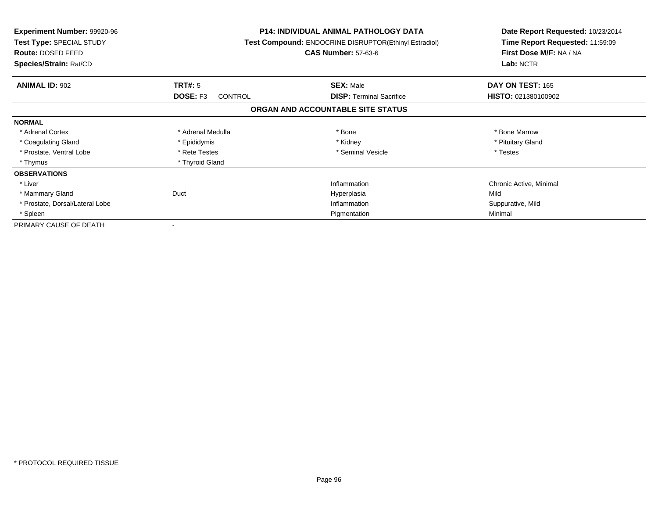| <b>Experiment Number: 99920-96</b><br>Test Type: SPECIAL STUDY<br>Route: DOSED FEED<br>Species/Strain: Rat/CD |                            | <b>P14: INDIVIDUAL ANIMAL PATHOLOGY DATA</b><br>Test Compound: ENDOCRINE DISRUPTOR(Ethinyl Estradiol)<br><b>CAS Number: 57-63-6</b> | Date Report Requested: 10/23/2014<br>Time Report Requested: 11:59:09<br>First Dose M/F: NA / NA<br>Lab: NCTR |
|---------------------------------------------------------------------------------------------------------------|----------------------------|-------------------------------------------------------------------------------------------------------------------------------------|--------------------------------------------------------------------------------------------------------------|
| <b>ANIMAL ID: 902</b>                                                                                         | TRT#: 5                    | <b>SEX: Male</b>                                                                                                                    | DAY ON TEST: 165                                                                                             |
|                                                                                                               | DOSE: F3<br><b>CONTROL</b> | <b>DISP:</b> Terminal Sacrifice                                                                                                     | HISTO: 021380100902                                                                                          |
|                                                                                                               |                            | ORGAN AND ACCOUNTABLE SITE STATUS                                                                                                   |                                                                                                              |
| <b>NORMAL</b>                                                                                                 |                            |                                                                                                                                     |                                                                                                              |
| * Adrenal Cortex                                                                                              | * Adrenal Medulla          | * Bone                                                                                                                              | * Bone Marrow                                                                                                |
| * Coagulating Gland                                                                                           | * Epididymis               | * Kidney                                                                                                                            | * Pituitary Gland                                                                                            |
| * Prostate, Ventral Lobe                                                                                      | * Rete Testes              | * Seminal Vesicle                                                                                                                   | * Testes                                                                                                     |
| * Thymus                                                                                                      | * Thyroid Gland            |                                                                                                                                     |                                                                                                              |
| <b>OBSERVATIONS</b>                                                                                           |                            |                                                                                                                                     |                                                                                                              |
| * Liver                                                                                                       |                            | Inflammation                                                                                                                        | Chronic Active, Minimal                                                                                      |
| * Mammary Gland                                                                                               | Duct                       | Hyperplasia                                                                                                                         | Mild                                                                                                         |
| * Prostate, Dorsal/Lateral Lobe                                                                               |                            | Inflammation                                                                                                                        | Suppurative, Mild                                                                                            |
| * Spleen                                                                                                      |                            | Pigmentation                                                                                                                        | Minimal                                                                                                      |
| PRIMARY CAUSE OF DEATH                                                                                        |                            |                                                                                                                                     |                                                                                                              |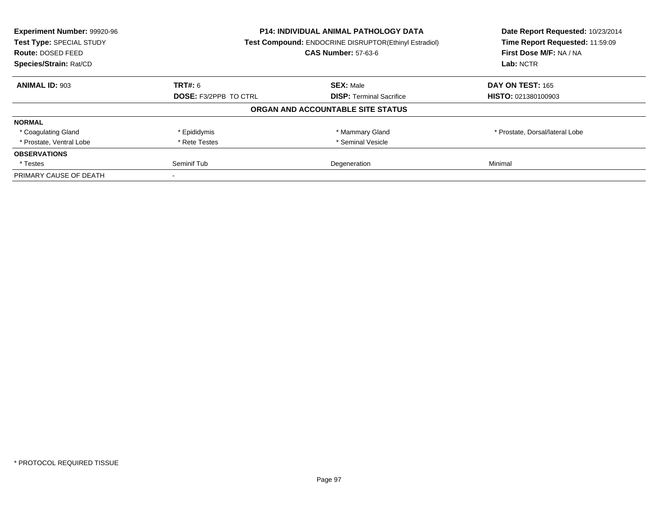| Experiment Number: 99920-96<br>Test Type: SPECIAL STUDY<br>Route: DOSED FEED<br>Species/Strain: Rat/CD | <b>P14: INDIVIDUAL ANIMAL PATHOLOGY DATA</b><br>Test Compound: ENDOCRINE DISRUPTOR(Ethinyl Estradiol)<br><b>CAS Number: 57-63-6</b> |                                   | Date Report Requested: 10/23/2014<br>Time Report Requested: 11:59:09<br>First Dose M/F: NA / NA<br>Lab: NCTR |
|--------------------------------------------------------------------------------------------------------|-------------------------------------------------------------------------------------------------------------------------------------|-----------------------------------|--------------------------------------------------------------------------------------------------------------|
| <b>ANIMAL ID: 903</b>                                                                                  | <b>TRT#: 6</b>                                                                                                                      | <b>SEX: Male</b>                  | DAY ON TEST: 165                                                                                             |
|                                                                                                        | <b>DOSE: F3/2PPB TO CTRL</b><br><b>DISP:</b> Terminal Sacrifice                                                                     | <b>HISTO: 021380100903</b>        |                                                                                                              |
|                                                                                                        |                                                                                                                                     | ORGAN AND ACCOUNTABLE SITE STATUS |                                                                                                              |
| <b>NORMAL</b>                                                                                          |                                                                                                                                     |                                   |                                                                                                              |
| * Coagulating Gland                                                                                    | * Epididymis                                                                                                                        | * Mammary Gland                   | * Prostate, Dorsal/lateral Lobe                                                                              |
| * Prostate, Ventral Lobe                                                                               | * Rete Testes                                                                                                                       | * Seminal Vesicle                 |                                                                                                              |
| <b>OBSERVATIONS</b>                                                                                    |                                                                                                                                     |                                   |                                                                                                              |
| * Testes                                                                                               | Seminif Tub                                                                                                                         | Degeneration                      | Minimal                                                                                                      |
| PRIMARY CAUSE OF DEATH                                                                                 |                                                                                                                                     |                                   |                                                                                                              |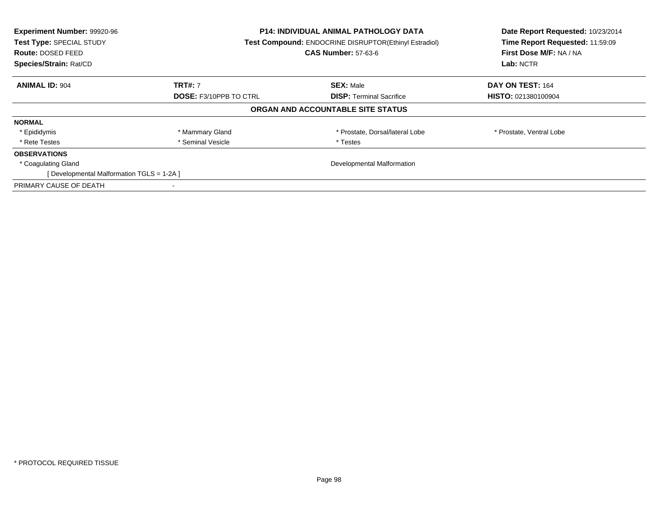| Experiment Number: 99920-96<br>Test Type: SPECIAL STUDY<br>Route: DOSED FEED<br>Species/Strain: Rat/CD | <b>P14: INDIVIDUAL ANIMAL PATHOLOGY DATA</b><br>Test Compound: ENDOCRINE DISRUPTOR(Ethinyl Estradiol)<br><b>CAS Number: 57-63-6</b> |                                   | Date Report Requested: 10/23/2014<br>Time Report Requested: 11:59:09<br>First Dose M/F: NA / NA<br>Lab: NCTR |
|--------------------------------------------------------------------------------------------------------|-------------------------------------------------------------------------------------------------------------------------------------|-----------------------------------|--------------------------------------------------------------------------------------------------------------|
| <b>ANIMAL ID: 904</b>                                                                                  | <b>TRT#: 7</b>                                                                                                                      | <b>SEX: Male</b>                  | DAY ON TEST: 164                                                                                             |
|                                                                                                        | <b>DOSE: F3/10PPB TO CTRL</b>                                                                                                       | <b>DISP:</b> Terminal Sacrifice   | <b>HISTO: 021380100904</b>                                                                                   |
|                                                                                                        |                                                                                                                                     | ORGAN AND ACCOUNTABLE SITE STATUS |                                                                                                              |
| <b>NORMAL</b>                                                                                          |                                                                                                                                     |                                   |                                                                                                              |
| * Epididymis                                                                                           | * Mammary Gland                                                                                                                     | * Prostate, Dorsal/lateral Lobe   | * Prostate, Ventral Lobe                                                                                     |
| * Rete Testes                                                                                          | * Seminal Vesicle                                                                                                                   | * Testes                          |                                                                                                              |
| <b>OBSERVATIONS</b>                                                                                    |                                                                                                                                     |                                   |                                                                                                              |
| * Coagulating Gland                                                                                    |                                                                                                                                     | Developmental Malformation        |                                                                                                              |
| [ Developmental Malformation TGLS = 1-2A ]                                                             |                                                                                                                                     |                                   |                                                                                                              |
| PRIMARY CAUSE OF DEATH                                                                                 |                                                                                                                                     |                                   |                                                                                                              |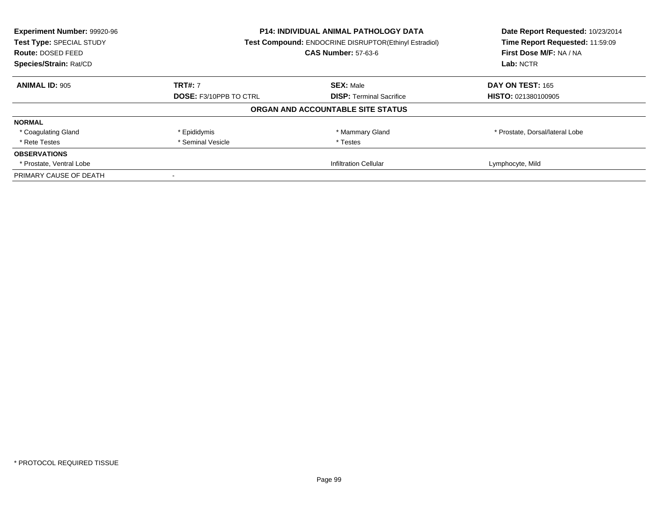| Experiment Number: 99920-96<br>Test Type: SPECIAL STUDY<br><b>Route: DOSED FEED</b><br>Species/Strain: Rat/CD | <b>P14: INDIVIDUAL ANIMAL PATHOLOGY DATA</b><br>Test Compound: ENDOCRINE DISRUPTOR(Ethinyl Estradiol)<br><b>CAS Number: 57-63-6</b> |                                   | Date Report Requested: 10/23/2014<br>Time Report Requested: 11:59:09<br>First Dose M/F: NA / NA<br>Lab: NCTR |
|---------------------------------------------------------------------------------------------------------------|-------------------------------------------------------------------------------------------------------------------------------------|-----------------------------------|--------------------------------------------------------------------------------------------------------------|
| <b>ANIMAL ID: 905</b>                                                                                         | <b>TRT#: 7</b>                                                                                                                      | <b>SEX: Male</b>                  | DAY ON TEST: 165                                                                                             |
|                                                                                                               | <b>DOSE: F3/10PPB TO CTRL</b>                                                                                                       | <b>DISP:</b> Terminal Sacrifice   | <b>HISTO: 021380100905</b>                                                                                   |
|                                                                                                               |                                                                                                                                     | ORGAN AND ACCOUNTABLE SITE STATUS |                                                                                                              |
| <b>NORMAL</b>                                                                                                 |                                                                                                                                     |                                   |                                                                                                              |
| * Coagulating Gland                                                                                           | * Epididymis                                                                                                                        | * Mammary Gland                   | * Prostate, Dorsal/lateral Lobe                                                                              |
| * Rete Testes                                                                                                 | * Seminal Vesicle                                                                                                                   | * Testes                          |                                                                                                              |
| <b>OBSERVATIONS</b>                                                                                           |                                                                                                                                     |                                   |                                                                                                              |
| * Prostate, Ventral Lobe                                                                                      |                                                                                                                                     | <b>Infiltration Cellular</b>      | Lymphocyte, Mild                                                                                             |
| PRIMARY CAUSE OF DEATH                                                                                        |                                                                                                                                     |                                   |                                                                                                              |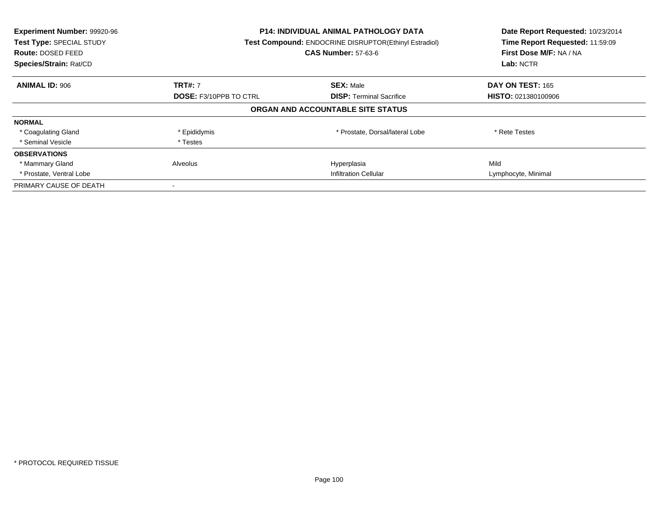| Experiment Number: 99920-96<br>Test Type: SPECIAL STUDY<br><b>Route: DOSED FEED</b><br>Species/Strain: Rat/CD | <b>P14: INDIVIDUAL ANIMAL PATHOLOGY DATA</b><br><b>Test Compound: ENDOCRINE DISRUPTOR(Ethinyl Estradiol)</b><br><b>CAS Number: 57-63-6</b> |                                   | Date Report Requested: 10/23/2014<br>Time Report Requested: 11:59:09<br>First Dose M/F: NA / NA<br>Lab: NCTR |
|---------------------------------------------------------------------------------------------------------------|--------------------------------------------------------------------------------------------------------------------------------------------|-----------------------------------|--------------------------------------------------------------------------------------------------------------|
| <b>ANIMAL ID: 906</b>                                                                                         | <b>TRT#: 7</b>                                                                                                                             | <b>SEX: Male</b>                  | DAY ON TEST: 165                                                                                             |
|                                                                                                               | <b>DOSE: F3/10PPB TO CTRL</b>                                                                                                              | <b>DISP:</b> Terminal Sacrifice   | HISTO: 021380100906                                                                                          |
|                                                                                                               |                                                                                                                                            | ORGAN AND ACCOUNTABLE SITE STATUS |                                                                                                              |
| <b>NORMAL</b>                                                                                                 |                                                                                                                                            |                                   |                                                                                                              |
| * Coagulating Gland                                                                                           | * Epididymis                                                                                                                               | * Prostate, Dorsal/lateral Lobe   | * Rete Testes                                                                                                |
| * Seminal Vesicle                                                                                             | * Testes                                                                                                                                   |                                   |                                                                                                              |
| <b>OBSERVATIONS</b>                                                                                           |                                                                                                                                            |                                   |                                                                                                              |
| * Mammary Gland                                                                                               | Alveolus                                                                                                                                   | Hyperplasia                       | Mild                                                                                                         |
| * Prostate, Ventral Lobe                                                                                      | <b>Infiltration Cellular</b>                                                                                                               |                                   | Lymphocyte, Minimal                                                                                          |
| PRIMARY CAUSE OF DEATH                                                                                        |                                                                                                                                            |                                   |                                                                                                              |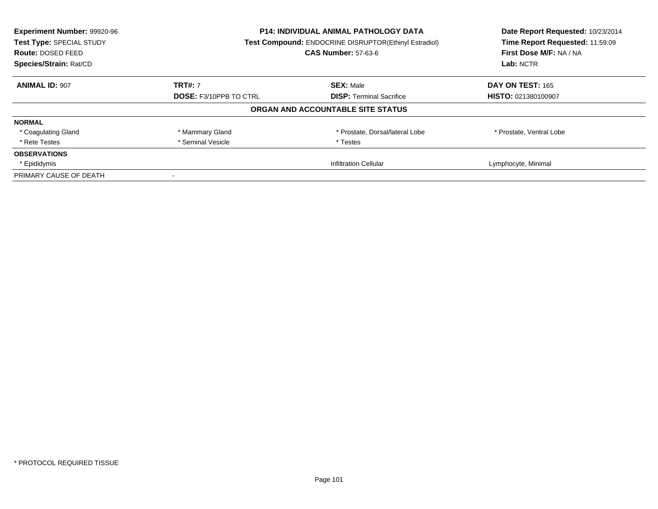| Experiment Number: 99920-96<br>Test Type: SPECIAL STUDY<br><b>Route: DOSED FEED</b><br>Species/Strain: Rat/CD | <b>P14: INDIVIDUAL ANIMAL PATHOLOGY DATA</b><br>Test Compound: ENDOCRINE DISRUPTOR(Ethinyl Estradiol)<br><b>CAS Number: 57-63-6</b> |                                   | Date Report Requested: 10/23/2014<br>Time Report Requested: 11:59:09<br>First Dose M/F: NA / NA<br>Lab: NCTR |
|---------------------------------------------------------------------------------------------------------------|-------------------------------------------------------------------------------------------------------------------------------------|-----------------------------------|--------------------------------------------------------------------------------------------------------------|
| <b>ANIMAL ID: 907</b>                                                                                         | <b>TRT#: 7</b>                                                                                                                      | <b>SEX: Male</b>                  | DAY ON TEST: 165                                                                                             |
|                                                                                                               | <b>DOSE: F3/10PPB TO CTRL</b><br><b>DISP:</b> Terminal Sacrifice                                                                    | <b>HISTO: 021380100907</b>        |                                                                                                              |
|                                                                                                               |                                                                                                                                     | ORGAN AND ACCOUNTABLE SITE STATUS |                                                                                                              |
| <b>NORMAL</b>                                                                                                 |                                                                                                                                     |                                   |                                                                                                              |
| * Coagulating Gland                                                                                           | * Mammary Gland                                                                                                                     | * Prostate, Dorsal/lateral Lobe   | * Prostate, Ventral Lobe                                                                                     |
| * Rete Testes                                                                                                 | * Seminal Vesicle                                                                                                                   | * Testes                          |                                                                                                              |
| <b>OBSERVATIONS</b>                                                                                           |                                                                                                                                     |                                   |                                                                                                              |
| * Epididymis                                                                                                  |                                                                                                                                     | <b>Infiltration Cellular</b>      | Lymphocyte, Minimal                                                                                          |
| PRIMARY CAUSE OF DEATH                                                                                        |                                                                                                                                     |                                   |                                                                                                              |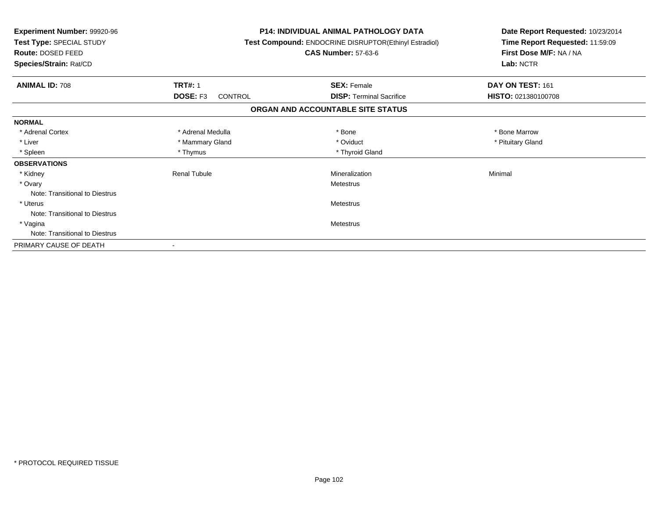| Experiment Number: 99920-96<br>Test Type: SPECIAL STUDY<br>Route: DOSED FEED<br>Species/Strain: Rat/CD |                     | <b>P14: INDIVIDUAL ANIMAL PATHOLOGY DATA</b><br>Test Compound: ENDOCRINE DISRUPTOR(Ethinyl Estradiol)<br><b>CAS Number: 57-63-6</b> | Date Report Requested: 10/23/2014<br>Time Report Requested: 11:59:09<br>First Dose M/F: NA / NA<br>Lab: NCTR |
|--------------------------------------------------------------------------------------------------------|---------------------|-------------------------------------------------------------------------------------------------------------------------------------|--------------------------------------------------------------------------------------------------------------|
| <b>ANIMAL ID: 708</b>                                                                                  | <b>TRT#: 1</b>      | <b>SEX: Female</b>                                                                                                                  | DAY ON TEST: 161                                                                                             |
|                                                                                                        | DOSE: F3<br>CONTROL | <b>DISP:</b> Terminal Sacrifice                                                                                                     | HISTO: 021380100708                                                                                          |
|                                                                                                        |                     | ORGAN AND ACCOUNTABLE SITE STATUS                                                                                                   |                                                                                                              |
| <b>NORMAL</b>                                                                                          |                     |                                                                                                                                     |                                                                                                              |
| * Adrenal Cortex                                                                                       | * Adrenal Medulla   | * Bone                                                                                                                              | * Bone Marrow                                                                                                |
| * Liver                                                                                                | * Mammary Gland     | * Oviduct                                                                                                                           | * Pituitary Gland                                                                                            |
| * Spleen                                                                                               | * Thymus            | * Thyroid Gland                                                                                                                     |                                                                                                              |
| <b>OBSERVATIONS</b>                                                                                    |                     |                                                                                                                                     |                                                                                                              |
| * Kidney                                                                                               | <b>Renal Tubule</b> | Mineralization                                                                                                                      | Minimal                                                                                                      |
| * Ovary                                                                                                |                     | Metestrus                                                                                                                           |                                                                                                              |
| Note: Transitional to Diestrus                                                                         |                     |                                                                                                                                     |                                                                                                              |
| * Uterus                                                                                               |                     | Metestrus                                                                                                                           |                                                                                                              |
| Note: Transitional to Diestrus                                                                         |                     |                                                                                                                                     |                                                                                                              |
| * Vagina                                                                                               | Metestrus           |                                                                                                                                     |                                                                                                              |
| Note: Transitional to Diestrus                                                                         |                     |                                                                                                                                     |                                                                                                              |
| PRIMARY CAUSE OF DEATH                                                                                 |                     |                                                                                                                                     |                                                                                                              |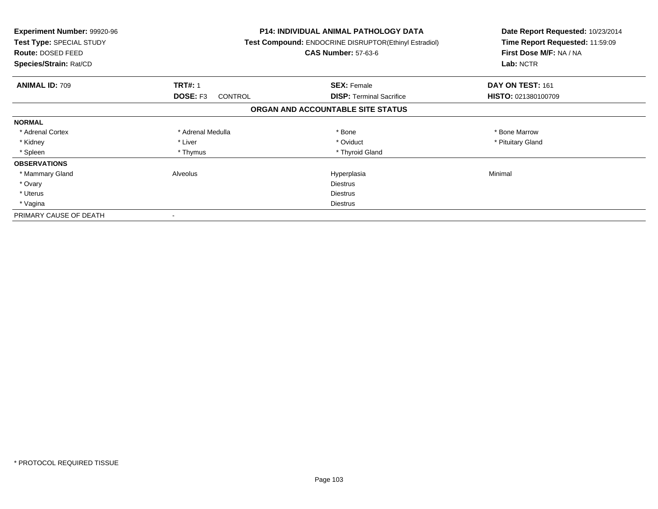| <b>Experiment Number: 99920-96</b><br>Test Type: SPECIAL STUDY<br>Route: DOSED FEED<br>Species/Strain: Rat/CD |                            | P14: INDIVIDUAL ANIMAL PATHOLOGY DATA<br>Test Compound: ENDOCRINE DISRUPTOR(Ethinyl Estradiol)<br><b>CAS Number: 57-63-6</b> | Date Report Requested: 10/23/2014<br>Time Report Requested: 11:59:09<br>First Dose M/F: NA / NA<br>Lab: NCTR |
|---------------------------------------------------------------------------------------------------------------|----------------------------|------------------------------------------------------------------------------------------------------------------------------|--------------------------------------------------------------------------------------------------------------|
| <b>ANIMAL ID: 709</b>                                                                                         | <b>TRT#: 1</b>             | <b>SEX: Female</b>                                                                                                           | DAY ON TEST: 161                                                                                             |
|                                                                                                               | <b>DOSE: F3</b><br>CONTROL | <b>DISP:</b> Terminal Sacrifice                                                                                              | <b>HISTO: 021380100709</b>                                                                                   |
|                                                                                                               |                            | ORGAN AND ACCOUNTABLE SITE STATUS                                                                                            |                                                                                                              |
| <b>NORMAL</b>                                                                                                 |                            |                                                                                                                              |                                                                                                              |
| * Adrenal Cortex                                                                                              | * Adrenal Medulla          | * Bone                                                                                                                       | * Bone Marrow                                                                                                |
| * Kidney                                                                                                      | * Liver                    | * Oviduct                                                                                                                    | * Pituitary Gland                                                                                            |
| * Spleen                                                                                                      | * Thymus                   | * Thyroid Gland                                                                                                              |                                                                                                              |
| <b>OBSERVATIONS</b>                                                                                           |                            |                                                                                                                              |                                                                                                              |
| * Mammary Gland                                                                                               | Alveolus                   | Hyperplasia                                                                                                                  | Minimal                                                                                                      |
| * Ovary                                                                                                       |                            | <b>Diestrus</b>                                                                                                              |                                                                                                              |
| * Uterus                                                                                                      |                            | Diestrus                                                                                                                     |                                                                                                              |
| * Vagina                                                                                                      |                            | Diestrus                                                                                                                     |                                                                                                              |
| PRIMARY CAUSE OF DEATH                                                                                        |                            |                                                                                                                              |                                                                                                              |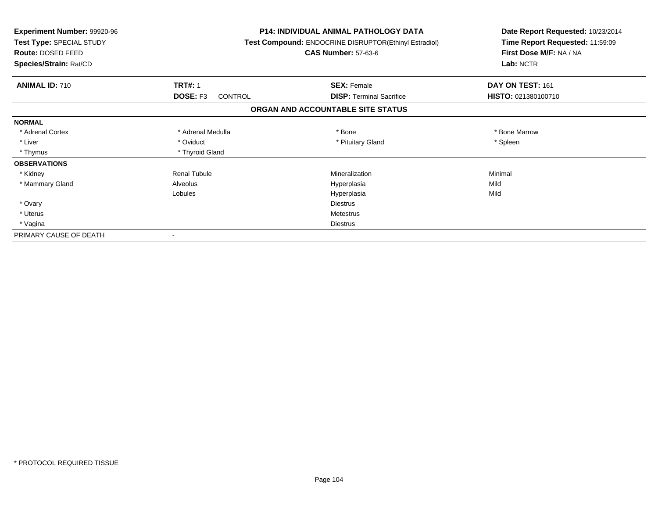| Experiment Number: 99920-96<br>Test Type: SPECIAL STUDY<br><b>Route: DOSED FEED</b><br>Species/Strain: Rat/CD |                     | <b>P14: INDIVIDUAL ANIMAL PATHOLOGY DATA</b><br>Test Compound: ENDOCRINE DISRUPTOR(Ethinyl Estradiol)<br><b>CAS Number: 57-63-6</b> | Date Report Requested: 10/23/2014<br>Time Report Requested: 11:59:09<br>First Dose M/F: NA / NA<br>Lab: NCTR |
|---------------------------------------------------------------------------------------------------------------|---------------------|-------------------------------------------------------------------------------------------------------------------------------------|--------------------------------------------------------------------------------------------------------------|
| <b>ANIMAL ID: 710</b>                                                                                         | <b>TRT#: 1</b>      | <b>SEX: Female</b>                                                                                                                  | DAY ON TEST: 161                                                                                             |
|                                                                                                               | DOSE: F3<br>CONTROL | <b>DISP:</b> Terminal Sacrifice                                                                                                     | HISTO: 021380100710                                                                                          |
|                                                                                                               |                     | ORGAN AND ACCOUNTABLE SITE STATUS                                                                                                   |                                                                                                              |
| <b>NORMAL</b>                                                                                                 |                     |                                                                                                                                     |                                                                                                              |
| * Adrenal Cortex                                                                                              | * Adrenal Medulla   | * Bone                                                                                                                              | * Bone Marrow                                                                                                |
| * Liver                                                                                                       | * Oviduct           | * Pituitary Gland                                                                                                                   | * Spleen                                                                                                     |
| * Thymus                                                                                                      | * Thyroid Gland     |                                                                                                                                     |                                                                                                              |
| <b>OBSERVATIONS</b>                                                                                           |                     |                                                                                                                                     |                                                                                                              |
| * Kidney                                                                                                      | <b>Renal Tubule</b> | Mineralization                                                                                                                      | Minimal                                                                                                      |
| * Mammary Gland                                                                                               | Alveolus            | Hyperplasia                                                                                                                         | Mild                                                                                                         |
|                                                                                                               | Lobules             | Hyperplasia                                                                                                                         | Mild                                                                                                         |
| * Ovary                                                                                                       |                     | <b>Diestrus</b>                                                                                                                     |                                                                                                              |
| * Uterus                                                                                                      |                     | Metestrus                                                                                                                           |                                                                                                              |
| * Vagina                                                                                                      |                     | <b>Diestrus</b>                                                                                                                     |                                                                                                              |
| PRIMARY CAUSE OF DEATH                                                                                        |                     |                                                                                                                                     |                                                                                                              |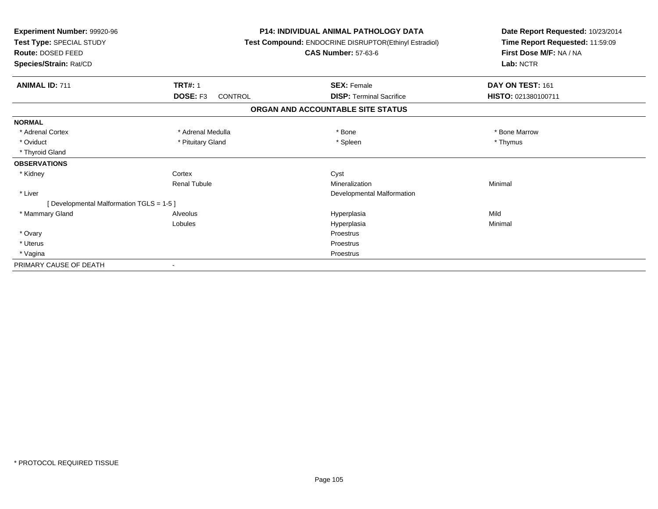| Experiment Number: 99920-96<br>Test Type: SPECIAL STUDY<br><b>Route: DOSED FEED</b><br>Species/Strain: Rat/CD |                            | <b>P14: INDIVIDUAL ANIMAL PATHOLOGY DATA</b><br>Test Compound: ENDOCRINE DISRUPTOR(Ethinyl Estradiol)<br><b>CAS Number: 57-63-6</b> | Date Report Requested: 10/23/2014<br>Time Report Requested: 11:59:09<br>First Dose M/F: NA / NA<br>Lab: NCTR |
|---------------------------------------------------------------------------------------------------------------|----------------------------|-------------------------------------------------------------------------------------------------------------------------------------|--------------------------------------------------------------------------------------------------------------|
| <b>ANIMAL ID: 711</b>                                                                                         | <b>TRT#: 1</b>             | <b>SEX: Female</b>                                                                                                                  | DAY ON TEST: 161                                                                                             |
|                                                                                                               | DOSE: F3<br><b>CONTROL</b> | <b>DISP: Terminal Sacrifice</b>                                                                                                     | HISTO: 021380100711                                                                                          |
|                                                                                                               |                            | ORGAN AND ACCOUNTABLE SITE STATUS                                                                                                   |                                                                                                              |
| <b>NORMAL</b>                                                                                                 |                            |                                                                                                                                     |                                                                                                              |
| * Adrenal Cortex                                                                                              | * Adrenal Medulla          | * Bone                                                                                                                              | * Bone Marrow                                                                                                |
| * Oviduct                                                                                                     | * Pituitary Gland          | * Spleen                                                                                                                            | * Thymus                                                                                                     |
| * Thyroid Gland                                                                                               |                            |                                                                                                                                     |                                                                                                              |
| <b>OBSERVATIONS</b>                                                                                           |                            |                                                                                                                                     |                                                                                                              |
| * Kidney                                                                                                      | Cortex                     | Cyst                                                                                                                                |                                                                                                              |
|                                                                                                               | <b>Renal Tubule</b>        | Mineralization                                                                                                                      | Minimal                                                                                                      |
| * Liver                                                                                                       |                            | Developmental Malformation                                                                                                          |                                                                                                              |
| [ Developmental Malformation TGLS = 1-5 ]                                                                     |                            |                                                                                                                                     |                                                                                                              |
| * Mammary Gland                                                                                               | Alveolus                   | Hyperplasia                                                                                                                         | Mild                                                                                                         |
|                                                                                                               | Lobules                    | Hyperplasia                                                                                                                         | Minimal                                                                                                      |
| * Ovary                                                                                                       |                            | Proestrus                                                                                                                           |                                                                                                              |
| * Uterus                                                                                                      |                            | Proestrus                                                                                                                           |                                                                                                              |
| * Vagina                                                                                                      |                            | Proestrus                                                                                                                           |                                                                                                              |
| PRIMARY CAUSE OF DEATH                                                                                        |                            |                                                                                                                                     |                                                                                                              |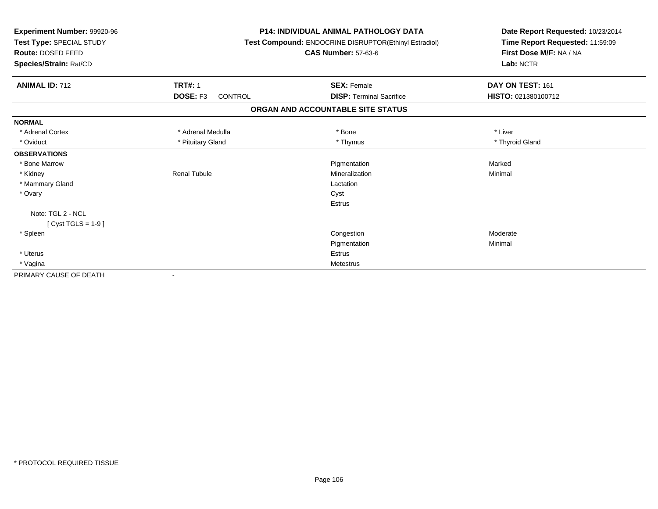| Experiment Number: 99920-96<br>Test Type: SPECIAL STUDY<br><b>Route: DOSED FEED</b><br>Species/Strain: Rat/CD |                            | <b>P14: INDIVIDUAL ANIMAL PATHOLOGY DATA</b><br>Test Compound: ENDOCRINE DISRUPTOR(Ethinyl Estradiol)<br><b>CAS Number: 57-63-6</b> | Date Report Requested: 10/23/2014<br>Time Report Requested: 11:59:09<br>First Dose M/F: NA / NA<br>Lab: NCTR |
|---------------------------------------------------------------------------------------------------------------|----------------------------|-------------------------------------------------------------------------------------------------------------------------------------|--------------------------------------------------------------------------------------------------------------|
| <b>ANIMAL ID: 712</b>                                                                                         | <b>TRT#: 1</b>             | <b>SEX: Female</b>                                                                                                                  | DAY ON TEST: 161                                                                                             |
|                                                                                                               | DOSE: F3<br><b>CONTROL</b> | <b>DISP: Terminal Sacrifice</b>                                                                                                     | HISTO: 021380100712                                                                                          |
|                                                                                                               |                            | ORGAN AND ACCOUNTABLE SITE STATUS                                                                                                   |                                                                                                              |
| <b>NORMAL</b>                                                                                                 |                            |                                                                                                                                     |                                                                                                              |
| * Adrenal Cortex                                                                                              | * Adrenal Medulla          | * Bone                                                                                                                              | * Liver                                                                                                      |
| * Oviduct                                                                                                     | * Pituitary Gland          | * Thymus                                                                                                                            | * Thyroid Gland                                                                                              |
| <b>OBSERVATIONS</b>                                                                                           |                            |                                                                                                                                     |                                                                                                              |
| * Bone Marrow                                                                                                 |                            | Pigmentation                                                                                                                        | Marked                                                                                                       |
| * Kidney                                                                                                      | <b>Renal Tubule</b>        | Mineralization                                                                                                                      | Minimal                                                                                                      |
| * Mammary Gland                                                                                               |                            | Lactation                                                                                                                           |                                                                                                              |
| * Ovary                                                                                                       |                            | Cyst                                                                                                                                |                                                                                                              |
|                                                                                                               |                            | Estrus                                                                                                                              |                                                                                                              |
| Note: TGL 2 - NCL                                                                                             |                            |                                                                                                                                     |                                                                                                              |
| [Cyst TGLS = $1-9$ ]                                                                                          |                            |                                                                                                                                     |                                                                                                              |
| * Spleen                                                                                                      |                            | Congestion                                                                                                                          | Moderate                                                                                                     |
|                                                                                                               |                            | Pigmentation                                                                                                                        | Minimal                                                                                                      |
| * Uterus                                                                                                      |                            | <b>Estrus</b>                                                                                                                       |                                                                                                              |
| * Vagina                                                                                                      |                            | Metestrus                                                                                                                           |                                                                                                              |
| PRIMARY CAUSE OF DEATH                                                                                        |                            |                                                                                                                                     |                                                                                                              |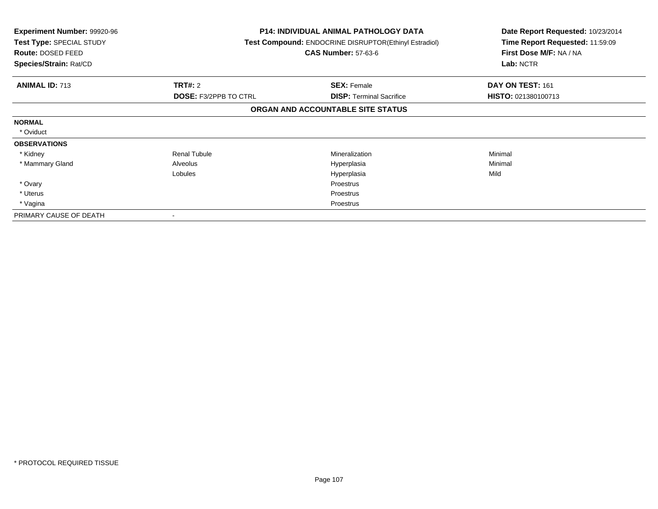| <b>Experiment Number: 99920-96</b><br>Test Type: SPECIAL STUDY<br><b>Route: DOSED FEED</b><br>Species/Strain: Rat/CD |                              | <b>P14: INDIVIDUAL ANIMAL PATHOLOGY DATA</b><br>Test Compound: ENDOCRINE DISRUPTOR(Ethinyl Estradiol)<br><b>CAS Number: 57-63-6</b> | Date Report Requested: 10/23/2014<br>Time Report Requested: 11:59:09<br>First Dose M/F: NA / NA<br>Lab: NCTR |
|----------------------------------------------------------------------------------------------------------------------|------------------------------|-------------------------------------------------------------------------------------------------------------------------------------|--------------------------------------------------------------------------------------------------------------|
| <b>ANIMAL ID: 713</b>                                                                                                | <b>TRT#: 2</b>               | <b>SEX: Female</b>                                                                                                                  | DAY ON TEST: 161                                                                                             |
|                                                                                                                      | <b>DOSE: F3/2PPB TO CTRL</b> | <b>DISP:</b> Terminal Sacrifice                                                                                                     | <b>HISTO: 021380100713</b>                                                                                   |
|                                                                                                                      |                              | ORGAN AND ACCOUNTABLE SITE STATUS                                                                                                   |                                                                                                              |
| <b>NORMAL</b>                                                                                                        |                              |                                                                                                                                     |                                                                                                              |
| * Oviduct                                                                                                            |                              |                                                                                                                                     |                                                                                                              |
| <b>OBSERVATIONS</b>                                                                                                  |                              |                                                                                                                                     |                                                                                                              |
| * Kidney                                                                                                             | <b>Renal Tubule</b>          | <b>Mineralization</b>                                                                                                               | Minimal                                                                                                      |
| * Mammary Gland                                                                                                      | Alveolus                     | Hyperplasia                                                                                                                         | Minimal                                                                                                      |
|                                                                                                                      | Lobules                      | Hyperplasia                                                                                                                         | Mild                                                                                                         |
| * Ovary                                                                                                              |                              | <b>Proestrus</b>                                                                                                                    |                                                                                                              |
| * Uterus                                                                                                             |                              | Proestrus                                                                                                                           |                                                                                                              |
| * Vagina                                                                                                             |                              | Proestrus                                                                                                                           |                                                                                                              |
| PRIMARY CAUSE OF DEATH                                                                                               |                              |                                                                                                                                     |                                                                                                              |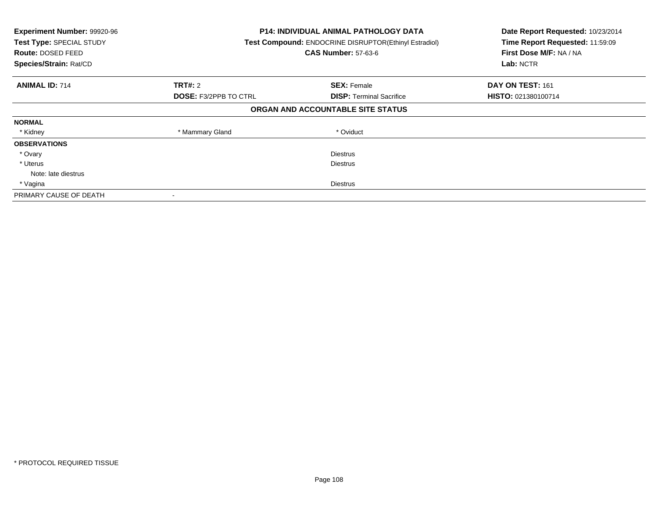| Experiment Number: 99920-96<br>Test Type: SPECIAL STUDY<br>Route: DOSED FEED<br>Species/Strain: Rat/CD | <b>P14: INDIVIDUAL ANIMAL PATHOLOGY DATA</b><br>Test Compound: ENDOCRINE DISRUPTOR(Ethinyl Estradiol)<br><b>CAS Number: 57-63-6</b> |                                   | Date Report Requested: 10/23/2014<br>Time Report Requested: 11:59:09<br>First Dose M/F: NA / NA<br>Lab: NCTR |
|--------------------------------------------------------------------------------------------------------|-------------------------------------------------------------------------------------------------------------------------------------|-----------------------------------|--------------------------------------------------------------------------------------------------------------|
| <b>ANIMAL ID: 714</b>                                                                                  | <b>TRT#: 2</b>                                                                                                                      | <b>SEX: Female</b>                | DAY ON TEST: 161                                                                                             |
|                                                                                                        | <b>DOSE: F3/2PPB TO CTRL</b>                                                                                                        | <b>DISP:</b> Terminal Sacrifice   | HISTO: 021380100714                                                                                          |
|                                                                                                        |                                                                                                                                     | ORGAN AND ACCOUNTABLE SITE STATUS |                                                                                                              |
| <b>NORMAL</b>                                                                                          |                                                                                                                                     |                                   |                                                                                                              |
| * Kidney                                                                                               | * Mammary Gland                                                                                                                     | * Oviduct                         |                                                                                                              |
| <b>OBSERVATIONS</b>                                                                                    |                                                                                                                                     |                                   |                                                                                                              |
| * Ovary                                                                                                |                                                                                                                                     | <b>Diestrus</b>                   |                                                                                                              |
| * Uterus                                                                                               |                                                                                                                                     | <b>Diestrus</b>                   |                                                                                                              |
| Note: late diestrus                                                                                    |                                                                                                                                     |                                   |                                                                                                              |
| * Vagina                                                                                               |                                                                                                                                     | <b>Diestrus</b>                   |                                                                                                              |
| PRIMARY CAUSE OF DEATH                                                                                 |                                                                                                                                     |                                   |                                                                                                              |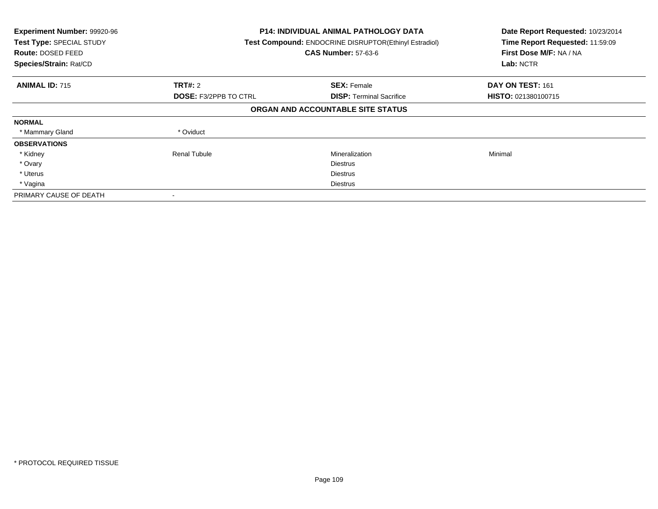| Experiment Number: 99920-96<br>Test Type: SPECIAL STUDY<br><b>Route: DOSED FEED</b><br>Species/Strain: Rat/CD |                              | <b>P14: INDIVIDUAL ANIMAL PATHOLOGY DATA</b><br>Test Compound: ENDOCRINE DISRUPTOR(Ethinyl Estradiol)<br><b>CAS Number: 57-63-6</b> | Date Report Requested: 10/23/2014<br>Time Report Requested: 11:59:09<br>First Dose M/F: NA / NA<br>Lab: NCTR |
|---------------------------------------------------------------------------------------------------------------|------------------------------|-------------------------------------------------------------------------------------------------------------------------------------|--------------------------------------------------------------------------------------------------------------|
| <b>ANIMAL ID: 715</b>                                                                                         | TRT#: 2                      | <b>SEX: Female</b>                                                                                                                  | DAY ON TEST: 161                                                                                             |
|                                                                                                               | <b>DOSE: F3/2PPB TO CTRL</b> | <b>DISP:</b> Terminal Sacrifice                                                                                                     | <b>HISTO: 021380100715</b>                                                                                   |
|                                                                                                               |                              | ORGAN AND ACCOUNTABLE SITE STATUS                                                                                                   |                                                                                                              |
| <b>NORMAL</b>                                                                                                 |                              |                                                                                                                                     |                                                                                                              |
| * Mammary Gland                                                                                               | * Oviduct                    |                                                                                                                                     |                                                                                                              |
| <b>OBSERVATIONS</b>                                                                                           |                              |                                                                                                                                     |                                                                                                              |
| * Kidney                                                                                                      | <b>Renal Tubule</b>          | Mineralization                                                                                                                      | Minimal                                                                                                      |
| * Ovary                                                                                                       |                              | <b>Diestrus</b>                                                                                                                     |                                                                                                              |
| * Uterus                                                                                                      |                              | <b>Diestrus</b>                                                                                                                     |                                                                                                              |
| * Vagina                                                                                                      |                              | Diestrus                                                                                                                            |                                                                                                              |
| PRIMARY CAUSE OF DEATH                                                                                        |                              |                                                                                                                                     |                                                                                                              |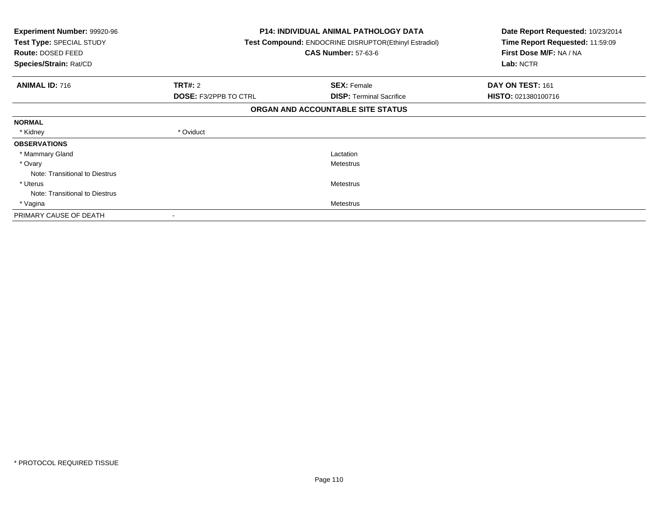| <b>Experiment Number: 99920-96</b><br>Test Type: SPECIAL STUDY<br>Route: DOSED FEED<br>Species/Strain: Rat/CD |                              | <b>P14: INDIVIDUAL ANIMAL PATHOLOGY DATA</b><br><b>Test Compound: ENDOCRINE DISRUPTOR (Ethinyl Estradiol)</b><br><b>CAS Number: 57-63-6</b> | Date Report Requested: 10/23/2014<br>Time Report Requested: 11:59:09<br>First Dose M/F: NA / NA<br>Lab: NCTR |
|---------------------------------------------------------------------------------------------------------------|------------------------------|---------------------------------------------------------------------------------------------------------------------------------------------|--------------------------------------------------------------------------------------------------------------|
| <b>ANIMAL ID: 716</b>                                                                                         | <b>TRT#: 2</b>               | <b>SEX: Female</b>                                                                                                                          | DAY ON TEST: 161                                                                                             |
|                                                                                                               | <b>DOSE: F3/2PPB TO CTRL</b> | <b>DISP:</b> Terminal Sacrifice                                                                                                             | HISTO: 021380100716                                                                                          |
|                                                                                                               |                              | ORGAN AND ACCOUNTABLE SITE STATUS                                                                                                           |                                                                                                              |
| <b>NORMAL</b>                                                                                                 |                              |                                                                                                                                             |                                                                                                              |
| * Kidney                                                                                                      | * Oviduct                    |                                                                                                                                             |                                                                                                              |
| <b>OBSERVATIONS</b>                                                                                           |                              |                                                                                                                                             |                                                                                                              |
| * Mammary Gland                                                                                               |                              | Lactation                                                                                                                                   |                                                                                                              |
| * Ovary                                                                                                       |                              | Metestrus                                                                                                                                   |                                                                                                              |
| Note: Transitional to Diestrus                                                                                |                              |                                                                                                                                             |                                                                                                              |
| * Uterus                                                                                                      |                              | <b>Metestrus</b>                                                                                                                            |                                                                                                              |
| Note: Transitional to Diestrus                                                                                |                              |                                                                                                                                             |                                                                                                              |
| * Vagina                                                                                                      |                              | <b>Metestrus</b>                                                                                                                            |                                                                                                              |
| PRIMARY CAUSE OF DEATH                                                                                        |                              |                                                                                                                                             |                                                                                                              |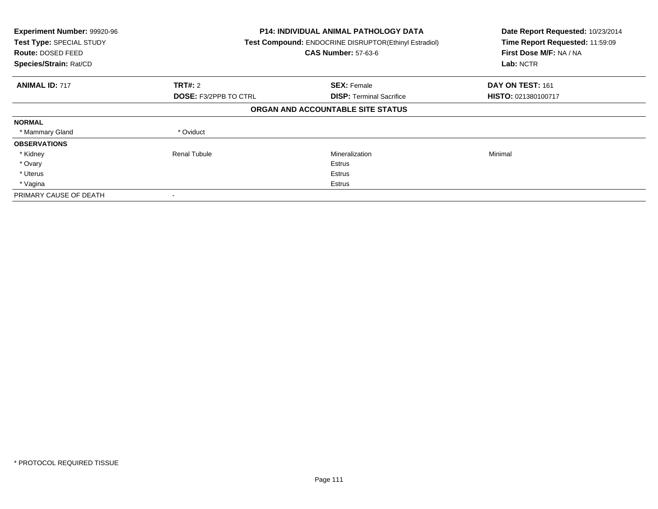| Experiment Number: 99920-96<br>Test Type: SPECIAL STUDY<br><b>Route: DOSED FEED</b><br>Species/Strain: Rat/CD |                              | <b>P14: INDIVIDUAL ANIMAL PATHOLOGY DATA</b><br>Test Compound: ENDOCRINE DISRUPTOR(Ethinyl Estradiol)<br><b>CAS Number: 57-63-6</b> | Date Report Requested: 10/23/2014<br>Time Report Requested: 11:59:09<br>First Dose M/F: NA / NA<br>Lab: NCTR |
|---------------------------------------------------------------------------------------------------------------|------------------------------|-------------------------------------------------------------------------------------------------------------------------------------|--------------------------------------------------------------------------------------------------------------|
| <b>ANIMAL ID: 717</b>                                                                                         | TRT#: 2                      | <b>SEX: Female</b>                                                                                                                  | DAY ON TEST: 161                                                                                             |
|                                                                                                               | <b>DOSE: F3/2PPB TO CTRL</b> | <b>DISP:</b> Terminal Sacrifice                                                                                                     | <b>HISTO: 021380100717</b>                                                                                   |
|                                                                                                               |                              | ORGAN AND ACCOUNTABLE SITE STATUS                                                                                                   |                                                                                                              |
| <b>NORMAL</b>                                                                                                 |                              |                                                                                                                                     |                                                                                                              |
| * Mammary Gland                                                                                               | * Oviduct                    |                                                                                                                                     |                                                                                                              |
| <b>OBSERVATIONS</b>                                                                                           |                              |                                                                                                                                     |                                                                                                              |
| * Kidney                                                                                                      | <b>Renal Tubule</b>          | Mineralization                                                                                                                      | Minimal                                                                                                      |
| * Ovary                                                                                                       |                              | Estrus                                                                                                                              |                                                                                                              |
| * Uterus                                                                                                      |                              | Estrus                                                                                                                              |                                                                                                              |
| * Vagina                                                                                                      |                              | Estrus                                                                                                                              |                                                                                                              |
| PRIMARY CAUSE OF DEATH                                                                                        |                              |                                                                                                                                     |                                                                                                              |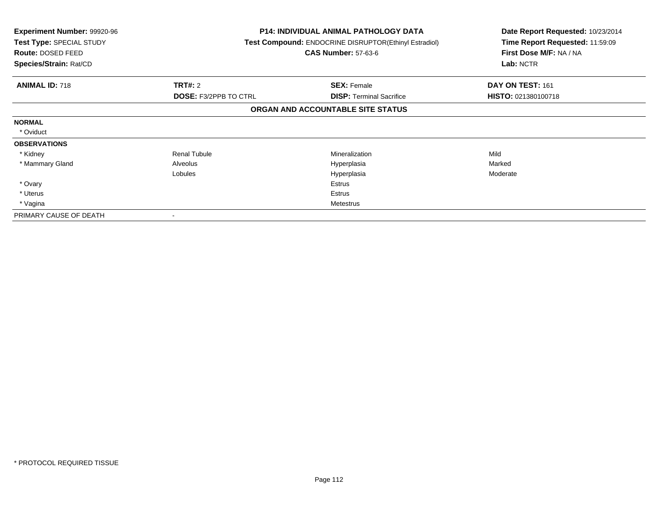| <b>Experiment Number: 99920-96</b><br>Test Type: SPECIAL STUDY<br>Route: DOSED FEED<br>Species/Strain: Rat/CD |                              | <b>P14: INDIVIDUAL ANIMAL PATHOLOGY DATA</b><br>Test Compound: ENDOCRINE DISRUPTOR(Ethinyl Estradiol)<br><b>CAS Number: 57-63-6</b> | Date Report Requested: 10/23/2014<br>Time Report Requested: 11:59:09<br>First Dose M/F: NA / NA<br>Lab: NCTR |
|---------------------------------------------------------------------------------------------------------------|------------------------------|-------------------------------------------------------------------------------------------------------------------------------------|--------------------------------------------------------------------------------------------------------------|
| <b>ANIMAL ID: 718</b>                                                                                         | <b>TRT#: 2</b>               | <b>SEX: Female</b>                                                                                                                  | DAY ON TEST: 161                                                                                             |
|                                                                                                               | <b>DOSE: F3/2PPB TO CTRL</b> | <b>DISP:</b> Terminal Sacrifice                                                                                                     | HISTO: 021380100718                                                                                          |
|                                                                                                               |                              | ORGAN AND ACCOUNTABLE SITE STATUS                                                                                                   |                                                                                                              |
| <b>NORMAL</b>                                                                                                 |                              |                                                                                                                                     |                                                                                                              |
| * Oviduct                                                                                                     |                              |                                                                                                                                     |                                                                                                              |
| <b>OBSERVATIONS</b>                                                                                           |                              |                                                                                                                                     |                                                                                                              |
| * Kidney                                                                                                      | <b>Renal Tubule</b>          | <b>Mineralization</b>                                                                                                               | Mild                                                                                                         |
| * Mammary Gland                                                                                               | Alveolus                     | Hyperplasia                                                                                                                         | Marked                                                                                                       |
|                                                                                                               | Lobules                      | Hyperplasia                                                                                                                         | Moderate                                                                                                     |
| * Ovary                                                                                                       |                              | Estrus                                                                                                                              |                                                                                                              |
| * Uterus                                                                                                      |                              | Estrus                                                                                                                              |                                                                                                              |
| * Vagina                                                                                                      |                              | Metestrus                                                                                                                           |                                                                                                              |
| PRIMARY CAUSE OF DEATH                                                                                        |                              |                                                                                                                                     |                                                                                                              |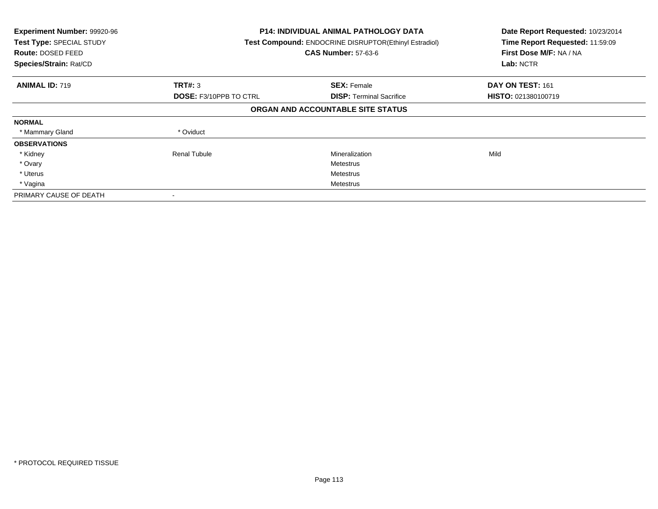| Experiment Number: 99920-96<br>Test Type: SPECIAL STUDY<br><b>Route: DOSED FEED</b><br>Species/Strain: Rat/CD |                               | <b>P14: INDIVIDUAL ANIMAL PATHOLOGY DATA</b><br>Test Compound: ENDOCRINE DISRUPTOR(Ethinyl Estradiol)<br><b>CAS Number: 57-63-6</b> | Date Report Requested: 10/23/2014<br>Time Report Requested: 11:59:09<br>First Dose M/F: NA / NA<br>Lab: NCTR |
|---------------------------------------------------------------------------------------------------------------|-------------------------------|-------------------------------------------------------------------------------------------------------------------------------------|--------------------------------------------------------------------------------------------------------------|
| <b>ANIMAL ID: 719</b>                                                                                         | TRT#: 3                       | <b>SEX: Female</b>                                                                                                                  | DAY ON TEST: 161                                                                                             |
|                                                                                                               | <b>DOSE: F3/10PPB TO CTRL</b> | <b>DISP:</b> Terminal Sacrifice                                                                                                     | HISTO: 021380100719                                                                                          |
|                                                                                                               |                               | ORGAN AND ACCOUNTABLE SITE STATUS                                                                                                   |                                                                                                              |
| <b>NORMAL</b>                                                                                                 |                               |                                                                                                                                     |                                                                                                              |
| * Mammary Gland                                                                                               | * Oviduct                     |                                                                                                                                     |                                                                                                              |
| <b>OBSERVATIONS</b>                                                                                           |                               |                                                                                                                                     |                                                                                                              |
| * Kidney                                                                                                      | <b>Renal Tubule</b>           | Mineralization                                                                                                                      | Mild                                                                                                         |
| * Ovary                                                                                                       |                               | Metestrus                                                                                                                           |                                                                                                              |
| * Uterus                                                                                                      |                               | Metestrus                                                                                                                           |                                                                                                              |
| * Vagina                                                                                                      |                               | Metestrus                                                                                                                           |                                                                                                              |
| PRIMARY CAUSE OF DEATH                                                                                        |                               |                                                                                                                                     |                                                                                                              |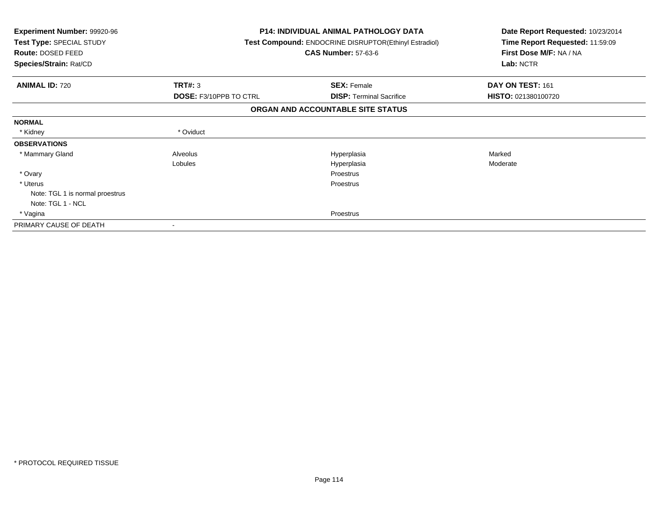| Experiment Number: 99920-96<br>Test Type: SPECIAL STUDY<br>Route: DOSED FEED<br>Species/Strain: Rat/CD |                               | <b>P14: INDIVIDUAL ANIMAL PATHOLOGY DATA</b><br>Test Compound: ENDOCRINE DISRUPTOR(Ethinyl Estradiol)<br><b>CAS Number: 57-63-6</b> | Date Report Requested: 10/23/2014<br>Time Report Requested: 11:59:09<br>First Dose M/F: NA / NA<br>Lab: NCTR |
|--------------------------------------------------------------------------------------------------------|-------------------------------|-------------------------------------------------------------------------------------------------------------------------------------|--------------------------------------------------------------------------------------------------------------|
| <b>ANIMAL ID: 720</b>                                                                                  | TRT#: 3                       | <b>SEX: Female</b>                                                                                                                  | DAY ON TEST: 161                                                                                             |
|                                                                                                        | <b>DOSE: F3/10PPB TO CTRL</b> | <b>DISP:</b> Terminal Sacrifice                                                                                                     | HISTO: 021380100720                                                                                          |
|                                                                                                        |                               | ORGAN AND ACCOUNTABLE SITE STATUS                                                                                                   |                                                                                                              |
| <b>NORMAL</b>                                                                                          |                               |                                                                                                                                     |                                                                                                              |
| * Kidney                                                                                               | * Oviduct                     |                                                                                                                                     |                                                                                                              |
| <b>OBSERVATIONS</b>                                                                                    |                               |                                                                                                                                     |                                                                                                              |
| * Mammary Gland                                                                                        | Alveolus                      | Hyperplasia                                                                                                                         | Marked                                                                                                       |
|                                                                                                        | Lobules                       | Hyperplasia                                                                                                                         | Moderate                                                                                                     |
| * Ovary                                                                                                |                               | Proestrus                                                                                                                           |                                                                                                              |
| * Uterus                                                                                               |                               | Proestrus                                                                                                                           |                                                                                                              |
| Note: TGL 1 is normal proestrus                                                                        |                               |                                                                                                                                     |                                                                                                              |
| Note: TGL 1 - NCL                                                                                      |                               |                                                                                                                                     |                                                                                                              |
| * Vagina                                                                                               |                               | Proestrus                                                                                                                           |                                                                                                              |
| PRIMARY CAUSE OF DEATH                                                                                 |                               |                                                                                                                                     |                                                                                                              |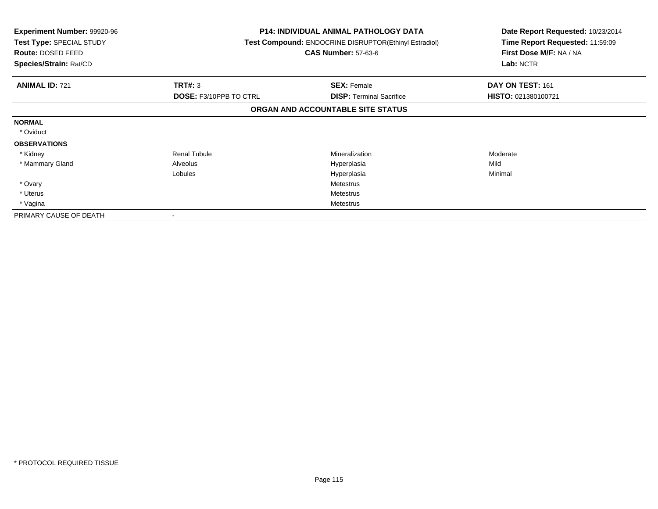| <b>Experiment Number: 99920-96</b><br>Test Type: SPECIAL STUDY<br>Route: DOSED FEED<br>Species/Strain: Rat/CD |                               | <b>P14: INDIVIDUAL ANIMAL PATHOLOGY DATA</b><br>Test Compound: ENDOCRINE DISRUPTOR(Ethinyl Estradiol)<br><b>CAS Number: 57-63-6</b> | Date Report Requested: 10/23/2014<br>Time Report Requested: 11:59:09<br>First Dose M/F: NA / NA<br>Lab: NCTR |
|---------------------------------------------------------------------------------------------------------------|-------------------------------|-------------------------------------------------------------------------------------------------------------------------------------|--------------------------------------------------------------------------------------------------------------|
| <b>ANIMAL ID: 721</b>                                                                                         | <b>TRT#: 3</b>                | <b>SEX: Female</b>                                                                                                                  | DAY ON TEST: 161                                                                                             |
|                                                                                                               | <b>DOSE: F3/10PPB TO CTRL</b> | <b>DISP:</b> Terminal Sacrifice                                                                                                     | HISTO: 021380100721                                                                                          |
|                                                                                                               |                               | ORGAN AND ACCOUNTABLE SITE STATUS                                                                                                   |                                                                                                              |
| <b>NORMAL</b>                                                                                                 |                               |                                                                                                                                     |                                                                                                              |
| * Oviduct                                                                                                     |                               |                                                                                                                                     |                                                                                                              |
| <b>OBSERVATIONS</b>                                                                                           |                               |                                                                                                                                     |                                                                                                              |
| * Kidney                                                                                                      | <b>Renal Tubule</b>           | <b>Mineralization</b>                                                                                                               | Moderate                                                                                                     |
| * Mammary Gland                                                                                               | Alveolus                      | Hyperplasia                                                                                                                         | Mild                                                                                                         |
|                                                                                                               | Lobules                       | Hyperplasia                                                                                                                         | Minimal                                                                                                      |
| * Ovary                                                                                                       |                               | <b>Metestrus</b>                                                                                                                    |                                                                                                              |
| * Uterus                                                                                                      |                               | <b>Metestrus</b>                                                                                                                    |                                                                                                              |
| * Vagina                                                                                                      |                               | Metestrus                                                                                                                           |                                                                                                              |
| PRIMARY CAUSE OF DEATH                                                                                        |                               |                                                                                                                                     |                                                                                                              |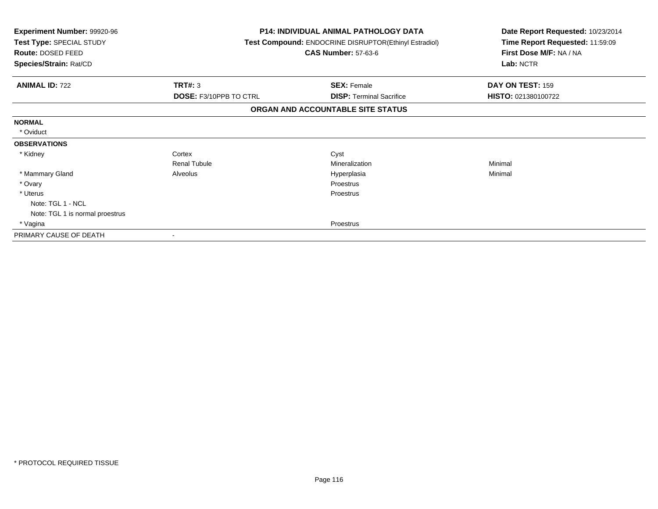| <b>Experiment Number: 99920-96</b><br>Test Type: SPECIAL STUDY<br>Route: DOSED FEED |                               | <b>P14: INDIVIDUAL ANIMAL PATHOLOGY DATA</b><br>Test Compound: ENDOCRINE DISRUPTOR(Ethinyl Estradiol)<br><b>CAS Number: 57-63-6</b> | Date Report Requested: 10/23/2014<br>Time Report Requested: 11:59:09<br>First Dose M/F: NA / NA |  |
|-------------------------------------------------------------------------------------|-------------------------------|-------------------------------------------------------------------------------------------------------------------------------------|-------------------------------------------------------------------------------------------------|--|
| Species/Strain: Rat/CD                                                              |                               |                                                                                                                                     | Lab: NCTR                                                                                       |  |
| <b>ANIMAL ID: 722</b>                                                               | <b>TRT#: 3</b>                | <b>SEX: Female</b>                                                                                                                  | DAY ON TEST: 159                                                                                |  |
|                                                                                     | <b>DOSE: F3/10PPB TO CTRL</b> | <b>DISP: Terminal Sacrifice</b>                                                                                                     | HISTO: 021380100722                                                                             |  |
|                                                                                     |                               | ORGAN AND ACCOUNTABLE SITE STATUS                                                                                                   |                                                                                                 |  |
| <b>NORMAL</b>                                                                       |                               |                                                                                                                                     |                                                                                                 |  |
| * Oviduct                                                                           |                               |                                                                                                                                     |                                                                                                 |  |
| <b>OBSERVATIONS</b>                                                                 |                               |                                                                                                                                     |                                                                                                 |  |
| * Kidney                                                                            | Cortex                        | Cyst                                                                                                                                |                                                                                                 |  |
|                                                                                     | <b>Renal Tubule</b>           | Mineralization                                                                                                                      | Minimal                                                                                         |  |
| * Mammary Gland                                                                     | Alveolus                      | Hyperplasia                                                                                                                         | Minimal                                                                                         |  |
| * Ovary                                                                             |                               | Proestrus                                                                                                                           |                                                                                                 |  |
| * Uterus                                                                            |                               | Proestrus                                                                                                                           |                                                                                                 |  |
| Note: TGL 1 - NCL                                                                   |                               |                                                                                                                                     |                                                                                                 |  |
| Note: TGL 1 is normal proestrus                                                     |                               |                                                                                                                                     |                                                                                                 |  |
| * Vagina                                                                            |                               | Proestrus                                                                                                                           |                                                                                                 |  |
| PRIMARY CAUSE OF DEATH                                                              |                               |                                                                                                                                     |                                                                                                 |  |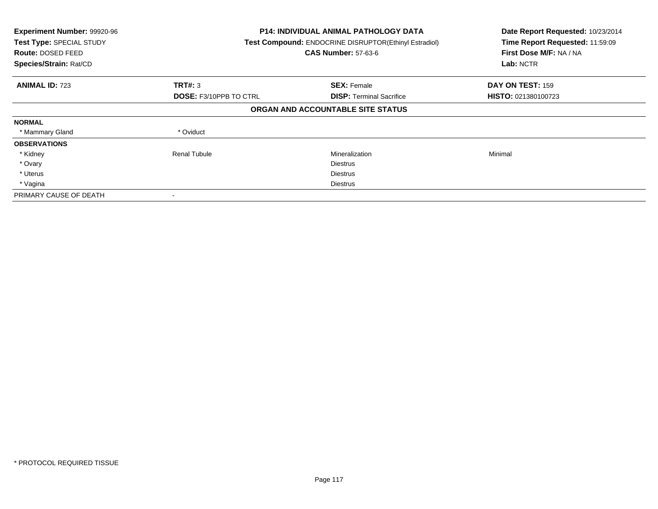| Experiment Number: 99920-96<br>Test Type: SPECIAL STUDY<br><b>Route: DOSED FEED</b><br>Species/Strain: Rat/CD |                               | <b>P14: INDIVIDUAL ANIMAL PATHOLOGY DATA</b><br>Test Compound: ENDOCRINE DISRUPTOR(Ethinyl Estradiol)<br><b>CAS Number: 57-63-6</b> | Date Report Requested: 10/23/2014<br>Time Report Requested: 11:59:09<br>First Dose M/F: NA / NA<br>Lab: NCTR |
|---------------------------------------------------------------------------------------------------------------|-------------------------------|-------------------------------------------------------------------------------------------------------------------------------------|--------------------------------------------------------------------------------------------------------------|
| <b>ANIMAL ID: 723</b>                                                                                         | TRT#: 3                       | <b>SEX: Female</b>                                                                                                                  | DAY ON TEST: 159                                                                                             |
|                                                                                                               | <b>DOSE: F3/10PPB TO CTRL</b> | <b>DISP:</b> Terminal Sacrifice                                                                                                     | <b>HISTO: 021380100723</b>                                                                                   |
|                                                                                                               |                               | ORGAN AND ACCOUNTABLE SITE STATUS                                                                                                   |                                                                                                              |
| <b>NORMAL</b>                                                                                                 |                               |                                                                                                                                     |                                                                                                              |
| * Mammary Gland                                                                                               | * Oviduct                     |                                                                                                                                     |                                                                                                              |
| <b>OBSERVATIONS</b>                                                                                           |                               |                                                                                                                                     |                                                                                                              |
| * Kidney                                                                                                      | <b>Renal Tubule</b>           | Mineralization                                                                                                                      | Minimal                                                                                                      |
| * Ovary                                                                                                       |                               | <b>Diestrus</b>                                                                                                                     |                                                                                                              |
| * Uterus                                                                                                      |                               | <b>Diestrus</b>                                                                                                                     |                                                                                                              |
| * Vagina                                                                                                      |                               | Diestrus                                                                                                                            |                                                                                                              |
| PRIMARY CAUSE OF DEATH                                                                                        |                               |                                                                                                                                     |                                                                                                              |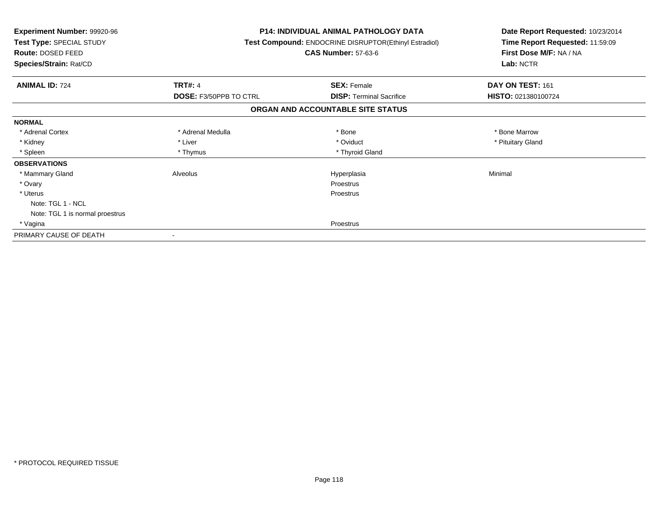| <b>Experiment Number: 99920-96</b><br>Test Type: SPECIAL STUDY<br><b>Route: DOSED FEED</b><br>Species/Strain: Rat/CD |                               | <b>P14: INDIVIDUAL ANIMAL PATHOLOGY DATA</b><br>Test Compound: ENDOCRINE DISRUPTOR(Ethinyl Estradiol)<br><b>CAS Number: 57-63-6</b> | Date Report Requested: 10/23/2014<br>Time Report Requested: 11:59:09<br>First Dose M/F: NA / NA<br>Lab: NCTR |  |
|----------------------------------------------------------------------------------------------------------------------|-------------------------------|-------------------------------------------------------------------------------------------------------------------------------------|--------------------------------------------------------------------------------------------------------------|--|
|                                                                                                                      |                               |                                                                                                                                     |                                                                                                              |  |
| <b>ANIMAL ID: 724</b>                                                                                                | <b>TRT#: 4</b>                | <b>SEX: Female</b>                                                                                                                  | DAY ON TEST: 161                                                                                             |  |
|                                                                                                                      | <b>DOSE: F3/50PPB TO CTRL</b> | <b>DISP:</b> Terminal Sacrifice                                                                                                     | HISTO: 021380100724                                                                                          |  |
|                                                                                                                      |                               | ORGAN AND ACCOUNTABLE SITE STATUS                                                                                                   |                                                                                                              |  |
| <b>NORMAL</b>                                                                                                        |                               |                                                                                                                                     |                                                                                                              |  |
| * Adrenal Cortex                                                                                                     | * Adrenal Medulla             | * Bone                                                                                                                              | * Bone Marrow                                                                                                |  |
| * Kidney                                                                                                             | * Liver                       | * Oviduct                                                                                                                           | * Pituitary Gland                                                                                            |  |
| * Spleen                                                                                                             | * Thymus                      | * Thyroid Gland                                                                                                                     |                                                                                                              |  |
| <b>OBSERVATIONS</b>                                                                                                  |                               |                                                                                                                                     |                                                                                                              |  |
| * Mammary Gland                                                                                                      | Alveolus                      | Hyperplasia                                                                                                                         | Minimal                                                                                                      |  |
| * Ovary                                                                                                              |                               | Proestrus                                                                                                                           |                                                                                                              |  |
| * Uterus                                                                                                             |                               | <b>Proestrus</b>                                                                                                                    |                                                                                                              |  |
| Note: TGL 1 - NCL                                                                                                    |                               |                                                                                                                                     |                                                                                                              |  |
| Note: TGL 1 is normal proestrus                                                                                      |                               |                                                                                                                                     |                                                                                                              |  |
| * Vagina                                                                                                             |                               | Proestrus                                                                                                                           |                                                                                                              |  |
| PRIMARY CAUSE OF DEATH                                                                                               |                               |                                                                                                                                     |                                                                                                              |  |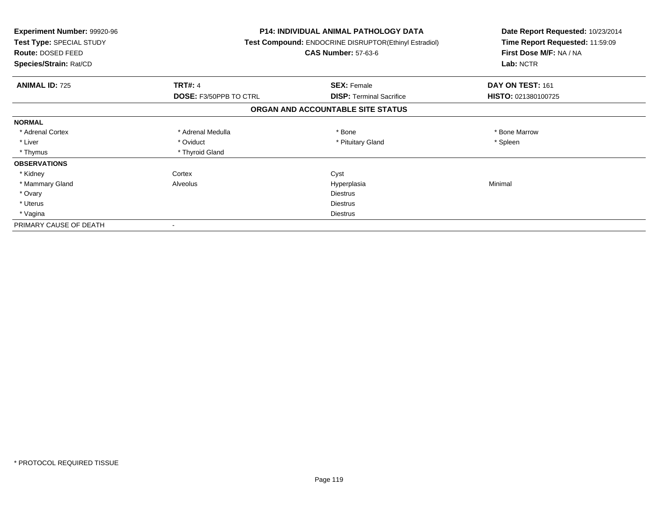| <b>Experiment Number: 99920-96</b><br>Test Type: SPECIAL STUDY<br><b>Route: DOSED FEED</b><br>Species/Strain: Rat/CD |                               | <b>P14: INDIVIDUAL ANIMAL PATHOLOGY DATA</b><br>Test Compound: ENDOCRINE DISRUPTOR(Ethinyl Estradiol)<br><b>CAS Number: 57-63-6</b> | Date Report Requested: 10/23/2014<br>Time Report Requested: 11:59:09<br>First Dose M/F: NA / NA<br>Lab: NCTR |
|----------------------------------------------------------------------------------------------------------------------|-------------------------------|-------------------------------------------------------------------------------------------------------------------------------------|--------------------------------------------------------------------------------------------------------------|
| <b>ANIMAL ID: 725</b>                                                                                                | <b>TRT#: 4</b>                | <b>SEX: Female</b>                                                                                                                  | DAY ON TEST: 161                                                                                             |
|                                                                                                                      | <b>DOSE: F3/50PPB TO CTRL</b> | <b>DISP: Terminal Sacrifice</b>                                                                                                     | HISTO: 021380100725                                                                                          |
|                                                                                                                      |                               | ORGAN AND ACCOUNTABLE SITE STATUS                                                                                                   |                                                                                                              |
| <b>NORMAL</b>                                                                                                        |                               |                                                                                                                                     |                                                                                                              |
| * Adrenal Cortex                                                                                                     | * Adrenal Medulla             | * Bone                                                                                                                              | * Bone Marrow                                                                                                |
| * Liver                                                                                                              | * Oviduct                     | * Pituitary Gland                                                                                                                   | * Spleen                                                                                                     |
| * Thymus                                                                                                             | * Thyroid Gland               |                                                                                                                                     |                                                                                                              |
| <b>OBSERVATIONS</b>                                                                                                  |                               |                                                                                                                                     |                                                                                                              |
| * Kidney                                                                                                             | Cortex                        | Cyst                                                                                                                                |                                                                                                              |
| * Mammary Gland                                                                                                      | Alveolus                      | Hyperplasia                                                                                                                         | Minimal                                                                                                      |
| * Ovary                                                                                                              |                               | <b>Diestrus</b>                                                                                                                     |                                                                                                              |
| * Uterus                                                                                                             |                               | <b>Diestrus</b>                                                                                                                     |                                                                                                              |
| * Vagina                                                                                                             |                               | Diestrus                                                                                                                            |                                                                                                              |
| PRIMARY CAUSE OF DEATH                                                                                               |                               |                                                                                                                                     |                                                                                                              |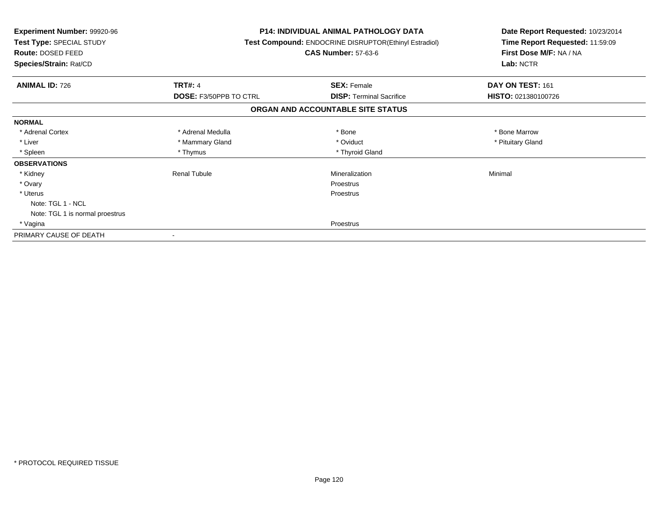| Experiment Number: 99920-96<br>Test Type: SPECIAL STUDY<br>Route: DOSED FEED<br>Species/Strain: Rat/CD |                               | <b>P14: INDIVIDUAL ANIMAL PATHOLOGY DATA</b><br>Test Compound: ENDOCRINE DISRUPTOR(Ethinyl Estradiol)<br><b>CAS Number: 57-63-6</b> | Date Report Requested: 10/23/2014<br>Time Report Requested: 11:59:09<br>First Dose M/F: NA / NA<br>Lab: NCTR |
|--------------------------------------------------------------------------------------------------------|-------------------------------|-------------------------------------------------------------------------------------------------------------------------------------|--------------------------------------------------------------------------------------------------------------|
| <b>ANIMAL ID: 726</b>                                                                                  | <b>TRT#: 4</b>                | <b>SEX: Female</b>                                                                                                                  | DAY ON TEST: 161                                                                                             |
|                                                                                                        | <b>DOSE: F3/50PPB TO CTRL</b> | <b>DISP:</b> Terminal Sacrifice                                                                                                     | HISTO: 021380100726                                                                                          |
|                                                                                                        |                               | ORGAN AND ACCOUNTABLE SITE STATUS                                                                                                   |                                                                                                              |
| <b>NORMAL</b>                                                                                          |                               |                                                                                                                                     |                                                                                                              |
| * Adrenal Cortex                                                                                       | * Adrenal Medulla             | * Bone                                                                                                                              | * Bone Marrow                                                                                                |
| * Liver                                                                                                | * Mammary Gland               | * Oviduct                                                                                                                           | * Pituitary Gland                                                                                            |
| * Spleen                                                                                               | * Thymus                      | * Thyroid Gland                                                                                                                     |                                                                                                              |
| <b>OBSERVATIONS</b>                                                                                    |                               |                                                                                                                                     |                                                                                                              |
| * Kidney                                                                                               | <b>Renal Tubule</b>           | Mineralization                                                                                                                      | Minimal                                                                                                      |
| * Ovary                                                                                                |                               | Proestrus                                                                                                                           |                                                                                                              |
| * Uterus                                                                                               |                               | Proestrus                                                                                                                           |                                                                                                              |
| Note: TGL 1 - NCL                                                                                      |                               |                                                                                                                                     |                                                                                                              |
| Note: TGL 1 is normal proestrus                                                                        |                               |                                                                                                                                     |                                                                                                              |
| * Vagina                                                                                               |                               | Proestrus                                                                                                                           |                                                                                                              |
| PRIMARY CAUSE OF DEATH                                                                                 |                               |                                                                                                                                     |                                                                                                              |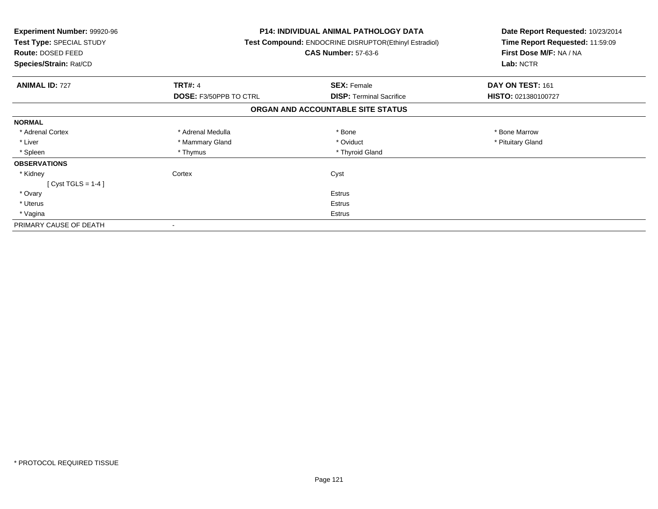| <b>Experiment Number: 99920-96</b><br>Test Type: SPECIAL STUDY<br>Route: DOSED FEED<br>Species/Strain: Rat/CD |                               | P14: INDIVIDUAL ANIMAL PATHOLOGY DATA<br><b>Test Compound: ENDOCRINE DISRUPTOR(Ethinyl Estradiol)</b><br><b>CAS Number: 57-63-6</b> | Date Report Requested: 10/23/2014<br>Time Report Requested: 11:59:09<br>First Dose M/F: NA / NA<br>Lab: NCTR |
|---------------------------------------------------------------------------------------------------------------|-------------------------------|-------------------------------------------------------------------------------------------------------------------------------------|--------------------------------------------------------------------------------------------------------------|
| <b>ANIMAL ID: 727</b>                                                                                         | <b>TRT#: 4</b>                | <b>SEX: Female</b>                                                                                                                  | DAY ON TEST: 161                                                                                             |
|                                                                                                               | <b>DOSE: F3/50PPB TO CTRL</b> | <b>DISP:</b> Terminal Sacrifice                                                                                                     | HISTO: 021380100727                                                                                          |
|                                                                                                               |                               | ORGAN AND ACCOUNTABLE SITE STATUS                                                                                                   |                                                                                                              |
| <b>NORMAL</b>                                                                                                 |                               |                                                                                                                                     |                                                                                                              |
| * Adrenal Cortex                                                                                              | * Adrenal Medulla             | * Bone                                                                                                                              | * Bone Marrow                                                                                                |
| * Liver                                                                                                       | * Mammary Gland               | * Oviduct                                                                                                                           | * Pituitary Gland                                                                                            |
| * Spleen                                                                                                      | * Thymus                      | * Thyroid Gland                                                                                                                     |                                                                                                              |
| <b>OBSERVATIONS</b>                                                                                           |                               |                                                                                                                                     |                                                                                                              |
| * Kidney                                                                                                      | Cortex                        | Cyst                                                                                                                                |                                                                                                              |
| [ Cyst TGLS = $1-4$ ]                                                                                         |                               |                                                                                                                                     |                                                                                                              |
| * Ovary                                                                                                       |                               | <b>Estrus</b>                                                                                                                       |                                                                                                              |
| * Uterus                                                                                                      |                               | Estrus                                                                                                                              |                                                                                                              |
| * Vagina                                                                                                      | Estrus                        |                                                                                                                                     |                                                                                                              |
| PRIMARY CAUSE OF DEATH                                                                                        |                               |                                                                                                                                     |                                                                                                              |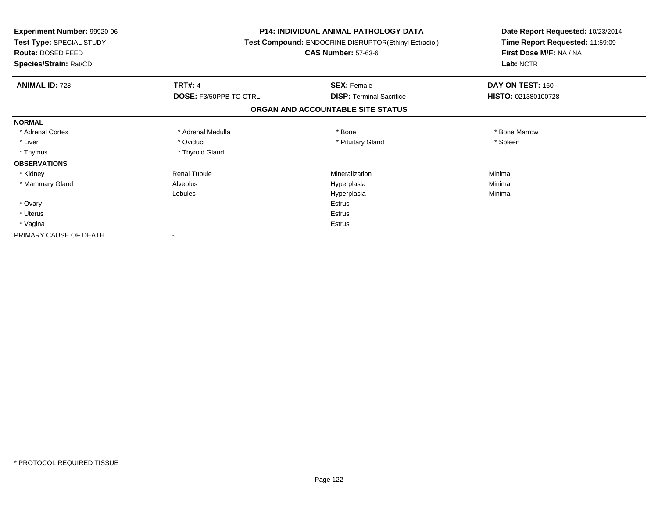| Experiment Number: 99920-96<br>Test Type: SPECIAL STUDY<br>Route: DOSED FEED<br>Species/Strain: Rat/CD |                        | P14: INDIVIDUAL ANIMAL PATHOLOGY DATA<br>Test Compound: ENDOCRINE DISRUPTOR(Ethinyl Estradiol)<br><b>CAS Number: 57-63-6</b> | Date Report Requested: 10/23/2014<br>Time Report Requested: 11:59:09<br>First Dose M/F: NA / NA<br>Lab: NCTR |
|--------------------------------------------------------------------------------------------------------|------------------------|------------------------------------------------------------------------------------------------------------------------------|--------------------------------------------------------------------------------------------------------------|
| <b>ANIMAL ID: 728</b>                                                                                  | <b>TRT#: 4</b>         | <b>SEX: Female</b>                                                                                                           | DAY ON TEST: 160                                                                                             |
|                                                                                                        | DOSE: F3/50PPB TO CTRL | <b>DISP: Terminal Sacrifice</b>                                                                                              | HISTO: 021380100728                                                                                          |
|                                                                                                        |                        | ORGAN AND ACCOUNTABLE SITE STATUS                                                                                            |                                                                                                              |
| <b>NORMAL</b>                                                                                          |                        |                                                                                                                              |                                                                                                              |
| * Adrenal Cortex                                                                                       | * Adrenal Medulla      | * Bone                                                                                                                       | * Bone Marrow                                                                                                |
| * Liver                                                                                                | * Oviduct              | * Pituitary Gland                                                                                                            | * Spleen                                                                                                     |
| * Thymus                                                                                               | * Thyroid Gland        |                                                                                                                              |                                                                                                              |
| <b>OBSERVATIONS</b>                                                                                    |                        |                                                                                                                              |                                                                                                              |
| * Kidney                                                                                               | <b>Renal Tubule</b>    | Mineralization                                                                                                               | Minimal                                                                                                      |
| * Mammary Gland                                                                                        | Alveolus               | Hyperplasia                                                                                                                  | Minimal                                                                                                      |
|                                                                                                        | Lobules                | Hyperplasia                                                                                                                  | Minimal                                                                                                      |
| * Ovary                                                                                                |                        | <b>Estrus</b>                                                                                                                |                                                                                                              |
| * Uterus                                                                                               |                        | Estrus                                                                                                                       |                                                                                                              |
| * Vagina                                                                                               |                        | <b>Estrus</b>                                                                                                                |                                                                                                              |
| PRIMARY CAUSE OF DEATH                                                                                 |                        |                                                                                                                              |                                                                                                              |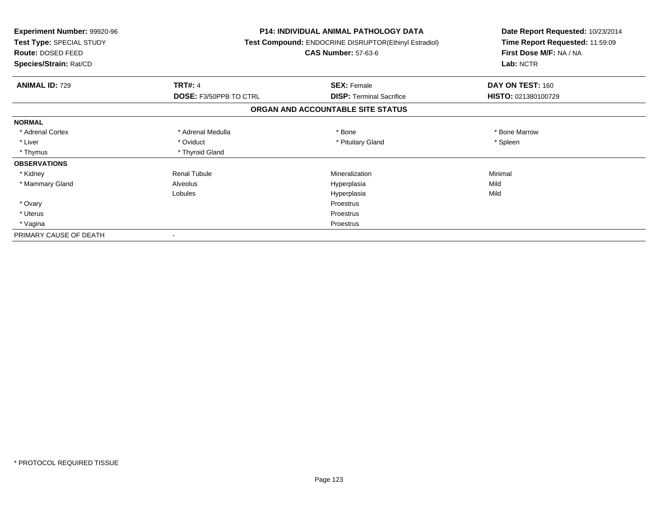| Experiment Number: 99920-96<br>Test Type: SPECIAL STUDY<br>Route: DOSED FEED<br>Species/Strain: Rat/CD |                               | <b>P14: INDIVIDUAL ANIMAL PATHOLOGY DATA</b><br>Test Compound: ENDOCRINE DISRUPTOR(Ethinyl Estradiol)<br><b>CAS Number: 57-63-6</b> | Date Report Requested: 10/23/2014<br>Time Report Requested: 11:59:09<br>First Dose M/F: NA / NA<br>Lab: NCTR |
|--------------------------------------------------------------------------------------------------------|-------------------------------|-------------------------------------------------------------------------------------------------------------------------------------|--------------------------------------------------------------------------------------------------------------|
| <b>ANIMAL ID: 729</b>                                                                                  | <b>TRT#: 4</b>                | <b>SEX: Female</b>                                                                                                                  | DAY ON TEST: 160                                                                                             |
|                                                                                                        | <b>DOSE: F3/50PPB TO CTRL</b> | <b>DISP:</b> Terminal Sacrifice                                                                                                     | HISTO: 021380100729                                                                                          |
|                                                                                                        |                               | ORGAN AND ACCOUNTABLE SITE STATUS                                                                                                   |                                                                                                              |
| <b>NORMAL</b>                                                                                          |                               |                                                                                                                                     |                                                                                                              |
| * Adrenal Cortex                                                                                       | * Adrenal Medulla             | * Bone                                                                                                                              | * Bone Marrow                                                                                                |
| * Liver                                                                                                | * Oviduct                     | * Pituitary Gland                                                                                                                   | * Spleen                                                                                                     |
| * Thymus                                                                                               | * Thyroid Gland               |                                                                                                                                     |                                                                                                              |
| <b>OBSERVATIONS</b>                                                                                    |                               |                                                                                                                                     |                                                                                                              |
| * Kidney                                                                                               | <b>Renal Tubule</b>           | Mineralization                                                                                                                      | Minimal                                                                                                      |
| * Mammary Gland                                                                                        | Alveolus                      | Hyperplasia                                                                                                                         | Mild                                                                                                         |
|                                                                                                        | Lobules                       | Hyperplasia                                                                                                                         | Mild                                                                                                         |
| * Ovary                                                                                                |                               | Proestrus                                                                                                                           |                                                                                                              |
| * Uterus                                                                                               |                               | Proestrus                                                                                                                           |                                                                                                              |
| * Vagina                                                                                               |                               | Proestrus                                                                                                                           |                                                                                                              |
| PRIMARY CAUSE OF DEATH                                                                                 |                               |                                                                                                                                     |                                                                                                              |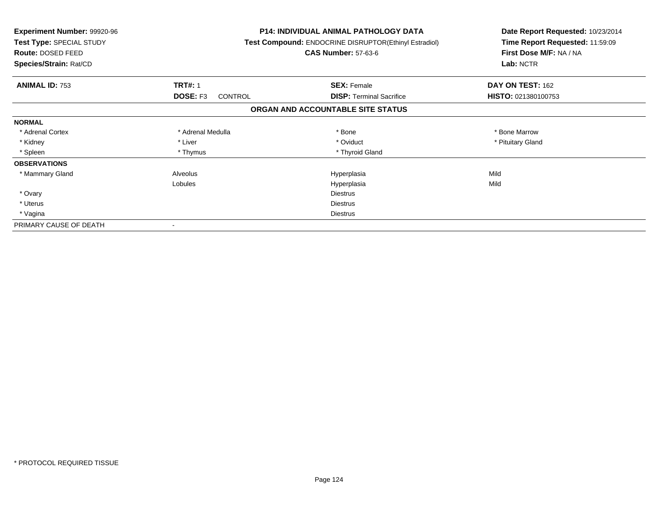| <b>Experiment Number: 99920-96</b><br>Test Type: SPECIAL STUDY<br>Route: DOSED FEED<br>Species/Strain: Rat/CD |                     | <b>P14: INDIVIDUAL ANIMAL PATHOLOGY DATA</b><br>Test Compound: ENDOCRINE DISRUPTOR(Ethinyl Estradiol)<br><b>CAS Number: 57-63-6</b> | Date Report Requested: 10/23/2014<br>Time Report Requested: 11:59:09<br>First Dose M/F: NA / NA<br>Lab: NCTR |
|---------------------------------------------------------------------------------------------------------------|---------------------|-------------------------------------------------------------------------------------------------------------------------------------|--------------------------------------------------------------------------------------------------------------|
| <b>ANIMAL ID: 753</b>                                                                                         | <b>TRT#: 1</b>      | <b>SEX: Female</b>                                                                                                                  | DAY ON TEST: 162                                                                                             |
|                                                                                                               | DOSE: F3<br>CONTROL | <b>DISP:</b> Terminal Sacrifice                                                                                                     | HISTO: 021380100753                                                                                          |
|                                                                                                               |                     | ORGAN AND ACCOUNTABLE SITE STATUS                                                                                                   |                                                                                                              |
| <b>NORMAL</b>                                                                                                 |                     |                                                                                                                                     |                                                                                                              |
| * Adrenal Cortex                                                                                              | * Adrenal Medulla   | * Bone                                                                                                                              | * Bone Marrow                                                                                                |
| * Kidney                                                                                                      | * Liver             | * Oviduct                                                                                                                           | * Pituitary Gland                                                                                            |
| * Spleen                                                                                                      | * Thymus            | * Thyroid Gland                                                                                                                     |                                                                                                              |
| <b>OBSERVATIONS</b>                                                                                           |                     |                                                                                                                                     |                                                                                                              |
| * Mammary Gland                                                                                               | Alveolus            | Hyperplasia                                                                                                                         | Mild                                                                                                         |
|                                                                                                               | Lobules             | Hyperplasia                                                                                                                         | Mild                                                                                                         |
| * Ovary                                                                                                       |                     | <b>Diestrus</b>                                                                                                                     |                                                                                                              |
| * Uterus                                                                                                      |                     | Diestrus                                                                                                                            |                                                                                                              |
| * Vagina                                                                                                      | Diestrus            |                                                                                                                                     |                                                                                                              |
| PRIMARY CAUSE OF DEATH                                                                                        |                     |                                                                                                                                     |                                                                                                              |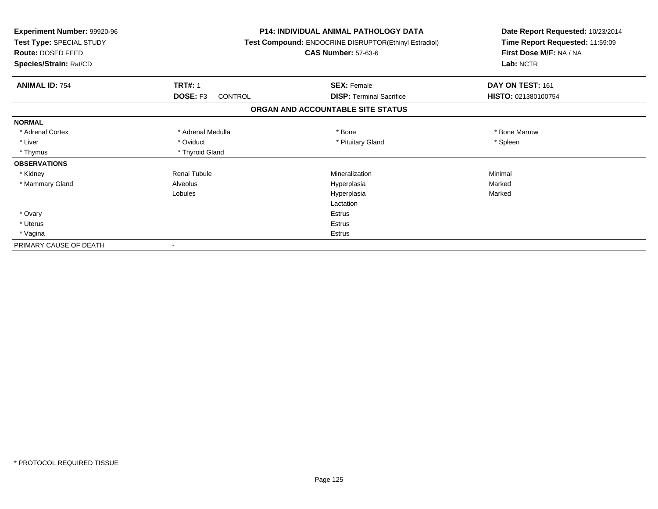| <b>Experiment Number: 99920-96</b><br>Test Type: SPECIAL STUDY<br>Route: DOSED FEED<br>Species/Strain: Rat/CD |                     | <b>P14: INDIVIDUAL ANIMAL PATHOLOGY DATA</b><br><b>Test Compound: ENDOCRINE DISRUPTOR(Ethinyl Estradiol)</b><br><b>CAS Number: 57-63-6</b> | Date Report Requested: 10/23/2014<br>Time Report Requested: 11:59:09<br>First Dose M/F: NA / NA<br>Lab: NCTR |
|---------------------------------------------------------------------------------------------------------------|---------------------|--------------------------------------------------------------------------------------------------------------------------------------------|--------------------------------------------------------------------------------------------------------------|
| <b>ANIMAL ID: 754</b>                                                                                         | <b>TRT#: 1</b>      | <b>SEX: Female</b>                                                                                                                         | DAY ON TEST: 161                                                                                             |
|                                                                                                               | DOSE: F3<br>CONTROL | <b>DISP: Terminal Sacrifice</b>                                                                                                            | HISTO: 021380100754                                                                                          |
|                                                                                                               |                     | ORGAN AND ACCOUNTABLE SITE STATUS                                                                                                          |                                                                                                              |
| <b>NORMAL</b>                                                                                                 |                     |                                                                                                                                            |                                                                                                              |
| * Adrenal Cortex                                                                                              | * Adrenal Medulla   | * Bone                                                                                                                                     | * Bone Marrow                                                                                                |
| * Liver                                                                                                       | * Oviduct           | * Pituitary Gland                                                                                                                          | * Spleen                                                                                                     |
| * Thymus                                                                                                      | * Thyroid Gland     |                                                                                                                                            |                                                                                                              |
| <b>OBSERVATIONS</b>                                                                                           |                     |                                                                                                                                            |                                                                                                              |
| * Kidney                                                                                                      | <b>Renal Tubule</b> | Mineralization                                                                                                                             | Minimal                                                                                                      |
| * Mammary Gland                                                                                               | Alveolus            | Hyperplasia                                                                                                                                | Marked                                                                                                       |
|                                                                                                               | Lobules             | Hyperplasia                                                                                                                                | Marked                                                                                                       |
|                                                                                                               |                     | Lactation                                                                                                                                  |                                                                                                              |
| * Ovary                                                                                                       |                     | <b>Estrus</b>                                                                                                                              |                                                                                                              |
| * Uterus                                                                                                      |                     | <b>Estrus</b>                                                                                                                              |                                                                                                              |
| * Vagina                                                                                                      |                     | Estrus                                                                                                                                     |                                                                                                              |
| PRIMARY CAUSE OF DEATH                                                                                        |                     |                                                                                                                                            |                                                                                                              |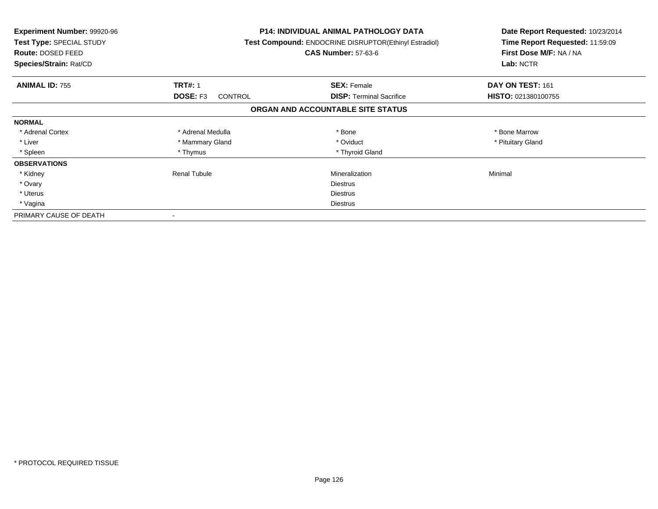| <b>Experiment Number: 99920-96</b><br>Test Type: SPECIAL STUDY<br><b>Route: DOSED FEED</b><br>Species/Strain: Rat/CD |                                   | P14: INDIVIDUAL ANIMAL PATHOLOGY DATA<br>Test Compound: ENDOCRINE DISRUPTOR(Ethinyl Estradiol)<br><b>CAS Number: 57-63-6</b> | Date Report Requested: 10/23/2014<br>Time Report Requested: 11:59:09<br>First Dose M/F: NA / NA<br>Lab: NCTR |
|----------------------------------------------------------------------------------------------------------------------|-----------------------------------|------------------------------------------------------------------------------------------------------------------------------|--------------------------------------------------------------------------------------------------------------|
| <b>ANIMAL ID: 755</b>                                                                                                | <b>TRT#: 1</b>                    | <b>SEX: Female</b>                                                                                                           | DAY ON TEST: 161                                                                                             |
|                                                                                                                      | <b>DOSE: F3</b><br><b>CONTROL</b> | <b>DISP:</b> Terminal Sacrifice                                                                                              | HISTO: 021380100755                                                                                          |
|                                                                                                                      |                                   | ORGAN AND ACCOUNTABLE SITE STATUS                                                                                            |                                                                                                              |
| <b>NORMAL</b>                                                                                                        |                                   |                                                                                                                              |                                                                                                              |
| * Adrenal Cortex                                                                                                     | * Adrenal Medulla                 | * Bone                                                                                                                       | * Bone Marrow                                                                                                |
| * Liver                                                                                                              | * Mammary Gland                   | * Oviduct                                                                                                                    | * Pituitary Gland                                                                                            |
| * Spleen                                                                                                             | * Thymus                          | * Thyroid Gland                                                                                                              |                                                                                                              |
| <b>OBSERVATIONS</b>                                                                                                  |                                   |                                                                                                                              |                                                                                                              |
| * Kidney                                                                                                             | <b>Renal Tubule</b>               | Mineralization                                                                                                               | Minimal                                                                                                      |
| * Ovary                                                                                                              |                                   | <b>Diestrus</b>                                                                                                              |                                                                                                              |
| * Uterus                                                                                                             |                                   | <b>Diestrus</b>                                                                                                              |                                                                                                              |
| * Vagina                                                                                                             |                                   | Diestrus                                                                                                                     |                                                                                                              |
| PRIMARY CAUSE OF DEATH                                                                                               |                                   |                                                                                                                              |                                                                                                              |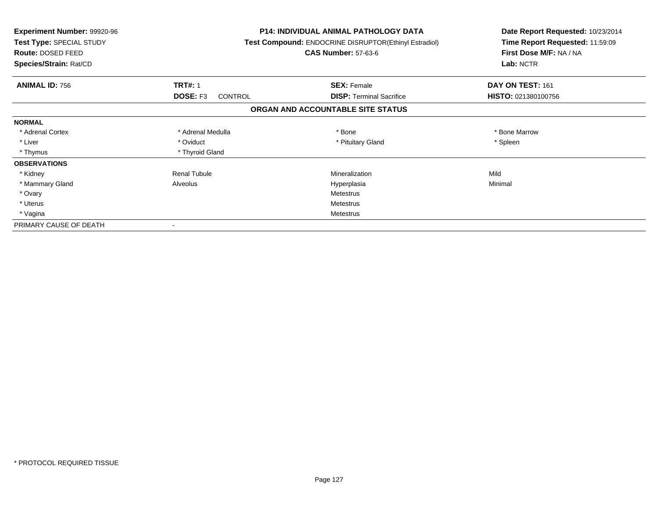| <b>Experiment Number: 99920-96</b><br>Test Type: SPECIAL STUDY<br>Route: DOSED FEED<br>Species/Strain: Rat/CD |                            | <b>P14: INDIVIDUAL ANIMAL PATHOLOGY DATA</b><br>Test Compound: ENDOCRINE DISRUPTOR(Ethinyl Estradiol)<br><b>CAS Number: 57-63-6</b> | Date Report Requested: 10/23/2014<br>Time Report Requested: 11:59:09<br>First Dose M/F: NA / NA<br>Lab: NCTR |
|---------------------------------------------------------------------------------------------------------------|----------------------------|-------------------------------------------------------------------------------------------------------------------------------------|--------------------------------------------------------------------------------------------------------------|
| <b>ANIMAL ID: 756</b>                                                                                         | <b>TRT#: 1</b>             | <b>SEX: Female</b>                                                                                                                  | DAY ON TEST: 161                                                                                             |
|                                                                                                               | DOSE: F3<br><b>CONTROL</b> | <b>DISP:</b> Terminal Sacrifice                                                                                                     | HISTO: 021380100756                                                                                          |
|                                                                                                               |                            | ORGAN AND ACCOUNTABLE SITE STATUS                                                                                                   |                                                                                                              |
| <b>NORMAL</b>                                                                                                 |                            |                                                                                                                                     |                                                                                                              |
| * Adrenal Cortex                                                                                              | * Adrenal Medulla          | * Bone                                                                                                                              | * Bone Marrow                                                                                                |
| * Liver                                                                                                       | * Oviduct                  | * Pituitary Gland                                                                                                                   | * Spleen                                                                                                     |
| * Thymus                                                                                                      | * Thyroid Gland            |                                                                                                                                     |                                                                                                              |
| <b>OBSERVATIONS</b>                                                                                           |                            |                                                                                                                                     |                                                                                                              |
| * Kidney                                                                                                      | <b>Renal Tubule</b>        | Mineralization                                                                                                                      | Mild                                                                                                         |
| * Mammary Gland                                                                                               | Alveolus                   | Hyperplasia                                                                                                                         | Minimal                                                                                                      |
| * Ovary                                                                                                       |                            | <b>Metestrus</b>                                                                                                                    |                                                                                                              |
| * Uterus                                                                                                      |                            | <b>Metestrus</b>                                                                                                                    |                                                                                                              |
| * Vagina                                                                                                      |                            | Metestrus                                                                                                                           |                                                                                                              |
| PRIMARY CAUSE OF DEATH                                                                                        |                            |                                                                                                                                     |                                                                                                              |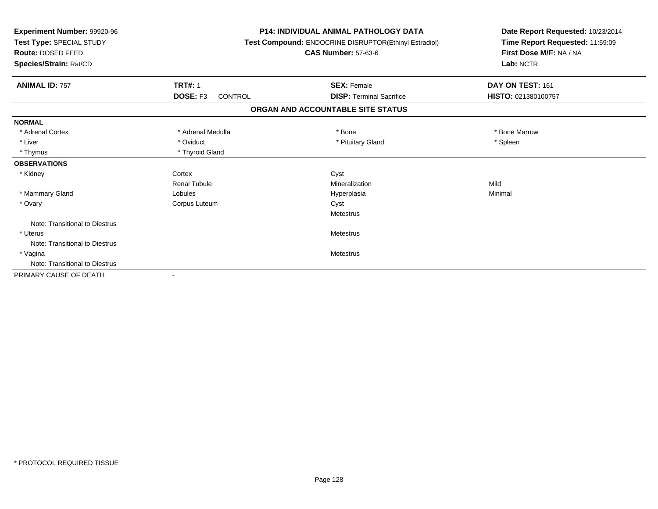| Experiment Number: 99920-96<br>Test Type: SPECIAL STUDY<br><b>Route: DOSED FEED</b><br>Species/Strain: Rat/CD |                            | <b>P14: INDIVIDUAL ANIMAL PATHOLOGY DATA</b><br>Test Compound: ENDOCRINE DISRUPTOR(Ethinyl Estradiol)<br><b>CAS Number: 57-63-6</b> | Date Report Requested: 10/23/2014<br>Time Report Requested: 11:59:09<br>First Dose M/F: NA / NA<br>Lab: NCTR |  |
|---------------------------------------------------------------------------------------------------------------|----------------------------|-------------------------------------------------------------------------------------------------------------------------------------|--------------------------------------------------------------------------------------------------------------|--|
| <b>ANIMAL ID: 757</b>                                                                                         | <b>TRT#: 1</b>             | <b>SEX: Female</b>                                                                                                                  | DAY ON TEST: 161                                                                                             |  |
|                                                                                                               | DOSE: F3<br><b>CONTROL</b> | <b>DISP: Terminal Sacrifice</b>                                                                                                     | HISTO: 021380100757                                                                                          |  |
|                                                                                                               |                            | ORGAN AND ACCOUNTABLE SITE STATUS                                                                                                   |                                                                                                              |  |
| <b>NORMAL</b>                                                                                                 |                            |                                                                                                                                     |                                                                                                              |  |
| * Adrenal Cortex                                                                                              | * Adrenal Medulla          | * Bone                                                                                                                              | * Bone Marrow                                                                                                |  |
| * Liver                                                                                                       | * Oviduct                  | * Pituitary Gland                                                                                                                   | * Spleen                                                                                                     |  |
| * Thymus                                                                                                      | * Thyroid Gland            |                                                                                                                                     |                                                                                                              |  |
| <b>OBSERVATIONS</b>                                                                                           |                            |                                                                                                                                     |                                                                                                              |  |
| * Kidney                                                                                                      | Cortex                     | Cyst                                                                                                                                |                                                                                                              |  |
|                                                                                                               | <b>Renal Tubule</b>        | Mineralization                                                                                                                      | Mild                                                                                                         |  |
| * Mammary Gland                                                                                               | Lobules                    | Hyperplasia                                                                                                                         | Minimal                                                                                                      |  |
| * Ovary                                                                                                       | Corpus Luteum              | Cyst                                                                                                                                |                                                                                                              |  |
|                                                                                                               |                            | Metestrus                                                                                                                           |                                                                                                              |  |
| Note: Transitional to Diestrus                                                                                |                            |                                                                                                                                     |                                                                                                              |  |
| * Uterus                                                                                                      |                            | Metestrus                                                                                                                           |                                                                                                              |  |
| Note: Transitional to Diestrus                                                                                |                            |                                                                                                                                     |                                                                                                              |  |
| * Vagina                                                                                                      |                            | <b>Metestrus</b>                                                                                                                    |                                                                                                              |  |
| Note: Transitional to Diestrus                                                                                |                            |                                                                                                                                     |                                                                                                              |  |
| PRIMARY CAUSE OF DEATH                                                                                        |                            |                                                                                                                                     |                                                                                                              |  |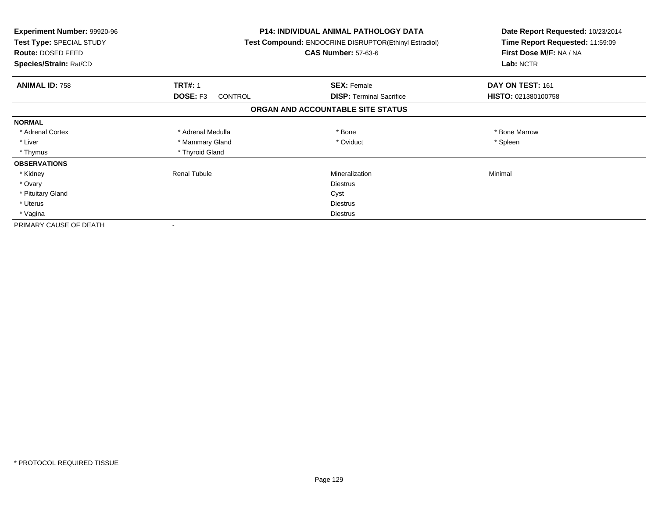| <b>Experiment Number: 99920-96</b><br>Test Type: SPECIAL STUDY<br>Route: DOSED FEED<br>Species/Strain: Rat/CD |                            | <b>P14: INDIVIDUAL ANIMAL PATHOLOGY DATA</b><br>Test Compound: ENDOCRINE DISRUPTOR(Ethinyl Estradiol)<br><b>CAS Number: 57-63-6</b> | Date Report Requested: 10/23/2014<br>Time Report Requested: 11:59:09<br>First Dose M/F: NA / NA<br>Lab: NCTR |
|---------------------------------------------------------------------------------------------------------------|----------------------------|-------------------------------------------------------------------------------------------------------------------------------------|--------------------------------------------------------------------------------------------------------------|
| <b>ANIMAL ID: 758</b>                                                                                         | <b>TRT#: 1</b>             | <b>SEX: Female</b>                                                                                                                  | DAY ON TEST: 161                                                                                             |
|                                                                                                               | DOSE: F3<br><b>CONTROL</b> | <b>DISP:</b> Terminal Sacrifice                                                                                                     | HISTO: 021380100758                                                                                          |
|                                                                                                               |                            | ORGAN AND ACCOUNTABLE SITE STATUS                                                                                                   |                                                                                                              |
| <b>NORMAL</b>                                                                                                 |                            |                                                                                                                                     |                                                                                                              |
| * Adrenal Cortex                                                                                              | * Adrenal Medulla          | * Bone                                                                                                                              | * Bone Marrow                                                                                                |
| * Liver                                                                                                       | * Mammary Gland            | * Oviduct                                                                                                                           | * Spleen                                                                                                     |
| * Thymus                                                                                                      | * Thyroid Gland            |                                                                                                                                     |                                                                                                              |
| <b>OBSERVATIONS</b>                                                                                           |                            |                                                                                                                                     |                                                                                                              |
| * Kidney                                                                                                      | <b>Renal Tubule</b>        | Mineralization                                                                                                                      | Minimal                                                                                                      |
| * Ovary                                                                                                       |                            | <b>Diestrus</b>                                                                                                                     |                                                                                                              |
| * Pituitary Gland                                                                                             |                            | Cyst                                                                                                                                |                                                                                                              |
| * Uterus                                                                                                      |                            | Diestrus                                                                                                                            |                                                                                                              |
| * Vagina                                                                                                      |                            | Diestrus                                                                                                                            |                                                                                                              |
| PRIMARY CAUSE OF DEATH                                                                                        |                            |                                                                                                                                     |                                                                                                              |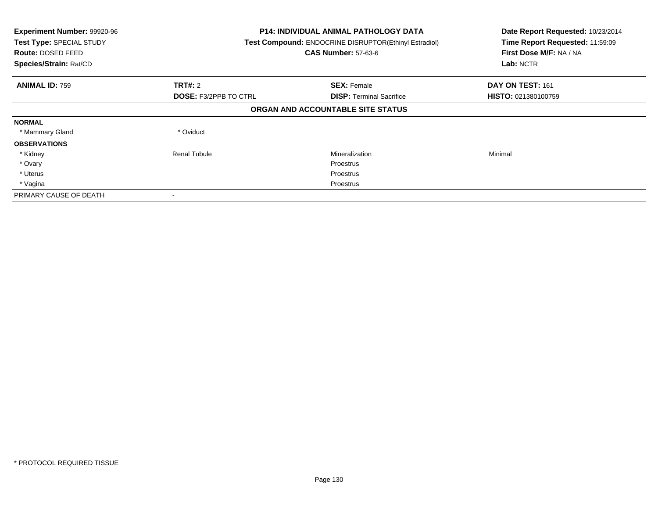| Experiment Number: 99920-96<br>Test Type: SPECIAL STUDY<br><b>Route: DOSED FEED</b><br>Species/Strain: Rat/CD |                              | <b>P14: INDIVIDUAL ANIMAL PATHOLOGY DATA</b><br>Test Compound: ENDOCRINE DISRUPTOR(Ethinyl Estradiol)<br><b>CAS Number: 57-63-6</b> |                            |
|---------------------------------------------------------------------------------------------------------------|------------------------------|-------------------------------------------------------------------------------------------------------------------------------------|----------------------------|
| <b>ANIMAL ID: 759</b>                                                                                         | TRT#: 2                      | <b>SEX: Female</b>                                                                                                                  | DAY ON TEST: 161           |
|                                                                                                               | <b>DOSE: F3/2PPB TO CTRL</b> | <b>DISP:</b> Terminal Sacrifice                                                                                                     | <b>HISTO: 021380100759</b> |
|                                                                                                               |                              | ORGAN AND ACCOUNTABLE SITE STATUS                                                                                                   |                            |
| <b>NORMAL</b>                                                                                                 |                              |                                                                                                                                     |                            |
| * Mammary Gland                                                                                               | * Oviduct                    |                                                                                                                                     |                            |
| <b>OBSERVATIONS</b>                                                                                           |                              |                                                                                                                                     |                            |
| * Kidney                                                                                                      | <b>Renal Tubule</b>          | Mineralization                                                                                                                      | Minimal                    |
| * Ovary                                                                                                       |                              | Proestrus                                                                                                                           |                            |
| * Uterus                                                                                                      |                              | Proestrus                                                                                                                           |                            |
| * Vagina                                                                                                      |                              | Proestrus                                                                                                                           |                            |
| PRIMARY CAUSE OF DEATH                                                                                        |                              |                                                                                                                                     |                            |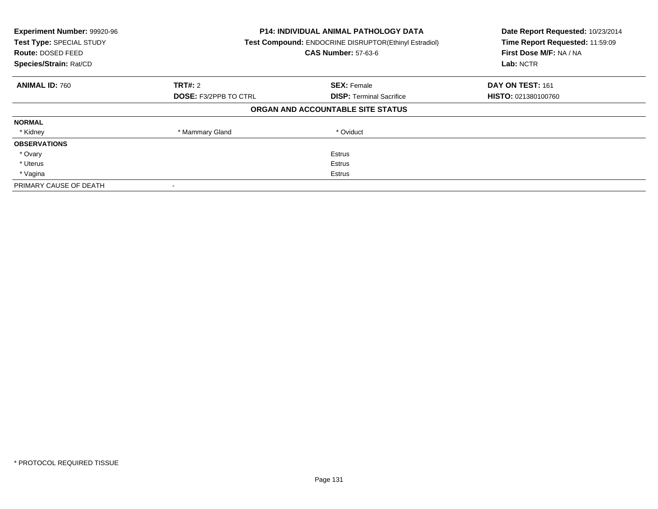| Experiment Number: 99920-96<br>Test Type: SPECIAL STUDY<br><b>Route: DOSED FEED</b><br>Species/Strain: Rat/CD | <b>P14: INDIVIDUAL ANIMAL PATHOLOGY DATA</b><br><b>Test Compound: ENDOCRINE DISRUPTOR(Ethinyl Estradiol)</b><br><b>CAS Number: 57-63-6</b> |                                   | Date Report Requested: 10/23/2014<br>Time Report Requested: 11:59:09<br>First Dose M/F: NA / NA<br>Lab: NCTR |
|---------------------------------------------------------------------------------------------------------------|--------------------------------------------------------------------------------------------------------------------------------------------|-----------------------------------|--------------------------------------------------------------------------------------------------------------|
| <b>ANIMAL ID: 760</b>                                                                                         | <b>TRT#: 2</b>                                                                                                                             | <b>SEX: Female</b>                | DAY ON TEST: 161                                                                                             |
|                                                                                                               | <b>DOSE: F3/2PPB TO CTRL</b>                                                                                                               | <b>DISP:</b> Terminal Sacrifice   | <b>HISTO: 021380100760</b>                                                                                   |
|                                                                                                               |                                                                                                                                            | ORGAN AND ACCOUNTABLE SITE STATUS |                                                                                                              |
| <b>NORMAL</b>                                                                                                 |                                                                                                                                            |                                   |                                                                                                              |
| * Kidney                                                                                                      | * Mammary Gland                                                                                                                            | * Oviduct                         |                                                                                                              |
| <b>OBSERVATIONS</b>                                                                                           |                                                                                                                                            |                                   |                                                                                                              |
| * Ovary                                                                                                       |                                                                                                                                            | Estrus                            |                                                                                                              |
| * Uterus                                                                                                      |                                                                                                                                            | Estrus                            |                                                                                                              |
| * Vagina                                                                                                      | Estrus                                                                                                                                     |                                   |                                                                                                              |
| PRIMARY CAUSE OF DEATH                                                                                        |                                                                                                                                            |                                   |                                                                                                              |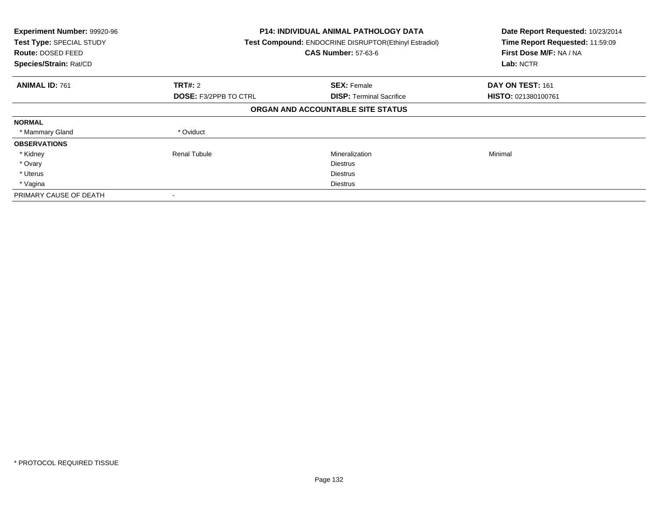| Experiment Number: 99920-96<br>Test Type: SPECIAL STUDY<br><b>Route: DOSED FEED</b><br>Species/Strain: Rat/CD |                              | <b>P14: INDIVIDUAL ANIMAL PATHOLOGY DATA</b><br>Test Compound: ENDOCRINE DISRUPTOR(Ethinyl Estradiol)<br><b>CAS Number: 57-63-6</b> |                            |
|---------------------------------------------------------------------------------------------------------------|------------------------------|-------------------------------------------------------------------------------------------------------------------------------------|----------------------------|
| <b>ANIMAL ID: 761</b>                                                                                         | TRT#: 2                      | <b>SEX: Female</b>                                                                                                                  | DAY ON TEST: 161           |
|                                                                                                               | <b>DOSE: F3/2PPB TO CTRL</b> | <b>DISP:</b> Terminal Sacrifice                                                                                                     | <b>HISTO: 021380100761</b> |
|                                                                                                               |                              | ORGAN AND ACCOUNTABLE SITE STATUS                                                                                                   |                            |
| <b>NORMAL</b>                                                                                                 |                              |                                                                                                                                     |                            |
| * Mammary Gland                                                                                               | * Oviduct                    |                                                                                                                                     |                            |
| <b>OBSERVATIONS</b>                                                                                           |                              |                                                                                                                                     |                            |
| * Kidney                                                                                                      | <b>Renal Tubule</b>          | Mineralization                                                                                                                      | Minimal                    |
| * Ovary                                                                                                       |                              | <b>Diestrus</b>                                                                                                                     |                            |
| * Uterus                                                                                                      |                              | <b>Diestrus</b>                                                                                                                     |                            |
| * Vagina                                                                                                      |                              | Diestrus                                                                                                                            |                            |
| PRIMARY CAUSE OF DEATH                                                                                        |                              |                                                                                                                                     |                            |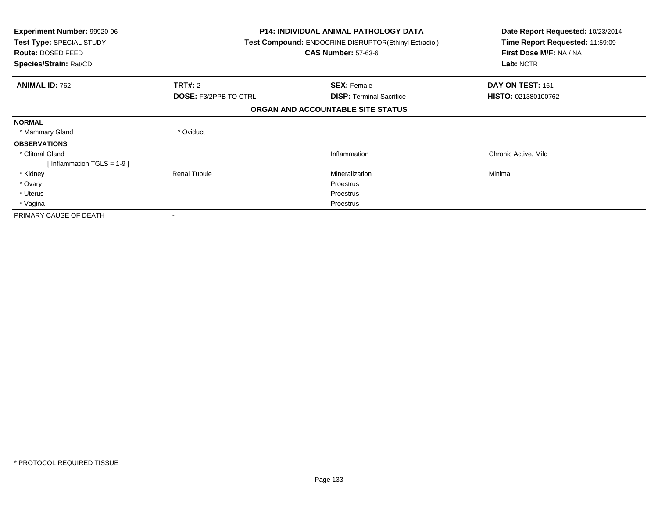| <b>Experiment Number: 99920-96</b><br>Test Type: SPECIAL STUDY<br><b>Route: DOSED FEED</b><br>Species/Strain: Rat/CD |                              | <b>P14: INDIVIDUAL ANIMAL PATHOLOGY DATA</b><br><b>Test Compound: ENDOCRINE DISRUPTOR(Ethinyl Estradiol)</b><br><b>CAS Number: 57-63-6</b> | Date Report Requested: 10/23/2014<br>Time Report Requested: 11:59:09<br>First Dose M/F: NA / NA<br>Lab: NCTR |  |
|----------------------------------------------------------------------------------------------------------------------|------------------------------|--------------------------------------------------------------------------------------------------------------------------------------------|--------------------------------------------------------------------------------------------------------------|--|
| <b>ANIMAL ID: 762</b>                                                                                                | <b>TRT#: 2</b>               | <b>SEX: Female</b>                                                                                                                         | DAY ON TEST: 161                                                                                             |  |
|                                                                                                                      | <b>DOSE: F3/2PPB TO CTRL</b> | <b>DISP:</b> Terminal Sacrifice                                                                                                            | HISTO: 021380100762                                                                                          |  |
| ORGAN AND ACCOUNTABLE SITE STATUS                                                                                    |                              |                                                                                                                                            |                                                                                                              |  |
| <b>NORMAL</b>                                                                                                        |                              |                                                                                                                                            |                                                                                                              |  |
| * Mammary Gland                                                                                                      | * Oviduct                    |                                                                                                                                            |                                                                                                              |  |
| <b>OBSERVATIONS</b>                                                                                                  |                              |                                                                                                                                            |                                                                                                              |  |
| * Clitoral Gland                                                                                                     |                              | Inflammation                                                                                                                               | Chronic Active, Mild                                                                                         |  |
| [Inflammation TGLS = $1-9$ ]                                                                                         |                              |                                                                                                                                            |                                                                                                              |  |
| * Kidney                                                                                                             | Renal Tubule                 | Mineralization                                                                                                                             | Minimal                                                                                                      |  |
| * Ovary                                                                                                              |                              | Proestrus                                                                                                                                  |                                                                                                              |  |
| * Uterus                                                                                                             |                              | Proestrus                                                                                                                                  |                                                                                                              |  |
| * Vagina                                                                                                             |                              | Proestrus                                                                                                                                  |                                                                                                              |  |
| PRIMARY CAUSE OF DEATH                                                                                               | ۰                            |                                                                                                                                            |                                                                                                              |  |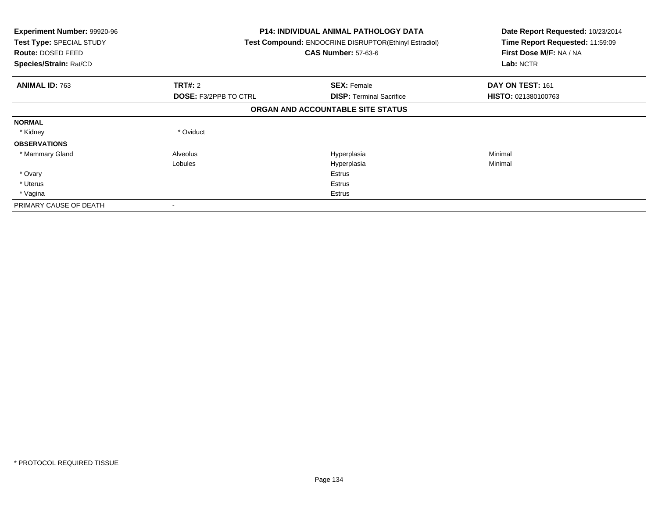| <b>Experiment Number: 99920-96</b><br>Test Type: SPECIAL STUDY<br>Route: DOSED FEED<br>Species/Strain: Rat/CD |                              | <b>P14: INDIVIDUAL ANIMAL PATHOLOGY DATA</b><br>Test Compound: ENDOCRINE DISRUPTOR(Ethinyl Estradiol)<br><b>CAS Number: 57-63-6</b> | Date Report Requested: 10/23/2014<br>Time Report Requested: 11:59:09<br>First Dose M/F: NA / NA<br>Lab: NCTR |
|---------------------------------------------------------------------------------------------------------------|------------------------------|-------------------------------------------------------------------------------------------------------------------------------------|--------------------------------------------------------------------------------------------------------------|
| <b>ANIMAL ID: 763</b>                                                                                         | <b>TRT#: 2</b>               | <b>SEX: Female</b>                                                                                                                  | DAY ON TEST: 161                                                                                             |
|                                                                                                               | <b>DOSE: F3/2PPB TO CTRL</b> | <b>DISP: Terminal Sacrifice</b>                                                                                                     | <b>HISTO: 021380100763</b>                                                                                   |
|                                                                                                               |                              | ORGAN AND ACCOUNTABLE SITE STATUS                                                                                                   |                                                                                                              |
| <b>NORMAL</b>                                                                                                 |                              |                                                                                                                                     |                                                                                                              |
| * Kidney                                                                                                      | * Oviduct                    |                                                                                                                                     |                                                                                                              |
| <b>OBSERVATIONS</b>                                                                                           |                              |                                                                                                                                     |                                                                                                              |
| * Mammary Gland                                                                                               | Alveolus                     | Hyperplasia                                                                                                                         | Minimal                                                                                                      |
|                                                                                                               | Lobules                      | Hyperplasia                                                                                                                         | Minimal                                                                                                      |
| * Ovary                                                                                                       |                              | Estrus                                                                                                                              |                                                                                                              |
| * Uterus                                                                                                      |                              | Estrus                                                                                                                              |                                                                                                              |
| * Vagina                                                                                                      |                              | Estrus                                                                                                                              |                                                                                                              |
| PRIMARY CAUSE OF DEATH                                                                                        |                              |                                                                                                                                     |                                                                                                              |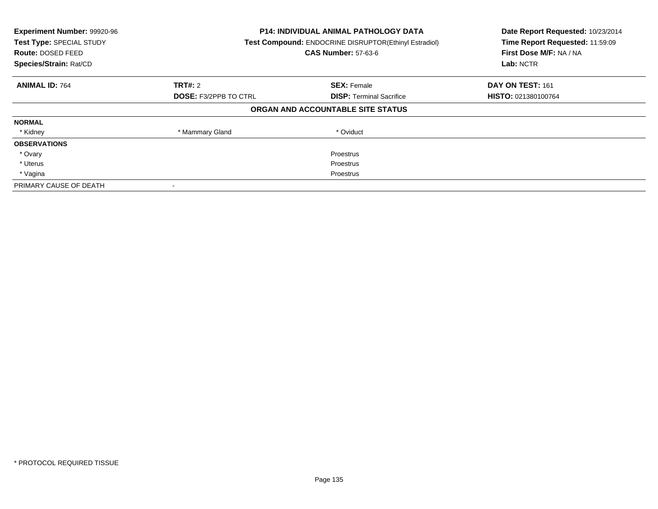| Experiment Number: 99920-96<br>Test Type: SPECIAL STUDY<br><b>Route: DOSED FEED</b><br>Species/Strain: Rat/CD | <b>P14: INDIVIDUAL ANIMAL PATHOLOGY DATA</b><br>Test Compound: ENDOCRINE DISRUPTOR(Ethinyl Estradiol)<br><b>CAS Number: 57-63-6</b> |                                   | Date Report Requested: 10/23/2014<br>Time Report Requested: 11:59:09<br>First Dose M/F: NA / NA<br>Lab: NCTR |
|---------------------------------------------------------------------------------------------------------------|-------------------------------------------------------------------------------------------------------------------------------------|-----------------------------------|--------------------------------------------------------------------------------------------------------------|
| <b>ANIMAL ID: 764</b>                                                                                         | TRT#: 2                                                                                                                             | <b>SEX: Female</b>                | DAY ON TEST: 161                                                                                             |
|                                                                                                               | <b>DOSE: F3/2PPB TO CTRL</b>                                                                                                        | <b>DISP:</b> Terminal Sacrifice   | <b>HISTO: 021380100764</b>                                                                                   |
|                                                                                                               |                                                                                                                                     | ORGAN AND ACCOUNTABLE SITE STATUS |                                                                                                              |
| <b>NORMAL</b>                                                                                                 |                                                                                                                                     |                                   |                                                                                                              |
| * Kidney                                                                                                      | * Mammary Gland                                                                                                                     | * Oviduct                         |                                                                                                              |
| <b>OBSERVATIONS</b>                                                                                           |                                                                                                                                     |                                   |                                                                                                              |
| * Ovary                                                                                                       |                                                                                                                                     | Proestrus                         |                                                                                                              |
| * Uterus                                                                                                      |                                                                                                                                     | Proestrus                         |                                                                                                              |
| * Vagina                                                                                                      | Proestrus                                                                                                                           |                                   |                                                                                                              |
| PRIMARY CAUSE OF DEATH                                                                                        |                                                                                                                                     |                                   |                                                                                                              |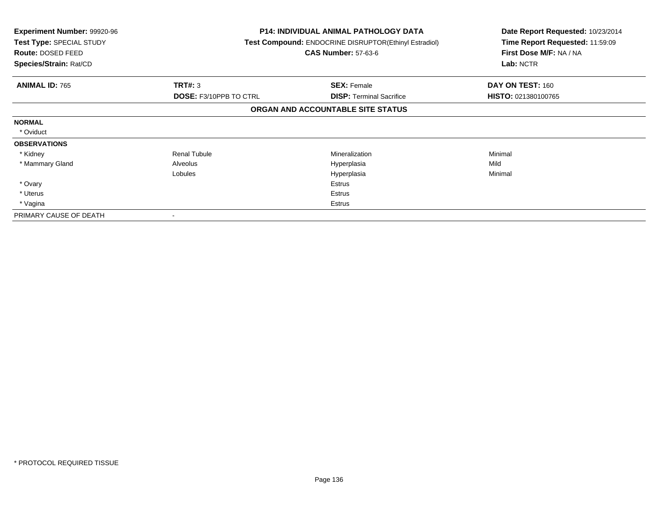| <b>Experiment Number: 99920-96</b><br>Test Type: SPECIAL STUDY<br>Route: DOSED FEED<br>Species/Strain: Rat/CD |                               | <b>P14: INDIVIDUAL ANIMAL PATHOLOGY DATA</b><br>Test Compound: ENDOCRINE DISRUPTOR(Ethinyl Estradiol)<br><b>CAS Number: 57-63-6</b> | Date Report Requested: 10/23/2014<br>Time Report Requested: 11:59:09<br>First Dose M/F: NA / NA<br>Lab: NCTR |
|---------------------------------------------------------------------------------------------------------------|-------------------------------|-------------------------------------------------------------------------------------------------------------------------------------|--------------------------------------------------------------------------------------------------------------|
| <b>ANIMAL ID: 765</b>                                                                                         | <b>TRT#: 3</b>                | <b>SEX: Female</b>                                                                                                                  | DAY ON TEST: 160                                                                                             |
|                                                                                                               | <b>DOSE: F3/10PPB TO CTRL</b> | <b>DISP:</b> Terminal Sacrifice                                                                                                     | HISTO: 021380100765                                                                                          |
|                                                                                                               |                               | ORGAN AND ACCOUNTABLE SITE STATUS                                                                                                   |                                                                                                              |
| <b>NORMAL</b>                                                                                                 |                               |                                                                                                                                     |                                                                                                              |
| * Oviduct                                                                                                     |                               |                                                                                                                                     |                                                                                                              |
| <b>OBSERVATIONS</b>                                                                                           |                               |                                                                                                                                     |                                                                                                              |
| * Kidney                                                                                                      | <b>Renal Tubule</b>           | Mineralization                                                                                                                      | Minimal                                                                                                      |
| * Mammary Gland                                                                                               | Alveolus                      | Hyperplasia                                                                                                                         | Mild                                                                                                         |
|                                                                                                               | Lobules                       | Hyperplasia                                                                                                                         | Minimal                                                                                                      |
| * Ovary                                                                                                       |                               | Estrus                                                                                                                              |                                                                                                              |
| * Uterus                                                                                                      |                               | Estrus                                                                                                                              |                                                                                                              |
| * Vagina                                                                                                      |                               | Estrus                                                                                                                              |                                                                                                              |
| PRIMARY CAUSE OF DEATH                                                                                        |                               |                                                                                                                                     |                                                                                                              |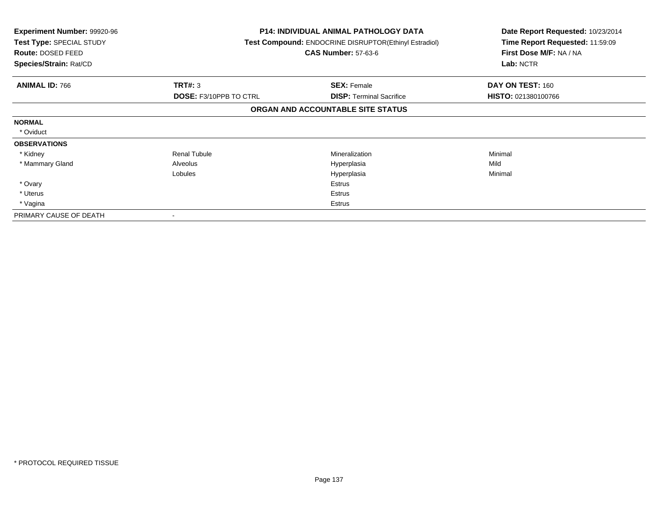| <b>Experiment Number: 99920-96</b><br>Test Type: SPECIAL STUDY<br>Route: DOSED FEED<br>Species/Strain: Rat/CD |                               | <b>P14: INDIVIDUAL ANIMAL PATHOLOGY DATA</b><br>Test Compound: ENDOCRINE DISRUPTOR(Ethinyl Estradiol)<br><b>CAS Number: 57-63-6</b> | Date Report Requested: 10/23/2014<br>Time Report Requested: 11:59:09<br>First Dose M/F: NA / NA<br>Lab: NCTR |
|---------------------------------------------------------------------------------------------------------------|-------------------------------|-------------------------------------------------------------------------------------------------------------------------------------|--------------------------------------------------------------------------------------------------------------|
| <b>ANIMAL ID: 766</b>                                                                                         | <b>TRT#: 3</b>                | <b>SEX: Female</b>                                                                                                                  | DAY ON TEST: 160                                                                                             |
|                                                                                                               | <b>DOSE: F3/10PPB TO CTRL</b> | <b>DISP:</b> Terminal Sacrifice                                                                                                     | HISTO: 021380100766                                                                                          |
|                                                                                                               |                               | ORGAN AND ACCOUNTABLE SITE STATUS                                                                                                   |                                                                                                              |
| <b>NORMAL</b>                                                                                                 |                               |                                                                                                                                     |                                                                                                              |
| * Oviduct                                                                                                     |                               |                                                                                                                                     |                                                                                                              |
| <b>OBSERVATIONS</b>                                                                                           |                               |                                                                                                                                     |                                                                                                              |
| * Kidney                                                                                                      | <b>Renal Tubule</b>           | Mineralization                                                                                                                      | Minimal                                                                                                      |
| * Mammary Gland                                                                                               | Alveolus                      | Hyperplasia                                                                                                                         | Mild                                                                                                         |
|                                                                                                               | Lobules                       | Hyperplasia                                                                                                                         | Minimal                                                                                                      |
| * Ovary                                                                                                       |                               | Estrus                                                                                                                              |                                                                                                              |
| * Uterus                                                                                                      |                               | Estrus                                                                                                                              |                                                                                                              |
| * Vagina                                                                                                      |                               | Estrus                                                                                                                              |                                                                                                              |
| PRIMARY CAUSE OF DEATH                                                                                        |                               |                                                                                                                                     |                                                                                                              |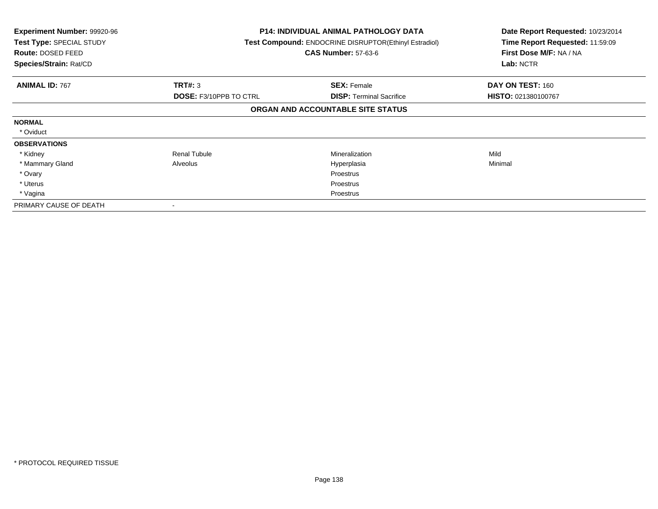| <b>Experiment Number: 99920-96</b><br>Test Type: SPECIAL STUDY<br>Route: DOSED FEED<br>Species/Strain: Rat/CD |                               | <b>P14: INDIVIDUAL ANIMAL PATHOLOGY DATA</b><br>Test Compound: ENDOCRINE DISRUPTOR(Ethinyl Estradiol)<br><b>CAS Number: 57-63-6</b> | Date Report Requested: 10/23/2014<br>Time Report Requested: 11:59:09<br>First Dose M/F: NA / NA<br>Lab: NCTR |
|---------------------------------------------------------------------------------------------------------------|-------------------------------|-------------------------------------------------------------------------------------------------------------------------------------|--------------------------------------------------------------------------------------------------------------|
| <b>ANIMAL ID: 767</b>                                                                                         | <b>TRT#: 3</b>                | <b>SEX: Female</b>                                                                                                                  | DAY ON TEST: 160                                                                                             |
|                                                                                                               | <b>DOSE: F3/10PPB TO CTRL</b> | <b>DISP: Terminal Sacrifice</b>                                                                                                     | <b>HISTO: 021380100767</b>                                                                                   |
|                                                                                                               |                               | ORGAN AND ACCOUNTABLE SITE STATUS                                                                                                   |                                                                                                              |
| <b>NORMAL</b>                                                                                                 |                               |                                                                                                                                     |                                                                                                              |
| * Oviduct                                                                                                     |                               |                                                                                                                                     |                                                                                                              |
| <b>OBSERVATIONS</b>                                                                                           |                               |                                                                                                                                     |                                                                                                              |
| * Kidney                                                                                                      | <b>Renal Tubule</b>           | Mineralization                                                                                                                      | Mild                                                                                                         |
| * Mammary Gland                                                                                               | Alveolus                      | Hyperplasia                                                                                                                         | Minimal                                                                                                      |
| * Ovary                                                                                                       |                               | Proestrus                                                                                                                           |                                                                                                              |
| * Uterus                                                                                                      |                               | Proestrus                                                                                                                           |                                                                                                              |
| * Vagina                                                                                                      |                               | Proestrus                                                                                                                           |                                                                                                              |
| PRIMARY CAUSE OF DEATH                                                                                        |                               |                                                                                                                                     |                                                                                                              |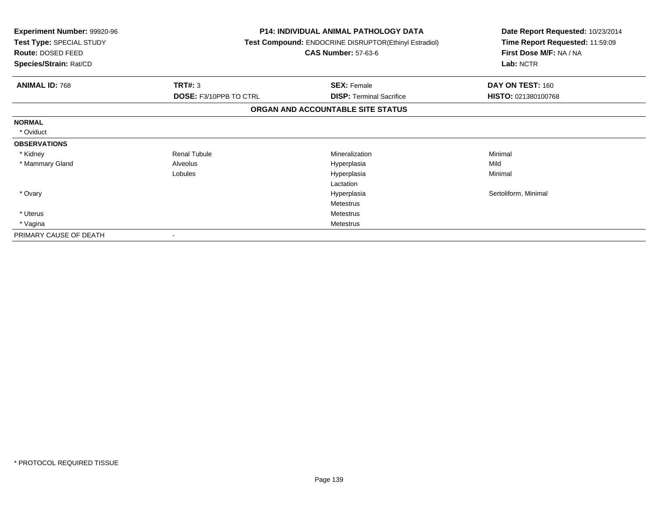| <b>Experiment Number: 99920-96</b><br>Test Type: SPECIAL STUDY<br>Route: DOSED FEED<br>Species/Strain: Rat/CD |                               | <b>P14: INDIVIDUAL ANIMAL PATHOLOGY DATA</b><br>Test Compound: ENDOCRINE DISRUPTOR(Ethinyl Estradiol)<br><b>CAS Number: 57-63-6</b> | Date Report Requested: 10/23/2014<br>Time Report Requested: 11:59:09<br>First Dose M/F: NA / NA<br>Lab: NCTR |  |
|---------------------------------------------------------------------------------------------------------------|-------------------------------|-------------------------------------------------------------------------------------------------------------------------------------|--------------------------------------------------------------------------------------------------------------|--|
| <b>ANIMAL ID: 768</b>                                                                                         | <b>TRT#: 3</b>                | <b>SEX: Female</b>                                                                                                                  | DAY ON TEST: 160                                                                                             |  |
|                                                                                                               | <b>DOSE: F3/10PPB TO CTRL</b> | <b>DISP:</b> Terminal Sacrifice                                                                                                     | HISTO: 021380100768                                                                                          |  |
|                                                                                                               |                               | ORGAN AND ACCOUNTABLE SITE STATUS                                                                                                   |                                                                                                              |  |
| <b>NORMAL</b>                                                                                                 |                               |                                                                                                                                     |                                                                                                              |  |
| * Oviduct                                                                                                     |                               |                                                                                                                                     |                                                                                                              |  |
| <b>OBSERVATIONS</b>                                                                                           |                               |                                                                                                                                     |                                                                                                              |  |
| * Kidney                                                                                                      | <b>Renal Tubule</b>           | Mineralization                                                                                                                      | Minimal                                                                                                      |  |
| * Mammary Gland                                                                                               | Alveolus                      | Hyperplasia                                                                                                                         | Mild                                                                                                         |  |
|                                                                                                               | Lobules                       | Hyperplasia                                                                                                                         | Minimal                                                                                                      |  |
|                                                                                                               |                               | Lactation                                                                                                                           |                                                                                                              |  |
| * Ovary                                                                                                       |                               | Hyperplasia                                                                                                                         | Sertoliform, Minimal                                                                                         |  |
|                                                                                                               |                               | Metestrus                                                                                                                           |                                                                                                              |  |
| * Uterus                                                                                                      |                               | <b>Metestrus</b>                                                                                                                    |                                                                                                              |  |
| * Vagina                                                                                                      |                               | <b>Metestrus</b>                                                                                                                    |                                                                                                              |  |
| PRIMARY CAUSE OF DEATH                                                                                        |                               |                                                                                                                                     |                                                                                                              |  |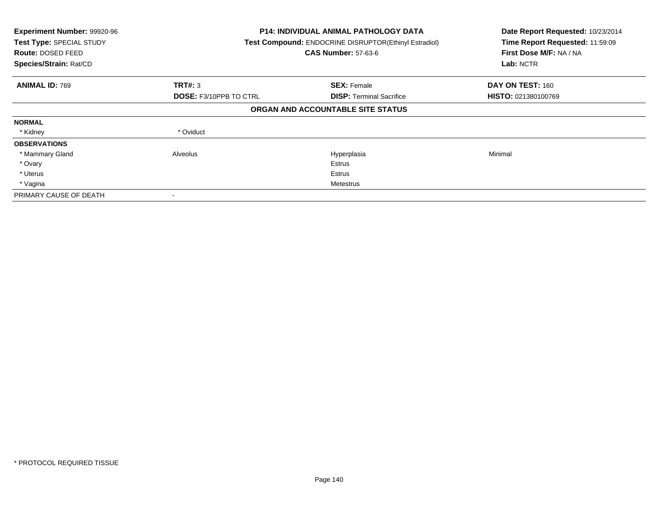| Experiment Number: 99920-96<br>Test Type: SPECIAL STUDY<br>Route: DOSED FEED<br>Species/Strain: Rat/CD |                               | <b>P14: INDIVIDUAL ANIMAL PATHOLOGY DATA</b><br>Test Compound: ENDOCRINE DISRUPTOR(Ethinyl Estradiol)<br><b>CAS Number: 57-63-6</b> | Date Report Requested: 10/23/2014<br>Time Report Requested: 11:59:09<br>First Dose M/F: NA / NA<br>Lab: NCTR |
|--------------------------------------------------------------------------------------------------------|-------------------------------|-------------------------------------------------------------------------------------------------------------------------------------|--------------------------------------------------------------------------------------------------------------|
| <b>ANIMAL ID: 769</b>                                                                                  | TRT#: 3                       | <b>SEX: Female</b>                                                                                                                  | DAY ON TEST: 160                                                                                             |
|                                                                                                        | <b>DOSE: F3/10PPB TO CTRL</b> | <b>DISP:</b> Terminal Sacrifice                                                                                                     | <b>HISTO: 021380100769</b>                                                                                   |
|                                                                                                        |                               | ORGAN AND ACCOUNTABLE SITE STATUS                                                                                                   |                                                                                                              |
| <b>NORMAL</b>                                                                                          |                               |                                                                                                                                     |                                                                                                              |
| * Kidney                                                                                               | * Oviduct                     |                                                                                                                                     |                                                                                                              |
| <b>OBSERVATIONS</b>                                                                                    |                               |                                                                                                                                     |                                                                                                              |
| * Mammary Gland                                                                                        | Alveolus                      | Hyperplasia                                                                                                                         | Minimal                                                                                                      |
| * Ovary                                                                                                |                               | Estrus                                                                                                                              |                                                                                                              |
| * Uterus                                                                                               |                               | <b>Estrus</b>                                                                                                                       |                                                                                                              |
| * Vagina                                                                                               |                               | Metestrus                                                                                                                           |                                                                                                              |
| PRIMARY CAUSE OF DEATH                                                                                 |                               |                                                                                                                                     |                                                                                                              |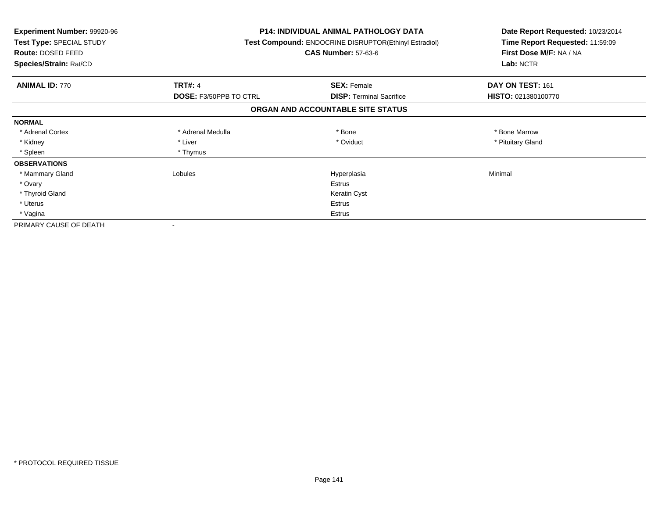| <b>Experiment Number: 99920-96</b><br>Test Type: SPECIAL STUDY<br>Route: DOSED FEED<br>Species/Strain: Rat/CD |                               | <b>P14: INDIVIDUAL ANIMAL PATHOLOGY DATA</b><br><b>Test Compound: ENDOCRINE DISRUPTOR(Ethinyl Estradiol)</b><br><b>CAS Number: 57-63-6</b> | Date Report Requested: 10/23/2014<br>Time Report Requested: 11:59:09<br>First Dose M/F: NA / NA<br>Lab: NCTR |
|---------------------------------------------------------------------------------------------------------------|-------------------------------|--------------------------------------------------------------------------------------------------------------------------------------------|--------------------------------------------------------------------------------------------------------------|
| <b>ANIMAL ID: 770</b>                                                                                         | <b>TRT#: 4</b>                | <b>SEX: Female</b>                                                                                                                         | DAY ON TEST: 161                                                                                             |
|                                                                                                               | <b>DOSE: F3/50PPB TO CTRL</b> | <b>DISP:</b> Terminal Sacrifice                                                                                                            | HISTO: 021380100770                                                                                          |
|                                                                                                               |                               | ORGAN AND ACCOUNTABLE SITE STATUS                                                                                                          |                                                                                                              |
| <b>NORMAL</b>                                                                                                 |                               |                                                                                                                                            |                                                                                                              |
| * Adrenal Cortex                                                                                              | * Adrenal Medulla             | * Bone                                                                                                                                     | * Bone Marrow                                                                                                |
| * Kidney                                                                                                      | * Liver                       | * Oviduct                                                                                                                                  | * Pituitary Gland                                                                                            |
| * Spleen                                                                                                      | * Thymus                      |                                                                                                                                            |                                                                                                              |
| <b>OBSERVATIONS</b>                                                                                           |                               |                                                                                                                                            |                                                                                                              |
| * Mammary Gland                                                                                               | Lobules                       | Hyperplasia                                                                                                                                | Minimal                                                                                                      |
| * Ovary                                                                                                       |                               | <b>Estrus</b>                                                                                                                              |                                                                                                              |
| * Thyroid Gland                                                                                               |                               | Keratin Cyst                                                                                                                               |                                                                                                              |
| * Uterus                                                                                                      |                               | <b>Estrus</b>                                                                                                                              |                                                                                                              |
| * Vagina                                                                                                      |                               | Estrus                                                                                                                                     |                                                                                                              |
| PRIMARY CAUSE OF DEATH                                                                                        |                               |                                                                                                                                            |                                                                                                              |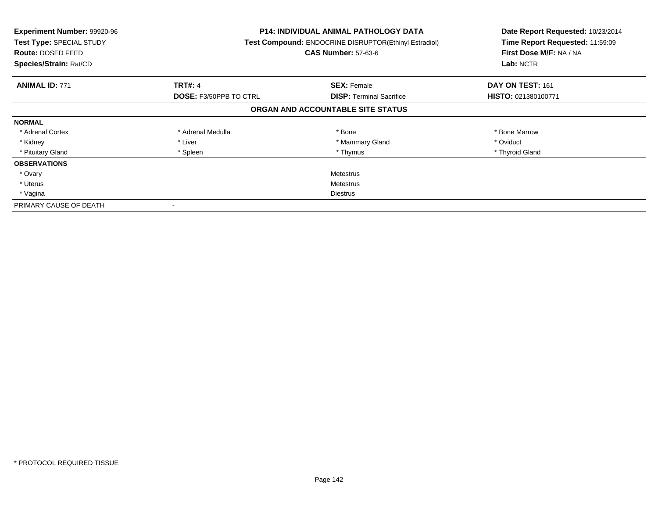| <b>Experiment Number: 99920-96</b><br>Test Type: SPECIAL STUDY<br>Route: DOSED FEED<br>Species/Strain: Rat/CD |                               | <b>P14: INDIVIDUAL ANIMAL PATHOLOGY DATA</b><br>Test Compound: ENDOCRINE DISRUPTOR(Ethinyl Estradiol)<br><b>CAS Number: 57-63-6</b> | Date Report Requested: 10/23/2014<br>Time Report Requested: 11:59:09<br>First Dose M/F: NA / NA<br>Lab: NCTR |
|---------------------------------------------------------------------------------------------------------------|-------------------------------|-------------------------------------------------------------------------------------------------------------------------------------|--------------------------------------------------------------------------------------------------------------|
| <b>ANIMAL ID: 771</b>                                                                                         | <b>TRT#: 4</b>                | <b>SEX: Female</b>                                                                                                                  | DAY ON TEST: 161                                                                                             |
|                                                                                                               | <b>DOSE: F3/50PPB TO CTRL</b> | <b>DISP:</b> Terminal Sacrifice                                                                                                     | HISTO: 021380100771                                                                                          |
|                                                                                                               |                               | ORGAN AND ACCOUNTABLE SITE STATUS                                                                                                   |                                                                                                              |
| <b>NORMAL</b>                                                                                                 |                               |                                                                                                                                     |                                                                                                              |
| * Adrenal Cortex                                                                                              | * Adrenal Medulla             | * Bone                                                                                                                              | * Bone Marrow                                                                                                |
| * Kidney                                                                                                      | * Liver                       | * Mammary Gland                                                                                                                     | * Oviduct                                                                                                    |
| * Pituitary Gland                                                                                             | * Spleen                      | * Thymus                                                                                                                            | * Thyroid Gland                                                                                              |
| <b>OBSERVATIONS</b>                                                                                           |                               |                                                                                                                                     |                                                                                                              |
| * Ovary                                                                                                       |                               | Metestrus                                                                                                                           |                                                                                                              |
| * Uterus                                                                                                      | Metestrus                     |                                                                                                                                     |                                                                                                              |
| * Vagina                                                                                                      | Diestrus                      |                                                                                                                                     |                                                                                                              |
| PRIMARY CAUSE OF DEATH                                                                                        | $\,$                          |                                                                                                                                     |                                                                                                              |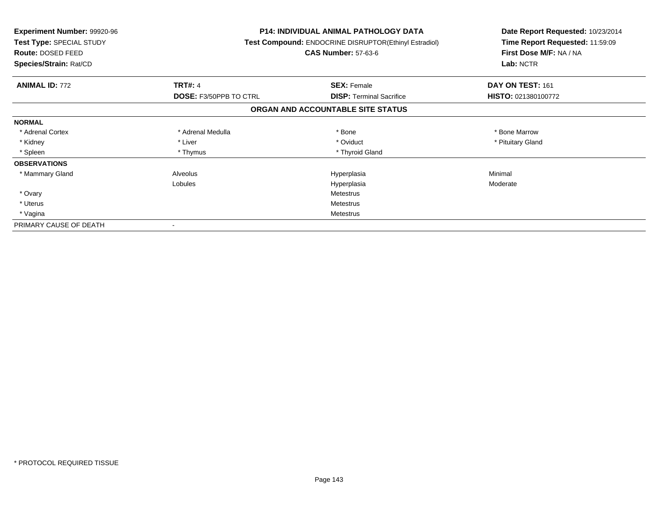| Experiment Number: 99920-96<br>Test Type: SPECIAL STUDY<br><b>Route: DOSED FEED</b><br>Species/Strain: Rat/CD |                               | <b>P14: INDIVIDUAL ANIMAL PATHOLOGY DATA</b><br><b>Test Compound: ENDOCRINE DISRUPTOR(Ethinyl Estradiol)</b><br><b>CAS Number: 57-63-6</b> | Date Report Requested: 10/23/2014<br>Time Report Requested: 11:59:09<br>First Dose M/F: NA / NA<br>Lab: NCTR |
|---------------------------------------------------------------------------------------------------------------|-------------------------------|--------------------------------------------------------------------------------------------------------------------------------------------|--------------------------------------------------------------------------------------------------------------|
| <b>ANIMAL ID: 772</b>                                                                                         | <b>TRT#: 4</b>                | <b>SEX: Female</b>                                                                                                                         | DAY ON TEST: 161                                                                                             |
|                                                                                                               | <b>DOSE: F3/50PPB TO CTRL</b> | <b>DISP:</b> Terminal Sacrifice                                                                                                            | HISTO: 021380100772                                                                                          |
|                                                                                                               |                               | ORGAN AND ACCOUNTABLE SITE STATUS                                                                                                          |                                                                                                              |
| <b>NORMAL</b>                                                                                                 |                               |                                                                                                                                            |                                                                                                              |
| * Adrenal Cortex                                                                                              | * Adrenal Medulla             | * Bone                                                                                                                                     | * Bone Marrow                                                                                                |
| * Kidney                                                                                                      | * Liver                       | * Oviduct                                                                                                                                  | * Pituitary Gland                                                                                            |
| * Spleen                                                                                                      | * Thymus                      | * Thyroid Gland                                                                                                                            |                                                                                                              |
| <b>OBSERVATIONS</b>                                                                                           |                               |                                                                                                                                            |                                                                                                              |
| * Mammary Gland                                                                                               | Alveolus                      | Hyperplasia                                                                                                                                | Minimal                                                                                                      |
|                                                                                                               | Lobules                       | Hyperplasia                                                                                                                                | Moderate                                                                                                     |
| * Ovary                                                                                                       |                               | Metestrus                                                                                                                                  |                                                                                                              |
| * Uterus                                                                                                      |                               | Metestrus                                                                                                                                  |                                                                                                              |
| * Vagina                                                                                                      | <b>Metestrus</b>              |                                                                                                                                            |                                                                                                              |
| PRIMARY CAUSE OF DEATH                                                                                        |                               |                                                                                                                                            |                                                                                                              |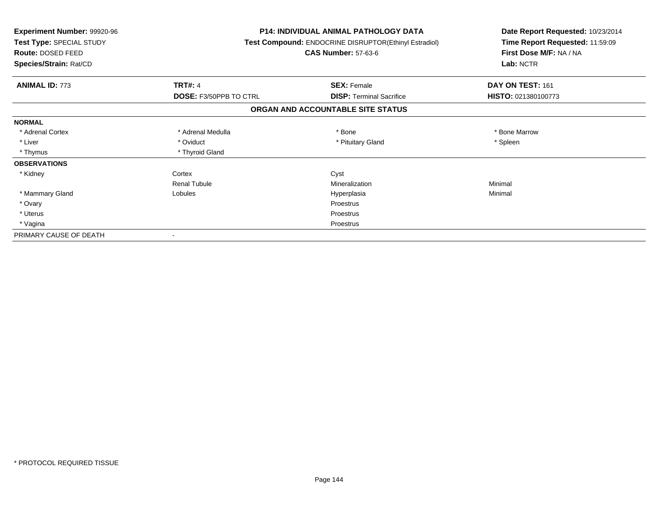| Experiment Number: 99920-96<br>Test Type: SPECIAL STUDY<br>Route: DOSED FEED<br>Species/Strain: Rat/CD |                               | <b>P14: INDIVIDUAL ANIMAL PATHOLOGY DATA</b><br>Test Compound: ENDOCRINE DISRUPTOR(Ethinyl Estradiol)<br><b>CAS Number: 57-63-6</b> | Date Report Requested: 10/23/2014<br>Time Report Requested: 11:59:09<br>First Dose M/F: NA / NA<br>Lab: NCTR |
|--------------------------------------------------------------------------------------------------------|-------------------------------|-------------------------------------------------------------------------------------------------------------------------------------|--------------------------------------------------------------------------------------------------------------|
| <b>ANIMAL ID: 773</b>                                                                                  | <b>TRT#: 4</b>                | <b>SEX: Female</b>                                                                                                                  | DAY ON TEST: 161                                                                                             |
|                                                                                                        | <b>DOSE: F3/50PPB TO CTRL</b> | <b>DISP:</b> Terminal Sacrifice                                                                                                     | HISTO: 021380100773                                                                                          |
|                                                                                                        |                               | ORGAN AND ACCOUNTABLE SITE STATUS                                                                                                   |                                                                                                              |
| <b>NORMAL</b>                                                                                          |                               |                                                                                                                                     |                                                                                                              |
| * Adrenal Cortex                                                                                       | * Adrenal Medulla             | * Bone                                                                                                                              | * Bone Marrow                                                                                                |
| * Liver                                                                                                | * Oviduct                     | * Pituitary Gland                                                                                                                   | * Spleen                                                                                                     |
| * Thymus                                                                                               | * Thyroid Gland               |                                                                                                                                     |                                                                                                              |
| <b>OBSERVATIONS</b>                                                                                    |                               |                                                                                                                                     |                                                                                                              |
| * Kidney                                                                                               | Cortex                        | Cyst                                                                                                                                |                                                                                                              |
|                                                                                                        | <b>Renal Tubule</b>           | Mineralization                                                                                                                      | Minimal                                                                                                      |
| * Mammary Gland                                                                                        | Lobules                       | Hyperplasia                                                                                                                         | Minimal                                                                                                      |
| * Ovary                                                                                                |                               | Proestrus                                                                                                                           |                                                                                                              |
| * Uterus                                                                                               |                               | Proestrus                                                                                                                           |                                                                                                              |
| * Vagina                                                                                               |                               | Proestrus                                                                                                                           |                                                                                                              |
| PRIMARY CAUSE OF DEATH                                                                                 |                               |                                                                                                                                     |                                                                                                              |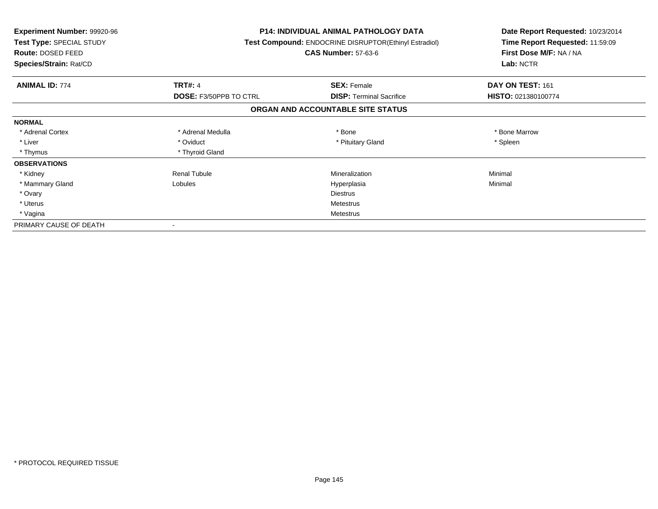| <b>Experiment Number: 99920-96</b><br>Test Type: SPECIAL STUDY<br><b>Route: DOSED FEED</b><br>Species/Strain: Rat/CD |                        | <b>P14: INDIVIDUAL ANIMAL PATHOLOGY DATA</b><br>Test Compound: ENDOCRINE DISRUPTOR(Ethinyl Estradiol)<br><b>CAS Number: 57-63-6</b> | Date Report Requested: 10/23/2014<br>Time Report Requested: 11:59:09<br>First Dose M/F: NA / NA<br>Lab: NCTR |
|----------------------------------------------------------------------------------------------------------------------|------------------------|-------------------------------------------------------------------------------------------------------------------------------------|--------------------------------------------------------------------------------------------------------------|
| <b>ANIMAL ID: 774</b>                                                                                                | <b>TRT#: 4</b>         | <b>SEX: Female</b>                                                                                                                  | DAY ON TEST: 161                                                                                             |
|                                                                                                                      | DOSE: F3/50PPB TO CTRL | <b>DISP: Terminal Sacrifice</b>                                                                                                     | HISTO: 021380100774                                                                                          |
|                                                                                                                      |                        | ORGAN AND ACCOUNTABLE SITE STATUS                                                                                                   |                                                                                                              |
| <b>NORMAL</b>                                                                                                        |                        |                                                                                                                                     |                                                                                                              |
| * Adrenal Cortex                                                                                                     | * Adrenal Medulla      | * Bone                                                                                                                              | * Bone Marrow                                                                                                |
| * Liver                                                                                                              | * Oviduct              | * Pituitary Gland                                                                                                                   | * Spleen                                                                                                     |
| * Thymus                                                                                                             | * Thyroid Gland        |                                                                                                                                     |                                                                                                              |
| <b>OBSERVATIONS</b>                                                                                                  |                        |                                                                                                                                     |                                                                                                              |
| * Kidney                                                                                                             | <b>Renal Tubule</b>    | Mineralization                                                                                                                      | Minimal                                                                                                      |
| * Mammary Gland                                                                                                      | Lobules                | Hyperplasia                                                                                                                         | Minimal                                                                                                      |
| * Ovary                                                                                                              |                        | <b>Diestrus</b>                                                                                                                     |                                                                                                              |
| * Uterus                                                                                                             |                        | Metestrus                                                                                                                           |                                                                                                              |
| * Vagina                                                                                                             |                        | Metestrus                                                                                                                           |                                                                                                              |
| PRIMARY CAUSE OF DEATH                                                                                               |                        |                                                                                                                                     |                                                                                                              |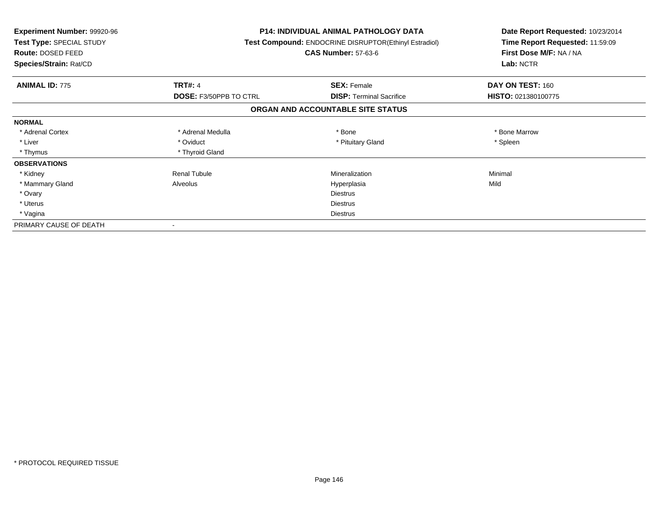| <b>Experiment Number: 99920-96</b><br>Test Type: SPECIAL STUDY<br><b>Route: DOSED FEED</b><br>Species/Strain: Rat/CD |                               | <b>P14: INDIVIDUAL ANIMAL PATHOLOGY DATA</b><br><b>Test Compound: ENDOCRINE DISRUPTOR(Ethinyl Estradiol)</b><br><b>CAS Number: 57-63-6</b> | Date Report Requested: 10/23/2014<br>Time Report Requested: 11:59:09<br>First Dose M/F: NA / NA<br>Lab: NCTR |
|----------------------------------------------------------------------------------------------------------------------|-------------------------------|--------------------------------------------------------------------------------------------------------------------------------------------|--------------------------------------------------------------------------------------------------------------|
| <b>ANIMAL ID: 775</b>                                                                                                | <b>TRT#: 4</b>                | <b>SEX: Female</b>                                                                                                                         | DAY ON TEST: 160                                                                                             |
|                                                                                                                      | <b>DOSE: F3/50PPB TO CTRL</b> | <b>DISP:</b> Terminal Sacrifice                                                                                                            | HISTO: 021380100775                                                                                          |
|                                                                                                                      |                               | ORGAN AND ACCOUNTABLE SITE STATUS                                                                                                          |                                                                                                              |
| <b>NORMAL</b>                                                                                                        |                               |                                                                                                                                            |                                                                                                              |
| * Adrenal Cortex                                                                                                     | * Adrenal Medulla             | * Bone                                                                                                                                     | * Bone Marrow                                                                                                |
| * Liver                                                                                                              | * Oviduct                     | * Pituitary Gland                                                                                                                          | * Spleen                                                                                                     |
| * Thymus                                                                                                             | * Thyroid Gland               |                                                                                                                                            |                                                                                                              |
| <b>OBSERVATIONS</b>                                                                                                  |                               |                                                                                                                                            |                                                                                                              |
| * Kidney                                                                                                             | <b>Renal Tubule</b>           | Mineralization                                                                                                                             | Minimal                                                                                                      |
| * Mammary Gland                                                                                                      | Alveolus                      | Hyperplasia                                                                                                                                | Mild                                                                                                         |
| * Ovary                                                                                                              |                               | <b>Diestrus</b>                                                                                                                            |                                                                                                              |
| * Uterus                                                                                                             |                               | <b>Diestrus</b>                                                                                                                            |                                                                                                              |
| * Vagina                                                                                                             |                               | Diestrus                                                                                                                                   |                                                                                                              |
| PRIMARY CAUSE OF DEATH                                                                                               |                               |                                                                                                                                            |                                                                                                              |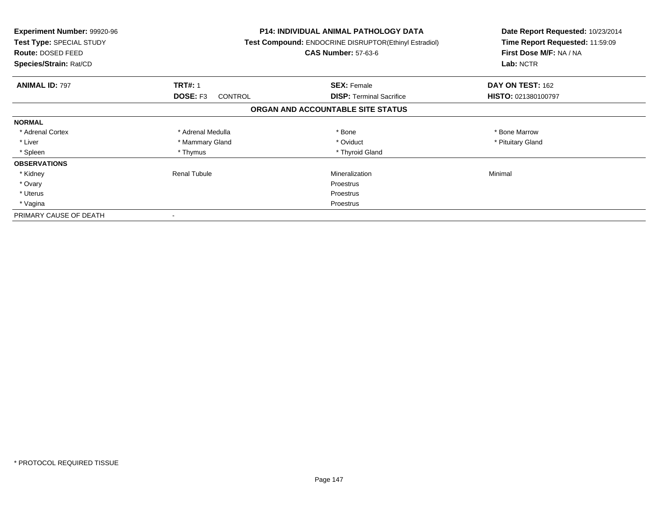| <b>Experiment Number: 99920-96</b><br>Test Type: SPECIAL STUDY<br><b>Route: DOSED FEED</b><br>Species/Strain: Rat/CD |                                   | P14: INDIVIDUAL ANIMAL PATHOLOGY DATA<br>Test Compound: ENDOCRINE DISRUPTOR(Ethinyl Estradiol)<br><b>CAS Number: 57-63-6</b> | Date Report Requested: 10/23/2014<br>Time Report Requested: 11:59:09<br>First Dose M/F: NA / NA<br>Lab: NCTR |
|----------------------------------------------------------------------------------------------------------------------|-----------------------------------|------------------------------------------------------------------------------------------------------------------------------|--------------------------------------------------------------------------------------------------------------|
| <b>ANIMAL ID: 797</b>                                                                                                | <b>TRT#: 1</b>                    | <b>SEX: Female</b>                                                                                                           | DAY ON TEST: 162                                                                                             |
|                                                                                                                      | <b>DOSE: F3</b><br><b>CONTROL</b> | <b>DISP:</b> Terminal Sacrifice                                                                                              | HISTO: 021380100797                                                                                          |
|                                                                                                                      |                                   | ORGAN AND ACCOUNTABLE SITE STATUS                                                                                            |                                                                                                              |
| <b>NORMAL</b>                                                                                                        |                                   |                                                                                                                              |                                                                                                              |
| * Adrenal Cortex                                                                                                     | * Adrenal Medulla                 | * Bone                                                                                                                       | * Bone Marrow                                                                                                |
| * Liver                                                                                                              | * Mammary Gland                   | * Oviduct                                                                                                                    | * Pituitary Gland                                                                                            |
| * Spleen                                                                                                             | * Thymus                          | * Thyroid Gland                                                                                                              |                                                                                                              |
| <b>OBSERVATIONS</b>                                                                                                  |                                   |                                                                                                                              |                                                                                                              |
| * Kidney                                                                                                             | <b>Renal Tubule</b>               | Mineralization                                                                                                               | Minimal                                                                                                      |
| * Ovary                                                                                                              |                                   | Proestrus                                                                                                                    |                                                                                                              |
| * Uterus                                                                                                             |                                   | Proestrus                                                                                                                    |                                                                                                              |
| * Vagina                                                                                                             |                                   | Proestrus                                                                                                                    |                                                                                                              |
| PRIMARY CAUSE OF DEATH                                                                                               |                                   |                                                                                                                              |                                                                                                              |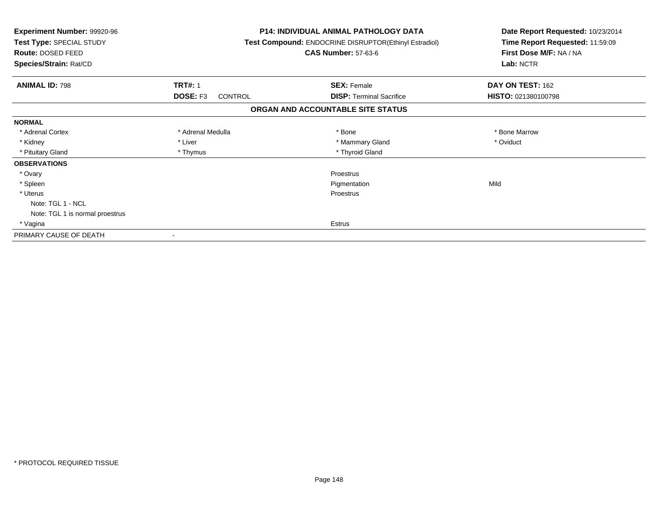| <b>Experiment Number: 99920-96</b><br>Test Type: SPECIAL STUDY<br><b>Route: DOSED FEED</b><br>Species/Strain: Rat/CD |                                              | <b>P14: INDIVIDUAL ANIMAL PATHOLOGY DATA</b><br>Test Compound: ENDOCRINE DISRUPTOR(Ethinyl Estradiol)<br><b>CAS Number: 57-63-6</b> | Date Report Requested: 10/23/2014<br>Time Report Requested: 11:59:09<br>First Dose M/F: NA / NA<br>Lab: NCTR |
|----------------------------------------------------------------------------------------------------------------------|----------------------------------------------|-------------------------------------------------------------------------------------------------------------------------------------|--------------------------------------------------------------------------------------------------------------|
| <b>ANIMAL ID: 798</b>                                                                                                | <b>TRT#: 1</b><br><b>DOSE: F3</b><br>CONTROL | <b>SEX: Female</b><br><b>DISP:</b> Terminal Sacrifice                                                                               | DAY ON TEST: 162<br>HISTO: 021380100798                                                                      |
|                                                                                                                      |                                              | ORGAN AND ACCOUNTABLE SITE STATUS                                                                                                   |                                                                                                              |
| <b>NORMAL</b>                                                                                                        |                                              |                                                                                                                                     |                                                                                                              |
| * Adrenal Cortex                                                                                                     | * Adrenal Medulla                            | * Bone                                                                                                                              | * Bone Marrow                                                                                                |
| * Kidney                                                                                                             | * Liver                                      | * Mammary Gland                                                                                                                     | * Oviduct                                                                                                    |
| * Pituitary Gland                                                                                                    | * Thymus                                     | * Thyroid Gland                                                                                                                     |                                                                                                              |
| <b>OBSERVATIONS</b>                                                                                                  |                                              |                                                                                                                                     |                                                                                                              |
| * Ovary                                                                                                              |                                              | Proestrus                                                                                                                           |                                                                                                              |
| * Spleen                                                                                                             |                                              | Pigmentation                                                                                                                        | Mild                                                                                                         |
| * Uterus                                                                                                             |                                              | Proestrus                                                                                                                           |                                                                                                              |
| Note: TGL 1 - NCL                                                                                                    |                                              |                                                                                                                                     |                                                                                                              |
| Note: TGL 1 is normal proestrus                                                                                      |                                              |                                                                                                                                     |                                                                                                              |
| * Vagina                                                                                                             |                                              | Estrus                                                                                                                              |                                                                                                              |
| PRIMARY CAUSE OF DEATH                                                                                               |                                              |                                                                                                                                     |                                                                                                              |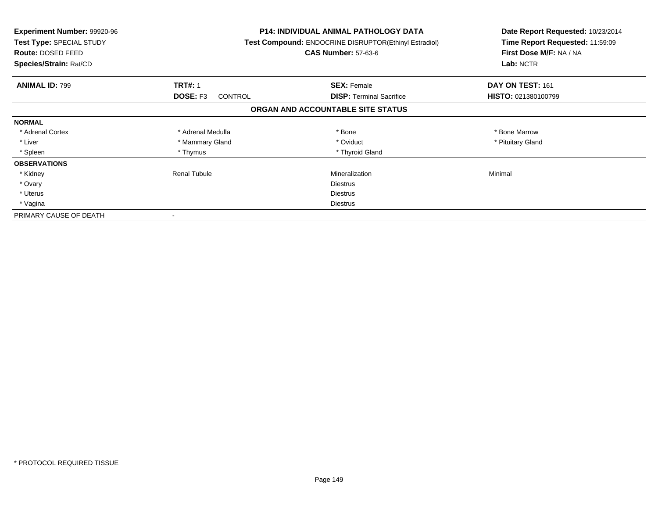| <b>Experiment Number: 99920-96</b><br>Test Type: SPECIAL STUDY<br><b>Route: DOSED FEED</b><br>Species/Strain: Rat/CD |                                   | P14: INDIVIDUAL ANIMAL PATHOLOGY DATA<br>Test Compound: ENDOCRINE DISRUPTOR(Ethinyl Estradiol)<br><b>CAS Number: 57-63-6</b> | Date Report Requested: 10/23/2014<br>Time Report Requested: 11:59:09<br>First Dose M/F: NA / NA<br>Lab: NCTR |
|----------------------------------------------------------------------------------------------------------------------|-----------------------------------|------------------------------------------------------------------------------------------------------------------------------|--------------------------------------------------------------------------------------------------------------|
| <b>ANIMAL ID: 799</b>                                                                                                | <b>TRT#: 1</b>                    | <b>SEX: Female</b>                                                                                                           | DAY ON TEST: 161                                                                                             |
|                                                                                                                      | <b>DOSE: F3</b><br><b>CONTROL</b> | <b>DISP:</b> Terminal Sacrifice                                                                                              | HISTO: 021380100799                                                                                          |
|                                                                                                                      |                                   | ORGAN AND ACCOUNTABLE SITE STATUS                                                                                            |                                                                                                              |
| <b>NORMAL</b>                                                                                                        |                                   |                                                                                                                              |                                                                                                              |
| * Adrenal Cortex                                                                                                     | * Adrenal Medulla                 | * Bone                                                                                                                       | * Bone Marrow                                                                                                |
| * Liver                                                                                                              | * Mammary Gland                   | * Oviduct                                                                                                                    | * Pituitary Gland                                                                                            |
| * Spleen                                                                                                             | * Thymus                          | * Thyroid Gland                                                                                                              |                                                                                                              |
| <b>OBSERVATIONS</b>                                                                                                  |                                   |                                                                                                                              |                                                                                                              |
| * Kidney                                                                                                             | <b>Renal Tubule</b>               | Mineralization                                                                                                               | Minimal                                                                                                      |
| * Ovary                                                                                                              |                                   | <b>Diestrus</b>                                                                                                              |                                                                                                              |
| * Uterus                                                                                                             |                                   | <b>Diestrus</b>                                                                                                              |                                                                                                              |
| * Vagina                                                                                                             |                                   | Diestrus                                                                                                                     |                                                                                                              |
| PRIMARY CAUSE OF DEATH                                                                                               |                                   |                                                                                                                              |                                                                                                              |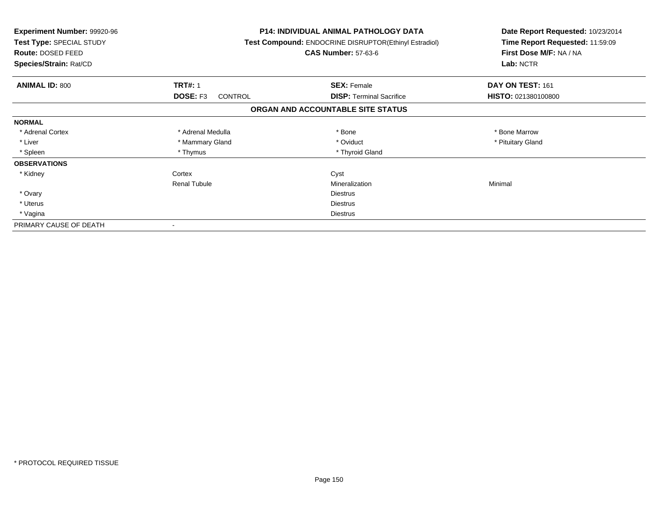| <b>Experiment Number: 99920-96</b><br>Test Type: SPECIAL STUDY<br>Route: DOSED FEED<br>Species/Strain: Rat/CD |                            | <b>P14: INDIVIDUAL ANIMAL PATHOLOGY DATA</b><br><b>Test Compound: ENDOCRINE DISRUPTOR(Ethinyl Estradiol)</b><br><b>CAS Number: 57-63-6</b> | Date Report Requested: 10/23/2014<br>Time Report Requested: 11:59:09<br>First Dose M/F: NA / NA<br>Lab: NCTR |
|---------------------------------------------------------------------------------------------------------------|----------------------------|--------------------------------------------------------------------------------------------------------------------------------------------|--------------------------------------------------------------------------------------------------------------|
| <b>ANIMAL ID: 800</b>                                                                                         | <b>TRT#: 1</b>             | <b>SEX: Female</b>                                                                                                                         | DAY ON TEST: 161                                                                                             |
|                                                                                                               | DOSE: F3<br><b>CONTROL</b> | <b>DISP:</b> Terminal Sacrifice                                                                                                            | HISTO: 021380100800                                                                                          |
|                                                                                                               |                            | ORGAN AND ACCOUNTABLE SITE STATUS                                                                                                          |                                                                                                              |
| <b>NORMAL</b>                                                                                                 |                            |                                                                                                                                            |                                                                                                              |
| * Adrenal Cortex                                                                                              | * Adrenal Medulla          | * Bone                                                                                                                                     | * Bone Marrow                                                                                                |
| * Liver                                                                                                       | * Mammary Gland            | * Oviduct                                                                                                                                  | * Pituitary Gland                                                                                            |
| * Spleen                                                                                                      | * Thymus                   | * Thyroid Gland                                                                                                                            |                                                                                                              |
| <b>OBSERVATIONS</b>                                                                                           |                            |                                                                                                                                            |                                                                                                              |
| * Kidney                                                                                                      | Cortex                     | Cyst                                                                                                                                       |                                                                                                              |
|                                                                                                               | <b>Renal Tubule</b>        | Mineralization                                                                                                                             | Minimal                                                                                                      |
| * Ovary                                                                                                       |                            | <b>Diestrus</b>                                                                                                                            |                                                                                                              |
| * Uterus                                                                                                      |                            | <b>Diestrus</b>                                                                                                                            |                                                                                                              |
| * Vagina                                                                                                      | Diestrus                   |                                                                                                                                            |                                                                                                              |
| PRIMARY CAUSE OF DEATH                                                                                        |                            |                                                                                                                                            |                                                                                                              |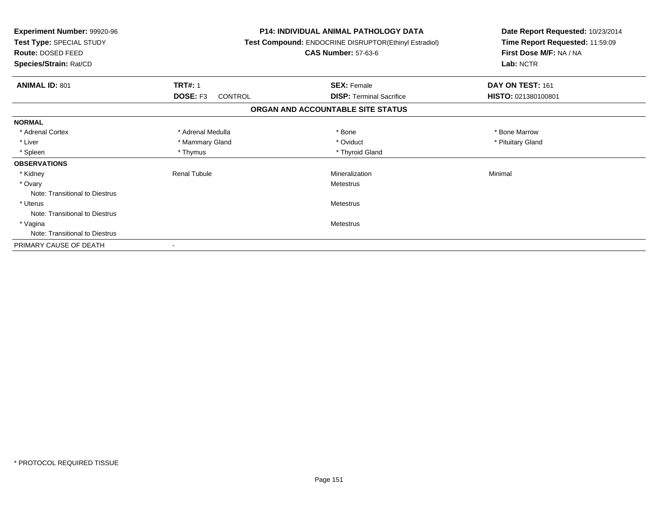| Experiment Number: 99920-96<br>Test Type: SPECIAL STUDY<br>Route: DOSED FEED<br>Species/Strain: Rat/CD |                     | <b>P14: INDIVIDUAL ANIMAL PATHOLOGY DATA</b><br>Test Compound: ENDOCRINE DISRUPTOR(Ethinyl Estradiol)<br><b>CAS Number: 57-63-6</b> | Date Report Requested: 10/23/2014<br>Time Report Requested: 11:59:09<br>First Dose M/F: NA / NA<br>Lab: NCTR |
|--------------------------------------------------------------------------------------------------------|---------------------|-------------------------------------------------------------------------------------------------------------------------------------|--------------------------------------------------------------------------------------------------------------|
| <b>ANIMAL ID: 801</b>                                                                                  | <b>TRT#: 1</b>      | <b>SEX: Female</b>                                                                                                                  | DAY ON TEST: 161                                                                                             |
|                                                                                                        | DOSE: F3<br>CONTROL | <b>DISP: Terminal Sacrifice</b>                                                                                                     | HISTO: 021380100801                                                                                          |
|                                                                                                        |                     | ORGAN AND ACCOUNTABLE SITE STATUS                                                                                                   |                                                                                                              |
| <b>NORMAL</b>                                                                                          |                     |                                                                                                                                     |                                                                                                              |
| * Adrenal Cortex                                                                                       | * Adrenal Medulla   | * Bone                                                                                                                              | * Bone Marrow                                                                                                |
| * Liver                                                                                                | * Mammary Gland     | * Oviduct                                                                                                                           | * Pituitary Gland                                                                                            |
| * Spleen                                                                                               | * Thymus            | * Thyroid Gland                                                                                                                     |                                                                                                              |
| <b>OBSERVATIONS</b>                                                                                    |                     |                                                                                                                                     |                                                                                                              |
| * Kidney                                                                                               | <b>Renal Tubule</b> | Mineralization                                                                                                                      | Minimal                                                                                                      |
| * Ovary                                                                                                |                     | Metestrus                                                                                                                           |                                                                                                              |
| Note: Transitional to Diestrus                                                                         |                     |                                                                                                                                     |                                                                                                              |
| * Uterus                                                                                               |                     | Metestrus                                                                                                                           |                                                                                                              |
| Note: Transitional to Diestrus                                                                         |                     |                                                                                                                                     |                                                                                                              |
| * Vagina                                                                                               |                     | Metestrus                                                                                                                           |                                                                                                              |
| Note: Transitional to Diestrus                                                                         |                     |                                                                                                                                     |                                                                                                              |
| PRIMARY CAUSE OF DEATH                                                                                 |                     |                                                                                                                                     |                                                                                                              |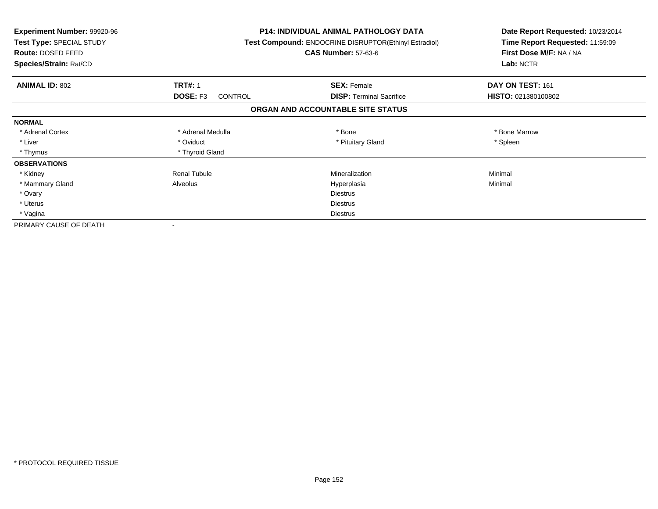| <b>Experiment Number: 99920-96</b><br>Test Type: SPECIAL STUDY<br>Route: DOSED FEED<br>Species/Strain: Rat/CD |                     | <b>P14: INDIVIDUAL ANIMAL PATHOLOGY DATA</b><br>Test Compound: ENDOCRINE DISRUPTOR(Ethinyl Estradiol)<br><b>CAS Number: 57-63-6</b> | Date Report Requested: 10/23/2014<br>Time Report Requested: 11:59:09<br>First Dose M/F: NA / NA<br>Lab: NCTR |
|---------------------------------------------------------------------------------------------------------------|---------------------|-------------------------------------------------------------------------------------------------------------------------------------|--------------------------------------------------------------------------------------------------------------|
| <b>ANIMAL ID: 802</b>                                                                                         | <b>TRT#: 1</b>      | <b>SEX: Female</b>                                                                                                                  | DAY ON TEST: 161                                                                                             |
|                                                                                                               | DOSE: F3<br>CONTROL | <b>DISP: Terminal Sacrifice</b>                                                                                                     | HISTO: 021380100802                                                                                          |
|                                                                                                               |                     | ORGAN AND ACCOUNTABLE SITE STATUS                                                                                                   |                                                                                                              |
| <b>NORMAL</b>                                                                                                 |                     |                                                                                                                                     |                                                                                                              |
| * Adrenal Cortex                                                                                              | * Adrenal Medulla   | * Bone                                                                                                                              | * Bone Marrow                                                                                                |
| * Liver                                                                                                       | * Oviduct           | * Pituitary Gland                                                                                                                   | * Spleen                                                                                                     |
| * Thymus                                                                                                      | * Thyroid Gland     |                                                                                                                                     |                                                                                                              |
| <b>OBSERVATIONS</b>                                                                                           |                     |                                                                                                                                     |                                                                                                              |
| * Kidney                                                                                                      | <b>Renal Tubule</b> | Mineralization                                                                                                                      | Minimal                                                                                                      |
| * Mammary Gland                                                                                               | Alveolus            | Hyperplasia                                                                                                                         | Minimal                                                                                                      |
| * Ovary                                                                                                       |                     | <b>Diestrus</b>                                                                                                                     |                                                                                                              |
| * Uterus                                                                                                      |                     | Diestrus                                                                                                                            |                                                                                                              |
| * Vagina                                                                                                      |                     | <b>Diestrus</b>                                                                                                                     |                                                                                                              |
| PRIMARY CAUSE OF DEATH                                                                                        |                     |                                                                                                                                     |                                                                                                              |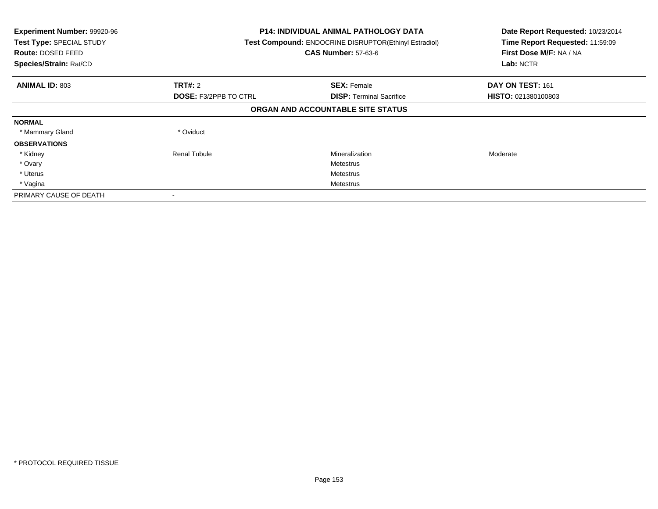| Experiment Number: 99920-96<br>Test Type: SPECIAL STUDY<br><b>Route: DOSED FEED</b><br>Species/Strain: Rat/CD |                              | <b>P14: INDIVIDUAL ANIMAL PATHOLOGY DATA</b><br>Test Compound: ENDOCRINE DISRUPTOR(Ethinyl Estradiol)<br><b>CAS Number: 57-63-6</b> |                            |
|---------------------------------------------------------------------------------------------------------------|------------------------------|-------------------------------------------------------------------------------------------------------------------------------------|----------------------------|
| <b>ANIMAL ID: 803</b>                                                                                         | TRT#: 2                      | <b>SEX: Female</b>                                                                                                                  | DAY ON TEST: 161           |
|                                                                                                               | <b>DOSE: F3/2PPB TO CTRL</b> | <b>DISP:</b> Terminal Sacrifice                                                                                                     | <b>HISTO: 021380100803</b> |
|                                                                                                               |                              | ORGAN AND ACCOUNTABLE SITE STATUS                                                                                                   |                            |
| <b>NORMAL</b>                                                                                                 |                              |                                                                                                                                     |                            |
| * Mammary Gland                                                                                               | * Oviduct                    |                                                                                                                                     |                            |
| <b>OBSERVATIONS</b>                                                                                           |                              |                                                                                                                                     |                            |
| * Kidney                                                                                                      | <b>Renal Tubule</b>          | Mineralization                                                                                                                      | Moderate                   |
| * Ovary                                                                                                       |                              | Metestrus                                                                                                                           |                            |
| * Uterus                                                                                                      |                              | Metestrus                                                                                                                           |                            |
| * Vagina                                                                                                      |                              | Metestrus                                                                                                                           |                            |
| PRIMARY CAUSE OF DEATH                                                                                        |                              |                                                                                                                                     |                            |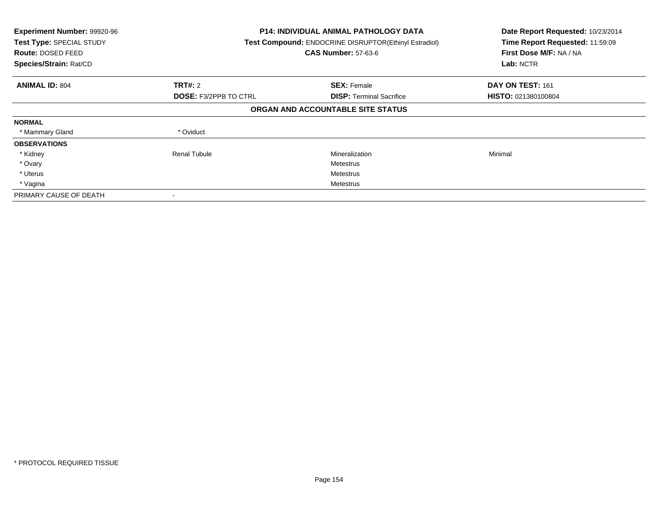| Experiment Number: 99920-96<br>Test Type: SPECIAL STUDY<br><b>Route: DOSED FEED</b><br>Species/Strain: Rat/CD |                              | <b>P14: INDIVIDUAL ANIMAL PATHOLOGY DATA</b><br>Test Compound: ENDOCRINE DISRUPTOR(Ethinyl Estradiol)<br><b>CAS Number: 57-63-6</b> |                     |
|---------------------------------------------------------------------------------------------------------------|------------------------------|-------------------------------------------------------------------------------------------------------------------------------------|---------------------|
| <b>ANIMAL ID: 804</b>                                                                                         | TRT#: 2                      | <b>SEX: Female</b>                                                                                                                  | DAY ON TEST: 161    |
|                                                                                                               | <b>DOSE: F3/2PPB TO CTRL</b> | <b>DISP:</b> Terminal Sacrifice                                                                                                     | HISTO: 021380100804 |
|                                                                                                               |                              | ORGAN AND ACCOUNTABLE SITE STATUS                                                                                                   |                     |
| <b>NORMAL</b>                                                                                                 |                              |                                                                                                                                     |                     |
| * Mammary Gland                                                                                               | * Oviduct                    |                                                                                                                                     |                     |
| <b>OBSERVATIONS</b>                                                                                           |                              |                                                                                                                                     |                     |
| * Kidney                                                                                                      | <b>Renal Tubule</b>          | Mineralization                                                                                                                      | Minimal             |
| * Ovary                                                                                                       |                              | Metestrus                                                                                                                           |                     |
| * Uterus                                                                                                      |                              | Metestrus                                                                                                                           |                     |
| * Vagina                                                                                                      |                              | Metestrus                                                                                                                           |                     |
| PRIMARY CAUSE OF DEATH                                                                                        |                              |                                                                                                                                     |                     |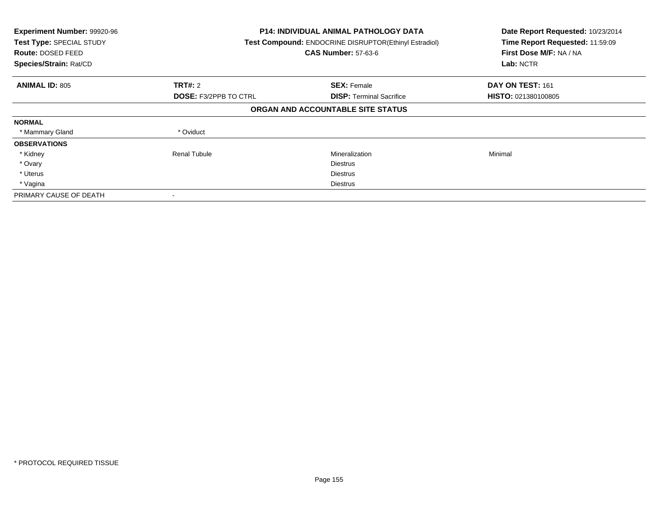| Experiment Number: 99920-96<br>Test Type: SPECIAL STUDY<br><b>Route: DOSED FEED</b><br>Species/Strain: Rat/CD | P14: INDIVIDUAL ANIMAL PATHOLOGY DATA<br>Test Compound: ENDOCRINE DISRUPTOR(Ethinyl Estradiol)<br><b>CAS Number: 57-63-6</b> |                                   | Date Report Requested: 10/23/2014<br>Time Report Requested: 11:59:09<br>First Dose M/F: NA / NA<br>Lab: NCTR |
|---------------------------------------------------------------------------------------------------------------|------------------------------------------------------------------------------------------------------------------------------|-----------------------------------|--------------------------------------------------------------------------------------------------------------|
| <b>ANIMAL ID: 805</b>                                                                                         | TRT#: 2                                                                                                                      | <b>SEX: Female</b>                | DAY ON TEST: 161                                                                                             |
|                                                                                                               | <b>DOSE: F3/2PPB TO CTRL</b>                                                                                                 | <b>DISP:</b> Terminal Sacrifice   | <b>HISTO: 021380100805</b>                                                                                   |
|                                                                                                               |                                                                                                                              | ORGAN AND ACCOUNTABLE SITE STATUS |                                                                                                              |
| <b>NORMAL</b>                                                                                                 |                                                                                                                              |                                   |                                                                                                              |
| * Mammary Gland                                                                                               | * Oviduct                                                                                                                    |                                   |                                                                                                              |
| <b>OBSERVATIONS</b>                                                                                           |                                                                                                                              |                                   |                                                                                                              |
| * Kidney                                                                                                      | Renal Tubule                                                                                                                 | Mineralization                    | Minimal                                                                                                      |
| * Ovary                                                                                                       |                                                                                                                              | <b>Diestrus</b>                   |                                                                                                              |
| * Uterus                                                                                                      |                                                                                                                              | <b>Diestrus</b>                   |                                                                                                              |
| * Vagina                                                                                                      |                                                                                                                              | <b>Diestrus</b>                   |                                                                                                              |
| PRIMARY CAUSE OF DEATH                                                                                        |                                                                                                                              |                                   |                                                                                                              |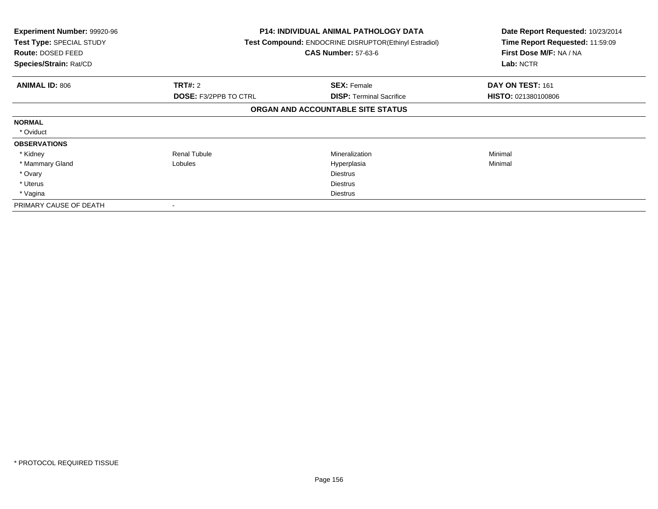| <b>Experiment Number: 99920-96</b><br>Test Type: SPECIAL STUDY<br>Route: DOSED FEED<br>Species/Strain: Rat/CD |                              | <b>P14: INDIVIDUAL ANIMAL PATHOLOGY DATA</b><br>Test Compound: ENDOCRINE DISRUPTOR(Ethinyl Estradiol)<br><b>CAS Number: 57-63-6</b> | Date Report Requested: 10/23/2014<br>Time Report Requested: 11:59:09<br>First Dose M/F: NA / NA<br>Lab: NCTR |
|---------------------------------------------------------------------------------------------------------------|------------------------------|-------------------------------------------------------------------------------------------------------------------------------------|--------------------------------------------------------------------------------------------------------------|
| <b>ANIMAL ID: 806</b>                                                                                         | TRT#: 2                      | <b>SEX: Female</b>                                                                                                                  | DAY ON TEST: 161                                                                                             |
|                                                                                                               | <b>DOSE: F3/2PPB TO CTRL</b> | <b>DISP: Terminal Sacrifice</b>                                                                                                     | <b>HISTO: 021380100806</b>                                                                                   |
|                                                                                                               |                              | ORGAN AND ACCOUNTABLE SITE STATUS                                                                                                   |                                                                                                              |
| <b>NORMAL</b>                                                                                                 |                              |                                                                                                                                     |                                                                                                              |
| * Oviduct                                                                                                     |                              |                                                                                                                                     |                                                                                                              |
| <b>OBSERVATIONS</b>                                                                                           |                              |                                                                                                                                     |                                                                                                              |
| * Kidney                                                                                                      | <b>Renal Tubule</b>          | Mineralization                                                                                                                      | Minimal                                                                                                      |
| * Mammary Gland                                                                                               | Lobules                      | Hyperplasia                                                                                                                         | Minimal                                                                                                      |
| * Ovary                                                                                                       |                              | <b>Diestrus</b>                                                                                                                     |                                                                                                              |
| * Uterus                                                                                                      |                              | <b>Diestrus</b>                                                                                                                     |                                                                                                              |
| * Vagina                                                                                                      |                              | <b>Diestrus</b>                                                                                                                     |                                                                                                              |
| PRIMARY CAUSE OF DEATH                                                                                        |                              |                                                                                                                                     |                                                                                                              |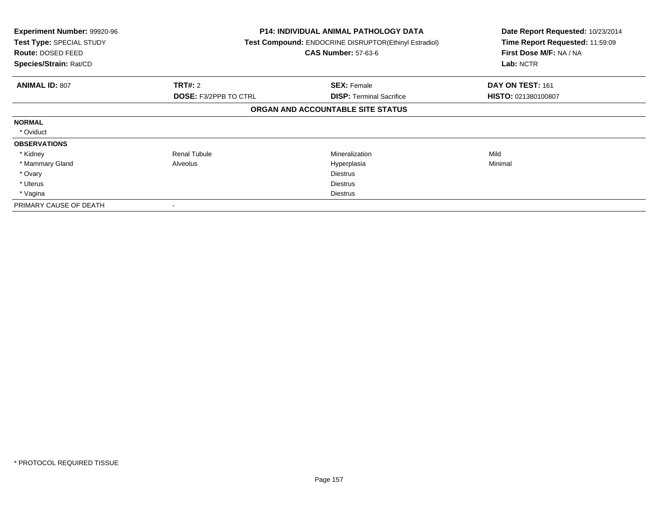| <b>Experiment Number: 99920-96</b><br>Test Type: SPECIAL STUDY<br>Route: DOSED FEED<br>Species/Strain: Rat/CD |                              | <b>P14: INDIVIDUAL ANIMAL PATHOLOGY DATA</b><br>Test Compound: ENDOCRINE DISRUPTOR(Ethinyl Estradiol)<br><b>CAS Number: 57-63-6</b> | Date Report Requested: 10/23/2014<br>Time Report Requested: 11:59:09<br>First Dose M/F: NA / NA<br>Lab: NCTR |
|---------------------------------------------------------------------------------------------------------------|------------------------------|-------------------------------------------------------------------------------------------------------------------------------------|--------------------------------------------------------------------------------------------------------------|
| <b>ANIMAL ID: 807</b>                                                                                         | TRT#: 2                      | <b>SEX: Female</b>                                                                                                                  | DAY ON TEST: 161                                                                                             |
|                                                                                                               | <b>DOSE: F3/2PPB TO CTRL</b> | <b>DISP: Terminal Sacrifice</b>                                                                                                     | <b>HISTO: 021380100807</b>                                                                                   |
|                                                                                                               |                              | ORGAN AND ACCOUNTABLE SITE STATUS                                                                                                   |                                                                                                              |
| <b>NORMAL</b>                                                                                                 |                              |                                                                                                                                     |                                                                                                              |
| * Oviduct                                                                                                     |                              |                                                                                                                                     |                                                                                                              |
| <b>OBSERVATIONS</b>                                                                                           |                              |                                                                                                                                     |                                                                                                              |
| * Kidney                                                                                                      | <b>Renal Tubule</b>          | Mineralization                                                                                                                      | Mild                                                                                                         |
| * Mammary Gland                                                                                               | Alveolus                     | Hyperplasia                                                                                                                         | Minimal                                                                                                      |
| * Ovary                                                                                                       |                              | <b>Diestrus</b>                                                                                                                     |                                                                                                              |
| * Uterus                                                                                                      |                              | <b>Diestrus</b>                                                                                                                     |                                                                                                              |
| * Vagina                                                                                                      |                              | <b>Diestrus</b>                                                                                                                     |                                                                                                              |
| PRIMARY CAUSE OF DEATH                                                                                        |                              |                                                                                                                                     |                                                                                                              |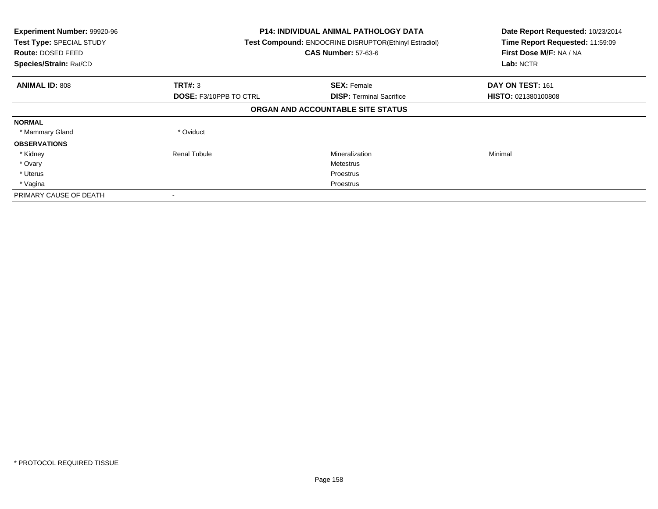| Experiment Number: 99920-96<br>Test Type: SPECIAL STUDY<br><b>Route: DOSED FEED</b><br>Species/Strain: Rat/CD |                               | <b>P14: INDIVIDUAL ANIMAL PATHOLOGY DATA</b><br>Test Compound: ENDOCRINE DISRUPTOR(Ethinyl Estradiol)<br><b>CAS Number: 57-63-6</b> | Date Report Requested: 10/23/2014<br>Time Report Requested: 11:59:09<br>First Dose M/F: NA / NA<br>Lab: NCTR |
|---------------------------------------------------------------------------------------------------------------|-------------------------------|-------------------------------------------------------------------------------------------------------------------------------------|--------------------------------------------------------------------------------------------------------------|
| <b>ANIMAL ID: 808</b>                                                                                         | TRT#: 3                       | <b>SEX: Female</b>                                                                                                                  | DAY ON TEST: 161                                                                                             |
|                                                                                                               | <b>DOSE: F3/10PPB TO CTRL</b> | <b>DISP:</b> Terminal Sacrifice                                                                                                     | HISTO: 021380100808                                                                                          |
|                                                                                                               |                               | ORGAN AND ACCOUNTABLE SITE STATUS                                                                                                   |                                                                                                              |
| <b>NORMAL</b>                                                                                                 |                               |                                                                                                                                     |                                                                                                              |
| * Mammary Gland                                                                                               | * Oviduct                     |                                                                                                                                     |                                                                                                              |
| <b>OBSERVATIONS</b>                                                                                           |                               |                                                                                                                                     |                                                                                                              |
| * Kidney                                                                                                      | Renal Tubule                  | Mineralization                                                                                                                      | Minimal                                                                                                      |
| * Ovary                                                                                                       |                               | Metestrus                                                                                                                           |                                                                                                              |
| * Uterus                                                                                                      |                               | Proestrus                                                                                                                           |                                                                                                              |
| * Vagina                                                                                                      |                               | Proestrus                                                                                                                           |                                                                                                              |
| PRIMARY CAUSE OF DEATH                                                                                        |                               |                                                                                                                                     |                                                                                                              |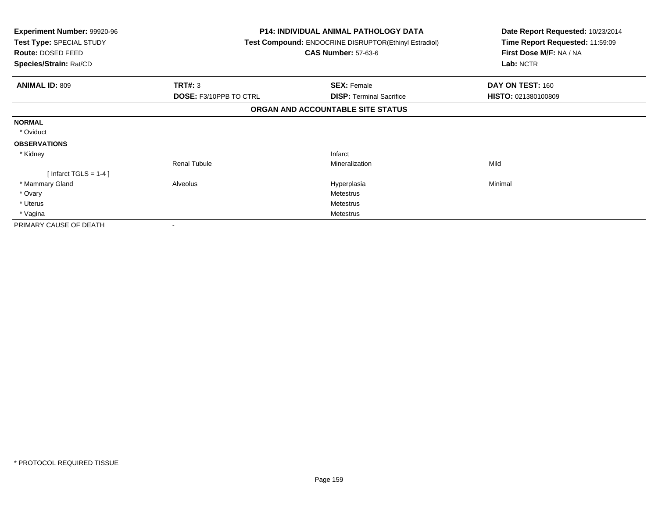| Experiment Number: 99920-96<br>Test Type: SPECIAL STUDY<br>Route: DOSED FEED<br>Species/Strain: Rat/CD | <b>P14: INDIVIDUAL ANIMAL PATHOLOGY DATA</b><br><b>Test Compound: ENDOCRINE DISRUPTOR(Ethinyl Estradiol)</b><br><b>CAS Number: 57-63-6</b> |                                   | Date Report Requested: 10/23/2014<br>Time Report Requested: 11:59:09<br>First Dose M/F: NA / NA<br>Lab: NCTR |
|--------------------------------------------------------------------------------------------------------|--------------------------------------------------------------------------------------------------------------------------------------------|-----------------------------------|--------------------------------------------------------------------------------------------------------------|
|                                                                                                        |                                                                                                                                            |                                   |                                                                                                              |
| <b>ANIMAL ID: 809</b>                                                                                  | TRT#: 3                                                                                                                                    | <b>SEX: Female</b>                | DAY ON TEST: 160                                                                                             |
|                                                                                                        | <b>DOSE: F3/10PPB TO CTRL</b>                                                                                                              | <b>DISP: Terminal Sacrifice</b>   | HISTO: 021380100809                                                                                          |
|                                                                                                        |                                                                                                                                            | ORGAN AND ACCOUNTABLE SITE STATUS |                                                                                                              |
| <b>NORMAL</b>                                                                                          |                                                                                                                                            |                                   |                                                                                                              |
| * Oviduct                                                                                              |                                                                                                                                            |                                   |                                                                                                              |
| <b>OBSERVATIONS</b>                                                                                    |                                                                                                                                            |                                   |                                                                                                              |
| * Kidney                                                                                               |                                                                                                                                            | Infarct                           |                                                                                                              |
|                                                                                                        | <b>Renal Tubule</b>                                                                                                                        | Mineralization                    | Mild                                                                                                         |
| [Infarct TGLS = $1-4$ ]                                                                                |                                                                                                                                            |                                   |                                                                                                              |
| * Mammary Gland                                                                                        | Alveolus                                                                                                                                   | Hyperplasia                       | Minimal                                                                                                      |
| * Ovary                                                                                                |                                                                                                                                            | <b>Metestrus</b>                  |                                                                                                              |
| * Uterus                                                                                               |                                                                                                                                            | Metestrus                         |                                                                                                              |
| * Vagina                                                                                               |                                                                                                                                            | <b>Metestrus</b>                  |                                                                                                              |
| PRIMARY CAUSE OF DEATH                                                                                 |                                                                                                                                            |                                   |                                                                                                              |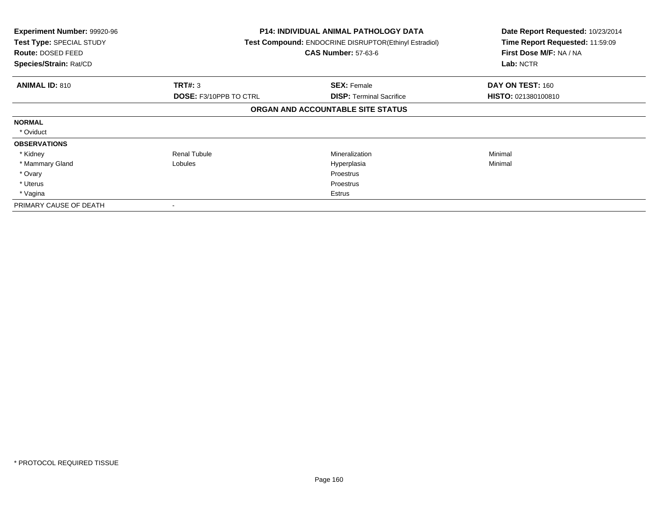| <b>Experiment Number: 99920-96</b><br>Test Type: SPECIAL STUDY<br>Route: DOSED FEED<br>Species/Strain: Rat/CD |                               | <b>P14: INDIVIDUAL ANIMAL PATHOLOGY DATA</b><br>Test Compound: ENDOCRINE DISRUPTOR(Ethinyl Estradiol)<br><b>CAS Number: 57-63-6</b> | Date Report Requested: 10/23/2014<br>Time Report Requested: 11:59:09<br>First Dose M/F: NA / NA<br>Lab: NCTR |
|---------------------------------------------------------------------------------------------------------------|-------------------------------|-------------------------------------------------------------------------------------------------------------------------------------|--------------------------------------------------------------------------------------------------------------|
| <b>ANIMAL ID: 810</b>                                                                                         | <b>TRT#: 3</b>                | <b>SEX: Female</b>                                                                                                                  | DAY ON TEST: 160                                                                                             |
|                                                                                                               | <b>DOSE: F3/10PPB TO CTRL</b> | <b>DISP: Terminal Sacrifice</b>                                                                                                     | <b>HISTO: 021380100810</b>                                                                                   |
|                                                                                                               |                               | ORGAN AND ACCOUNTABLE SITE STATUS                                                                                                   |                                                                                                              |
| <b>NORMAL</b>                                                                                                 |                               |                                                                                                                                     |                                                                                                              |
| * Oviduct                                                                                                     |                               |                                                                                                                                     |                                                                                                              |
| <b>OBSERVATIONS</b>                                                                                           |                               |                                                                                                                                     |                                                                                                              |
| * Kidney                                                                                                      | <b>Renal Tubule</b>           | Mineralization                                                                                                                      | Minimal                                                                                                      |
| * Mammary Gland                                                                                               | Lobules                       | Hyperplasia                                                                                                                         | Minimal                                                                                                      |
| * Ovary                                                                                                       |                               | Proestrus                                                                                                                           |                                                                                                              |
| * Uterus                                                                                                      |                               | Proestrus                                                                                                                           |                                                                                                              |
| * Vagina                                                                                                      |                               | Estrus                                                                                                                              |                                                                                                              |
| PRIMARY CAUSE OF DEATH                                                                                        |                               |                                                                                                                                     |                                                                                                              |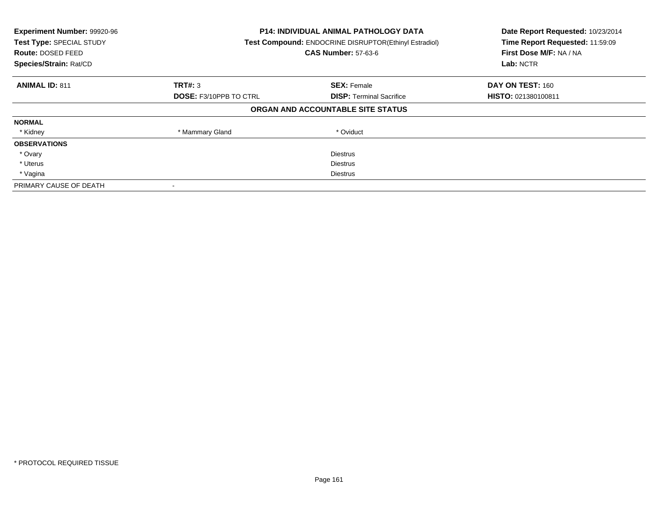| Experiment Number: 99920-96<br>Test Type: SPECIAL STUDY<br>Route: DOSED FEED<br>Species/Strain: Rat/CD | <b>P14: INDIVIDUAL ANIMAL PATHOLOGY DATA</b><br>Test Compound: ENDOCRINE DISRUPTOR(Ethinyl Estradiol)<br><b>CAS Number: 57-63-6</b> |                                   | Date Report Requested: 10/23/2014<br>Time Report Requested: 11:59:09<br>First Dose M/F: NA / NA<br>Lab: NCTR |
|--------------------------------------------------------------------------------------------------------|-------------------------------------------------------------------------------------------------------------------------------------|-----------------------------------|--------------------------------------------------------------------------------------------------------------|
| <b>ANIMAL ID: 811</b>                                                                                  | <b>TRT#: 3</b>                                                                                                                      | <b>SEX: Female</b>                | DAY ON TEST: 160                                                                                             |
|                                                                                                        | <b>DOSE: F3/10PPB TO CTRL</b>                                                                                                       | <b>DISP:</b> Terminal Sacrifice   | HISTO: 021380100811                                                                                          |
|                                                                                                        |                                                                                                                                     | ORGAN AND ACCOUNTABLE SITE STATUS |                                                                                                              |
| <b>NORMAL</b>                                                                                          |                                                                                                                                     |                                   |                                                                                                              |
| * Kidney                                                                                               | * Mammary Gland                                                                                                                     | * Oviduct                         |                                                                                                              |
| <b>OBSERVATIONS</b>                                                                                    |                                                                                                                                     |                                   |                                                                                                              |
| * Ovary                                                                                                |                                                                                                                                     | <b>Diestrus</b>                   |                                                                                                              |
| * Uterus                                                                                               |                                                                                                                                     | Diestrus                          |                                                                                                              |
| * Vagina                                                                                               | Diestrus                                                                                                                            |                                   |                                                                                                              |
| PRIMARY CAUSE OF DEATH                                                                                 |                                                                                                                                     |                                   |                                                                                                              |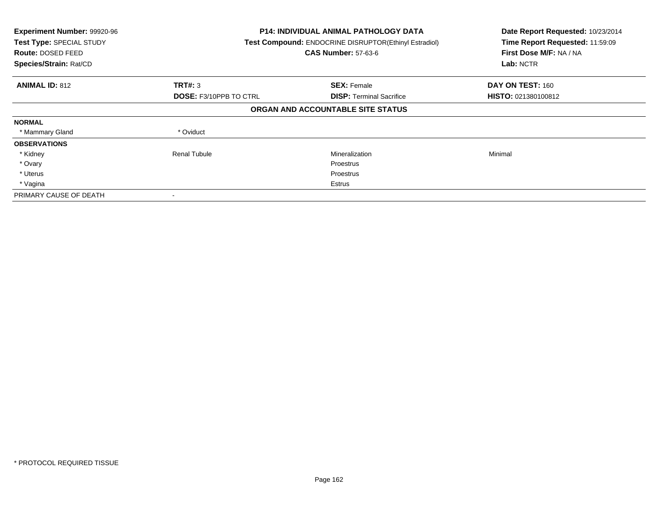| Experiment Number: 99920-96<br>Test Type: SPECIAL STUDY<br><b>Route: DOSED FEED</b><br>Species/Strain: Rat/CD |                               | <b>P14: INDIVIDUAL ANIMAL PATHOLOGY DATA</b><br>Test Compound: ENDOCRINE DISRUPTOR(Ethinyl Estradiol)<br><b>CAS Number: 57-63-6</b> |                            |
|---------------------------------------------------------------------------------------------------------------|-------------------------------|-------------------------------------------------------------------------------------------------------------------------------------|----------------------------|
| <b>ANIMAL ID: 812</b>                                                                                         | TRT#: 3                       | <b>SEX: Female</b>                                                                                                                  | DAY ON TEST: 160           |
|                                                                                                               | <b>DOSE: F3/10PPB TO CTRL</b> | <b>DISP:</b> Terminal Sacrifice                                                                                                     | <b>HISTO: 021380100812</b> |
|                                                                                                               |                               | ORGAN AND ACCOUNTABLE SITE STATUS                                                                                                   |                            |
| <b>NORMAL</b>                                                                                                 |                               |                                                                                                                                     |                            |
| * Mammary Gland                                                                                               | * Oviduct                     |                                                                                                                                     |                            |
| <b>OBSERVATIONS</b>                                                                                           |                               |                                                                                                                                     |                            |
| * Kidney                                                                                                      | <b>Renal Tubule</b>           | Mineralization                                                                                                                      | Minimal                    |
| * Ovary                                                                                                       |                               | Proestrus                                                                                                                           |                            |
| * Uterus                                                                                                      |                               | Proestrus                                                                                                                           |                            |
| * Vagina                                                                                                      |                               | Estrus                                                                                                                              |                            |
| PRIMARY CAUSE OF DEATH                                                                                        |                               |                                                                                                                                     |                            |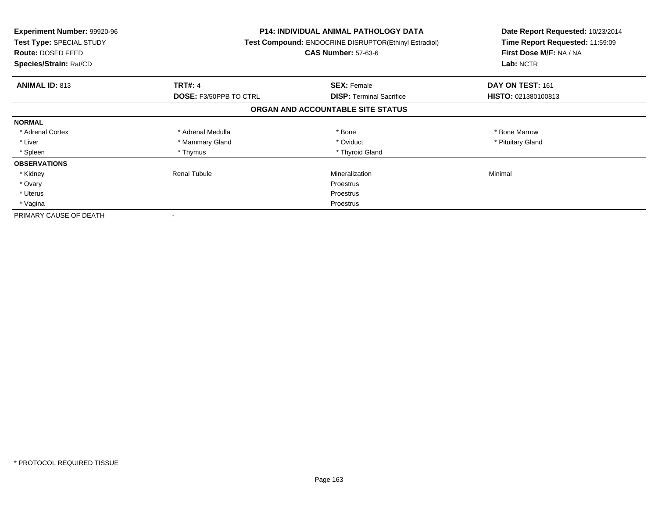| <b>Experiment Number: 99920-96</b><br>Test Type: SPECIAL STUDY<br><b>Route: DOSED FEED</b><br>Species/Strain: Rat/CD |                               | <b>P14: INDIVIDUAL ANIMAL PATHOLOGY DATA</b><br>Test Compound: ENDOCRINE DISRUPTOR(Ethinyl Estradiol)<br><b>CAS Number: 57-63-6</b> | Date Report Requested: 10/23/2014<br>Time Report Requested: 11:59:09<br>First Dose M/F: NA / NA<br>Lab: NCTR |
|----------------------------------------------------------------------------------------------------------------------|-------------------------------|-------------------------------------------------------------------------------------------------------------------------------------|--------------------------------------------------------------------------------------------------------------|
| <b>ANIMAL ID: 813</b>                                                                                                | <b>TRT#: 4</b>                | <b>SEX: Female</b>                                                                                                                  | DAY ON TEST: 161                                                                                             |
|                                                                                                                      | <b>DOSE: F3/50PPB TO CTRL</b> | <b>DISP:</b> Terminal Sacrifice                                                                                                     | HISTO: 021380100813                                                                                          |
|                                                                                                                      |                               | ORGAN AND ACCOUNTABLE SITE STATUS                                                                                                   |                                                                                                              |
| <b>NORMAL</b>                                                                                                        |                               |                                                                                                                                     |                                                                                                              |
| * Adrenal Cortex                                                                                                     | * Adrenal Medulla             | * Bone                                                                                                                              | * Bone Marrow                                                                                                |
| * Liver                                                                                                              | * Mammary Gland               | * Oviduct                                                                                                                           | * Pituitary Gland                                                                                            |
| * Spleen                                                                                                             | * Thymus                      | * Thyroid Gland                                                                                                                     |                                                                                                              |
| <b>OBSERVATIONS</b>                                                                                                  |                               |                                                                                                                                     |                                                                                                              |
| * Kidney                                                                                                             | Renal Tubule                  | Mineralization                                                                                                                      | Minimal                                                                                                      |
| * Ovary                                                                                                              |                               | Proestrus                                                                                                                           |                                                                                                              |
| * Uterus                                                                                                             |                               | Proestrus                                                                                                                           |                                                                                                              |
| * Vagina                                                                                                             | Proestrus                     |                                                                                                                                     |                                                                                                              |
| PRIMARY CAUSE OF DEATH                                                                                               |                               |                                                                                                                                     |                                                                                                              |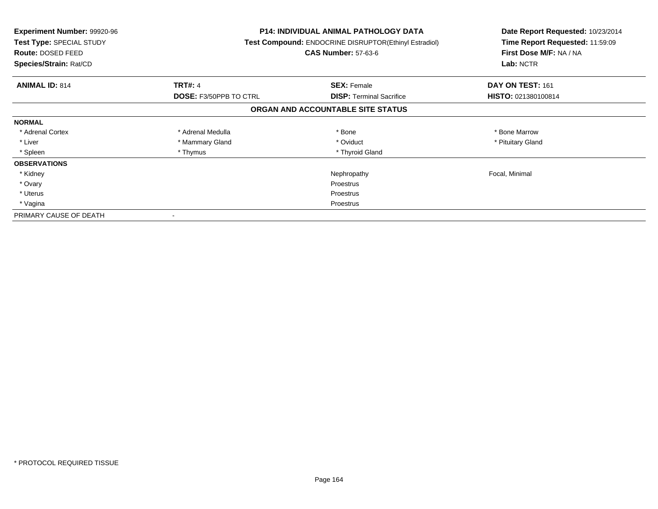| <b>Experiment Number: 99920-96</b><br>Test Type: SPECIAL STUDY<br><b>Route: DOSED FEED</b><br>Species/Strain: Rat/CD |                               | <b>P14: INDIVIDUAL ANIMAL PATHOLOGY DATA</b><br>Test Compound: ENDOCRINE DISRUPTOR(Ethinyl Estradiol)<br><b>CAS Number: 57-63-6</b> | Date Report Requested: 10/23/2014<br>Time Report Requested: 11:59:09<br>First Dose M/F: NA / NA<br>Lab: NCTR |
|----------------------------------------------------------------------------------------------------------------------|-------------------------------|-------------------------------------------------------------------------------------------------------------------------------------|--------------------------------------------------------------------------------------------------------------|
| <b>ANIMAL ID: 814</b>                                                                                                | <b>TRT#: 4</b>                | <b>SEX: Female</b>                                                                                                                  | DAY ON TEST: 161                                                                                             |
|                                                                                                                      | <b>DOSE: F3/50PPB TO CTRL</b> | <b>DISP:</b> Terminal Sacrifice                                                                                                     | <b>HISTO: 021380100814</b>                                                                                   |
|                                                                                                                      |                               | ORGAN AND ACCOUNTABLE SITE STATUS                                                                                                   |                                                                                                              |
| <b>NORMAL</b>                                                                                                        |                               |                                                                                                                                     |                                                                                                              |
| * Adrenal Cortex                                                                                                     | * Adrenal Medulla             | * Bone                                                                                                                              | * Bone Marrow                                                                                                |
| * Liver                                                                                                              | * Mammary Gland               | * Oviduct                                                                                                                           | * Pituitary Gland                                                                                            |
| * Spleen                                                                                                             | * Thymus                      | * Thyroid Gland                                                                                                                     |                                                                                                              |
| <b>OBSERVATIONS</b>                                                                                                  |                               |                                                                                                                                     |                                                                                                              |
| * Kidney                                                                                                             |                               | Nephropathy                                                                                                                         | Focal, Minimal                                                                                               |
| * Ovary                                                                                                              |                               | <b>Proestrus</b>                                                                                                                    |                                                                                                              |
| * Uterus                                                                                                             |                               | Proestrus                                                                                                                           |                                                                                                              |
| * Vagina                                                                                                             | Proestrus                     |                                                                                                                                     |                                                                                                              |
| PRIMARY CAUSE OF DEATH                                                                                               |                               |                                                                                                                                     |                                                                                                              |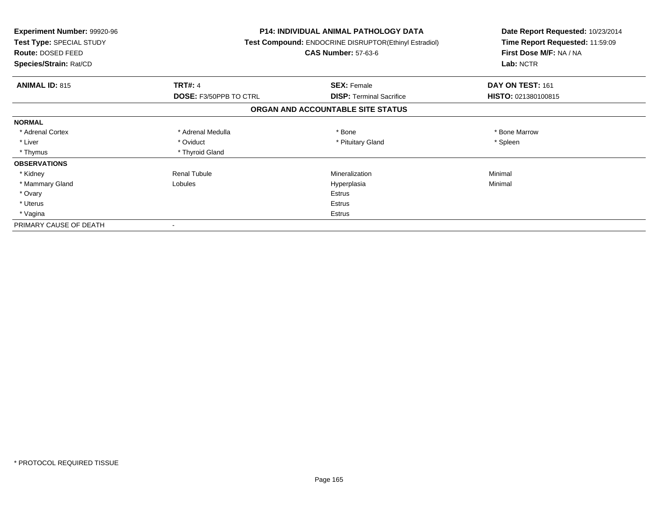| <b>Experiment Number: 99920-96</b><br>Test Type: SPECIAL STUDY<br><b>Route: DOSED FEED</b><br>Species/Strain: Rat/CD |                               | <b>P14: INDIVIDUAL ANIMAL PATHOLOGY DATA</b><br>Test Compound: ENDOCRINE DISRUPTOR(Ethinyl Estradiol)<br><b>CAS Number: 57-63-6</b> | Date Report Requested: 10/23/2014<br>Time Report Requested: 11:59:09<br>First Dose M/F: NA / NA<br>Lab: NCTR |
|----------------------------------------------------------------------------------------------------------------------|-------------------------------|-------------------------------------------------------------------------------------------------------------------------------------|--------------------------------------------------------------------------------------------------------------|
| <b>ANIMAL ID: 815</b>                                                                                                | <b>TRT#: 4</b>                | <b>SEX: Female</b>                                                                                                                  | DAY ON TEST: 161                                                                                             |
|                                                                                                                      | <b>DOSE: F3/50PPB TO CTRL</b> | <b>DISP:</b> Terminal Sacrifice                                                                                                     | HISTO: 021380100815                                                                                          |
|                                                                                                                      |                               | ORGAN AND ACCOUNTABLE SITE STATUS                                                                                                   |                                                                                                              |
| <b>NORMAL</b>                                                                                                        |                               |                                                                                                                                     |                                                                                                              |
| * Adrenal Cortex                                                                                                     | * Adrenal Medulla             | * Bone                                                                                                                              | * Bone Marrow                                                                                                |
| * Liver                                                                                                              | * Oviduct                     | * Pituitary Gland                                                                                                                   | * Spleen                                                                                                     |
| * Thymus                                                                                                             | * Thyroid Gland               |                                                                                                                                     |                                                                                                              |
| <b>OBSERVATIONS</b>                                                                                                  |                               |                                                                                                                                     |                                                                                                              |
| * Kidney                                                                                                             | <b>Renal Tubule</b>           | Mineralization                                                                                                                      | Minimal                                                                                                      |
| * Mammary Gland                                                                                                      | Lobules                       | Hyperplasia                                                                                                                         | Minimal                                                                                                      |
| * Ovary                                                                                                              |                               | <b>Estrus</b>                                                                                                                       |                                                                                                              |
| * Uterus                                                                                                             |                               | <b>Estrus</b>                                                                                                                       |                                                                                                              |
| * Vagina                                                                                                             | Estrus                        |                                                                                                                                     |                                                                                                              |
| PRIMARY CAUSE OF DEATH                                                                                               |                               |                                                                                                                                     |                                                                                                              |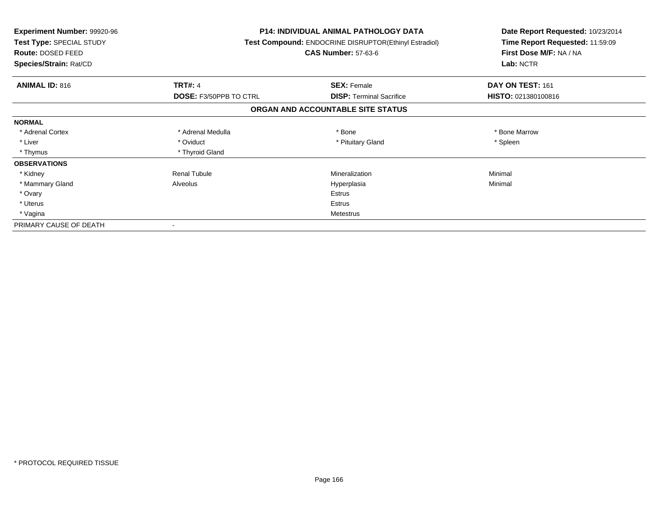| <b>Experiment Number: 99920-96</b><br>Test Type: SPECIAL STUDY<br><b>Route: DOSED FEED</b><br>Species/Strain: Rat/CD |                        | <b>P14: INDIVIDUAL ANIMAL PATHOLOGY DATA</b><br><b>Test Compound: ENDOCRINE DISRUPTOR(Ethinyl Estradiol)</b><br><b>CAS Number: 57-63-6</b> | Date Report Requested: 10/23/2014<br>Time Report Requested: 11:59:09<br>First Dose M/F: NA / NA<br>Lab: NCTR |
|----------------------------------------------------------------------------------------------------------------------|------------------------|--------------------------------------------------------------------------------------------------------------------------------------------|--------------------------------------------------------------------------------------------------------------|
| <b>ANIMAL ID: 816</b>                                                                                                | <b>TRT#: 4</b>         | <b>SEX: Female</b>                                                                                                                         | DAY ON TEST: 161                                                                                             |
|                                                                                                                      | DOSE: F3/50PPB TO CTRL | <b>DISP:</b> Terminal Sacrifice                                                                                                            | HISTO: 021380100816                                                                                          |
|                                                                                                                      |                        | ORGAN AND ACCOUNTABLE SITE STATUS                                                                                                          |                                                                                                              |
| <b>NORMAL</b>                                                                                                        |                        |                                                                                                                                            |                                                                                                              |
| * Adrenal Cortex                                                                                                     | * Adrenal Medulla      | * Bone                                                                                                                                     | * Bone Marrow                                                                                                |
| * Liver                                                                                                              | * Oviduct              | * Pituitary Gland                                                                                                                          | * Spleen                                                                                                     |
| * Thymus                                                                                                             | * Thyroid Gland        |                                                                                                                                            |                                                                                                              |
| <b>OBSERVATIONS</b>                                                                                                  |                        |                                                                                                                                            |                                                                                                              |
| * Kidney                                                                                                             | <b>Renal Tubule</b>    | Mineralization                                                                                                                             | Minimal                                                                                                      |
| * Mammary Gland                                                                                                      | Alveolus               | Hyperplasia                                                                                                                                | Minimal                                                                                                      |
| * Ovary                                                                                                              |                        | <b>Estrus</b>                                                                                                                              |                                                                                                              |
| * Uterus                                                                                                             |                        | Estrus                                                                                                                                     |                                                                                                              |
| * Vagina                                                                                                             |                        | Metestrus                                                                                                                                  |                                                                                                              |
| PRIMARY CAUSE OF DEATH                                                                                               |                        |                                                                                                                                            |                                                                                                              |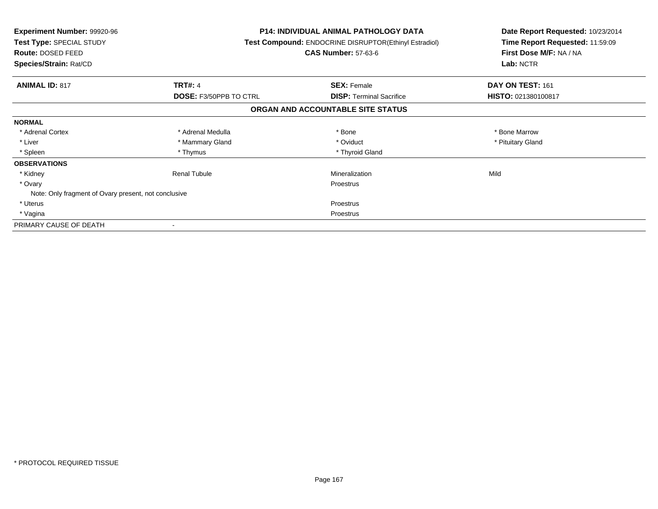| <b>Experiment Number: 99920-96</b><br><b>Test Type: SPECIAL STUDY</b><br>Route: DOSED FEED<br>Species/Strain: Rat/CD |                               | <b>P14: INDIVIDUAL ANIMAL PATHOLOGY DATA</b><br><b>Test Compound: ENDOCRINE DISRUPTOR(Ethinyl Estradiol)</b><br><b>CAS Number: 57-63-6</b> | Date Report Requested: 10/23/2014<br>Time Report Requested: 11:59:09<br>First Dose M/F: NA / NA<br>Lab: NCTR |
|----------------------------------------------------------------------------------------------------------------------|-------------------------------|--------------------------------------------------------------------------------------------------------------------------------------------|--------------------------------------------------------------------------------------------------------------|
| <b>ANIMAL ID: 817</b>                                                                                                | <b>TRT#: 4</b>                | <b>SEX: Female</b>                                                                                                                         | DAY ON TEST: 161                                                                                             |
|                                                                                                                      | <b>DOSE: F3/50PPB TO CTRL</b> | <b>DISP: Terminal Sacrifice</b>                                                                                                            | HISTO: 021380100817                                                                                          |
|                                                                                                                      |                               | ORGAN AND ACCOUNTABLE SITE STATUS                                                                                                          |                                                                                                              |
| <b>NORMAL</b>                                                                                                        |                               |                                                                                                                                            |                                                                                                              |
| * Adrenal Cortex                                                                                                     | * Adrenal Medulla             | * Bone                                                                                                                                     | * Bone Marrow                                                                                                |
| * Liver                                                                                                              | * Mammary Gland               | * Oviduct                                                                                                                                  | * Pituitary Gland                                                                                            |
| * Spleen                                                                                                             | * Thymus                      | * Thyroid Gland                                                                                                                            |                                                                                                              |
| <b>OBSERVATIONS</b>                                                                                                  |                               |                                                                                                                                            |                                                                                                              |
| * Kidney                                                                                                             | <b>Renal Tubule</b>           | Mineralization                                                                                                                             | Mild                                                                                                         |
| * Ovary                                                                                                              |                               | Proestrus                                                                                                                                  |                                                                                                              |
| Note: Only fragment of Ovary present, not conclusive                                                                 |                               |                                                                                                                                            |                                                                                                              |
| * Uterus                                                                                                             |                               | Proestrus                                                                                                                                  |                                                                                                              |
| * Vagina                                                                                                             | Proestrus                     |                                                                                                                                            |                                                                                                              |
| PRIMARY CAUSE OF DEATH                                                                                               |                               |                                                                                                                                            |                                                                                                              |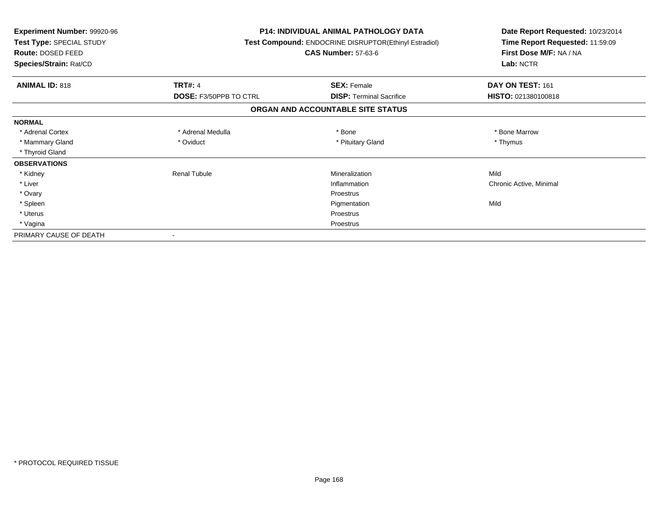| Experiment Number: 99920-96<br>Test Type: SPECIAL STUDY<br>Route: DOSED FEED<br>Species/Strain: Rat/CD |                               | <b>P14: INDIVIDUAL ANIMAL PATHOLOGY DATA</b><br>Test Compound: ENDOCRINE DISRUPTOR(Ethinyl Estradiol)<br><b>CAS Number: 57-63-6</b> | Date Report Requested: 10/23/2014<br>Time Report Requested: 11:59:09<br>First Dose M/F: NA / NA<br>Lab: NCTR |
|--------------------------------------------------------------------------------------------------------|-------------------------------|-------------------------------------------------------------------------------------------------------------------------------------|--------------------------------------------------------------------------------------------------------------|
| <b>ANIMAL ID: 818</b>                                                                                  | <b>TRT#: 4</b>                | <b>SEX: Female</b>                                                                                                                  | DAY ON TEST: 161                                                                                             |
|                                                                                                        | <b>DOSE: F3/50PPB TO CTRL</b> | <b>DISP: Terminal Sacrifice</b>                                                                                                     | HISTO: 021380100818                                                                                          |
|                                                                                                        |                               | ORGAN AND ACCOUNTABLE SITE STATUS                                                                                                   |                                                                                                              |
| <b>NORMAL</b>                                                                                          |                               |                                                                                                                                     |                                                                                                              |
| * Adrenal Cortex                                                                                       | * Adrenal Medulla             | * Bone                                                                                                                              | * Bone Marrow                                                                                                |
| * Mammary Gland                                                                                        | * Oviduct                     | * Pituitary Gland                                                                                                                   | * Thymus                                                                                                     |
| * Thyroid Gland                                                                                        |                               |                                                                                                                                     |                                                                                                              |
| <b>OBSERVATIONS</b>                                                                                    |                               |                                                                                                                                     |                                                                                                              |
| * Kidney                                                                                               | <b>Renal Tubule</b>           | Mineralization                                                                                                                      | Mild                                                                                                         |
| * Liver                                                                                                |                               | Inflammation                                                                                                                        | Chronic Active, Minimal                                                                                      |
| * Ovary                                                                                                |                               | Proestrus                                                                                                                           |                                                                                                              |
| * Spleen                                                                                               |                               | Pigmentation                                                                                                                        | Mild                                                                                                         |
| * Uterus                                                                                               |                               | Proestrus                                                                                                                           |                                                                                                              |
| * Vagina                                                                                               |                               | Proestrus                                                                                                                           |                                                                                                              |
| PRIMARY CAUSE OF DEATH                                                                                 |                               |                                                                                                                                     |                                                                                                              |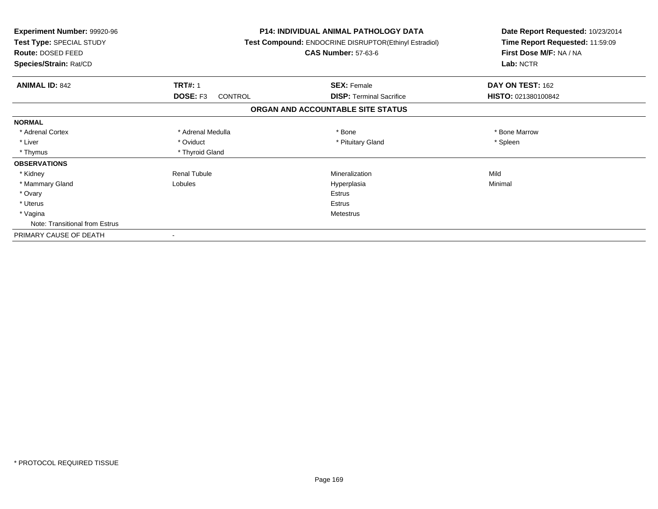| <b>Experiment Number: 99920-96</b><br>Test Type: SPECIAL STUDY<br><b>Route: DOSED FEED</b><br>Species/Strain: Rat/CD |                            | <b>P14: INDIVIDUAL ANIMAL PATHOLOGY DATA</b><br>Test Compound: ENDOCRINE DISRUPTOR(Ethinyl Estradiol)<br><b>CAS Number: 57-63-6</b> | Date Report Requested: 10/23/2014<br>Time Report Requested: 11:59:09<br>First Dose M/F: NA / NA<br>Lab: NCTR |  |
|----------------------------------------------------------------------------------------------------------------------|----------------------------|-------------------------------------------------------------------------------------------------------------------------------------|--------------------------------------------------------------------------------------------------------------|--|
| <b>ANIMAL ID: 842</b>                                                                                                | <b>TRT#: 1</b>             | <b>SEX: Female</b>                                                                                                                  | DAY ON TEST: 162                                                                                             |  |
|                                                                                                                      | DOSE: F3<br><b>CONTROL</b> | <b>DISP:</b> Terminal Sacrifice                                                                                                     | HISTO: 021380100842                                                                                          |  |
|                                                                                                                      |                            | ORGAN AND ACCOUNTABLE SITE STATUS                                                                                                   |                                                                                                              |  |
| <b>NORMAL</b>                                                                                                        |                            |                                                                                                                                     |                                                                                                              |  |
| * Adrenal Cortex                                                                                                     | * Adrenal Medulla          | * Bone                                                                                                                              | * Bone Marrow                                                                                                |  |
| * Liver                                                                                                              | * Oviduct                  | * Pituitary Gland                                                                                                                   | * Spleen                                                                                                     |  |
| * Thymus                                                                                                             | * Thyroid Gland            |                                                                                                                                     |                                                                                                              |  |
| <b>OBSERVATIONS</b>                                                                                                  |                            |                                                                                                                                     |                                                                                                              |  |
| * Kidney                                                                                                             | <b>Renal Tubule</b>        | Mineralization                                                                                                                      | Mild                                                                                                         |  |
| * Mammary Gland                                                                                                      | Lobules                    | Hyperplasia                                                                                                                         | Minimal                                                                                                      |  |
| * Ovary                                                                                                              |                            | <b>Estrus</b>                                                                                                                       |                                                                                                              |  |
| * Uterus                                                                                                             |                            | <b>Estrus</b>                                                                                                                       |                                                                                                              |  |
| * Vagina                                                                                                             |                            | <b>Metestrus</b>                                                                                                                    |                                                                                                              |  |
| Note: Transitional from Estrus                                                                                       |                            |                                                                                                                                     |                                                                                                              |  |
| PRIMARY CAUSE OF DEATH                                                                                               | $\overline{\phantom{a}}$   |                                                                                                                                     |                                                                                                              |  |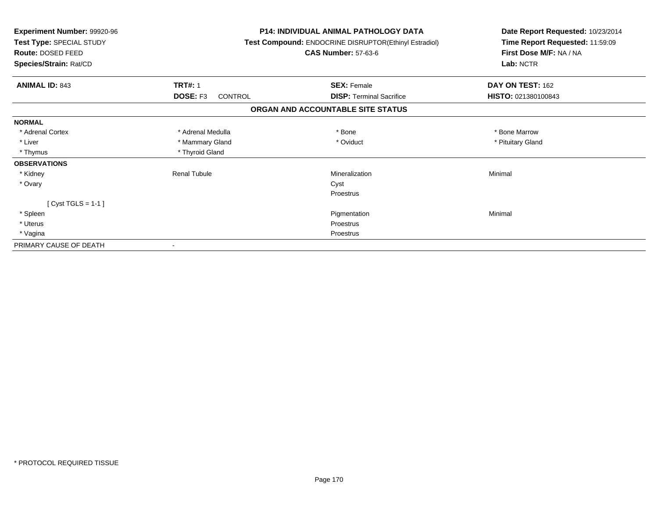| Experiment Number: 99920-96<br>Test Type: SPECIAL STUDY<br>Route: DOSED FEED<br>Species/Strain: Rat/CD |                     | <b>P14: INDIVIDUAL ANIMAL PATHOLOGY DATA</b><br>Test Compound: ENDOCRINE DISRUPTOR(Ethinyl Estradiol)<br><b>CAS Number: 57-63-6</b> | Date Report Requested: 10/23/2014<br>Time Report Requested: 11:59:09<br>First Dose M/F: NA / NA<br>Lab: NCTR |
|--------------------------------------------------------------------------------------------------------|---------------------|-------------------------------------------------------------------------------------------------------------------------------------|--------------------------------------------------------------------------------------------------------------|
| <b>ANIMAL ID: 843</b>                                                                                  | <b>TRT#: 1</b>      | <b>SEX: Female</b>                                                                                                                  | DAY ON TEST: 162                                                                                             |
|                                                                                                        | DOSE: F3<br>CONTROL | <b>DISP:</b> Terminal Sacrifice                                                                                                     | HISTO: 021380100843                                                                                          |
|                                                                                                        |                     | ORGAN AND ACCOUNTABLE SITE STATUS                                                                                                   |                                                                                                              |
| <b>NORMAL</b>                                                                                          |                     |                                                                                                                                     |                                                                                                              |
| * Adrenal Cortex                                                                                       | * Adrenal Medulla   | * Bone                                                                                                                              | * Bone Marrow                                                                                                |
| * Liver                                                                                                | * Mammary Gland     | * Oviduct                                                                                                                           | * Pituitary Gland                                                                                            |
| * Thymus                                                                                               | * Thyroid Gland     |                                                                                                                                     |                                                                                                              |
| <b>OBSERVATIONS</b>                                                                                    |                     |                                                                                                                                     |                                                                                                              |
| * Kidney                                                                                               | <b>Renal Tubule</b> | Mineralization                                                                                                                      | Minimal                                                                                                      |
| * Ovary                                                                                                |                     | Cyst                                                                                                                                |                                                                                                              |
|                                                                                                        |                     | Proestrus                                                                                                                           |                                                                                                              |
| [ $Cyst TGLS = 1-1$ ]                                                                                  |                     |                                                                                                                                     |                                                                                                              |
| * Spleen                                                                                               |                     | Pigmentation                                                                                                                        | Minimal                                                                                                      |
| * Uterus                                                                                               |                     | <b>Proestrus</b>                                                                                                                    |                                                                                                              |
| * Vagina                                                                                               |                     | Proestrus                                                                                                                           |                                                                                                              |
| PRIMARY CAUSE OF DEATH                                                                                 |                     |                                                                                                                                     |                                                                                                              |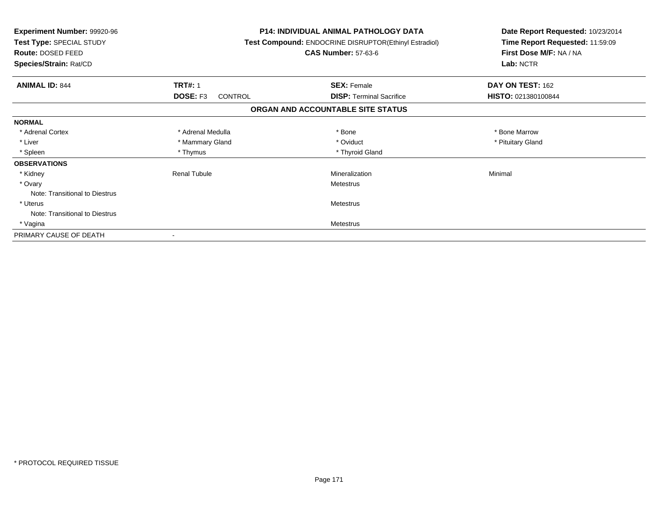| <b>Experiment Number: 99920-96</b><br>Test Type: SPECIAL STUDY<br><b>Route: DOSED FEED</b><br>Species/Strain: Rat/CD |                            | <b>P14: INDIVIDUAL ANIMAL PATHOLOGY DATA</b><br>Test Compound: ENDOCRINE DISRUPTOR(Ethinyl Estradiol)<br><b>CAS Number: 57-63-6</b> | Date Report Requested: 10/23/2014<br>Time Report Requested: 11:59:09<br>First Dose M/F: NA / NA<br>Lab: NCTR |
|----------------------------------------------------------------------------------------------------------------------|----------------------------|-------------------------------------------------------------------------------------------------------------------------------------|--------------------------------------------------------------------------------------------------------------|
| <b>ANIMAL ID: 844</b>                                                                                                | <b>TRT#: 1</b>             | <b>SEX: Female</b>                                                                                                                  | DAY ON TEST: 162                                                                                             |
|                                                                                                                      | DOSE: F3<br><b>CONTROL</b> | <b>DISP:</b> Terminal Sacrifice                                                                                                     | HISTO: 021380100844                                                                                          |
|                                                                                                                      |                            | ORGAN AND ACCOUNTABLE SITE STATUS                                                                                                   |                                                                                                              |
| <b>NORMAL</b>                                                                                                        |                            |                                                                                                                                     |                                                                                                              |
| * Adrenal Cortex                                                                                                     | * Adrenal Medulla          | * Bone                                                                                                                              | * Bone Marrow                                                                                                |
| * Liver                                                                                                              | * Mammary Gland            | * Oviduct                                                                                                                           | * Pituitary Gland                                                                                            |
| * Spleen                                                                                                             | * Thymus                   | * Thyroid Gland                                                                                                                     |                                                                                                              |
| <b>OBSERVATIONS</b>                                                                                                  |                            |                                                                                                                                     |                                                                                                              |
| * Kidney                                                                                                             | <b>Renal Tubule</b>        | Mineralization                                                                                                                      | Minimal                                                                                                      |
| * Ovary                                                                                                              |                            | Metestrus                                                                                                                           |                                                                                                              |
| Note: Transitional to Diestrus                                                                                       |                            |                                                                                                                                     |                                                                                                              |
| * Uterus                                                                                                             |                            | Metestrus                                                                                                                           |                                                                                                              |
| Note: Transitional to Diestrus                                                                                       |                            |                                                                                                                                     |                                                                                                              |
| * Vagina                                                                                                             |                            | Metestrus                                                                                                                           |                                                                                                              |
| PRIMARY CAUSE OF DEATH                                                                                               |                            |                                                                                                                                     |                                                                                                              |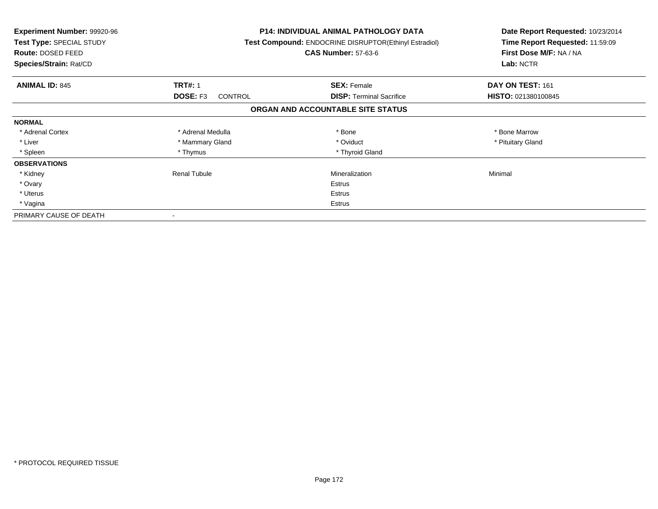| <b>Experiment Number: 99920-96</b><br>Test Type: SPECIAL STUDY<br>Route: DOSED FEED<br>Species/Strain: Rat/CD |                                   | P14: INDIVIDUAL ANIMAL PATHOLOGY DATA<br>Test Compound: ENDOCRINE DISRUPTOR(Ethinyl Estradiol)<br><b>CAS Number: 57-63-6</b> | Date Report Requested: 10/23/2014<br>Time Report Requested: 11:59:09<br>First Dose M/F: NA / NA<br>Lab: NCTR |
|---------------------------------------------------------------------------------------------------------------|-----------------------------------|------------------------------------------------------------------------------------------------------------------------------|--------------------------------------------------------------------------------------------------------------|
| <b>ANIMAL ID: 845</b>                                                                                         | <b>TRT#: 1</b>                    | <b>SEX: Female</b>                                                                                                           | DAY ON TEST: 161                                                                                             |
|                                                                                                               | <b>DOSE: F3</b><br><b>CONTROL</b> | <b>DISP:</b> Terminal Sacrifice                                                                                              | HISTO: 021380100845                                                                                          |
|                                                                                                               |                                   | ORGAN AND ACCOUNTABLE SITE STATUS                                                                                            |                                                                                                              |
| <b>NORMAL</b>                                                                                                 |                                   |                                                                                                                              |                                                                                                              |
| * Adrenal Cortex                                                                                              | * Adrenal Medulla                 | * Bone                                                                                                                       | * Bone Marrow                                                                                                |
| * Liver                                                                                                       | * Mammary Gland                   | * Oviduct                                                                                                                    | * Pituitary Gland                                                                                            |
| * Spleen                                                                                                      | * Thymus                          | * Thyroid Gland                                                                                                              |                                                                                                              |
| <b>OBSERVATIONS</b>                                                                                           |                                   |                                                                                                                              |                                                                                                              |
| * Kidney                                                                                                      | <b>Renal Tubule</b>               | Mineralization                                                                                                               | Minimal                                                                                                      |
| * Ovary                                                                                                       |                                   | Estrus                                                                                                                       |                                                                                                              |
| * Uterus                                                                                                      |                                   | Estrus                                                                                                                       |                                                                                                              |
| * Vagina                                                                                                      | Estrus                            |                                                                                                                              |                                                                                                              |
| PRIMARY CAUSE OF DEATH                                                                                        |                                   |                                                                                                                              |                                                                                                              |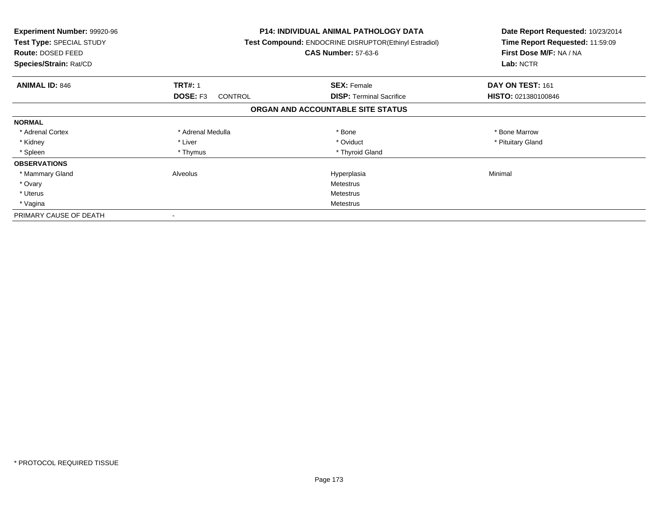| <b>Experiment Number: 99920-96</b><br>Test Type: SPECIAL STUDY<br><b>Route: DOSED FEED</b><br>Species/Strain: Rat/CD |                            | <b>P14: INDIVIDUAL ANIMAL PATHOLOGY DATA</b><br>Test Compound: ENDOCRINE DISRUPTOR(Ethinyl Estradiol)<br><b>CAS Number: 57-63-6</b> | Date Report Requested: 10/23/2014<br>Time Report Requested: 11:59:09<br>First Dose M/F: NA / NA<br>Lab: NCTR |
|----------------------------------------------------------------------------------------------------------------------|----------------------------|-------------------------------------------------------------------------------------------------------------------------------------|--------------------------------------------------------------------------------------------------------------|
| <b>ANIMAL ID: 846</b>                                                                                                | <b>TRT#: 1</b>             | <b>SEX: Female</b>                                                                                                                  | DAY ON TEST: 161                                                                                             |
|                                                                                                                      | DOSE: F3<br><b>CONTROL</b> | <b>DISP:</b> Terminal Sacrifice                                                                                                     | HISTO: 021380100846                                                                                          |
|                                                                                                                      |                            | ORGAN AND ACCOUNTABLE SITE STATUS                                                                                                   |                                                                                                              |
| <b>NORMAL</b>                                                                                                        |                            |                                                                                                                                     |                                                                                                              |
| * Adrenal Cortex                                                                                                     | * Adrenal Medulla          | * Bone                                                                                                                              | * Bone Marrow                                                                                                |
| * Kidney                                                                                                             | * Liver                    | * Oviduct                                                                                                                           | * Pituitary Gland                                                                                            |
| * Spleen                                                                                                             | * Thymus                   | * Thyroid Gland                                                                                                                     |                                                                                                              |
| <b>OBSERVATIONS</b>                                                                                                  |                            |                                                                                                                                     |                                                                                                              |
| * Mammary Gland                                                                                                      | Alveolus                   | Hyperplasia                                                                                                                         | Minimal                                                                                                      |
| * Ovary                                                                                                              |                            | Metestrus                                                                                                                           |                                                                                                              |
| * Uterus                                                                                                             |                            | Metestrus                                                                                                                           |                                                                                                              |
| * Vagina                                                                                                             | Metestrus                  |                                                                                                                                     |                                                                                                              |
| PRIMARY CAUSE OF DEATH                                                                                               |                            |                                                                                                                                     |                                                                                                              |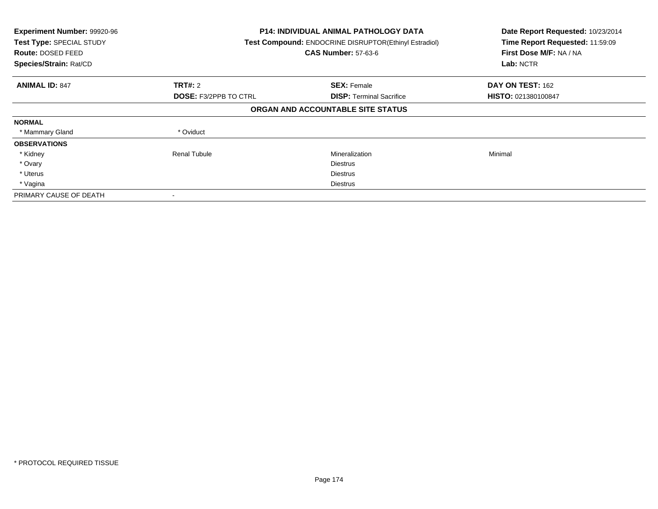| Experiment Number: 99920-96<br>Test Type: SPECIAL STUDY<br><b>Route: DOSED FEED</b><br>Species/Strain: Rat/CD |                              | <b>P14: INDIVIDUAL ANIMAL PATHOLOGY DATA</b><br>Test Compound: ENDOCRINE DISRUPTOR(Ethinyl Estradiol)<br><b>CAS Number: 57-63-6</b> |                     |
|---------------------------------------------------------------------------------------------------------------|------------------------------|-------------------------------------------------------------------------------------------------------------------------------------|---------------------|
| <b>ANIMAL ID: 847</b>                                                                                         | TRT#: 2                      | <b>SEX: Female</b>                                                                                                                  | DAY ON TEST: 162    |
|                                                                                                               | <b>DOSE: F3/2PPB TO CTRL</b> | <b>DISP:</b> Terminal Sacrifice                                                                                                     | HISTO: 021380100847 |
|                                                                                                               |                              | ORGAN AND ACCOUNTABLE SITE STATUS                                                                                                   |                     |
| <b>NORMAL</b>                                                                                                 |                              |                                                                                                                                     |                     |
| * Mammary Gland                                                                                               | * Oviduct                    |                                                                                                                                     |                     |
| <b>OBSERVATIONS</b>                                                                                           |                              |                                                                                                                                     |                     |
| * Kidney                                                                                                      | <b>Renal Tubule</b>          | Mineralization                                                                                                                      | Minimal             |
| * Ovary                                                                                                       |                              | <b>Diestrus</b>                                                                                                                     |                     |
| * Uterus                                                                                                      |                              | <b>Diestrus</b>                                                                                                                     |                     |
| * Vagina                                                                                                      |                              | Diestrus                                                                                                                            |                     |
| PRIMARY CAUSE OF DEATH                                                                                        |                              |                                                                                                                                     |                     |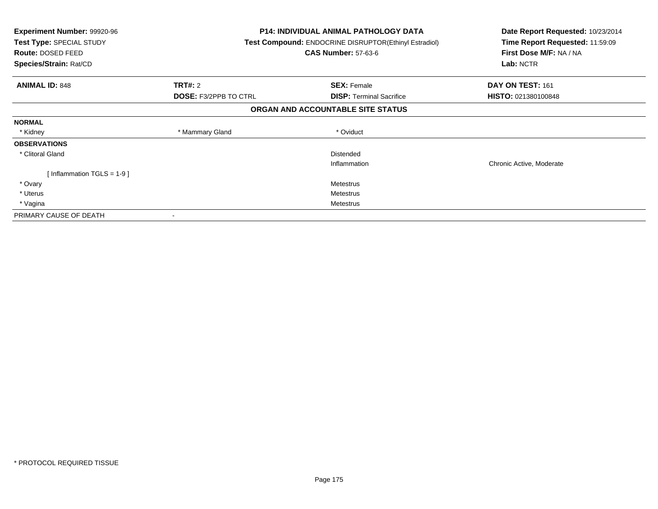| <b>Experiment Number: 99920-96</b><br>Test Type: SPECIAL STUDY<br><b>Route: DOSED FEED</b><br>Species/Strain: Rat/CD |                              | <b>P14: INDIVIDUAL ANIMAL PATHOLOGY DATA</b><br>Test Compound: ENDOCRINE DISRUPTOR(Ethinyl Estradiol)<br><b>CAS Number: 57-63-6</b> | Date Report Requested: 10/23/2014<br>Time Report Requested: 11:59:09<br>First Dose M/F: NA / NA<br>Lab: NCTR |
|----------------------------------------------------------------------------------------------------------------------|------------------------------|-------------------------------------------------------------------------------------------------------------------------------------|--------------------------------------------------------------------------------------------------------------|
| <b>ANIMAL ID: 848</b>                                                                                                | TRT#: 2                      | <b>SEX: Female</b>                                                                                                                  | DAY ON TEST: 161                                                                                             |
|                                                                                                                      | <b>DOSE: F3/2PPB TO CTRL</b> | <b>DISP:</b> Terminal Sacrifice                                                                                                     | HISTO: 021380100848                                                                                          |
|                                                                                                                      |                              | ORGAN AND ACCOUNTABLE SITE STATUS                                                                                                   |                                                                                                              |
| <b>NORMAL</b>                                                                                                        |                              |                                                                                                                                     |                                                                                                              |
| * Kidney                                                                                                             | * Mammary Gland              | * Oviduct                                                                                                                           |                                                                                                              |
| <b>OBSERVATIONS</b>                                                                                                  |                              |                                                                                                                                     |                                                                                                              |
| * Clitoral Gland                                                                                                     |                              | Distended                                                                                                                           |                                                                                                              |
|                                                                                                                      |                              | Inflammation                                                                                                                        | Chronic Active, Moderate                                                                                     |
| [Inflammation TGLS = $1-9$ ]                                                                                         |                              |                                                                                                                                     |                                                                                                              |
| * Ovary                                                                                                              |                              | Metestrus                                                                                                                           |                                                                                                              |
| * Uterus                                                                                                             |                              | Metestrus                                                                                                                           |                                                                                                              |
| * Vagina                                                                                                             | Metestrus                    |                                                                                                                                     |                                                                                                              |
| PRIMARY CAUSE OF DEATH                                                                                               |                              |                                                                                                                                     |                                                                                                              |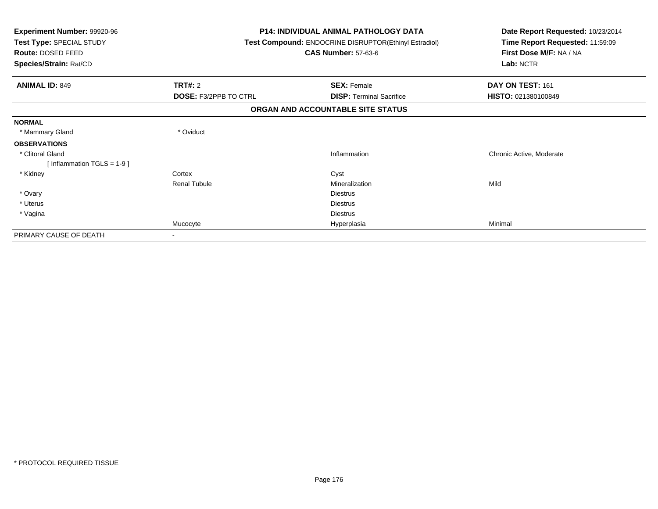| <b>Experiment Number: 99920-96</b><br>Test Type: SPECIAL STUDY<br>Route: DOSED FEED<br>Species/Strain: Rat/CD |                              | <b>P14: INDIVIDUAL ANIMAL PATHOLOGY DATA</b><br>Test Compound: ENDOCRINE DISRUPTOR(Ethinyl Estradiol)<br><b>CAS Number: 57-63-6</b> | Date Report Requested: 10/23/2014<br>Time Report Requested: 11:59:09<br>First Dose M/F: NA / NA<br>Lab: NCTR |  |
|---------------------------------------------------------------------------------------------------------------|------------------------------|-------------------------------------------------------------------------------------------------------------------------------------|--------------------------------------------------------------------------------------------------------------|--|
|                                                                                                               |                              |                                                                                                                                     |                                                                                                              |  |
| TRT#: 2<br><b>ANIMAL ID: 849</b>                                                                              |                              | <b>SEX: Female</b>                                                                                                                  | DAY ON TEST: 161                                                                                             |  |
|                                                                                                               | <b>DOSE: F3/2PPB TO CTRL</b> | <b>DISP:</b> Terminal Sacrifice                                                                                                     | <b>HISTO: 021380100849</b>                                                                                   |  |
|                                                                                                               |                              | ORGAN AND ACCOUNTABLE SITE STATUS                                                                                                   |                                                                                                              |  |
| <b>NORMAL</b>                                                                                                 |                              |                                                                                                                                     |                                                                                                              |  |
| * Mammary Gland<br>* Oviduct                                                                                  |                              |                                                                                                                                     |                                                                                                              |  |
| <b>OBSERVATIONS</b>                                                                                           |                              |                                                                                                                                     |                                                                                                              |  |
| * Clitoral Gland                                                                                              |                              | Inflammation                                                                                                                        | Chronic Active, Moderate                                                                                     |  |
| [Inflammation TGLS = $1-9$ ]                                                                                  |                              |                                                                                                                                     |                                                                                                              |  |
| * Kidney<br>Cortex                                                                                            |                              | Cyst                                                                                                                                |                                                                                                              |  |
| <b>Renal Tubule</b>                                                                                           |                              | Mineralization                                                                                                                      | Mild                                                                                                         |  |
| * Ovary                                                                                                       |                              | <b>Diestrus</b>                                                                                                                     |                                                                                                              |  |
| * Uterus                                                                                                      |                              | <b>Diestrus</b>                                                                                                                     |                                                                                                              |  |
| * Vagina                                                                                                      |                              | <b>Diestrus</b>                                                                                                                     |                                                                                                              |  |
| Mucocyte                                                                                                      |                              | Hyperplasia                                                                                                                         | Minimal                                                                                                      |  |
| PRIMARY CAUSE OF DEATH<br>۰                                                                                   |                              |                                                                                                                                     |                                                                                                              |  |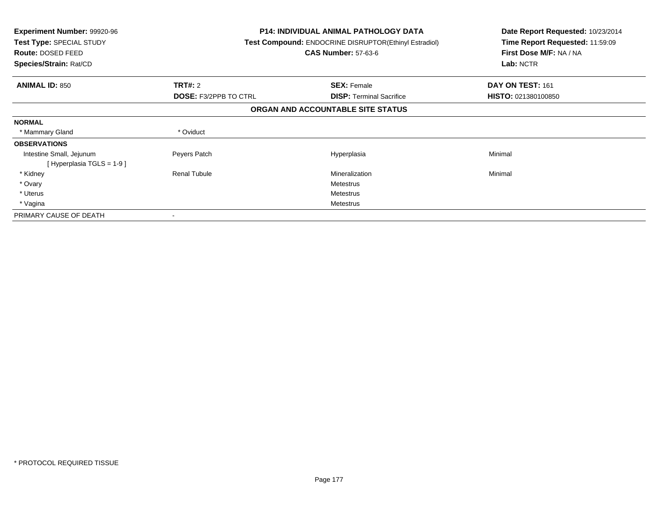| <b>Experiment Number: 99920-96</b><br>Test Type: SPECIAL STUDY<br><b>Route: DOSED FEED</b><br>Species/Strain: Rat/CD |                              | <b>P14: INDIVIDUAL ANIMAL PATHOLOGY DATA</b><br>Test Compound: ENDOCRINE DISRUPTOR(Ethinyl Estradiol)<br><b>CAS Number: 57-63-6</b> | Date Report Requested: 10/23/2014<br>Time Report Requested: 11:59:09<br>First Dose M/F: NA / NA<br>Lab: NCTR |
|----------------------------------------------------------------------------------------------------------------------|------------------------------|-------------------------------------------------------------------------------------------------------------------------------------|--------------------------------------------------------------------------------------------------------------|
| <b>ANIMAL ID: 850</b>                                                                                                | <b>TRT#:</b> 2               | <b>SEX: Female</b>                                                                                                                  | DAY ON TEST: 161                                                                                             |
|                                                                                                                      | <b>DOSE: F3/2PPB TO CTRL</b> | <b>DISP:</b> Terminal Sacrifice                                                                                                     | HISTO: 021380100850                                                                                          |
|                                                                                                                      |                              | ORGAN AND ACCOUNTABLE SITE STATUS                                                                                                   |                                                                                                              |
| <b>NORMAL</b>                                                                                                        |                              |                                                                                                                                     |                                                                                                              |
| * Mammary Gland                                                                                                      | * Oviduct                    |                                                                                                                                     |                                                                                                              |
| <b>OBSERVATIONS</b>                                                                                                  |                              |                                                                                                                                     |                                                                                                              |
| Intestine Small, Jejunum<br>[Hyperplasia TGLS = $1-9$ ]                                                              | Peyers Patch                 | Hyperplasia                                                                                                                         | Minimal                                                                                                      |
| * Kidney                                                                                                             | <b>Renal Tubule</b>          | Mineralization                                                                                                                      | Minimal                                                                                                      |
| * Ovary                                                                                                              |                              | Metestrus                                                                                                                           |                                                                                                              |
| * Uterus                                                                                                             |                              | Metestrus                                                                                                                           |                                                                                                              |
| * Vagina                                                                                                             |                              | Metestrus                                                                                                                           |                                                                                                              |
| PRIMARY CAUSE OF DEATH                                                                                               |                              |                                                                                                                                     |                                                                                                              |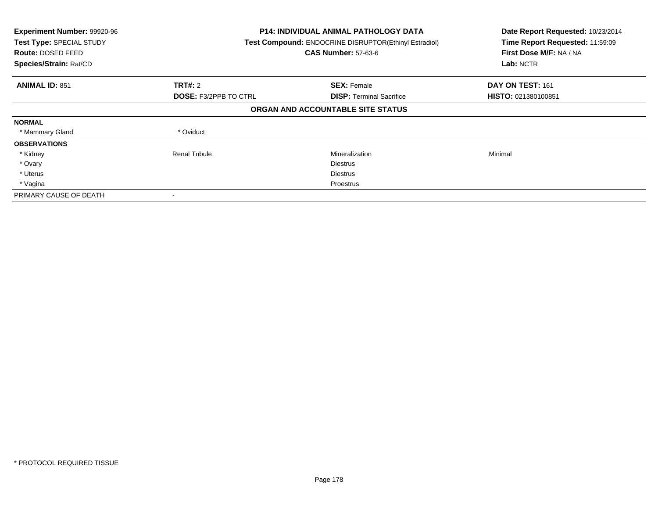| Experiment Number: 99920-96<br>Test Type: SPECIAL STUDY<br><b>Route: DOSED FEED</b><br>Species/Strain: Rat/CD |                              | <b>P14: INDIVIDUAL ANIMAL PATHOLOGY DATA</b><br>Test Compound: ENDOCRINE DISRUPTOR(Ethinyl Estradiol)<br><b>CAS Number: 57-63-6</b> |                     |
|---------------------------------------------------------------------------------------------------------------|------------------------------|-------------------------------------------------------------------------------------------------------------------------------------|---------------------|
| <b>ANIMAL ID: 851</b>                                                                                         | TRT#: 2                      | <b>SEX: Female</b>                                                                                                                  | DAY ON TEST: 161    |
|                                                                                                               | <b>DOSE: F3/2PPB TO CTRL</b> | <b>DISP:</b> Terminal Sacrifice                                                                                                     | HISTO: 021380100851 |
|                                                                                                               |                              | ORGAN AND ACCOUNTABLE SITE STATUS                                                                                                   |                     |
| <b>NORMAL</b>                                                                                                 |                              |                                                                                                                                     |                     |
| * Mammary Gland                                                                                               | * Oviduct                    |                                                                                                                                     |                     |
| <b>OBSERVATIONS</b>                                                                                           |                              |                                                                                                                                     |                     |
| * Kidney                                                                                                      | <b>Renal Tubule</b>          | Mineralization                                                                                                                      | Minimal             |
| * Ovary                                                                                                       |                              | <b>Diestrus</b>                                                                                                                     |                     |
| * Uterus                                                                                                      |                              | <b>Diestrus</b>                                                                                                                     |                     |
| * Vagina                                                                                                      |                              | Proestrus                                                                                                                           |                     |
| PRIMARY CAUSE OF DEATH                                                                                        |                              |                                                                                                                                     |                     |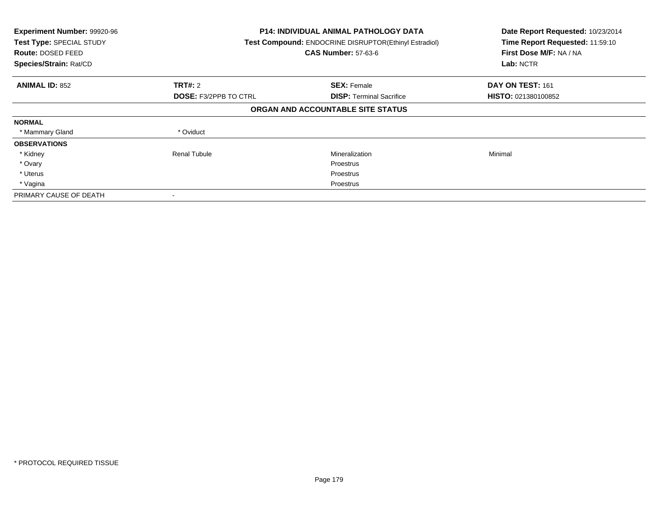| Experiment Number: 99920-96<br>Test Type: SPECIAL STUDY<br><b>Route: DOSED FEED</b><br>Species/Strain: Rat/CD |                              | P14: INDIVIDUAL ANIMAL PATHOLOGY DATA<br>Test Compound: ENDOCRINE DISRUPTOR(Ethinyl Estradiol)<br><b>CAS Number: 57-63-6</b> |                            |
|---------------------------------------------------------------------------------------------------------------|------------------------------|------------------------------------------------------------------------------------------------------------------------------|----------------------------|
| <b>ANIMAL ID: 852</b>                                                                                         | TRT#: 2                      | <b>SEX: Female</b>                                                                                                           | DAY ON TEST: 161           |
|                                                                                                               | <b>DOSE: F3/2PPB TO CTRL</b> | <b>DISP:</b> Terminal Sacrifice                                                                                              | <b>HISTO: 021380100852</b> |
|                                                                                                               |                              | ORGAN AND ACCOUNTABLE SITE STATUS                                                                                            |                            |
| <b>NORMAL</b>                                                                                                 |                              |                                                                                                                              |                            |
| * Mammary Gland                                                                                               | * Oviduct                    |                                                                                                                              |                            |
| <b>OBSERVATIONS</b>                                                                                           |                              |                                                                                                                              |                            |
| * Kidney                                                                                                      | Renal Tubule                 | Mineralization                                                                                                               | Minimal                    |
| * Ovary                                                                                                       |                              | <b>Proestrus</b>                                                                                                             |                            |
| * Uterus                                                                                                      |                              | Proestrus                                                                                                                    |                            |
| * Vagina                                                                                                      |                              | Proestrus                                                                                                                    |                            |
| PRIMARY CAUSE OF DEATH                                                                                        |                              |                                                                                                                              |                            |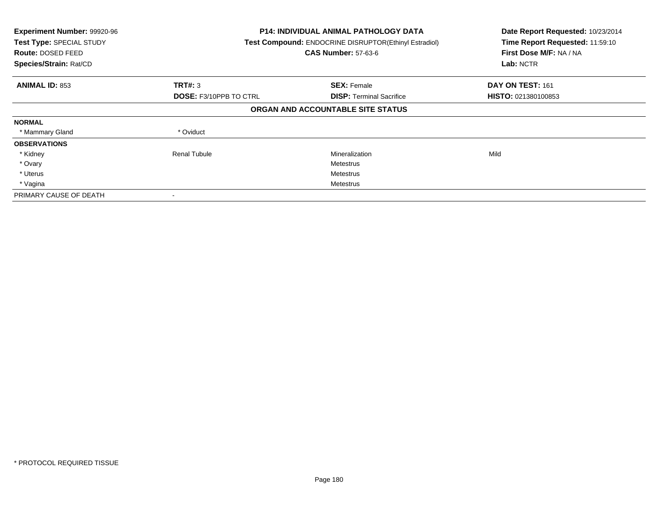| Experiment Number: 99920-96<br>Test Type: SPECIAL STUDY<br><b>Route: DOSED FEED</b><br>Species/Strain: Rat/CD |                               | <b>P14: INDIVIDUAL ANIMAL PATHOLOGY DATA</b><br>Test Compound: ENDOCRINE DISRUPTOR(Ethinyl Estradiol)<br><b>CAS Number: 57-63-6</b> |                     |
|---------------------------------------------------------------------------------------------------------------|-------------------------------|-------------------------------------------------------------------------------------------------------------------------------------|---------------------|
| <b>ANIMAL ID: 853</b>                                                                                         | TRT#: 3                       | <b>SEX: Female</b>                                                                                                                  | DAY ON TEST: 161    |
|                                                                                                               | <b>DOSE: F3/10PPB TO CTRL</b> | <b>DISP:</b> Terminal Sacrifice                                                                                                     | HISTO: 021380100853 |
|                                                                                                               |                               | ORGAN AND ACCOUNTABLE SITE STATUS                                                                                                   |                     |
| <b>NORMAL</b>                                                                                                 |                               |                                                                                                                                     |                     |
| * Mammary Gland                                                                                               | * Oviduct                     |                                                                                                                                     |                     |
| <b>OBSERVATIONS</b>                                                                                           |                               |                                                                                                                                     |                     |
| * Kidney                                                                                                      | Renal Tubule                  | Mineralization                                                                                                                      | Mild                |
| * Ovary                                                                                                       |                               | Metestrus                                                                                                                           |                     |
| * Uterus                                                                                                      |                               | Metestrus                                                                                                                           |                     |
| * Vagina                                                                                                      |                               | Metestrus                                                                                                                           |                     |
| PRIMARY CAUSE OF DEATH                                                                                        |                               |                                                                                                                                     |                     |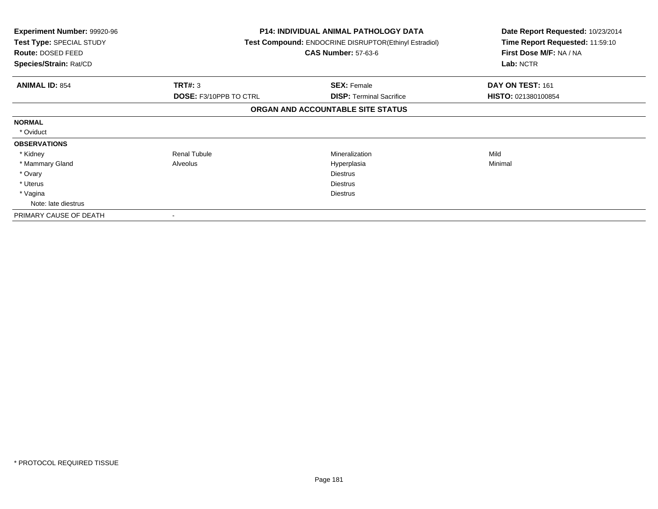| <b>Experiment Number: 99920-96</b><br>Test Type: SPECIAL STUDY<br>Route: DOSED FEED<br>Species/Strain: Rat/CD |                               | <b>P14: INDIVIDUAL ANIMAL PATHOLOGY DATA</b><br><b>Test Compound: ENDOCRINE DISRUPTOR (Ethinyl Estradiol)</b><br><b>CAS Number: 57-63-6</b> | Date Report Requested: 10/23/2014<br>Time Report Requested: 11:59:10<br>First Dose M/F: NA / NA<br>Lab: NCTR |
|---------------------------------------------------------------------------------------------------------------|-------------------------------|---------------------------------------------------------------------------------------------------------------------------------------------|--------------------------------------------------------------------------------------------------------------|
| <b>ANIMAL ID: 854</b>                                                                                         | <b>TRT#: 3</b>                | <b>SEX: Female</b>                                                                                                                          | DAY ON TEST: 161                                                                                             |
|                                                                                                               | <b>DOSE: F3/10PPB TO CTRL</b> | <b>DISP:</b> Terminal Sacrifice                                                                                                             | HISTO: 021380100854                                                                                          |
|                                                                                                               |                               | ORGAN AND ACCOUNTABLE SITE STATUS                                                                                                           |                                                                                                              |
| <b>NORMAL</b>                                                                                                 |                               |                                                                                                                                             |                                                                                                              |
| * Oviduct                                                                                                     |                               |                                                                                                                                             |                                                                                                              |
| <b>OBSERVATIONS</b>                                                                                           |                               |                                                                                                                                             |                                                                                                              |
| * Kidney                                                                                                      | <b>Renal Tubule</b>           | Mineralization                                                                                                                              | Mild                                                                                                         |
| * Mammary Gland                                                                                               | Alveolus                      | Hyperplasia                                                                                                                                 | Minimal                                                                                                      |
| * Ovary                                                                                                       |                               | <b>Diestrus</b>                                                                                                                             |                                                                                                              |
| * Uterus                                                                                                      |                               | <b>Diestrus</b>                                                                                                                             |                                                                                                              |
| * Vagina                                                                                                      |                               | <b>Diestrus</b>                                                                                                                             |                                                                                                              |
| Note: late diestrus                                                                                           |                               |                                                                                                                                             |                                                                                                              |
| PRIMARY CAUSE OF DEATH                                                                                        |                               |                                                                                                                                             |                                                                                                              |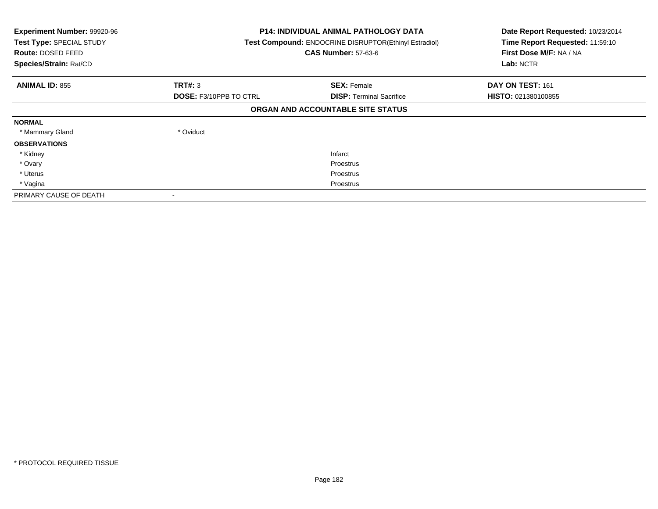| Experiment Number: 99920-96<br>Test Type: SPECIAL STUDY<br>Route: DOSED FEED<br>Species/Strain: Rat/CD |                               | <b>P14: INDIVIDUAL ANIMAL PATHOLOGY DATA</b><br>Test Compound: ENDOCRINE DISRUPTOR(Ethinyl Estradiol)<br><b>CAS Number: 57-63-6</b> |                            |
|--------------------------------------------------------------------------------------------------------|-------------------------------|-------------------------------------------------------------------------------------------------------------------------------------|----------------------------|
| <b>ANIMAL ID: 855</b>                                                                                  | TRT#: 3                       | <b>SEX: Female</b>                                                                                                                  | DAY ON TEST: 161           |
|                                                                                                        | <b>DOSE: F3/10PPB TO CTRL</b> | <b>DISP: Terminal Sacrifice</b>                                                                                                     | <b>HISTO: 021380100855</b> |
|                                                                                                        |                               | ORGAN AND ACCOUNTABLE SITE STATUS                                                                                                   |                            |
| <b>NORMAL</b>                                                                                          |                               |                                                                                                                                     |                            |
| * Mammary Gland                                                                                        | * Oviduct                     |                                                                                                                                     |                            |
| <b>OBSERVATIONS</b>                                                                                    |                               |                                                                                                                                     |                            |
| * Kidney                                                                                               |                               | Infarct                                                                                                                             |                            |
| * Ovary                                                                                                |                               | Proestrus                                                                                                                           |                            |
| * Uterus                                                                                               |                               | Proestrus                                                                                                                           |                            |
| * Vagina                                                                                               |                               | Proestrus                                                                                                                           |                            |
| PRIMARY CAUSE OF DEATH                                                                                 |                               |                                                                                                                                     |                            |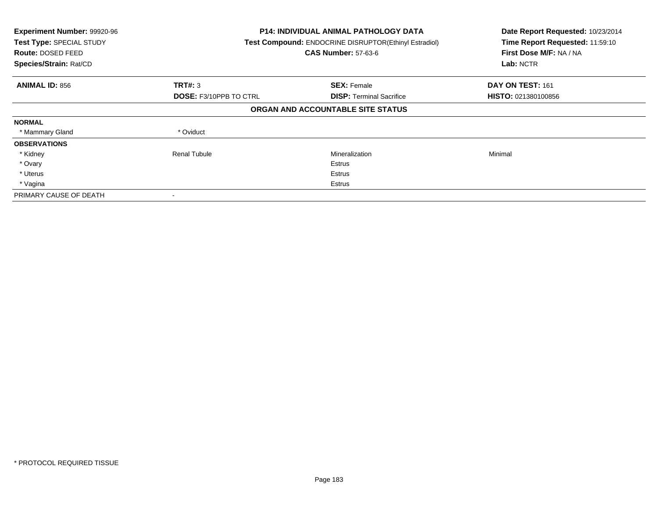| Experiment Number: 99920-96<br>Test Type: SPECIAL STUDY<br><b>Route: DOSED FEED</b><br>Species/Strain: Rat/CD |                               | <b>P14: INDIVIDUAL ANIMAL PATHOLOGY DATA</b><br>Test Compound: ENDOCRINE DISRUPTOR(Ethinyl Estradiol)<br><b>CAS Number: 57-63-6</b> |                            |
|---------------------------------------------------------------------------------------------------------------|-------------------------------|-------------------------------------------------------------------------------------------------------------------------------------|----------------------------|
| <b>ANIMAL ID: 856</b>                                                                                         | TRT#: 3                       | <b>SEX: Female</b>                                                                                                                  | DAY ON TEST: 161           |
|                                                                                                               | <b>DOSE: F3/10PPB TO CTRL</b> | <b>DISP:</b> Terminal Sacrifice                                                                                                     | <b>HISTO: 021380100856</b> |
|                                                                                                               |                               | ORGAN AND ACCOUNTABLE SITE STATUS                                                                                                   |                            |
| <b>NORMAL</b>                                                                                                 |                               |                                                                                                                                     |                            |
| * Mammary Gland                                                                                               | * Oviduct                     |                                                                                                                                     |                            |
| <b>OBSERVATIONS</b>                                                                                           |                               |                                                                                                                                     |                            |
| * Kidney                                                                                                      | Renal Tubule                  | Mineralization                                                                                                                      | Minimal                    |
| * Ovary                                                                                                       |                               | Estrus                                                                                                                              |                            |
| * Uterus                                                                                                      |                               | <b>Estrus</b>                                                                                                                       |                            |
| * Vagina                                                                                                      |                               | Estrus                                                                                                                              |                            |
| PRIMARY CAUSE OF DEATH                                                                                        |                               |                                                                                                                                     |                            |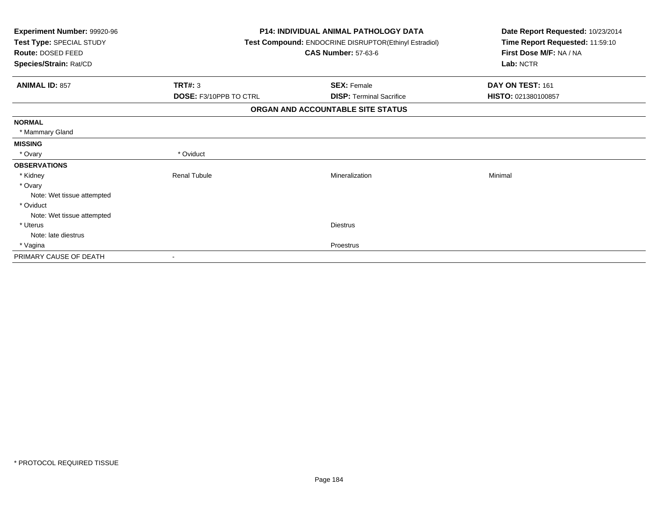| Experiment Number: 99920-96<br>Test Type: SPECIAL STUDY<br>Route: DOSED FEED<br>Species/Strain: Rat/CD |                               | <b>P14: INDIVIDUAL ANIMAL PATHOLOGY DATA</b><br>Test Compound: ENDOCRINE DISRUPTOR(Ethinyl Estradiol)<br><b>CAS Number: 57-63-6</b> | Date Report Requested: 10/23/2014<br>Time Report Requested: 11:59:10<br>First Dose M/F: NA / NA<br>Lab: NCTR |
|--------------------------------------------------------------------------------------------------------|-------------------------------|-------------------------------------------------------------------------------------------------------------------------------------|--------------------------------------------------------------------------------------------------------------|
| <b>ANIMAL ID: 857</b>                                                                                  | <b>TRT#: 3</b>                | <b>SEX: Female</b>                                                                                                                  | DAY ON TEST: 161                                                                                             |
|                                                                                                        | <b>DOSE: F3/10PPB TO CTRL</b> | <b>DISP: Terminal Sacrifice</b>                                                                                                     | HISTO: 021380100857                                                                                          |
|                                                                                                        |                               | ORGAN AND ACCOUNTABLE SITE STATUS                                                                                                   |                                                                                                              |
| <b>NORMAL</b>                                                                                          |                               |                                                                                                                                     |                                                                                                              |
| * Mammary Gland                                                                                        |                               |                                                                                                                                     |                                                                                                              |
| <b>MISSING</b>                                                                                         |                               |                                                                                                                                     |                                                                                                              |
| * Ovary                                                                                                | * Oviduct                     |                                                                                                                                     |                                                                                                              |
| <b>OBSERVATIONS</b>                                                                                    |                               |                                                                                                                                     |                                                                                                              |
| * Kidney                                                                                               | <b>Renal Tubule</b>           | Mineralization                                                                                                                      | Minimal                                                                                                      |
| * Ovary                                                                                                |                               |                                                                                                                                     |                                                                                                              |
| Note: Wet tissue attempted                                                                             |                               |                                                                                                                                     |                                                                                                              |
| * Oviduct                                                                                              |                               |                                                                                                                                     |                                                                                                              |
| Note: Wet tissue attempted                                                                             |                               |                                                                                                                                     |                                                                                                              |
| * Uterus                                                                                               |                               | <b>Diestrus</b>                                                                                                                     |                                                                                                              |
| Note: late diestrus                                                                                    |                               |                                                                                                                                     |                                                                                                              |
| * Vagina                                                                                               |                               | Proestrus                                                                                                                           |                                                                                                              |
| PRIMARY CAUSE OF DEATH                                                                                 |                               |                                                                                                                                     |                                                                                                              |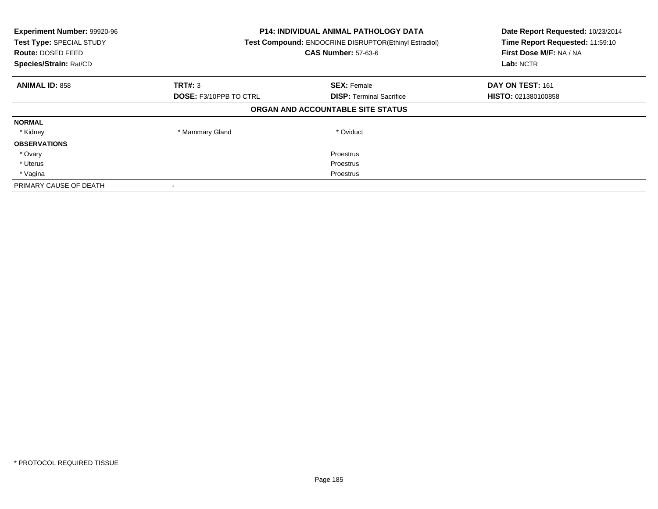| Experiment Number: 99920-96<br>Test Type: SPECIAL STUDY<br>Route: DOSED FEED<br>Species/Strain: Rat/CD | <b>P14: INDIVIDUAL ANIMAL PATHOLOGY DATA</b><br>Test Compound: ENDOCRINE DISRUPTOR(Ethinyl Estradiol)<br><b>CAS Number: 57-63-6</b> |                                   | Date Report Requested: 10/23/2014<br>Time Report Requested: 11:59:10<br>First Dose M/F: NA / NA<br>Lab: NCTR |
|--------------------------------------------------------------------------------------------------------|-------------------------------------------------------------------------------------------------------------------------------------|-----------------------------------|--------------------------------------------------------------------------------------------------------------|
| <b>ANIMAL ID: 858</b>                                                                                  | <b>TRT#: 3</b>                                                                                                                      | <b>SEX: Female</b>                | DAY ON TEST: 161                                                                                             |
|                                                                                                        | <b>DOSE: F3/10PPB TO CTRL</b>                                                                                                       | <b>DISP:</b> Terminal Sacrifice   | <b>HISTO: 021380100858</b>                                                                                   |
|                                                                                                        |                                                                                                                                     | ORGAN AND ACCOUNTABLE SITE STATUS |                                                                                                              |
| <b>NORMAL</b>                                                                                          |                                                                                                                                     |                                   |                                                                                                              |
| * Kidney                                                                                               | * Mammary Gland                                                                                                                     | * Oviduct                         |                                                                                                              |
| <b>OBSERVATIONS</b>                                                                                    |                                                                                                                                     |                                   |                                                                                                              |
| * Ovary                                                                                                |                                                                                                                                     | Proestrus                         |                                                                                                              |
| * Uterus                                                                                               |                                                                                                                                     | Proestrus                         |                                                                                                              |
| * Vagina                                                                                               | Proestrus                                                                                                                           |                                   |                                                                                                              |
| PRIMARY CAUSE OF DEATH                                                                                 |                                                                                                                                     |                                   |                                                                                                              |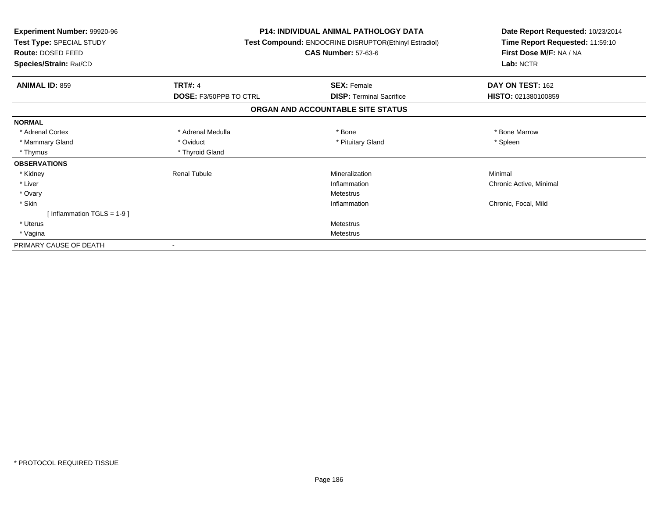| Experiment Number: 99920-96<br>Test Type: SPECIAL STUDY<br>Route: DOSED FEED |                               | <b>P14: INDIVIDUAL ANIMAL PATHOLOGY DATA</b><br>Test Compound: ENDOCRINE DISRUPTOR(Ethinyl Estradiol)<br><b>CAS Number: 57-63-6</b> | Date Report Requested: 10/23/2014<br>Time Report Requested: 11:59:10<br>First Dose M/F: NA / NA |  |
|------------------------------------------------------------------------------|-------------------------------|-------------------------------------------------------------------------------------------------------------------------------------|-------------------------------------------------------------------------------------------------|--|
| Species/Strain: Rat/CD                                                       |                               |                                                                                                                                     | Lab: NCTR                                                                                       |  |
| <b>ANIMAL ID: 859</b>                                                        | <b>TRT#: 4</b>                | <b>SEX: Female</b>                                                                                                                  | DAY ON TEST: 162                                                                                |  |
|                                                                              | <b>DOSE: F3/50PPB TO CTRL</b> | <b>DISP:</b> Terminal Sacrifice                                                                                                     | HISTO: 021380100859                                                                             |  |
|                                                                              |                               | ORGAN AND ACCOUNTABLE SITE STATUS                                                                                                   |                                                                                                 |  |
| <b>NORMAL</b>                                                                |                               |                                                                                                                                     |                                                                                                 |  |
| * Adrenal Cortex                                                             | * Adrenal Medulla             | * Bone                                                                                                                              | * Bone Marrow                                                                                   |  |
| * Mammary Gland                                                              | * Oviduct                     | * Pituitary Gland                                                                                                                   | * Spleen                                                                                        |  |
| * Thymus                                                                     | * Thyroid Gland               |                                                                                                                                     |                                                                                                 |  |
| <b>OBSERVATIONS</b>                                                          |                               |                                                                                                                                     |                                                                                                 |  |
| * Kidney                                                                     | <b>Renal Tubule</b>           | Mineralization                                                                                                                      | Minimal                                                                                         |  |
| * Liver                                                                      |                               | Inflammation                                                                                                                        | Chronic Active, Minimal                                                                         |  |
| * Ovary                                                                      |                               | Metestrus                                                                                                                           |                                                                                                 |  |
| * Skin                                                                       |                               | Inflammation                                                                                                                        | Chronic, Focal, Mild                                                                            |  |
| [Inflammation TGLS = $1-9$ ]                                                 |                               |                                                                                                                                     |                                                                                                 |  |
| * Uterus                                                                     |                               | <b>Metestrus</b>                                                                                                                    |                                                                                                 |  |
| * Vagina                                                                     |                               | Metestrus                                                                                                                           |                                                                                                 |  |
| PRIMARY CAUSE OF DEATH                                                       |                               |                                                                                                                                     |                                                                                                 |  |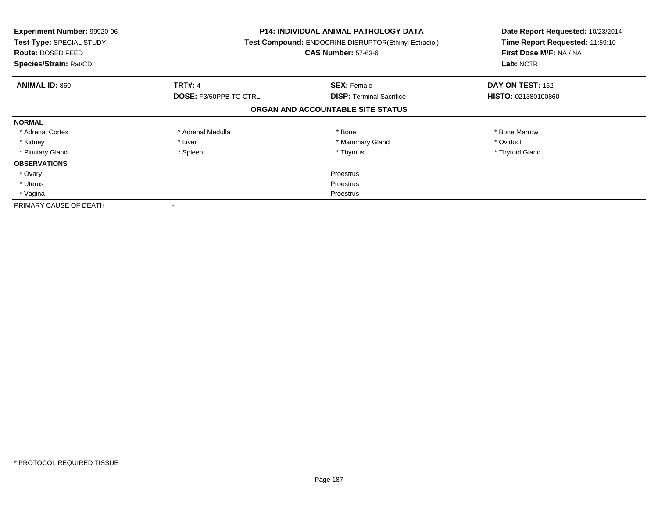| <b>Experiment Number: 99920-96</b><br>Test Type: SPECIAL STUDY<br><b>Route: DOSED FEED</b><br>Species/Strain: Rat/CD |                               | <b>P14: INDIVIDUAL ANIMAL PATHOLOGY DATA</b><br>Test Compound: ENDOCRINE DISRUPTOR(Ethinyl Estradiol)<br><b>CAS Number: 57-63-6</b> | Date Report Requested: 10/23/2014<br>Time Report Requested: 11:59:10<br>First Dose M/F: NA / NA<br>Lab: NCTR |
|----------------------------------------------------------------------------------------------------------------------|-------------------------------|-------------------------------------------------------------------------------------------------------------------------------------|--------------------------------------------------------------------------------------------------------------|
| <b>ANIMAL ID: 860</b>                                                                                                | <b>TRT#: 4</b>                | <b>SEX: Female</b>                                                                                                                  | DAY ON TEST: 162                                                                                             |
|                                                                                                                      | <b>DOSE: F3/50PPB TO CTRL</b> | <b>DISP:</b> Terminal Sacrifice                                                                                                     | <b>HISTO: 021380100860</b>                                                                                   |
|                                                                                                                      |                               | ORGAN AND ACCOUNTABLE SITE STATUS                                                                                                   |                                                                                                              |
| <b>NORMAL</b>                                                                                                        |                               |                                                                                                                                     |                                                                                                              |
| * Adrenal Cortex                                                                                                     | * Adrenal Medulla             | * Bone                                                                                                                              | * Bone Marrow                                                                                                |
| * Kidney                                                                                                             | * Liver                       | * Mammary Gland                                                                                                                     | * Oviduct                                                                                                    |
| * Pituitary Gland                                                                                                    | * Spleen                      | * Thymus                                                                                                                            | * Thyroid Gland                                                                                              |
| <b>OBSERVATIONS</b>                                                                                                  |                               |                                                                                                                                     |                                                                                                              |
| * Ovary                                                                                                              |                               | Proestrus                                                                                                                           |                                                                                                              |
| * Uterus                                                                                                             | Proestrus                     |                                                                                                                                     |                                                                                                              |
| * Vagina                                                                                                             | Proestrus                     |                                                                                                                                     |                                                                                                              |
| PRIMARY CAUSE OF DEATH                                                                                               |                               |                                                                                                                                     |                                                                                                              |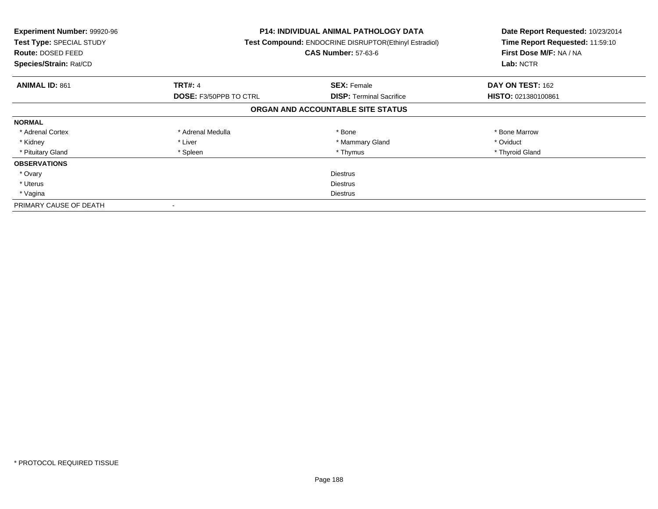| <b>Experiment Number: 99920-96</b><br>Test Type: SPECIAL STUDY<br><b>Route: DOSED FEED</b><br>Species/Strain: Rat/CD |                               | <b>P14: INDIVIDUAL ANIMAL PATHOLOGY DATA</b><br>Test Compound: ENDOCRINE DISRUPTOR(Ethinyl Estradiol)<br><b>CAS Number: 57-63-6</b> | Date Report Requested: 10/23/2014<br>Time Report Requested: 11:59:10<br>First Dose M/F: NA / NA<br>Lab: NCTR |
|----------------------------------------------------------------------------------------------------------------------|-------------------------------|-------------------------------------------------------------------------------------------------------------------------------------|--------------------------------------------------------------------------------------------------------------|
| <b>ANIMAL ID: 861</b>                                                                                                | <b>TRT#: 4</b>                | <b>SEX: Female</b>                                                                                                                  | DAY ON TEST: 162                                                                                             |
|                                                                                                                      | <b>DOSE: F3/50PPB TO CTRL</b> | <b>DISP:</b> Terminal Sacrifice                                                                                                     | HISTO: 021380100861                                                                                          |
|                                                                                                                      |                               | ORGAN AND ACCOUNTABLE SITE STATUS                                                                                                   |                                                                                                              |
| <b>NORMAL</b>                                                                                                        |                               |                                                                                                                                     |                                                                                                              |
| * Adrenal Cortex                                                                                                     | * Adrenal Medulla             | * Bone                                                                                                                              | * Bone Marrow                                                                                                |
| * Kidney                                                                                                             | * Liver                       | * Mammary Gland                                                                                                                     | * Oviduct                                                                                                    |
| * Pituitary Gland                                                                                                    | * Spleen                      | * Thymus                                                                                                                            | * Thyroid Gland                                                                                              |
| <b>OBSERVATIONS</b>                                                                                                  |                               |                                                                                                                                     |                                                                                                              |
| * Ovary                                                                                                              |                               | <b>Diestrus</b>                                                                                                                     |                                                                                                              |
| * Uterus                                                                                                             | <b>Diestrus</b>               |                                                                                                                                     |                                                                                                              |
| * Vagina                                                                                                             | Diestrus                      |                                                                                                                                     |                                                                                                              |
| PRIMARY CAUSE OF DEATH                                                                                               |                               |                                                                                                                                     |                                                                                                              |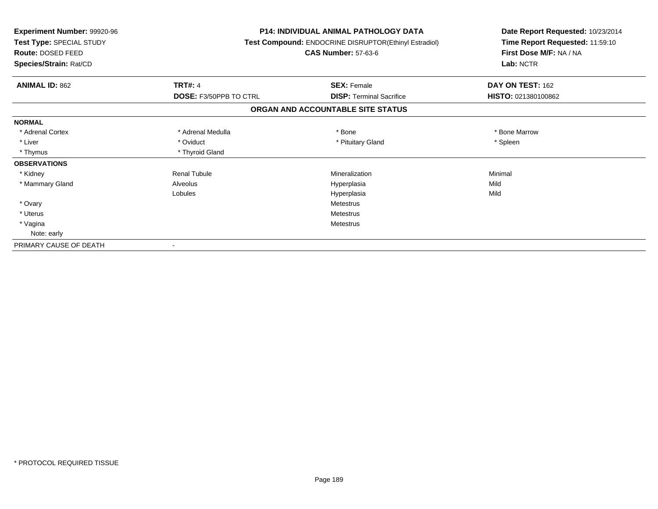| <b>Experiment Number: 99920-96</b><br>Test Type: SPECIAL STUDY<br>Route: DOSED FEED<br>Species/Strain: Rat/CD |                        | <b>P14: INDIVIDUAL ANIMAL PATHOLOGY DATA</b><br><b>Test Compound: ENDOCRINE DISRUPTOR(Ethinyl Estradiol)</b><br><b>CAS Number: 57-63-6</b> | Date Report Requested: 10/23/2014<br>Time Report Requested: 11:59:10<br>First Dose M/F: NA / NA<br>Lab: NCTR |
|---------------------------------------------------------------------------------------------------------------|------------------------|--------------------------------------------------------------------------------------------------------------------------------------------|--------------------------------------------------------------------------------------------------------------|
| <b>ANIMAL ID: 862</b>                                                                                         | <b>TRT#: 4</b>         | <b>SEX: Female</b>                                                                                                                         | DAY ON TEST: 162                                                                                             |
|                                                                                                               | DOSE: F3/50PPB TO CTRL | <b>DISP: Terminal Sacrifice</b>                                                                                                            | HISTO: 021380100862                                                                                          |
|                                                                                                               |                        | ORGAN AND ACCOUNTABLE SITE STATUS                                                                                                          |                                                                                                              |
| <b>NORMAL</b>                                                                                                 |                        |                                                                                                                                            |                                                                                                              |
| * Adrenal Cortex                                                                                              | * Adrenal Medulla      | * Bone                                                                                                                                     | * Bone Marrow                                                                                                |
| * Liver                                                                                                       | * Oviduct              | * Pituitary Gland                                                                                                                          | * Spleen                                                                                                     |
| * Thymus                                                                                                      | * Thyroid Gland        |                                                                                                                                            |                                                                                                              |
| <b>OBSERVATIONS</b>                                                                                           |                        |                                                                                                                                            |                                                                                                              |
| * Kidney                                                                                                      | <b>Renal Tubule</b>    | Mineralization                                                                                                                             | Minimal                                                                                                      |
| * Mammary Gland                                                                                               | Alveolus               | Hyperplasia                                                                                                                                | Mild                                                                                                         |
|                                                                                                               | Lobules                | Hyperplasia                                                                                                                                | Mild                                                                                                         |
| * Ovary                                                                                                       |                        | Metestrus                                                                                                                                  |                                                                                                              |
| * Uterus                                                                                                      |                        | <b>Metestrus</b>                                                                                                                           |                                                                                                              |
| * Vagina                                                                                                      |                        | <b>Metestrus</b>                                                                                                                           |                                                                                                              |
| Note: early                                                                                                   |                        |                                                                                                                                            |                                                                                                              |
| PRIMARY CAUSE OF DEATH                                                                                        |                        |                                                                                                                                            |                                                                                                              |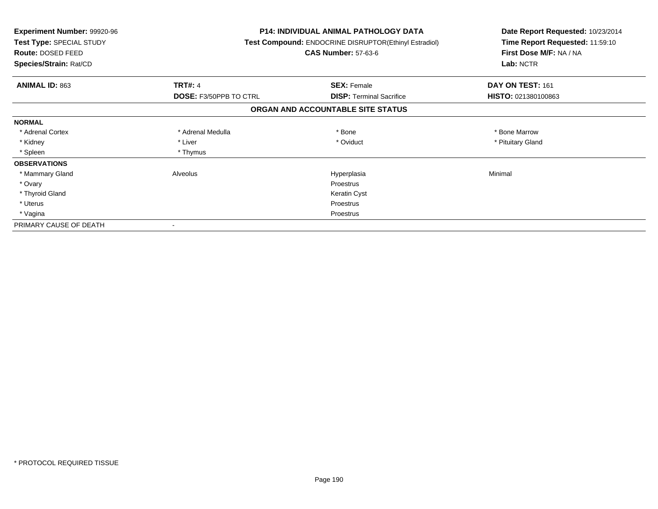| <b>Experiment Number: 99920-96</b><br>Test Type: SPECIAL STUDY<br>Route: DOSED FEED<br>Species/Strain: Rat/CD |                               | <b>P14: INDIVIDUAL ANIMAL PATHOLOGY DATA</b><br>Test Compound: ENDOCRINE DISRUPTOR(Ethinyl Estradiol)<br><b>CAS Number: 57-63-6</b> | Date Report Requested: 10/23/2014<br>Time Report Requested: 11:59:10<br>First Dose M/F: NA / NA<br>Lab: NCTR |
|---------------------------------------------------------------------------------------------------------------|-------------------------------|-------------------------------------------------------------------------------------------------------------------------------------|--------------------------------------------------------------------------------------------------------------|
| <b>ANIMAL ID: 863</b>                                                                                         | <b>TRT#: 4</b>                | <b>SEX: Female</b>                                                                                                                  | DAY ON TEST: 161                                                                                             |
|                                                                                                               | <b>DOSE: F3/50PPB TO CTRL</b> | <b>DISP:</b> Terminal Sacrifice                                                                                                     | HISTO: 021380100863                                                                                          |
|                                                                                                               |                               | ORGAN AND ACCOUNTABLE SITE STATUS                                                                                                   |                                                                                                              |
| <b>NORMAL</b>                                                                                                 |                               |                                                                                                                                     |                                                                                                              |
| * Adrenal Cortex                                                                                              | * Adrenal Medulla             | * Bone                                                                                                                              | * Bone Marrow                                                                                                |
| * Kidney                                                                                                      | * Liver                       | * Oviduct                                                                                                                           | * Pituitary Gland                                                                                            |
| * Spleen                                                                                                      | * Thymus                      |                                                                                                                                     |                                                                                                              |
| <b>OBSERVATIONS</b>                                                                                           |                               |                                                                                                                                     |                                                                                                              |
| * Mammary Gland                                                                                               | Alveolus                      | Hyperplasia                                                                                                                         | Minimal                                                                                                      |
| * Ovary                                                                                                       |                               | Proestrus                                                                                                                           |                                                                                                              |
| * Thyroid Gland                                                                                               |                               | Keratin Cyst                                                                                                                        |                                                                                                              |
| * Uterus                                                                                                      |                               | <b>Proestrus</b>                                                                                                                    |                                                                                                              |
| * Vagina                                                                                                      |                               | Proestrus                                                                                                                           |                                                                                                              |
| PRIMARY CAUSE OF DEATH                                                                                        |                               |                                                                                                                                     |                                                                                                              |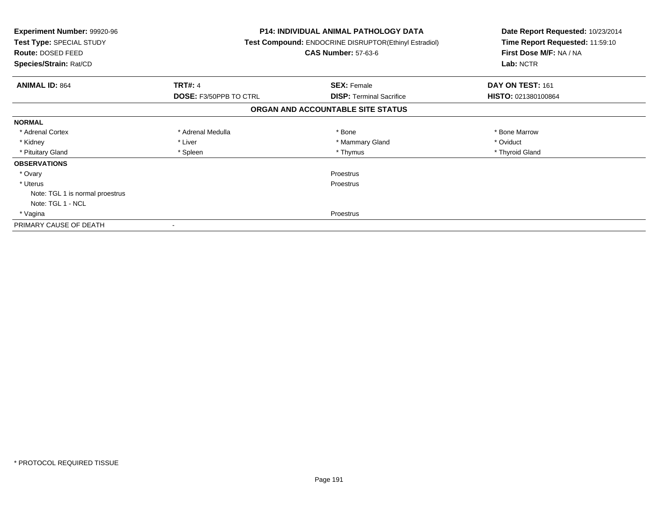| <b>Experiment Number: 99920-96</b><br>Test Type: SPECIAL STUDY<br>Route: DOSED FEED<br>Species/Strain: Rat/CD |                               | P14: INDIVIDUAL ANIMAL PATHOLOGY DATA<br>Test Compound: ENDOCRINE DISRUPTOR(Ethinyl Estradiol)<br><b>CAS Number: 57-63-6</b> | Date Report Requested: 10/23/2014<br>Time Report Requested: 11:59:10<br>First Dose M/F: NA / NA<br>Lab: NCTR |
|---------------------------------------------------------------------------------------------------------------|-------------------------------|------------------------------------------------------------------------------------------------------------------------------|--------------------------------------------------------------------------------------------------------------|
| <b>ANIMAL ID: 864</b>                                                                                         | <b>TRT#: 4</b>                | <b>SEX: Female</b>                                                                                                           | DAY ON TEST: 161                                                                                             |
|                                                                                                               | <b>DOSE: F3/50PPB TO CTRL</b> | <b>DISP: Terminal Sacrifice</b>                                                                                              | HISTO: 021380100864                                                                                          |
|                                                                                                               |                               | ORGAN AND ACCOUNTABLE SITE STATUS                                                                                            |                                                                                                              |
| <b>NORMAL</b>                                                                                                 |                               |                                                                                                                              |                                                                                                              |
| * Adrenal Cortex                                                                                              | * Adrenal Medulla             | * Bone                                                                                                                       | * Bone Marrow                                                                                                |
| * Kidney                                                                                                      | * Liver                       | * Mammary Gland                                                                                                              | * Oviduct                                                                                                    |
| * Pituitary Gland                                                                                             | * Spleen                      | * Thymus                                                                                                                     | * Thyroid Gland                                                                                              |
| <b>OBSERVATIONS</b>                                                                                           |                               |                                                                                                                              |                                                                                                              |
| * Ovary                                                                                                       |                               | Proestrus                                                                                                                    |                                                                                                              |
| * Uterus                                                                                                      |                               | Proestrus                                                                                                                    |                                                                                                              |
| Note: TGL 1 is normal proestrus                                                                               |                               |                                                                                                                              |                                                                                                              |
| Note: TGL 1 - NCL                                                                                             |                               |                                                                                                                              |                                                                                                              |
| * Vagina                                                                                                      |                               | Proestrus                                                                                                                    |                                                                                                              |
| PRIMARY CAUSE OF DEATH                                                                                        |                               |                                                                                                                              |                                                                                                              |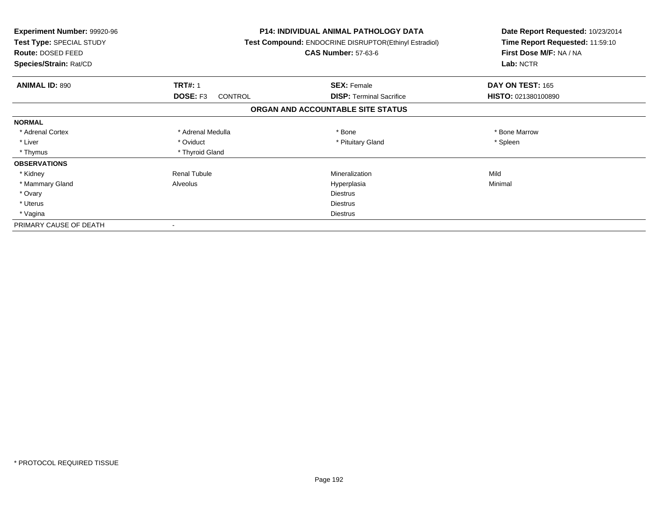| <b>Experiment Number: 99920-96</b><br>Test Type: SPECIAL STUDY<br>Route: DOSED FEED<br>Species/Strain: Rat/CD |                            | <b>P14: INDIVIDUAL ANIMAL PATHOLOGY DATA</b><br>Test Compound: ENDOCRINE DISRUPTOR(Ethinyl Estradiol)<br><b>CAS Number: 57-63-6</b> | Date Report Requested: 10/23/2014<br>Time Report Requested: 11:59:10<br>First Dose M/F: NA / NA<br>Lab: NCTR |
|---------------------------------------------------------------------------------------------------------------|----------------------------|-------------------------------------------------------------------------------------------------------------------------------------|--------------------------------------------------------------------------------------------------------------|
| <b>ANIMAL ID: 890</b>                                                                                         | <b>TRT#: 1</b>             | <b>SEX: Female</b>                                                                                                                  | DAY ON TEST: 165                                                                                             |
|                                                                                                               | DOSE: F3<br><b>CONTROL</b> | <b>DISP:</b> Terminal Sacrifice                                                                                                     | HISTO: 021380100890                                                                                          |
|                                                                                                               |                            | ORGAN AND ACCOUNTABLE SITE STATUS                                                                                                   |                                                                                                              |
| <b>NORMAL</b>                                                                                                 |                            |                                                                                                                                     |                                                                                                              |
| * Adrenal Cortex                                                                                              | * Adrenal Medulla          | * Bone                                                                                                                              | * Bone Marrow                                                                                                |
| * Liver                                                                                                       | * Oviduct                  | * Pituitary Gland                                                                                                                   | * Spleen                                                                                                     |
| * Thymus                                                                                                      | * Thyroid Gland            |                                                                                                                                     |                                                                                                              |
| <b>OBSERVATIONS</b>                                                                                           |                            |                                                                                                                                     |                                                                                                              |
| * Kidney                                                                                                      | <b>Renal Tubule</b>        | Mineralization                                                                                                                      | Mild                                                                                                         |
| * Mammary Gland                                                                                               | Alveolus                   | Hyperplasia                                                                                                                         | Minimal                                                                                                      |
| * Ovary                                                                                                       |                            | <b>Diestrus</b>                                                                                                                     |                                                                                                              |
| * Uterus                                                                                                      |                            | <b>Diestrus</b>                                                                                                                     |                                                                                                              |
| * Vagina                                                                                                      |                            | <b>Diestrus</b>                                                                                                                     |                                                                                                              |
| PRIMARY CAUSE OF DEATH                                                                                        |                            |                                                                                                                                     |                                                                                                              |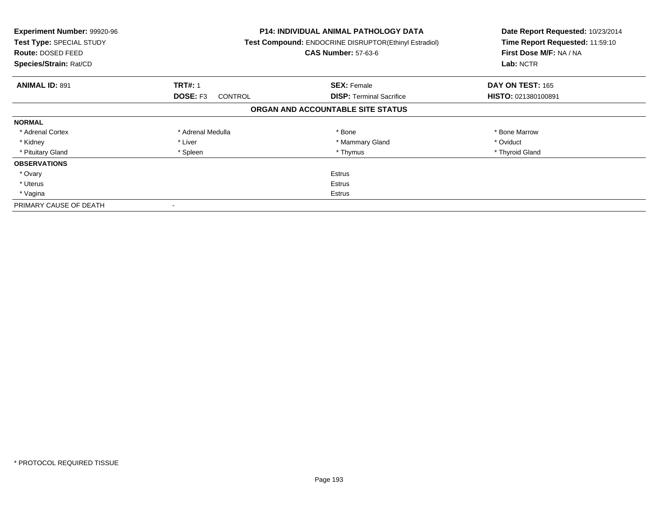| Experiment Number: 99920-96<br><b>Test Type: SPECIAL STUDY</b><br>Route: DOSED FEED<br>Species/Strain: Rat/CD |                                   | <b>P14: INDIVIDUAL ANIMAL PATHOLOGY DATA</b><br>Test Compound: ENDOCRINE DISRUPTOR(Ethinyl Estradiol)<br><b>CAS Number: 57-63-6</b> | Date Report Requested: 10/23/2014<br>Time Report Requested: 11:59:10<br>First Dose M/F: NA / NA<br>Lab: NCTR |
|---------------------------------------------------------------------------------------------------------------|-----------------------------------|-------------------------------------------------------------------------------------------------------------------------------------|--------------------------------------------------------------------------------------------------------------|
| <b>ANIMAL ID: 891</b>                                                                                         | <b>TRT#: 1</b>                    | <b>SEX: Female</b>                                                                                                                  | DAY ON TEST: 165                                                                                             |
|                                                                                                               | <b>DOSE: F3</b><br><b>CONTROL</b> | <b>DISP:</b> Terminal Sacrifice                                                                                                     | HISTO: 021380100891                                                                                          |
|                                                                                                               |                                   | ORGAN AND ACCOUNTABLE SITE STATUS                                                                                                   |                                                                                                              |
| <b>NORMAL</b>                                                                                                 |                                   |                                                                                                                                     |                                                                                                              |
| * Adrenal Cortex                                                                                              | * Adrenal Medulla                 | * Bone                                                                                                                              | * Bone Marrow                                                                                                |
| * Kidney                                                                                                      | * Liver                           | * Mammary Gland                                                                                                                     | * Oviduct                                                                                                    |
| * Pituitary Gland                                                                                             | * Spleen                          | * Thymus                                                                                                                            | * Thyroid Gland                                                                                              |
| <b>OBSERVATIONS</b>                                                                                           |                                   |                                                                                                                                     |                                                                                                              |
| * Ovary                                                                                                       |                                   | <b>Estrus</b>                                                                                                                       |                                                                                                              |
| * Uterus                                                                                                      |                                   | <b>Estrus</b>                                                                                                                       |                                                                                                              |
| * Vagina                                                                                                      | Estrus                            |                                                                                                                                     |                                                                                                              |
| PRIMARY CAUSE OF DEATH                                                                                        |                                   |                                                                                                                                     |                                                                                                              |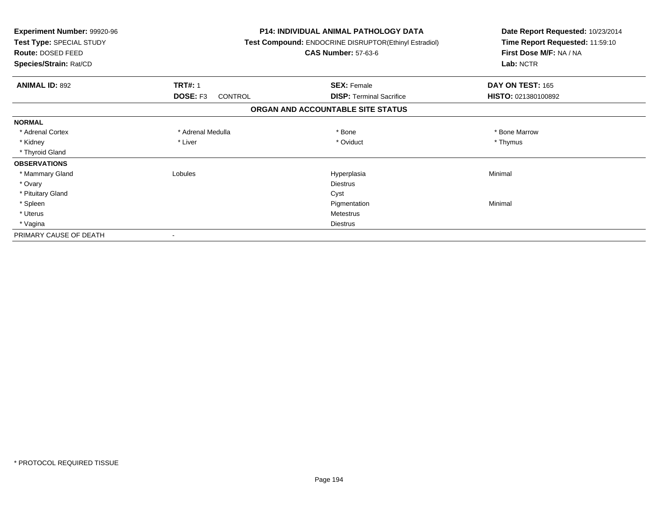| Experiment Number: 99920-96<br>Test Type: SPECIAL STUDY<br>Route: DOSED FEED<br>Species/Strain: Rat/CD |                            | <b>P14: INDIVIDUAL ANIMAL PATHOLOGY DATA</b><br>Test Compound: ENDOCRINE DISRUPTOR(Ethinyl Estradiol)<br><b>CAS Number: 57-63-6</b> | Date Report Requested: 10/23/2014<br>Time Report Requested: 11:59:10<br>First Dose M/F: NA / NA<br>Lab: NCTR |
|--------------------------------------------------------------------------------------------------------|----------------------------|-------------------------------------------------------------------------------------------------------------------------------------|--------------------------------------------------------------------------------------------------------------|
| <b>ANIMAL ID: 892</b>                                                                                  | <b>TRT#: 1</b>             | <b>SEX: Female</b>                                                                                                                  | DAY ON TEST: 165                                                                                             |
|                                                                                                        | DOSE: F3<br><b>CONTROL</b> | <b>DISP: Terminal Sacrifice</b>                                                                                                     | HISTO: 021380100892                                                                                          |
|                                                                                                        |                            | ORGAN AND ACCOUNTABLE SITE STATUS                                                                                                   |                                                                                                              |
| <b>NORMAL</b>                                                                                          |                            |                                                                                                                                     |                                                                                                              |
| * Adrenal Cortex                                                                                       | * Adrenal Medulla          | * Bone                                                                                                                              | * Bone Marrow                                                                                                |
| * Kidney                                                                                               | * Liver                    | * Oviduct                                                                                                                           | * Thymus                                                                                                     |
| * Thyroid Gland                                                                                        |                            |                                                                                                                                     |                                                                                                              |
| <b>OBSERVATIONS</b>                                                                                    |                            |                                                                                                                                     |                                                                                                              |
| * Mammary Gland                                                                                        | Lobules                    | Hyperplasia                                                                                                                         | Minimal                                                                                                      |
| * Ovary                                                                                                |                            | <b>Diestrus</b>                                                                                                                     |                                                                                                              |
| * Pituitary Gland                                                                                      |                            | Cyst                                                                                                                                |                                                                                                              |
| * Spleen                                                                                               |                            | Pigmentation                                                                                                                        | Minimal                                                                                                      |
| * Uterus                                                                                               |                            | <b>Metestrus</b>                                                                                                                    |                                                                                                              |
| * Vagina                                                                                               |                            | <b>Diestrus</b>                                                                                                                     |                                                                                                              |
| PRIMARY CAUSE OF DEATH                                                                                 |                            |                                                                                                                                     |                                                                                                              |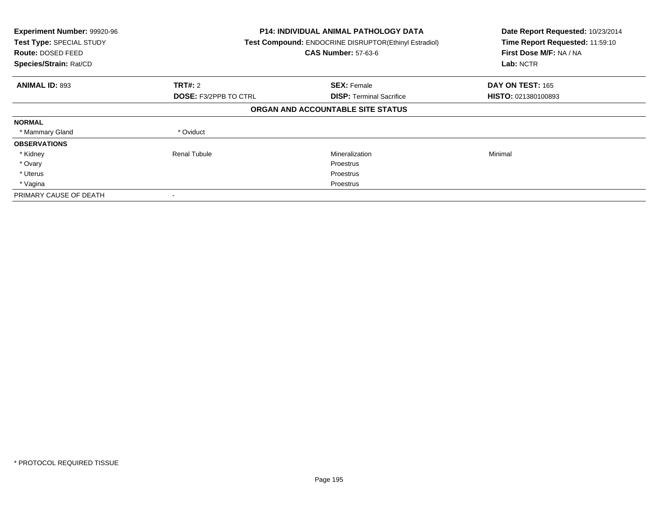| Experiment Number: 99920-96<br>Test Type: SPECIAL STUDY<br><b>Route: DOSED FEED</b><br>Species/Strain: Rat/CD |                              | P14: INDIVIDUAL ANIMAL PATHOLOGY DATA<br>Test Compound: ENDOCRINE DISRUPTOR(Ethinyl Estradiol)<br><b>CAS Number: 57-63-6</b> |                            |
|---------------------------------------------------------------------------------------------------------------|------------------------------|------------------------------------------------------------------------------------------------------------------------------|----------------------------|
| <b>ANIMAL ID: 893</b>                                                                                         | TRT#: 2                      | <b>SEX: Female</b>                                                                                                           | <b>DAY ON TEST: 165</b>    |
|                                                                                                               | <b>DOSE: F3/2PPB TO CTRL</b> | <b>DISP:</b> Terminal Sacrifice                                                                                              | <b>HISTO: 021380100893</b> |
|                                                                                                               |                              | ORGAN AND ACCOUNTABLE SITE STATUS                                                                                            |                            |
| <b>NORMAL</b>                                                                                                 |                              |                                                                                                                              |                            |
| * Mammary Gland                                                                                               | * Oviduct                    |                                                                                                                              |                            |
| <b>OBSERVATIONS</b>                                                                                           |                              |                                                                                                                              |                            |
| * Kidney                                                                                                      | Renal Tubule                 | Mineralization                                                                                                               | Minimal                    |
| * Ovary                                                                                                       |                              | <b>Proestrus</b>                                                                                                             |                            |
| * Uterus                                                                                                      |                              | Proestrus                                                                                                                    |                            |
| * Vagina                                                                                                      |                              | Proestrus                                                                                                                    |                            |
| PRIMARY CAUSE OF DEATH                                                                                        |                              |                                                                                                                              |                            |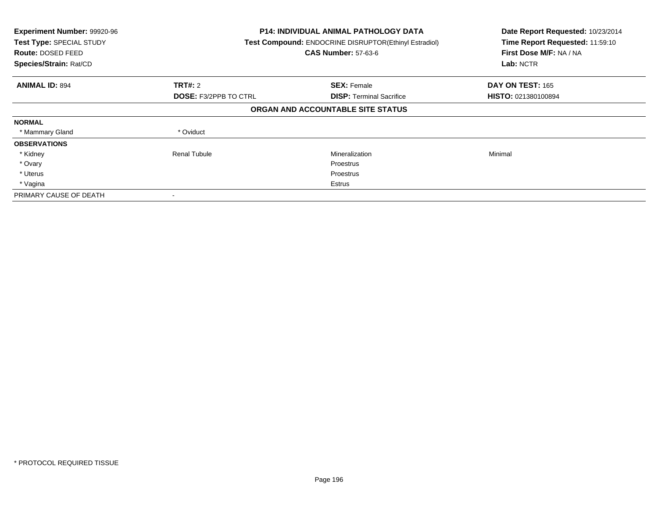| Experiment Number: 99920-96<br>Test Type: SPECIAL STUDY<br><b>Route: DOSED FEED</b><br>Species/Strain: Rat/CD |                              | <b>P14: INDIVIDUAL ANIMAL PATHOLOGY DATA</b><br>Test Compound: ENDOCRINE DISRUPTOR(Ethinyl Estradiol)<br><b>CAS Number: 57-63-6</b> |                     |
|---------------------------------------------------------------------------------------------------------------|------------------------------|-------------------------------------------------------------------------------------------------------------------------------------|---------------------|
| <b>ANIMAL ID: 894</b>                                                                                         | TRT#: 2                      | <b>SEX: Female</b>                                                                                                                  | DAY ON TEST: 165    |
|                                                                                                               | <b>DOSE: F3/2PPB TO CTRL</b> | <b>DISP:</b> Terminal Sacrifice                                                                                                     | HISTO: 021380100894 |
|                                                                                                               |                              | ORGAN AND ACCOUNTABLE SITE STATUS                                                                                                   |                     |
| <b>NORMAL</b>                                                                                                 |                              |                                                                                                                                     |                     |
| * Mammary Gland                                                                                               | * Oviduct                    |                                                                                                                                     |                     |
| <b>OBSERVATIONS</b>                                                                                           |                              |                                                                                                                                     |                     |
| * Kidney                                                                                                      | <b>Renal Tubule</b>          | Mineralization                                                                                                                      | Minimal             |
| * Ovary                                                                                                       |                              | Proestrus                                                                                                                           |                     |
| * Uterus                                                                                                      |                              | Proestrus                                                                                                                           |                     |
| * Vagina                                                                                                      |                              | Estrus                                                                                                                              |                     |
| PRIMARY CAUSE OF DEATH                                                                                        |                              |                                                                                                                                     |                     |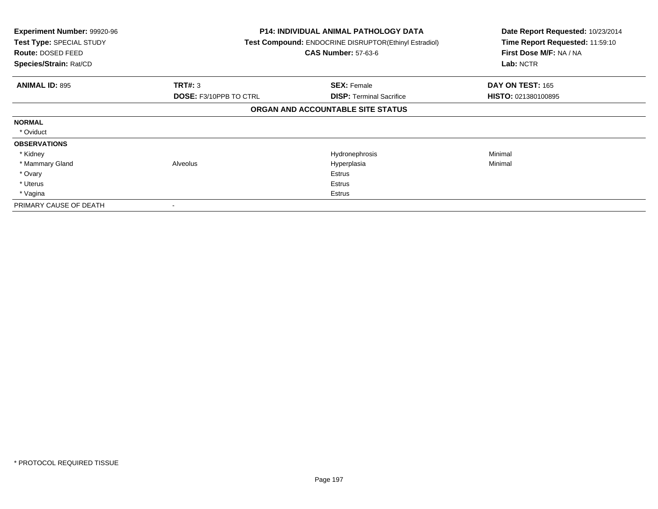| Experiment Number: 99920-96<br>Test Type: SPECIAL STUDY<br><b>Route: DOSED FEED</b><br>Species/Strain: Rat/CD |                        | P14: INDIVIDUAL ANIMAL PATHOLOGY DATA<br>Test Compound: ENDOCRINE DISRUPTOR(Ethinyl Estradiol)<br><b>CAS Number: 57-63-6</b> | Date Report Requested: 10/23/2014<br>Time Report Requested: 11:59:10<br>First Dose M/F: NA / NA<br>Lab: NCTR |
|---------------------------------------------------------------------------------------------------------------|------------------------|------------------------------------------------------------------------------------------------------------------------------|--------------------------------------------------------------------------------------------------------------|
| <b>ANIMAL ID: 895</b>                                                                                         | TRT#: 3                | <b>SEX: Female</b>                                                                                                           | DAY ON TEST: 165                                                                                             |
|                                                                                                               | DOSE: F3/10PPB TO CTRL | <b>DISP: Terminal Sacrifice</b>                                                                                              | <b>HISTO: 021380100895</b>                                                                                   |
|                                                                                                               |                        | ORGAN AND ACCOUNTABLE SITE STATUS                                                                                            |                                                                                                              |
| <b>NORMAL</b>                                                                                                 |                        |                                                                                                                              |                                                                                                              |
| * Oviduct                                                                                                     |                        |                                                                                                                              |                                                                                                              |
| <b>OBSERVATIONS</b>                                                                                           |                        |                                                                                                                              |                                                                                                              |
| * Kidney                                                                                                      |                        | Hydronephrosis                                                                                                               | Minimal                                                                                                      |
| * Mammary Gland                                                                                               | Alveolus               | Hyperplasia                                                                                                                  | Minimal                                                                                                      |
| * Ovary                                                                                                       |                        | Estrus                                                                                                                       |                                                                                                              |
| * Uterus                                                                                                      |                        | Estrus                                                                                                                       |                                                                                                              |
| * Vagina                                                                                                      |                        | Estrus                                                                                                                       |                                                                                                              |
| PRIMARY CAUSE OF DEATH                                                                                        |                        |                                                                                                                              |                                                                                                              |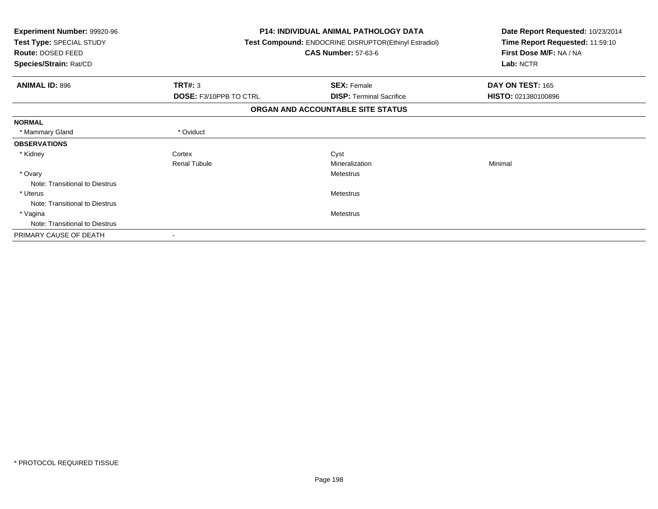| Experiment Number: 99920-96<br>Test Type: SPECIAL STUDY<br>Route: DOSED FEED<br>Species/Strain: Rat/CD |                               | <b>P14: INDIVIDUAL ANIMAL PATHOLOGY DATA</b><br>Test Compound: ENDOCRINE DISRUPTOR(Ethinyl Estradiol)<br><b>CAS Number: 57-63-6</b> | Date Report Requested: 10/23/2014<br>Time Report Requested: 11:59:10<br>First Dose M/F: NA / NA<br>Lab: NCTR |  |
|--------------------------------------------------------------------------------------------------------|-------------------------------|-------------------------------------------------------------------------------------------------------------------------------------|--------------------------------------------------------------------------------------------------------------|--|
| <b>ANIMAL ID: 896</b>                                                                                  | TRT#: 3                       | <b>SEX: Female</b>                                                                                                                  | DAY ON TEST: 165                                                                                             |  |
|                                                                                                        | <b>DOSE: F3/10PPB TO CTRL</b> | <b>DISP: Terminal Sacrifice</b>                                                                                                     | HISTO: 021380100896                                                                                          |  |
|                                                                                                        |                               | ORGAN AND ACCOUNTABLE SITE STATUS                                                                                                   |                                                                                                              |  |
| <b>NORMAL</b>                                                                                          |                               |                                                                                                                                     |                                                                                                              |  |
| * Mammary Gland                                                                                        | * Oviduct                     |                                                                                                                                     |                                                                                                              |  |
| <b>OBSERVATIONS</b>                                                                                    |                               |                                                                                                                                     |                                                                                                              |  |
| * Kidney                                                                                               | Cortex                        | Cyst                                                                                                                                |                                                                                                              |  |
|                                                                                                        | <b>Renal Tubule</b>           | Mineralization                                                                                                                      | Minimal                                                                                                      |  |
| * Ovary                                                                                                |                               | Metestrus                                                                                                                           |                                                                                                              |  |
| Note: Transitional to Diestrus                                                                         |                               |                                                                                                                                     |                                                                                                              |  |
| * Uterus                                                                                               |                               | <b>Metestrus</b>                                                                                                                    |                                                                                                              |  |
| Note: Transitional to Diestrus                                                                         |                               |                                                                                                                                     |                                                                                                              |  |
| * Vagina                                                                                               |                               | Metestrus                                                                                                                           |                                                                                                              |  |
| Note: Transitional to Diestrus                                                                         |                               |                                                                                                                                     |                                                                                                              |  |
| PRIMARY CAUSE OF DEATH                                                                                 |                               |                                                                                                                                     |                                                                                                              |  |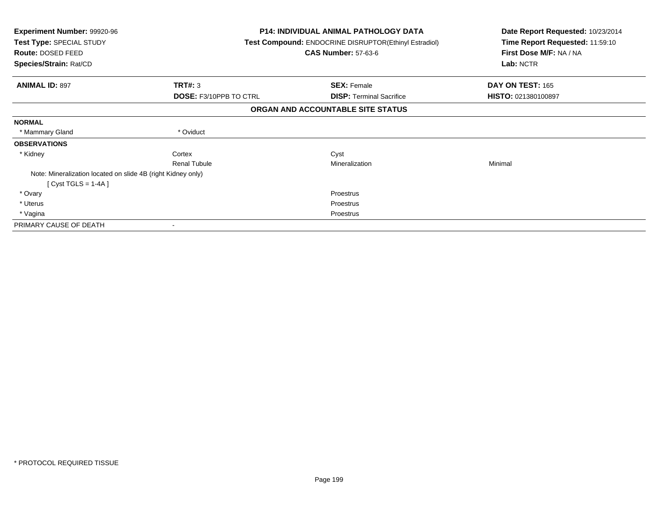| Experiment Number: 99920-96<br>Test Type: SPECIAL STUDY<br>Route: DOSED FEED<br>Species/Strain: Rat/CD |                        | <b>P14: INDIVIDUAL ANIMAL PATHOLOGY DATA</b><br>Test Compound: ENDOCRINE DISRUPTOR(Ethinyl Estradiol)<br><b>CAS Number: 57-63-6</b> | Date Report Requested: 10/23/2014<br>Time Report Requested: 11:59:10<br>First Dose M/F: NA / NA<br>Lab: NCTR |  |
|--------------------------------------------------------------------------------------------------------|------------------------|-------------------------------------------------------------------------------------------------------------------------------------|--------------------------------------------------------------------------------------------------------------|--|
|                                                                                                        |                        |                                                                                                                                     |                                                                                                              |  |
| <b>ANIMAL ID: 897</b>                                                                                  | TRT#: 3                | <b>SEX: Female</b>                                                                                                                  | DAY ON TEST: 165                                                                                             |  |
|                                                                                                        | DOSE: F3/10PPB TO CTRL | <b>DISP: Terminal Sacrifice</b>                                                                                                     | HISTO: 021380100897                                                                                          |  |
|                                                                                                        |                        | ORGAN AND ACCOUNTABLE SITE STATUS                                                                                                   |                                                                                                              |  |
| <b>NORMAL</b>                                                                                          |                        |                                                                                                                                     |                                                                                                              |  |
| * Mammary Gland                                                                                        | * Oviduct              |                                                                                                                                     |                                                                                                              |  |
| <b>OBSERVATIONS</b>                                                                                    |                        |                                                                                                                                     |                                                                                                              |  |
| * Kidney                                                                                               | Cortex                 | Cyst                                                                                                                                |                                                                                                              |  |
|                                                                                                        | <b>Renal Tubule</b>    | Mineralization                                                                                                                      | Minimal                                                                                                      |  |
| Note: Mineralization located on slide 4B (right Kidney only)                                           |                        |                                                                                                                                     |                                                                                                              |  |
| [Cyst TGLS = $1-4A$ ]                                                                                  |                        |                                                                                                                                     |                                                                                                              |  |
| * Ovary                                                                                                |                        | <b>Proestrus</b>                                                                                                                    |                                                                                                              |  |
| * Uterus                                                                                               |                        | Proestrus                                                                                                                           |                                                                                                              |  |
| * Vagina                                                                                               |                        | Proestrus                                                                                                                           |                                                                                                              |  |
| PRIMARY CAUSE OF DEATH                                                                                 |                        |                                                                                                                                     |                                                                                                              |  |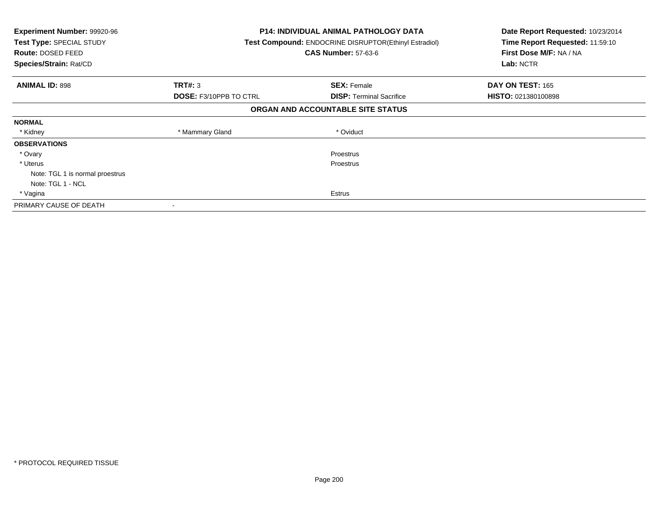| <b>Experiment Number: 99920-96</b><br>Test Type: SPECIAL STUDY<br><b>Route: DOSED FEED</b><br>Species/Strain: Rat/CD |                               | <b>P14: INDIVIDUAL ANIMAL PATHOLOGY DATA</b><br>Test Compound: ENDOCRINE DISRUPTOR(Ethinyl Estradiol)<br><b>CAS Number: 57-63-6</b> | Date Report Requested: 10/23/2014<br>Time Report Requested: 11:59:10<br>First Dose M/F: NA / NA<br>Lab: NCTR |
|----------------------------------------------------------------------------------------------------------------------|-------------------------------|-------------------------------------------------------------------------------------------------------------------------------------|--------------------------------------------------------------------------------------------------------------|
| <b>ANIMAL ID: 898</b>                                                                                                | <b>TRT#: 3</b>                | <b>SEX: Female</b>                                                                                                                  | DAY ON TEST: 165                                                                                             |
|                                                                                                                      | <b>DOSE: F3/10PPB TO CTRL</b> | <b>DISP:</b> Terminal Sacrifice                                                                                                     | HISTO: 021380100898                                                                                          |
|                                                                                                                      |                               | ORGAN AND ACCOUNTABLE SITE STATUS                                                                                                   |                                                                                                              |
| <b>NORMAL</b>                                                                                                        |                               |                                                                                                                                     |                                                                                                              |
| * Kidney                                                                                                             | * Mammary Gland               | * Oviduct                                                                                                                           |                                                                                                              |
| <b>OBSERVATIONS</b>                                                                                                  |                               |                                                                                                                                     |                                                                                                              |
| * Ovary                                                                                                              |                               | Proestrus                                                                                                                           |                                                                                                              |
| * Uterus                                                                                                             |                               | Proestrus                                                                                                                           |                                                                                                              |
| Note: TGL 1 is normal proestrus                                                                                      |                               |                                                                                                                                     |                                                                                                              |
| Note: TGL 1 - NCL                                                                                                    |                               |                                                                                                                                     |                                                                                                              |
| * Vagina                                                                                                             |                               | Estrus                                                                                                                              |                                                                                                              |
| PRIMARY CAUSE OF DEATH                                                                                               | $\overline{\phantom{a}}$      |                                                                                                                                     |                                                                                                              |